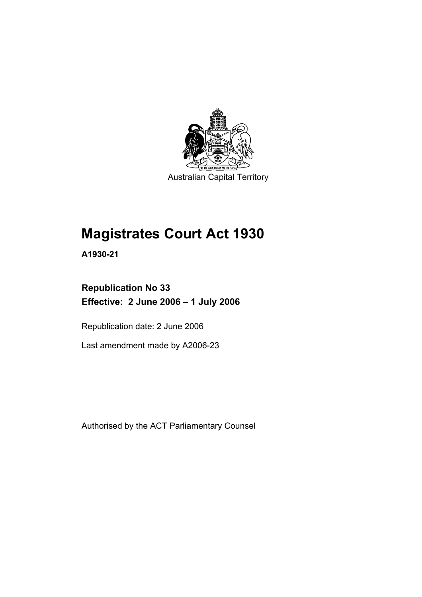

Australian Capital Territory

# **Magistrates Court Act 1930**

**A1930-21** 

# **Republication No 33 Effective: 2 June 2006 – 1 July 2006**

Republication date: 2 June 2006

Last amendment made by A2006-23

Authorised by the ACT Parliamentary Counsel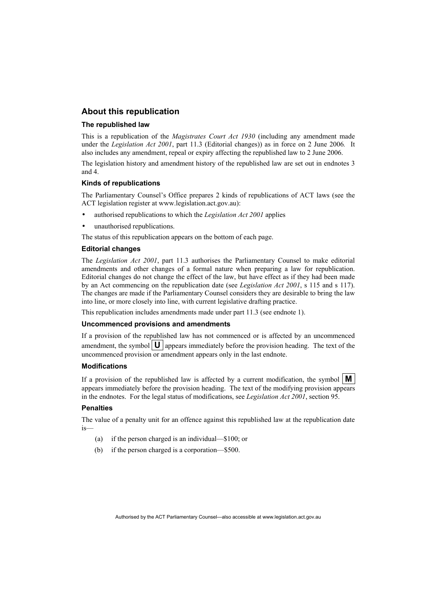#### **About this republication**

#### **The republished law**

This is a republication of the *Magistrates Court Act 1930* (including any amendment made under the *Legislation Act 2001*, part 11.3 (Editorial changes)) as in force on 2 June 2006*.* It also includes any amendment, repeal or expiry affecting the republished law to 2 June 2006.

The legislation history and amendment history of the republished law are set out in endnotes 3 and 4.

#### **Kinds of republications**

The Parliamentary Counsel's Office prepares 2 kinds of republications of ACT laws (see the ACT legislation register at www.legislation.act.gov.au):

- authorised republications to which the *Legislation Act 2001* applies
- unauthorised republications.

The status of this republication appears on the bottom of each page.

#### **Editorial changes**

The *Legislation Act 2001*, part 11.3 authorises the Parliamentary Counsel to make editorial amendments and other changes of a formal nature when preparing a law for republication. Editorial changes do not change the effect of the law, but have effect as if they had been made by an Act commencing on the republication date (see *Legislation Act 2001*, s 115 and s 117). The changes are made if the Parliamentary Counsel considers they are desirable to bring the law into line, or more closely into line, with current legislative drafting practice.

This republication includes amendments made under part 11.3 (see endnote 1).

#### **Uncommenced provisions and amendments**

If a provision of the republished law has not commenced or is affected by an uncommenced amendment, the symbol  $\mathbf{U}$  appears immediately before the provision heading. The text of the uncommenced provision or amendment appears only in the last endnote.

#### **Modifications**

If a provision of the republished law is affected by a current modification, the symbol  $\mathbf{M}$ appears immediately before the provision heading. The text of the modifying provision appears in the endnotes. For the legal status of modifications, see *Legislation Act 2001*, section 95.

#### **Penalties**

The value of a penalty unit for an offence against this republished law at the republication date is—

- (a) if the person charged is an individual—\$100; or
- (b) if the person charged is a corporation—\$500.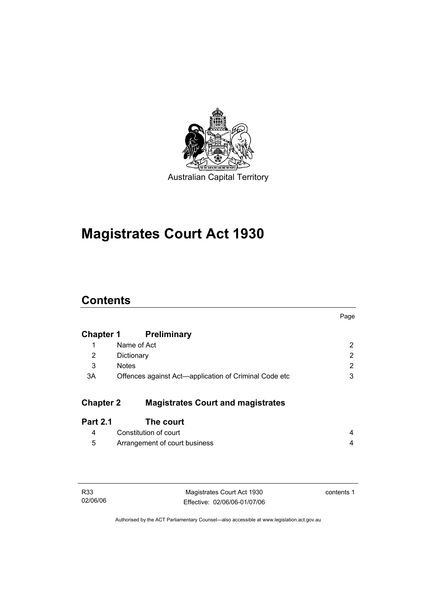

# **Magistrates Court Act 1930**

# **Contents**

|                  |                                                       | Page         |
|------------------|-------------------------------------------------------|--------------|
| <b>Chapter 1</b> | <b>Preliminary</b>                                    |              |
| 1                | Name of Act                                           | 2            |
| 2                | Dictionary                                            | $\mathbf{2}$ |
| 3                | <b>Notes</b>                                          | 2            |
| 3A               | Offences against Act-application of Criminal Code etc | 3            |
| <b>Chapter 2</b> | <b>Magistrates Court and magistrates</b>              |              |
| <b>Part 2.1</b>  | The court                                             |              |
| 4                | Constitution of court                                 | 4            |
| 5                | Arrangement of court business                         | 4            |
|                  |                                                       |              |

| R <sub>33</sub> |  |
|-----------------|--|
| 02/06/06        |  |

Magistrates Court Act 1930 Effective: 02/06/06-01/07/06 contents 1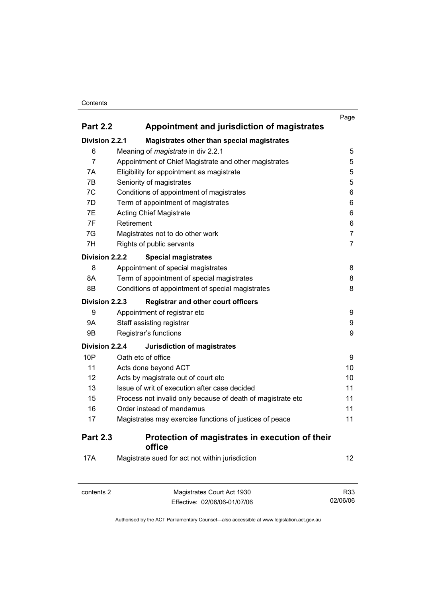#### **Contents**

|                       |                                                             | Page           |  |
|-----------------------|-------------------------------------------------------------|----------------|--|
| <b>Part 2.2</b>       | Appointment and jurisdiction of magistrates                 |                |  |
| <b>Division 2.2.1</b> | Magistrates other than special magistrates                  |                |  |
| 6                     | Meaning of <i>magistrate</i> in div 2.2.1                   | 5              |  |
| $\overline{7}$        | Appointment of Chief Magistrate and other magistrates       | 5              |  |
| 7A                    | Eligibility for appointment as magistrate                   | 5              |  |
| 7B                    | Seniority of magistrates                                    | 5              |  |
| 7C                    | Conditions of appointment of magistrates                    | 6              |  |
| 7D                    | Term of appointment of magistrates                          | 6              |  |
| 7E                    | <b>Acting Chief Magistrate</b>                              | 6              |  |
| 7F                    | Retirement                                                  | 6              |  |
| 7G                    | Magistrates not to do other work                            | $\overline{7}$ |  |
| 7H                    | Rights of public servants                                   | $\overline{7}$ |  |
| Division 2.2.2        | <b>Special magistrates</b>                                  |                |  |
| 8                     | Appointment of special magistrates                          | 8              |  |
| 8A                    | Term of appointment of special magistrates                  |                |  |
| 8B                    | Conditions of appointment of special magistrates            | 8              |  |
| Division 2.2.3        | <b>Registrar and other court officers</b>                   |                |  |
| 9                     | Appointment of registrar etc                                | 9              |  |
| 9Α                    | Staff assisting registrar                                   |                |  |
| 9B                    | Registrar's functions                                       | 9              |  |
| Division 2.2.4        | <b>Jurisdiction of magistrates</b>                          |                |  |
| 10P                   | Oath etc of office                                          | 9              |  |
| 11                    | Acts done beyond ACT                                        | 10             |  |
| 12                    | Acts by magistrate out of court etc                         | 10             |  |
| 13                    | Issue of writ of execution after case decided               | 11             |  |
| 15                    | Process not invalid only because of death of magistrate etc | 11             |  |
| 16                    | Order instead of mandamus                                   | 11             |  |
| 17                    | Magistrates may exercise functions of justices of peace     | 11             |  |
| <b>Part 2.3</b>       | Protection of magistrates in execution of their<br>office   |                |  |
| <b>17A</b>            | Magistrate sued for act not within jurisdiction             | 12             |  |

| contents 2 | Magistrates Court Act 1930   | R33      |
|------------|------------------------------|----------|
|            | Effective: 02/06/06-01/07/06 | 02/06/06 |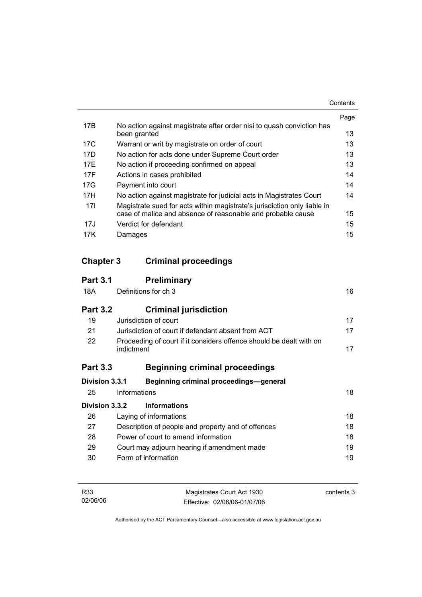|     |                                                                                       | Page |
|-----|---------------------------------------------------------------------------------------|------|
| 17B | No action against magistrate after order nisi to quash conviction has<br>been granted | 13   |
| 17C | Warrant or writ by magistrate on order of court                                       | 13   |
| 17D | No action for acts done under Supreme Court order                                     | 13   |
| 17F | No action if proceeding confirmed on appeal                                           | 13   |
| 17F | Actions in cases prohibited                                                           | 14   |
| 17G | Payment into court                                                                    | 14   |
| 17H | No action against magistrate for judicial acts in Magistrates Court                   | 14   |
| 17I | Magistrate sued for acts within magistrate's jurisdiction only liable in              |      |
|     | case of malice and absence of reasonable and probable cause                           | 15   |
| 17J | Verdict for defendant                                                                 | 15   |
| 17K | Damages                                                                               | 15   |

# **Chapter 3 Criminal proceedings**

| <b>Part 3.1</b> | <b>Preliminary</b>                                                                |    |
|-----------------|-----------------------------------------------------------------------------------|----|
| 18A             | Definitions for ch 3                                                              | 16 |
| <b>Part 3.2</b> | <b>Criminal jurisdiction</b>                                                      |    |
| 19              | Jurisdiction of court                                                             | 17 |
| 21              | Jurisdiction of court if defendant absent from ACT                                | 17 |
| 22              | Proceeding of court if it considers offence should be dealt with on<br>indictment | 17 |
| <b>Part 3.3</b> | <b>Beginning criminal proceedings</b>                                             |    |
| Division 3.3.1  | Beginning criminal proceedings-general                                            |    |
| 25              | Informations                                                                      | 18 |
| Division 3.3.2  | <b>Informations</b>                                                               |    |
| 26              | Laying of informations                                                            | 18 |
| 27              | Description of people and property and of offences                                | 18 |
| 28              | Power of court to amend information                                               | 18 |
| 29              | Court may adjourn hearing if amendment made                                       | 19 |
| 30              | Form of information                                                               | 19 |
|                 |                                                                                   |    |

| R33      | Magistrates Court Act 1930   | contents 3 |
|----------|------------------------------|------------|
| 02/06/06 | Effective: 02/06/06-01/07/06 |            |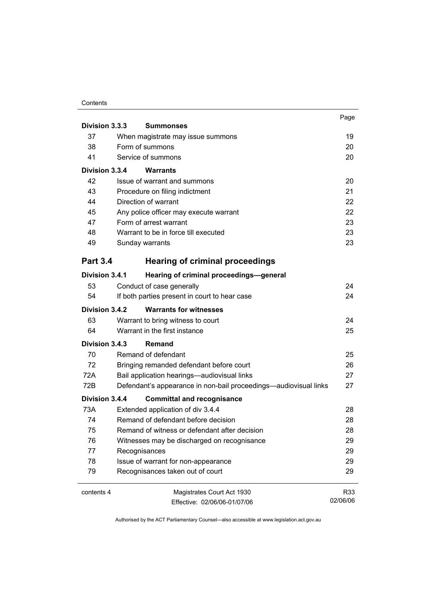#### **Contents**

|                 |                                                                  | Page     |
|-----------------|------------------------------------------------------------------|----------|
| Division 3.3.3  | <b>Summonses</b>                                                 |          |
| 37              | When magistrate may issue summons                                | 19       |
| 38              | Form of summons                                                  |          |
| 41              | Service of summons                                               | 20       |
| Division 3.3.4  | <b>Warrants</b>                                                  |          |
| 42              | Issue of warrant and summons                                     | 20       |
| 43              | Procedure on filing indictment                                   | 21       |
| 44              | Direction of warrant                                             | 22       |
| 45              | Any police officer may execute warrant                           | 22       |
| 47              | Form of arrest warrant                                           | 23       |
| 48              | Warrant to be in force till executed                             | 23       |
| 49              | Sunday warrants                                                  | 23       |
| <b>Part 3.4</b> | <b>Hearing of criminal proceedings</b>                           |          |
| Division 3.4.1  | Hearing of criminal proceedings-general                          |          |
| 53              | Conduct of case generally                                        | 24       |
| 54              | If both parties present in court to hear case                    | 24       |
| Division 3.4.2  | <b>Warrants for witnesses</b>                                    |          |
| 63              | Warrant to bring witness to court                                | 24       |
| 64              | Warrant in the first instance                                    | 25       |
| Division 3.4.3  | Remand                                                           |          |
| 70              | Remand of defendant                                              | 25       |
| 72              | Bringing remanded defendant before court                         | 26       |
| 72A             | Bail application hearings-audiovisual links                      | 27       |
| 72B             | Defendant's appearance in non-bail proceedings—audiovisual links | 27       |
| Division 3.4.4  | <b>Committal and recognisance</b>                                |          |
| 73A             | Extended application of div 3.4.4                                | 28       |
| 74              | Remand of defendant before decision                              | 28       |
| 75              | Remand of witness or defendant after decision                    | 28       |
| 76              | Witnesses may be discharged on recognisance                      | 29       |
| 77              | Recognisances                                                    | 29       |
| 78              | Issue of warrant for non-appearance                              | 29       |
| 79              | Recognisances taken out of court                                 | 29       |
| contents 4      | Magistrates Court Act 1930                                       | R33      |
|                 | Effective: 02/06/06-01/07/06                                     | 02/06/06 |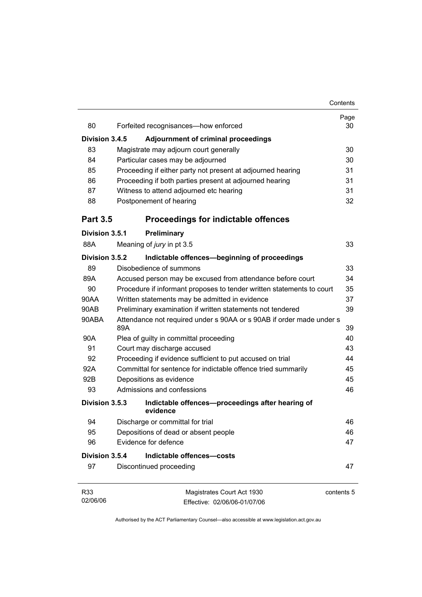|                 |     |                                                                       | Contents   |
|-----------------|-----|-----------------------------------------------------------------------|------------|
| 80              |     |                                                                       | Page<br>30 |
|                 |     | Forfeited recognisances-how enforced                                  |            |
| Division 3.4.5  |     | <b>Adjournment of criminal proceedings</b>                            |            |
| 83              |     | Magistrate may adjourn court generally                                | 30         |
| 84              |     | Particular cases may be adjourned                                     | 30         |
| 85              |     | Proceeding if either party not present at adjourned hearing           | 31         |
| 86              |     | Proceeding if both parties present at adjourned hearing               | 31         |
| 87              |     | Witness to attend adjourned etc hearing                               | 31         |
| 88              |     | Postponement of hearing                                               | 32         |
| <b>Part 3.5</b> |     | <b>Proceedings for indictable offences</b>                            |            |
| Division 3.5.1  |     | Preliminary                                                           |            |
| 88A             |     | Meaning of jury in pt 3.5                                             | 33         |
| Division 3.5.2  |     | Indictable offences-beginning of proceedings                          |            |
| 89              |     | Disobedience of summons                                               | 33         |
| 89A             |     | Accused person may be excused from attendance before court            | 34         |
| 90              |     | Procedure if informant proposes to tender written statements to court | 35         |
| 90AA            |     | Written statements may be admitted in evidence                        | 37         |
| 90AB            |     | Preliminary examination if written statements not tendered            | 39         |
| 90ABA           | 89A | Attendance not required under s 90AA or s 90AB if order made under s  | 39         |
| 90A             |     | Plea of guilty in committal proceeding                                | 40         |
| 91              |     | Court may discharge accused                                           | 43         |
| 92              |     | Proceeding if evidence sufficient to put accused on trial             | 44         |
| 92A             |     | Committal for sentence for indictable offence tried summarily         | 45         |
| 92B             |     | Depositions as evidence                                               | 45         |
| 93              |     | Admissions and confessions                                            | 46         |
| Division 3.5.3  |     | Indictable offences-proceedings after hearing of<br>evidence          |            |
| 94              |     | Discharge or committal for trial                                      | 46         |
| 95              |     | Depositions of dead or absent people                                  | 46         |
| 96              |     | Evidence for defence                                                  | 47         |
| Division 3.5.4  |     | Indictable offences-costs                                             |            |
| 97              |     | Discontinued proceeding                                               | 47         |
| R33<br>02/06/06 |     | Magistrates Court Act 1930<br>Effective: 02/06/06-01/07/06            | contents 5 |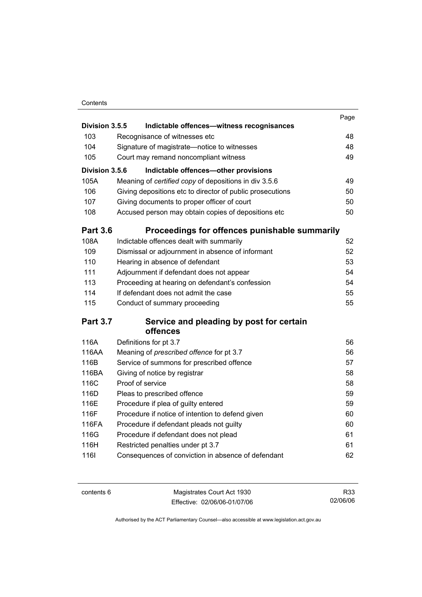#### **Contents**

|                 |                                                           | Page |
|-----------------|-----------------------------------------------------------|------|
| Division 3.5.5  | Indictable offences-witness recognisances                 |      |
| 103             | Recognisance of witnesses etc                             | 48   |
| 104             | Signature of magistrate-notice to witnesses               | 48   |
| 105             | Court may remand noncompliant witness                     | 49   |
| Division 3.5.6  | Indictable offences-other provisions                      |      |
| 105A            | Meaning of certified copy of depositions in div 3.5.6     | 49   |
| 106             | Giving depositions etc to director of public prosecutions | 50   |
| 107             | Giving documents to proper officer of court               | 50   |
| 108             | Accused person may obtain copies of depositions etc       | 50   |
| <b>Part 3.6</b> | Proceedings for offences punishable summarily             |      |
| 108A            | Indictable offences dealt with summarily                  | 52   |
| 109             | Dismissal or adjournment in absence of informant          | 52   |
| 110             | Hearing in absence of defendant                           | 53   |
| 111             | Adjournment if defendant does not appear                  | 54   |
| 113             | Proceeding at hearing on defendant's confession           | 54   |
| 114             | If defendant does not admit the case                      | 55   |
| 115             | Conduct of summary proceeding                             | 55   |
| <b>Part 3.7</b> | Service and pleading by post for certain                  |      |
|                 | offences                                                  |      |
| 116A            | Definitions for pt 3.7                                    | 56   |
| 116AA           | Meaning of prescribed offence for pt 3.7                  | 56   |
| 116B            | Service of summons for prescribed offence                 | 57   |
| 116BA           | Giving of notice by registrar                             | 58   |
| 116C            | Proof of service                                          | 58   |
| 116D            | Pleas to prescribed offence                               | 59   |
| 116E            | Procedure if plea of guilty entered                       | 59   |
| 116F            | Procedure if notice of intention to defend given          | 60   |
| 116FA           | Procedure if defendant pleads not guilty                  | 60   |
| 116G            | Procedure if defendant does not plead                     | 61   |
| 116H            | Restricted penalties under pt 3.7                         | 61   |
| 1161            | Consequences of conviction in absence of defendant        | 62   |
|                 |                                                           |      |

| contents 6 | Magistrates Court Act 1930   | R33      |
|------------|------------------------------|----------|
|            | Effective: 02/06/06-01/07/06 | 02/06/06 |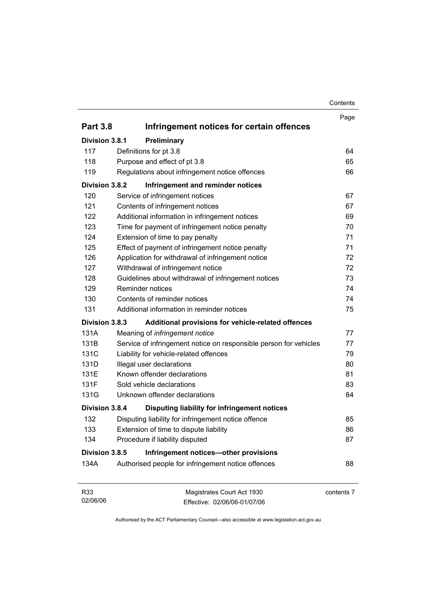| Contents |
|----------|
|----------|

|                 |                                                                   | Page       |
|-----------------|-------------------------------------------------------------------|------------|
| <b>Part 3.8</b> | Infringement notices for certain offences                         |            |
| Division 3.8.1  | Preliminary                                                       |            |
| 117             | Definitions for pt 3.8                                            | 64         |
| 118             | Purpose and effect of pt 3.8                                      | 65         |
| 119             | Regulations about infringement notice offences                    | 66         |
| Division 3.8.2  | Infringement and reminder notices                                 |            |
| 120             | Service of infringement notices                                   | 67         |
| 121             | Contents of infringement notices                                  | 67         |
| 122             | Additional information in infringement notices                    | 69         |
| 123             | Time for payment of infringement notice penalty                   | 70         |
| 124             | Extension of time to pay penalty                                  | 71         |
| 125             | Effect of payment of infringement notice penalty                  | 71         |
| 126             | Application for withdrawal of infringement notice                 | 72         |
| 127             | Withdrawal of infringement notice                                 | 72         |
| 128             | Guidelines about withdrawal of infringement notices               | 73         |
| 129             | Reminder notices                                                  | 74         |
| 130             | Contents of reminder notices                                      | 74         |
| 131             | Additional information in reminder notices                        | 75         |
| Division 3.8.3  | Additional provisions for vehicle-related offences                |            |
| 131A            | Meaning of infringement notice                                    | 77         |
| 131B            | Service of infringement notice on responsible person for vehicles | 77         |
| 131C            | Liability for vehicle-related offences                            | 79         |
| 131D            | Illegal user declarations                                         | 80         |
| 131E            | Known offender declarations                                       | 81         |
| 131F            | Sold vehicle declarations                                         | 83         |
| 131G            | Unknown offender declarations                                     | 84         |
| Division 3.8.4  | Disputing liability for infringement notices                      |            |
| 132             | Disputing liability for infringement notice offence               | 85         |
| 133             | Extension of time to dispute liability                            | 86         |
| 134             | Procedure if liability disputed                                   | 87         |
| Division 3.8.5  | Infringement notices-other provisions                             |            |
| 134A            | Authorised people for infringement notice offences                | 88         |
| R33<br>02/06/06 | Magistrates Court Act 1930<br>Effective: 02/06/06-01/07/06        | contents 7 |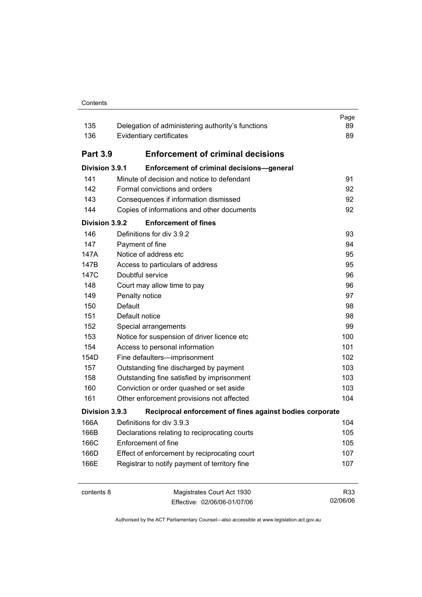#### **Contents**

| 135<br>136      | Delegation of administering authority's functions<br>Evidentiary certificates | Page<br>89<br>89 |
|-----------------|-------------------------------------------------------------------------------|------------------|
| <b>Part 3.9</b> | <b>Enforcement of criminal decisions</b>                                      |                  |
| Division 3.9.1  | Enforcement of criminal decisions-general                                     |                  |
| 141             | Minute of decision and notice to defendant                                    | 91               |
| 142             | Formal convictions and orders                                                 | 92               |
| 143             | Consequences if information dismissed                                         | 92               |
| 144             | Copies of informations and other documents                                    | 92               |
| Division 3.9.2  | <b>Enforcement of fines</b>                                                   |                  |
| 146             | Definitions for div 3.9.2                                                     | 93               |
| 147             | Payment of fine                                                               | 94               |
| 147A            | Notice of address etc                                                         | 95               |
| 147B            | Access to particulars of address                                              | 95               |
| 147C            | Doubtful service                                                              | 96               |
| 148             | Court may allow time to pay                                                   | 96               |
| 149             | Penalty notice                                                                | 97               |
| 150             | Default                                                                       | 98               |
| 151             | Default notice                                                                | 98               |
| 152             | Special arrangements                                                          | 99               |
| 153             | Notice for suspension of driver licence etc                                   | 100              |
| 154             | Access to personal information                                                | 101              |
| 154D            | Fine defaulters-imprisonment                                                  | 102              |
| 157             | Outstanding fine discharged by payment                                        | 103              |
| 158             | Outstanding fine satisfied by imprisonment                                    | 103              |
| 160             | Conviction or order quashed or set aside                                      | 103              |
| 161             | Other enforcement provisions not affected                                     | 104              |
| Division 3.9.3  | Reciprocal enforcement of fines against bodies corporate                      |                  |
| 166A            | Definitions for div 3.9.3                                                     | 104              |
| 166B            | Declarations relating to reciprocating courts                                 | 105              |
| 166C            | Enforcement of fine                                                           | 105              |
| 166D            | Effect of enforcement by reciprocating court                                  | 107              |
| 166E            | Registrar to notify payment of territory fine                                 | 107              |
| contents 8      | Magistrates Court Act 1930<br>Effective: 02/06/06-01/07/06                    | R33<br>02/06/06  |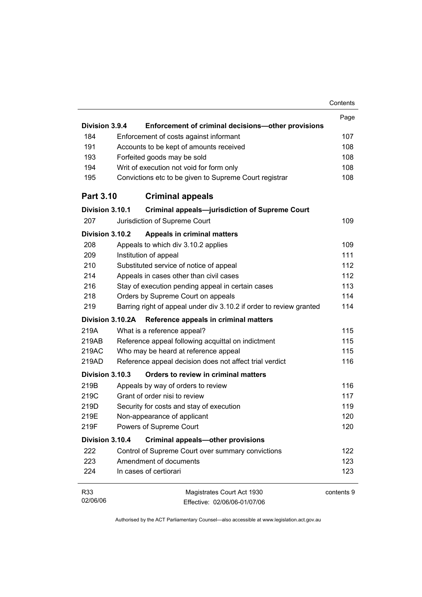|                  |                                                                     | Contents   |
|------------------|---------------------------------------------------------------------|------------|
|                  |                                                                     | Page       |
| Division 3.9.4   | Enforcement of criminal decisions-other provisions                  |            |
| 184              | Enforcement of costs against informant                              | 107        |
| 191              | Accounts to be kept of amounts received                             | 108        |
| 193              | Forfeited goods may be sold                                         | 108        |
| 194              | Writ of execution not void for form only                            | 108        |
| 195              | Convictions etc to be given to Supreme Court registrar              | 108        |
| <b>Part 3.10</b> | <b>Criminal appeals</b>                                             |            |
| Division 3.10.1  | <b>Criminal appeals-jurisdiction of Supreme Court</b>               |            |
| 207              | Jurisdiction of Supreme Court                                       | 109        |
| Division 3.10.2  | <b>Appeals in criminal matters</b>                                  |            |
| 208              | Appeals to which div 3.10.2 applies                                 | 109        |
| 209              | Institution of appeal                                               | 111        |
| 210              | Substituted service of notice of appeal                             | 112        |
| 214              | Appeals in cases other than civil cases                             | 112        |
| 216              | Stay of execution pending appeal in certain cases                   | 113        |
| 218              | Orders by Supreme Court on appeals                                  | 114        |
| 219              | Barring right of appeal under div 3.10.2 if order to review granted | 114        |
| Division 3.10.2A | Reference appeals in criminal matters                               |            |
| 219A             | What is a reference appeal?                                         | 115        |
| 219AB            | Reference appeal following acquittal on indictment                  | 115        |
| 219AC            | Who may be heard at reference appeal                                | 115        |
| 219AD            | Reference appeal decision does not affect trial verdict             | 116        |
| Division 3.10.3  | Orders to review in criminal matters                                |            |
| 219B             | Appeals by way of orders to review                                  | 116        |
| 219C             | Grant of order nisi to review                                       | 117        |
| 219D             | Security for costs and stay of execution                            | 119        |
| 219E             | Non-appearance of applicant                                         | 120        |
| 219F             | Powers of Supreme Court                                             | 120        |
| Division 3.10.4  | <b>Criminal appeals-other provisions</b>                            |            |
| 222              | Control of Supreme Court over summary convictions                   | 122        |
| 223              | Amendment of documents                                              | 123        |
| 224              | In cases of certiorari                                              | 123        |
| R33              | Magistrates Court Act 1930                                          | contents 9 |
| 02/06/06         | Effective: 02/06/06-01/07/06                                        |            |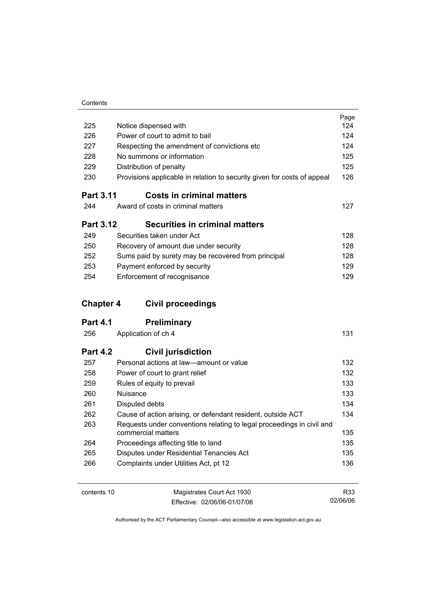| Contents |  |
|----------|--|

|                  |                                                                                             | Page |
|------------------|---------------------------------------------------------------------------------------------|------|
| 225              | Notice dispensed with                                                                       | 124  |
| 226              | Power of court to admit to bail                                                             | 124  |
| 227              | Respecting the amendment of convictions etc                                                 | 124  |
| 228              | No summons or information                                                                   | 125  |
| 229              | Distribution of penalty                                                                     | 125  |
| 230              | Provisions applicable in relation to security given for costs of appeal                     | 126  |
| <b>Part 3.11</b> | <b>Costs in criminal matters</b>                                                            |      |
| 244              | Award of costs in criminal matters                                                          | 127  |
| <b>Part 3.12</b> | <b>Securities in criminal matters</b>                                                       |      |
| 249              | Securities taken under Act                                                                  | 128  |
| 250              | Recovery of amount due under security                                                       | 128  |
| 252              | Sums paid by surety may be recovered from principal                                         | 128  |
| 253              | Payment enforced by security                                                                | 129  |
| 254              | Enforcement of recognisance                                                                 | 129  |
|                  |                                                                                             |      |
|                  |                                                                                             |      |
| <b>Chapter 4</b> | <b>Civil proceedings</b>                                                                    |      |
| <b>Part 4.1</b>  | <b>Preliminary</b>                                                                          |      |
| 256              | Application of ch 4                                                                         | 131  |
| <b>Part 4.2</b>  | <b>Civil jurisdiction</b>                                                                   |      |
| 257              | Personal actions at law-amount or value                                                     | 132  |
| 258              | Power of court to grant relief                                                              | 132  |
| 259              | Rules of equity to prevail                                                                  | 133  |
| 260              | Nuisance                                                                                    | 133  |
| 261              | Disputed debts                                                                              | 134  |
| 262              | Cause of action arising, or defendant resident, outside ACT                                 | 134  |
| 263              | Requests under conventions relating to legal proceedings in civil and<br>commercial matters | 135  |
| 264              | Proceedings affecting title to land                                                         | 135  |
| 265              | Disputes under Residential Tenancies Act                                                    | 135  |
| 266              | Complaints under Utilities Act, pt 12                                                       | 136  |

contents 10 Magistrates Court Act 1930 Effective: 02/06/06-01/07/06

R33 02/06/06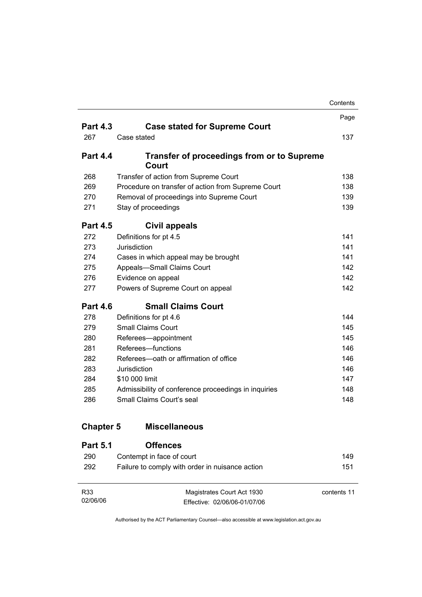|                  |                                                      | Contents |
|------------------|------------------------------------------------------|----------|
|                  |                                                      | Page     |
| <b>Part 4.3</b>  | <b>Case stated for Supreme Court</b>                 |          |
| 267              | Case stated                                          | 137.     |
| <b>Part 4.4</b>  | <b>Transfer of proceedings from or to Supreme</b>    |          |
|                  | Court                                                |          |
| 268              | Transfer of action from Supreme Court                | 138      |
| 269              | Procedure on transfer of action from Supreme Court   | 138      |
| 270              | Removal of proceedings into Supreme Court            | 139      |
| 271              | Stay of proceedings                                  | 139      |
| <b>Part 4.5</b>  | Civil appeals                                        |          |
| 272              | Definitions for pt 4.5                               | 141      |
| 273              | Jurisdiction                                         | 141      |
| 274              | Cases in which appeal may be brought                 | 141      |
| 275              | Appeals-Small Claims Court                           | 142      |
| 276              | Evidence on appeal                                   | 142      |
| 277              | Powers of Supreme Court on appeal                    | 142      |
| <b>Part 4.6</b>  | <b>Small Claims Court</b>                            |          |
| 278              | Definitions for pt 4.6                               | 144      |
| 279              | <b>Small Claims Court</b>                            | 145      |
| 280              | Referees-appointment                                 | 145      |
| 281              | Referees-functions                                   | 146      |
| 282              | Referees—oath or affirmation of office               | 146      |
| 283              | Jurisdiction                                         | 146      |
| 284              | \$10 000 limit                                       | 147      |
| 285              | Admissibility of conference proceedings in inquiries | 148      |
| 286              | Small Claims Court's seal                            | 148      |
| <b>Chapter 5</b> | <b>Miscellaneous</b>                                 |          |
| <b>Part 5.1</b>  | <b>Offences</b>                                      |          |
| 290              | Contempt in face of court                            | 149      |
| 292              | Failure to comply with order in nuisance action      | 151      |

| R33      | Magistrates Court Act 1930   | contents 11 |
|----------|------------------------------|-------------|
| 02/06/06 | Effective: 02/06/06-01/07/06 |             |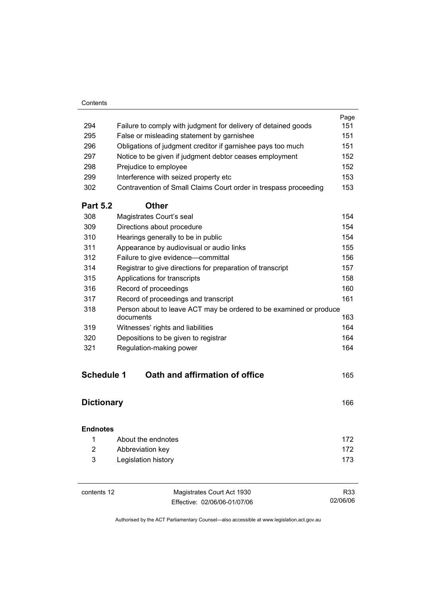#### **Contents**

|                   |                                                                                 | Page |
|-------------------|---------------------------------------------------------------------------------|------|
| 294               | Failure to comply with judgment for delivery of detained goods                  | 151  |
| 295               | False or misleading statement by garnishee                                      | 151  |
| 296               | Obligations of judgment creditor if garnishee pays too much                     | 151  |
| 297               | Notice to be given if judgment debtor ceases employment                         | 152  |
| 298               | Prejudice to employee                                                           | 152  |
| 299               | Interference with seized property etc                                           | 153  |
| 302               | Contravention of Small Claims Court order in trespass proceeding                | 153  |
| <b>Part 5.2</b>   | <b>Other</b>                                                                    |      |
| 308               | Magistrates Court's seal                                                        | 154  |
| 309               | Directions about procedure                                                      | 154  |
| 310               | Hearings generally to be in public                                              | 154  |
| 311               | Appearance by audiovisual or audio links                                        | 155  |
| 312               | Failure to give evidence-committal                                              | 156  |
| 314               | Registrar to give directions for preparation of transcript                      | 157  |
| 315               | Applications for transcripts                                                    | 158  |
| 316               | Record of proceedings                                                           | 160  |
| 317               | Record of proceedings and transcript                                            | 161  |
| 318               | Person about to leave ACT may be ordered to be examined or produce<br>documents | 163  |
| 319               | Witnesses' rights and liabilities                                               | 164  |
| 320               | Depositions to be given to registrar                                            | 164  |
| 321               | Regulation-making power                                                         | 164  |
|                   |                                                                                 |      |
| <b>Schedule 1</b> | Oath and affirmation of office                                                  | 165  |
| <b>Dictionary</b> |                                                                                 | 166  |

| <b>Endnotes</b> |                     |     |
|-----------------|---------------------|-----|
|                 | About the endnotes  | 172 |
| 2               | Abbreviation key    | 172 |
| 3               | Legislation history | 173 |

| contents 12 | Magistrates Court Act 1930   | R33      |
|-------------|------------------------------|----------|
|             | Effective: 02/06/06-01/07/06 | 02/06/06 |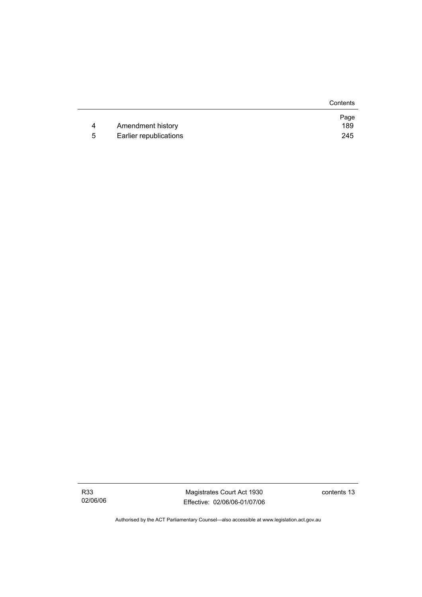|   |                        | Contents |
|---|------------------------|----------|
|   |                        | Page     |
| 4 | Amendment history      | 189      |
| 5 | Earlier republications | 245      |

Magistrates Court Act 1930 Effective: 02/06/06-01/07/06 contents 13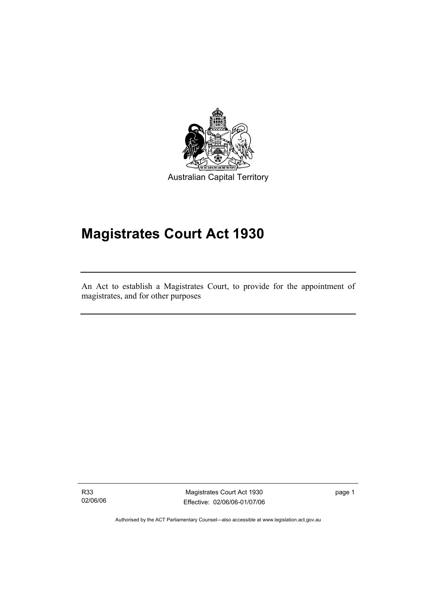

Australian Capital Territory

# **Magistrates Court Act 1930**

An Act to establish a Magistrates Court, to provide for the appointment of magistrates, and for other purposes

R33 02/06/06

I

Magistrates Court Act 1930 Effective: 02/06/06-01/07/06 page 1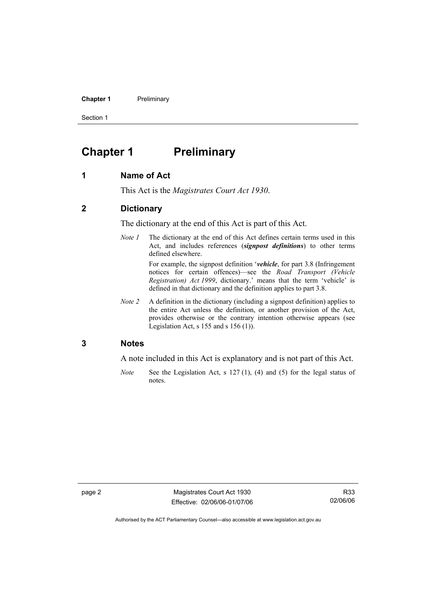#### **Chapter 1** Preliminary

Section 1

## **Chapter 1** Preliminary

#### **1 Name of Act**

This Act is the *Magistrates Court Act 1930*.

#### **2 Dictionary**

The dictionary at the end of this Act is part of this Act.

*Note 1* The dictionary at the end of this Act defines certain terms used in this Act, and includes references (*signpost definitions*) to other terms defined elsewhere.

> For example, the signpost definition '*vehicle*, for part 3.8 (Infringement notices for certain offences)—see the *Road Transport (Vehicle Registration) Act 1999*, dictionary.' means that the term 'vehicle' is defined in that dictionary and the definition applies to part 3.8.

*Note 2* A definition in the dictionary (including a signpost definition) applies to the entire Act unless the definition, or another provision of the Act, provides otherwise or the contrary intention otherwise appears (see Legislation Act,  $s$  155 and  $s$  156 (1)).

#### **3 Notes**

A note included in this Act is explanatory and is not part of this Act.

*Note* See the Legislation Act, s 127 (1), (4) and (5) for the legal status of notes.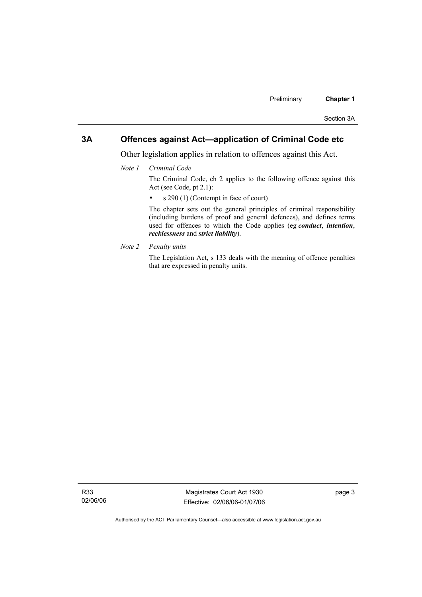#### **3A Offences against Act—application of Criminal Code etc**

Other legislation applies in relation to offences against this Act.

*Note 1 Criminal Code*

The Criminal Code, ch 2 applies to the following offence against this Act (see Code, pt 2.1):

• s 290 (1) (Contempt in face of court)

The chapter sets out the general principles of criminal responsibility (including burdens of proof and general defences), and defines terms used for offences to which the Code applies (eg *conduct*, *intention*, *recklessness* and *strict liability*).

*Note 2 Penalty units* 

The Legislation Act, s 133 deals with the meaning of offence penalties that are expressed in penalty units.

R33 02/06/06

Magistrates Court Act 1930 Effective: 02/06/06-01/07/06 page 3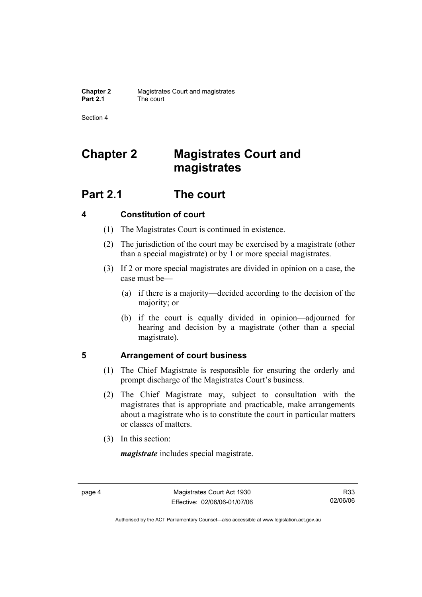Section 4

# **Chapter 2 Magistrates Court and magistrates**

# **Part 2.1 The court**

#### **4 Constitution of court**

- (1) The Magistrates Court is continued in existence.
- (2) The jurisdiction of the court may be exercised by a magistrate (other than a special magistrate) or by 1 or more special magistrates.
- (3) If 2 or more special magistrates are divided in opinion on a case, the case must be—
	- (a) if there is a majority—decided according to the decision of the majority; or
	- (b) if the court is equally divided in opinion—adjourned for hearing and decision by a magistrate (other than a special magistrate).

#### **5 Arrangement of court business**

- (1) The Chief Magistrate is responsible for ensuring the orderly and prompt discharge of the Magistrates Court's business.
- (2) The Chief Magistrate may, subject to consultation with the magistrates that is appropriate and practicable, make arrangements about a magistrate who is to constitute the court in particular matters or classes of matters.
- (3) In this section:

*magistrate* includes special magistrate.

R33 02/06/06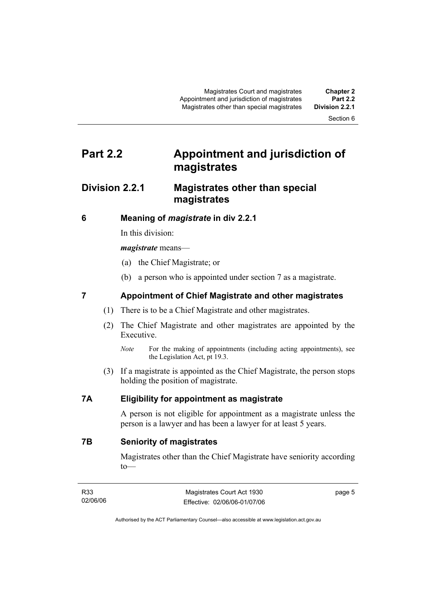Section 6

# **Part 2.2 Appointment and jurisdiction of magistrates**

#### **Division 2.2.1 Magistrates other than special magistrates**

#### **6 Meaning of** *magistrate* **in div 2.2.1**

In this division:

#### *magistrate* means—

- (a) the Chief Magistrate; or
- (b) a person who is appointed under section 7 as a magistrate.

#### **7 Appointment of Chief Magistrate and other magistrates**

- (1) There is to be a Chief Magistrate and other magistrates.
- (2) The Chief Magistrate and other magistrates are appointed by the Executive.
	- *Note* For the making of appointments (including acting appointments), see the Legislation Act, pt 19.3.
- (3) If a magistrate is appointed as the Chief Magistrate, the person stops holding the position of magistrate.

#### **7A Eligibility for appointment as magistrate**

A person is not eligible for appointment as a magistrate unless the person is a lawyer and has been a lawyer for at least 5 years.

**7B Seniority of magistrates** 

Magistrates other than the Chief Magistrate have seniority according to—

| R33      | Magistrates Court Act 1930   | page 5 |
|----------|------------------------------|--------|
| 02/06/06 | Effective: 02/06/06-01/07/06 |        |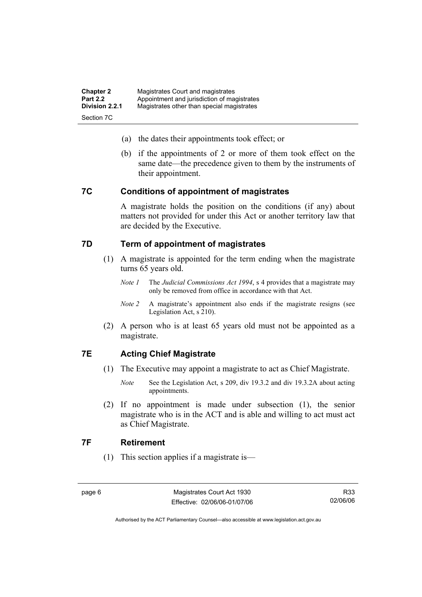| <b>Chapter 2</b> | Magistrates Court and magistrates           |
|------------------|---------------------------------------------|
| <b>Part 2.2</b>  | Appointment and jurisdiction of magistrates |
| Division 2.2.1   | Magistrates other than special magistrates  |
| Section 7C       |                                             |

- (a) the dates their appointments took effect; or
- (b) if the appointments of 2 or more of them took effect on the same date—the precedence given to them by the instruments of their appointment.

#### **7C Conditions of appointment of magistrates**

A magistrate holds the position on the conditions (if any) about matters not provided for under this Act or another territory law that are decided by the Executive.

#### **7D Term of appointment of magistrates**

- (1) A magistrate is appointed for the term ending when the magistrate turns 65 years old.
	- *Note 1* The *Judicial Commissions Act 1994*, s 4 provides that a magistrate may only be removed from office in accordance with that Act.
	- *Note 2* A magistrate's appointment also ends if the magistrate resigns (see Legislation Act, s 210).
- (2) A person who is at least 65 years old must not be appointed as a magistrate.

#### **7E Acting Chief Magistrate**

- (1) The Executive may appoint a magistrate to act as Chief Magistrate.
	- *Note* See the Legislation Act, s 209, div 19.3.2 and div 19.3.2A about acting appointments.
- (2) If no appointment is made under subsection (1), the senior magistrate who is in the ACT and is able and willing to act must act as Chief Magistrate.

#### **7F Retirement**

(1) This section applies if a magistrate is—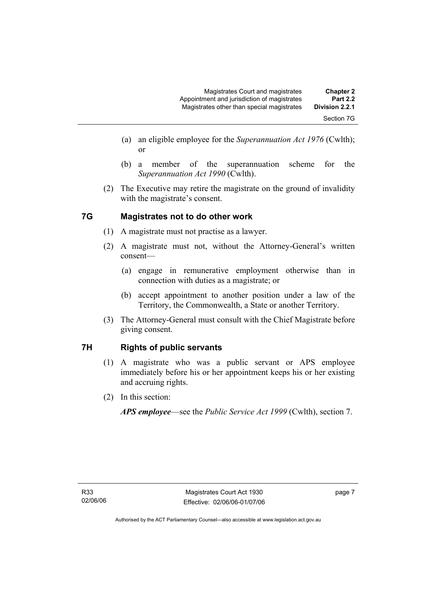- (a) an eligible employee for the *Superannuation Act 1976* (Cwlth); or
- (b) a member of the superannuation scheme for the *Superannuation Act 1990* (Cwlth).
- (2) The Executive may retire the magistrate on the ground of invalidity with the magistrate's consent.

#### **7G Magistrates not to do other work**

- (1) A magistrate must not practise as a lawyer.
- (2) A magistrate must not, without the Attorney-General's written consent—
	- (a) engage in remunerative employment otherwise than in connection with duties as a magistrate; or
	- (b) accept appointment to another position under a law of the Territory, the Commonwealth, a State or another Territory.
- (3) The Attorney-General must consult with the Chief Magistrate before giving consent.

#### **7H Rights of public servants**

- (1) A magistrate who was a public servant or APS employee immediately before his or her appointment keeps his or her existing and accruing rights.
- (2) In this section:

*APS employee*—see the *Public Service Act 1999* (Cwlth), section 7.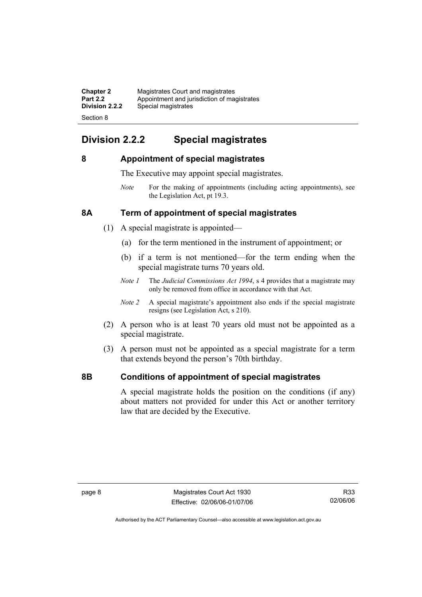| <b>Chapter 2</b> | Magistrates Court and magistrates           |
|------------------|---------------------------------------------|
| <b>Part 2.2</b>  | Appointment and jurisdiction of magistrates |
| Division 2.2.2   | Special magistrates                         |
| Section 8        |                                             |

### **Division 2.2.2 Special magistrates**

#### **8 Appointment of special magistrates**

The Executive may appoint special magistrates.

*Note* For the making of appointments (including acting appointments), see the Legislation Act, pt 19.3.

#### **8A Term of appointment of special magistrates**

- (1) A special magistrate is appointed—
	- (a) for the term mentioned in the instrument of appointment; or
	- (b) if a term is not mentioned—for the term ending when the special magistrate turns 70 years old.
	- *Note 1* The *Judicial Commissions Act 1994*, s 4 provides that a magistrate may only be removed from office in accordance with that Act.
	- *Note 2* A special magistrate's appointment also ends if the special magistrate resigns (see Legislation Act, s 210).
- (2) A person who is at least 70 years old must not be appointed as a special magistrate.
- (3) A person must not be appointed as a special magistrate for a term that extends beyond the person's 70th birthday.

#### **8B Conditions of appointment of special magistrates**

A special magistrate holds the position on the conditions (if any) about matters not provided for under this Act or another territory law that are decided by the Executive.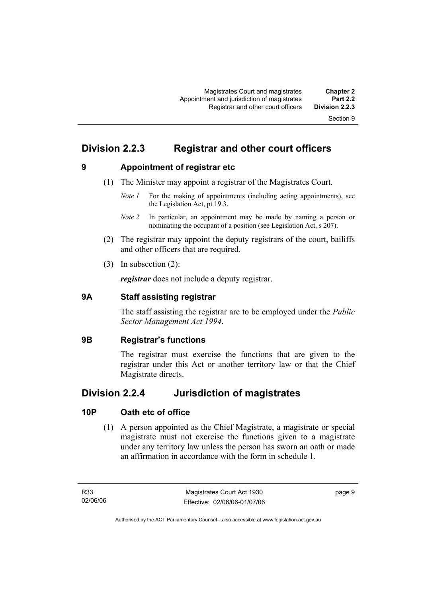### **Division 2.2.3 Registrar and other court officers**

**9 Appointment of registrar etc** 

- (1) The Minister may appoint a registrar of the Magistrates Court.
	- *Note 1* For the making of appointments (including acting appointments), see the Legislation Act, pt 19.3.
	- *Note 2* In particular, an appointment may be made by naming a person or nominating the occupant of a position (see Legislation Act, s 207).
- (2) The registrar may appoint the deputy registrars of the court, bailiffs and other officers that are required.
- (3) In subsection (2):

*registrar* does not include a deputy registrar.

#### **9A Staff assisting registrar**

The staff assisting the registrar are to be employed under the *Public Sector Management Act 1994*.

#### **9B Registrar's functions**

The registrar must exercise the functions that are given to the registrar under this Act or another territory law or that the Chief Magistrate directs.

#### **Division 2.2.4 Jurisdiction of magistrates**

#### **10P Oath etc of office**

 (1) A person appointed as the Chief Magistrate, a magistrate or special magistrate must not exercise the functions given to a magistrate under any territory law unless the person has sworn an oath or made an affirmation in accordance with the form in schedule 1.

page 9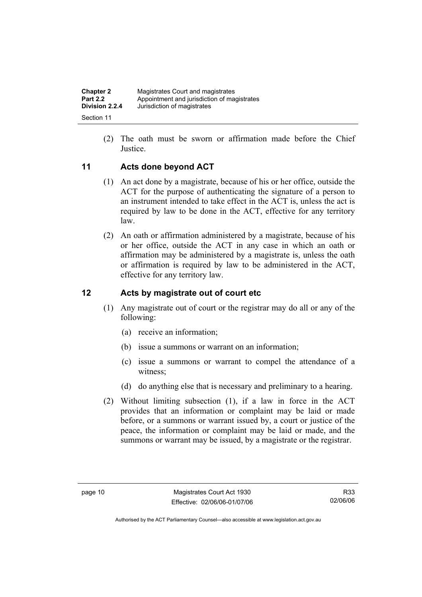| <b>Chapter 2</b> | Magistrates Court and magistrates           |
|------------------|---------------------------------------------|
| <b>Part 2.2</b>  | Appointment and jurisdiction of magistrates |
| Division 2.2.4   | Jurisdiction of magistrates                 |
| Section 11       |                                             |

 (2) The oath must be sworn or affirmation made before the Chief Justice.

#### **11 Acts done beyond ACT**

- (1) An act done by a magistrate, because of his or her office, outside the ACT for the purpose of authenticating the signature of a person to an instrument intended to take effect in the ACT is, unless the act is required by law to be done in the ACT, effective for any territory law.
- (2) An oath or affirmation administered by a magistrate, because of his or her office, outside the ACT in any case in which an oath or affirmation may be administered by a magistrate is, unless the oath or affirmation is required by law to be administered in the ACT, effective for any territory law.

#### **12 Acts by magistrate out of court etc**

- (1) Any magistrate out of court or the registrar may do all or any of the following:
	- (a) receive an information;
	- (b) issue a summons or warrant on an information;
	- (c) issue a summons or warrant to compel the attendance of a witness;
	- (d) do anything else that is necessary and preliminary to a hearing.
- (2) Without limiting subsection (1), if a law in force in the ACT provides that an information or complaint may be laid or made before, or a summons or warrant issued by, a court or justice of the peace, the information or complaint may be laid or made, and the summons or warrant may be issued, by a magistrate or the registrar.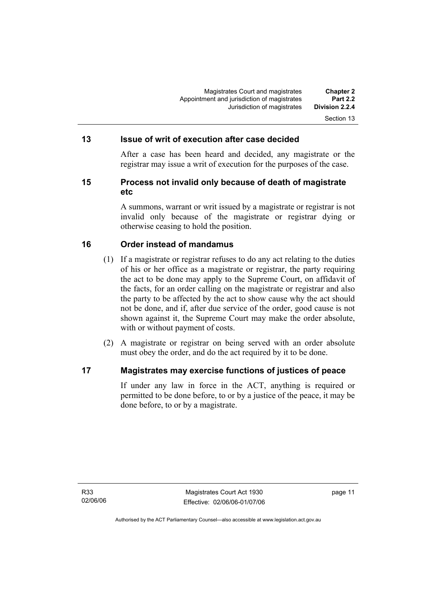#### **13 Issue of writ of execution after case decided**

After a case has been heard and decided, any magistrate or the registrar may issue a writ of execution for the purposes of the case.

#### **15 Process not invalid only because of death of magistrate etc**

A summons, warrant or writ issued by a magistrate or registrar is not invalid only because of the magistrate or registrar dying or otherwise ceasing to hold the position.

#### **16 Order instead of mandamus**

- (1) If a magistrate or registrar refuses to do any act relating to the duties of his or her office as a magistrate or registrar, the party requiring the act to be done may apply to the Supreme Court, on affidavit of the facts, for an order calling on the magistrate or registrar and also the party to be affected by the act to show cause why the act should not be done, and if, after due service of the order, good cause is not shown against it, the Supreme Court may make the order absolute, with or without payment of costs.
- (2) A magistrate or registrar on being served with an order absolute must obey the order, and do the act required by it to be done.

#### **17 Magistrates may exercise functions of justices of peace**

If under any law in force in the ACT, anything is required or permitted to be done before, to or by a justice of the peace, it may be done before, to or by a magistrate.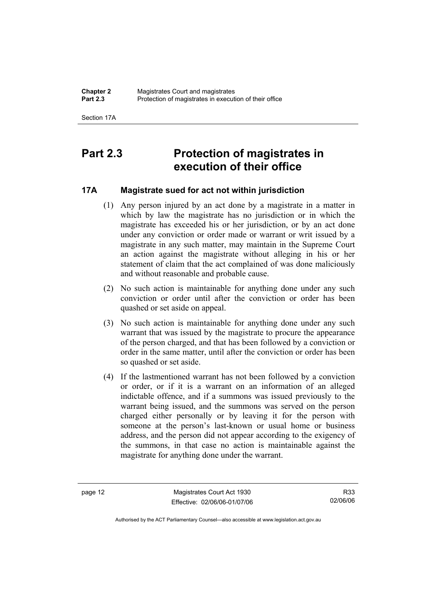Section 17A

# **Part 2.3 Protection of magistrates in execution of their office**

#### **17A Magistrate sued for act not within jurisdiction**

- (1) Any person injured by an act done by a magistrate in a matter in which by law the magistrate has no jurisdiction or in which the magistrate has exceeded his or her jurisdiction, or by an act done under any conviction or order made or warrant or writ issued by a magistrate in any such matter, may maintain in the Supreme Court an action against the magistrate without alleging in his or her statement of claim that the act complained of was done maliciously and without reasonable and probable cause.
- (2) No such action is maintainable for anything done under any such conviction or order until after the conviction or order has been quashed or set aside on appeal.
- (3) No such action is maintainable for anything done under any such warrant that was issued by the magistrate to procure the appearance of the person charged, and that has been followed by a conviction or order in the same matter, until after the conviction or order has been so quashed or set aside.
- (4) If the lastmentioned warrant has not been followed by a conviction or order, or if it is a warrant on an information of an alleged indictable offence, and if a summons was issued previously to the warrant being issued, and the summons was served on the person charged either personally or by leaving it for the person with someone at the person's last-known or usual home or business address, and the person did not appear according to the exigency of the summons, in that case no action is maintainable against the magistrate for anything done under the warrant.

page 12 Magistrates Court Act 1930 Effective: 02/06/06-01/07/06

R33 02/06/06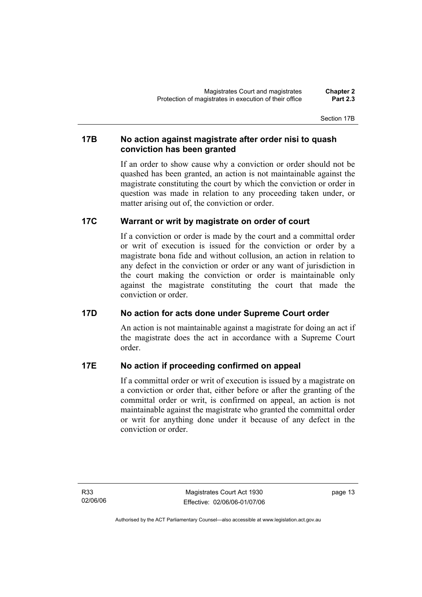Section 17B

#### **17B No action against magistrate after order nisi to quash conviction has been granted**

If an order to show cause why a conviction or order should not be quashed has been granted, an action is not maintainable against the magistrate constituting the court by which the conviction or order in question was made in relation to any proceeding taken under, or matter arising out of, the conviction or order.

#### **17C Warrant or writ by magistrate on order of court**

If a conviction or order is made by the court and a committal order or writ of execution is issued for the conviction or order by a magistrate bona fide and without collusion, an action in relation to any defect in the conviction or order or any want of jurisdiction in the court making the conviction or order is maintainable only against the magistrate constituting the court that made the conviction or order.

#### **17D No action for acts done under Supreme Court order**

An action is not maintainable against a magistrate for doing an act if the magistrate does the act in accordance with a Supreme Court order.

#### **17E No action if proceeding confirmed on appeal**

If a committal order or writ of execution is issued by a magistrate on a conviction or order that, either before or after the granting of the committal order or writ, is confirmed on appeal, an action is not maintainable against the magistrate who granted the committal order or writ for anything done under it because of any defect in the conviction or order.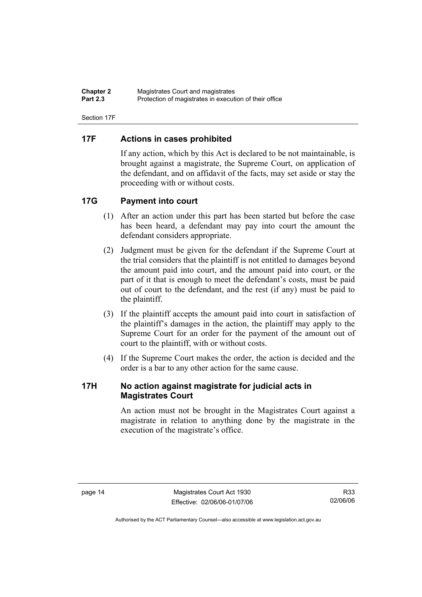| <b>Chapter 2</b> | Magistrates Court and magistrates                      |
|------------------|--------------------------------------------------------|
| <b>Part 2.3</b>  | Protection of magistrates in execution of their office |

Section 17F

#### **17F Actions in cases prohibited**

If any action, which by this Act is declared to be not maintainable, is brought against a magistrate, the Supreme Court, on application of the defendant, and on affidavit of the facts, may set aside or stay the proceeding with or without costs.

#### **17G Payment into court**

- (1) After an action under this part has been started but before the case has been heard, a defendant may pay into court the amount the defendant considers appropriate.
- (2) Judgment must be given for the defendant if the Supreme Court at the trial considers that the plaintiff is not entitled to damages beyond the amount paid into court, and the amount paid into court, or the part of it that is enough to meet the defendant's costs, must be paid out of court to the defendant, and the rest (if any) must be paid to the plaintiff.
- (3) If the plaintiff accepts the amount paid into court in satisfaction of the plaintiff's damages in the action, the plaintiff may apply to the Supreme Court for an order for the payment of the amount out of court to the plaintiff, with or without costs.
- (4) If the Supreme Court makes the order, the action is decided and the order is a bar to any other action for the same cause.

#### **17H No action against magistrate for judicial acts in Magistrates Court**

An action must not be brought in the Magistrates Court against a magistrate in relation to anything done by the magistrate in the execution of the magistrate's office.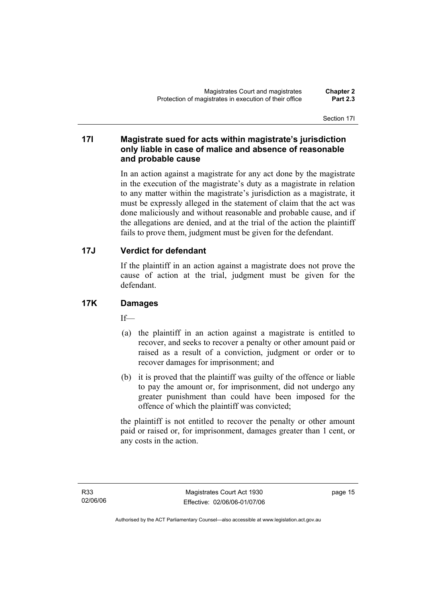Section 17I

#### **17I Magistrate sued for acts within magistrate's jurisdiction only liable in case of malice and absence of reasonable and probable cause**

In an action against a magistrate for any act done by the magistrate in the execution of the magistrate's duty as a magistrate in relation to any matter within the magistrate's jurisdiction as a magistrate, it must be expressly alleged in the statement of claim that the act was done maliciously and without reasonable and probable cause, and if the allegations are denied, and at the trial of the action the plaintiff fails to prove them, judgment must be given for the defendant.

#### **17J Verdict for defendant**

If the plaintiff in an action against a magistrate does not prove the cause of action at the trial, judgment must be given for the defendant.

#### **17K Damages**

If—

- (a) the plaintiff in an action against a magistrate is entitled to recover, and seeks to recover a penalty or other amount paid or raised as a result of a conviction, judgment or order or to recover damages for imprisonment; and
- (b) it is proved that the plaintiff was guilty of the offence or liable to pay the amount or, for imprisonment, did not undergo any greater punishment than could have been imposed for the offence of which the plaintiff was convicted;

the plaintiff is not entitled to recover the penalty or other amount paid or raised or, for imprisonment, damages greater than 1 cent, or any costs in the action.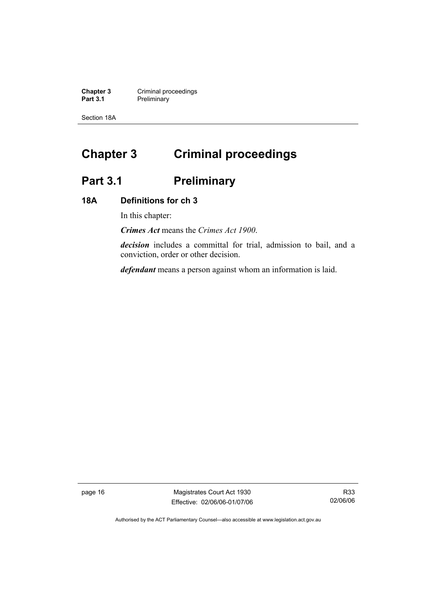**Chapter 3** Criminal proceedings **Part 3.1** Preliminary

Section 18A

# **Chapter 3 Criminal proceedings**

# Part 3.1 **Preliminary**

#### **18A Definitions for ch 3**

In this chapter:

*Crimes Act* means the *Crimes Act 1900*.

*decision* includes a committal for trial, admission to bail, and a conviction, order or other decision.

*defendant* means a person against whom an information is laid.

page 16 Magistrates Court Act 1930 Effective: 02/06/06-01/07/06

R33 02/06/06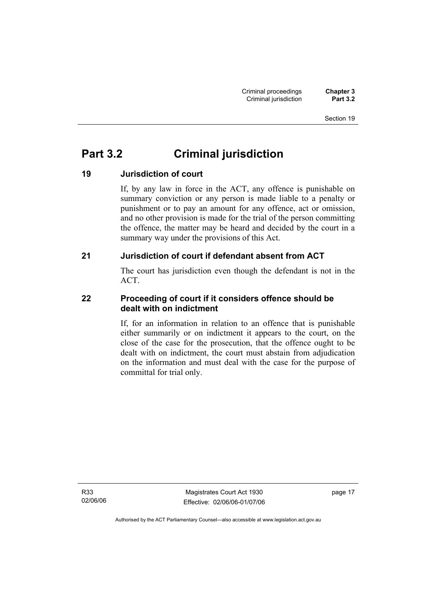# **Part 3.2 Criminal jurisdiction**

#### **19 Jurisdiction of court**

If, by any law in force in the ACT, any offence is punishable on summary conviction or any person is made liable to a penalty or punishment or to pay an amount for any offence, act or omission, and no other provision is made for the trial of the person committing the offence, the matter may be heard and decided by the court in a summary way under the provisions of this Act.

#### **21 Jurisdiction of court if defendant absent from ACT**

The court has jurisdiction even though the defendant is not in the ACT.

#### **22 Proceeding of court if it considers offence should be dealt with on indictment**

If, for an information in relation to an offence that is punishable either summarily or on indictment it appears to the court, on the close of the case for the prosecution, that the offence ought to be dealt with on indictment, the court must abstain from adjudication on the information and must deal with the case for the purpose of committal for trial only.

R33 02/06/06

Magistrates Court Act 1930 Effective: 02/06/06-01/07/06 page 17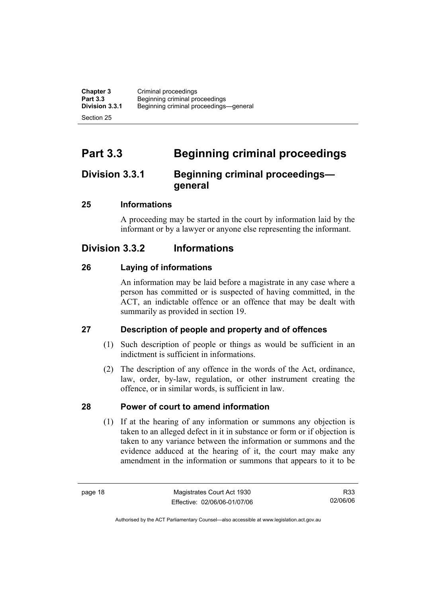**Chapter 3** Criminal proceedings<br> **Part 3.3** Beginning criminal pro-**Part 3.3 Beginning criminal proceedings**<br>**Division 3.3.1** Beginning criminal proceedings **Division 3.3.1** Beginning criminal proceedings—general Section 25

# **Part 3.3 Beginning criminal proceedings**

### **Division 3.3.1 Beginning criminal proceedings general**

#### **25 Informations**

A proceeding may be started in the court by information laid by the informant or by a lawyer or anyone else representing the informant.

### **Division 3.3.2 Informations**

#### **26 Laying of informations**

An information may be laid before a magistrate in any case where a person has committed or is suspected of having committed, in the ACT, an indictable offence or an offence that may be dealt with summarily as provided in section 19.

#### **27 Description of people and property and of offences**

- (1) Such description of people or things as would be sufficient in an indictment is sufficient in informations.
- (2) The description of any offence in the words of the Act, ordinance, law, order, by-law, regulation, or other instrument creating the offence, or in similar words, is sufficient in law.

#### **28 Power of court to amend information**

 (1) If at the hearing of any information or summons any objection is taken to an alleged defect in it in substance or form or if objection is taken to any variance between the information or summons and the evidence adduced at the hearing of it, the court may make any amendment in the information or summons that appears to it to be

R33 02/06/06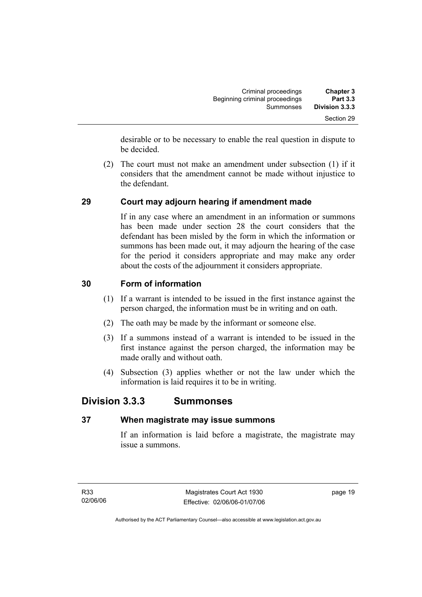| <b>Chapter 3</b> | Criminal proceedings           |
|------------------|--------------------------------|
| <b>Part 3.3</b>  | Beginning criminal proceedings |
| Division 3.3.3   | Summonses                      |
| Section 29       |                                |

desirable or to be necessary to enable the real question in dispute to be decided.

 (2) The court must not make an amendment under subsection (1) if it considers that the amendment cannot be made without injustice to the defendant.

#### **29 Court may adjourn hearing if amendment made**

If in any case where an amendment in an information or summons has been made under section 28 the court considers that the defendant has been misled by the form in which the information or summons has been made out, it may adjourn the hearing of the case for the period it considers appropriate and may make any order about the costs of the adjournment it considers appropriate.

#### **30 Form of information**

- (1) If a warrant is intended to be issued in the first instance against the person charged, the information must be in writing and on oath.
- (2) The oath may be made by the informant or someone else.
- (3) If a summons instead of a warrant is intended to be issued in the first instance against the person charged, the information may be made orally and without oath.
- (4) Subsection (3) applies whether or not the law under which the information is laid requires it to be in writing.

#### **Division 3.3.3 Summonses**

#### **37 When magistrate may issue summons**

If an information is laid before a magistrate, the magistrate may issue a summons.

page 19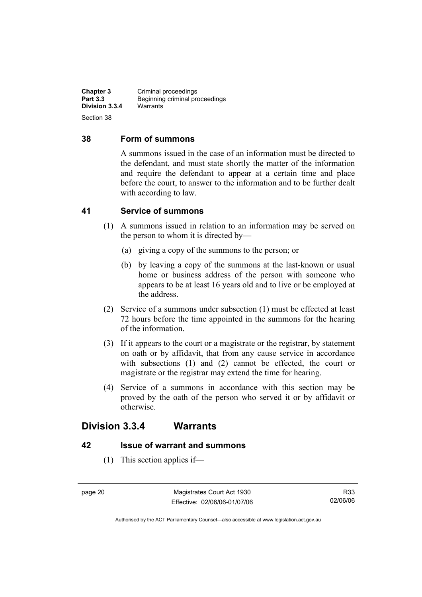**Chapter 3** Criminal proceedings<br> **Part 3.3** Beginning criminal pro-**Beginning criminal proceedings**<br>Warrants **Division 3.3.4** Section 38

#### **38 Form of summons**

A summons issued in the case of an information must be directed to the defendant, and must state shortly the matter of the information and require the defendant to appear at a certain time and place before the court, to answer to the information and to be further dealt with according to law.

#### **41 Service of summons**

- (1) A summons issued in relation to an information may be served on the person to whom it is directed by—
	- (a) giving a copy of the summons to the person; or
	- (b) by leaving a copy of the summons at the last-known or usual home or business address of the person with someone who appears to be at least 16 years old and to live or be employed at the address.
- (2) Service of a summons under subsection (1) must be effected at least 72 hours before the time appointed in the summons for the hearing of the information.
- (3) If it appears to the court or a magistrate or the registrar, by statement on oath or by affidavit, that from any cause service in accordance with subsections (1) and (2) cannot be effected, the court or magistrate or the registrar may extend the time for hearing.
- (4) Service of a summons in accordance with this section may be proved by the oath of the person who served it or by affidavit or otherwise.

#### **Division 3.3.4 Warrants**

#### **42 Issue of warrant and summons**

(1) This section applies if—

page 20 Magistrates Court Act 1930 Effective: 02/06/06-01/07/06

R33 02/06/06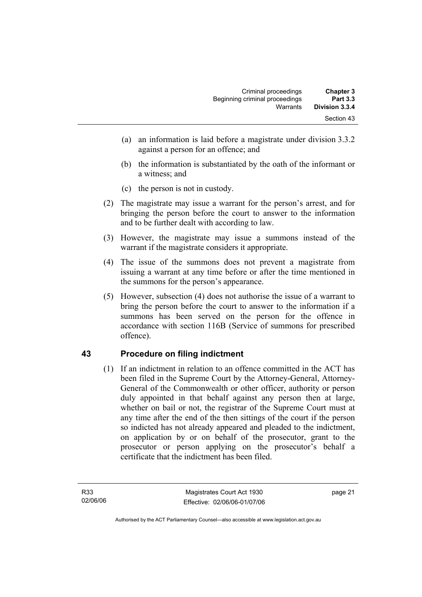| <b>Chapter 3</b> | Criminal proceedings           |
|------------------|--------------------------------|
| <b>Part 3.3</b>  | Beginning criminal proceedings |
| Division 3.3.4   | Warrants                       |
| Section 43       |                                |

- (a) an information is laid before a magistrate under division 3.3.2 against a person for an offence; and
- (b) the information is substantiated by the oath of the informant or a witness; and
- (c) the person is not in custody.
- (2) The magistrate may issue a warrant for the person's arrest, and for bringing the person before the court to answer to the information and to be further dealt with according to law.
- (3) However, the magistrate may issue a summons instead of the warrant if the magistrate considers it appropriate.
- (4) The issue of the summons does not prevent a magistrate from issuing a warrant at any time before or after the time mentioned in the summons for the person's appearance.
- (5) However, subsection (4) does not authorise the issue of a warrant to bring the person before the court to answer to the information if a summons has been served on the person for the offence in accordance with section 116B (Service of summons for prescribed offence).

#### **43 Procedure on filing indictment**

 (1) If an indictment in relation to an offence committed in the ACT has been filed in the Supreme Court by the Attorney-General, Attorney-General of the Commonwealth or other officer, authority or person duly appointed in that behalf against any person then at large, whether on bail or not, the registrar of the Supreme Court must at any time after the end of the then sittings of the court if the person so indicted has not already appeared and pleaded to the indictment, on application by or on behalf of the prosecutor, grant to the prosecutor or person applying on the prosecutor's behalf a certificate that the indictment has been filed.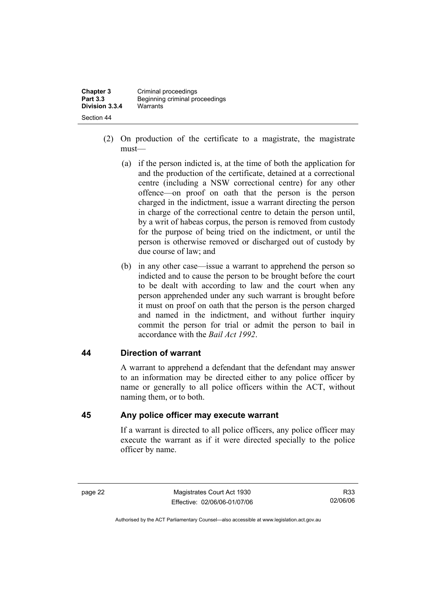**Chapter 3** Criminal proceedings<br> **Part 3.3** Beginning criminal pro-**Part 3.3** Beginning criminal proceedings **Division 3.3.4** Warrants Section 44

- (2) On production of the certificate to a magistrate, the magistrate must—
	- (a) if the person indicted is, at the time of both the application for and the production of the certificate, detained at a correctional centre (including a NSW correctional centre) for any other offence—on proof on oath that the person is the person charged in the indictment, issue a warrant directing the person in charge of the correctional centre to detain the person until, by a writ of habeas corpus, the person is removed from custody for the purpose of being tried on the indictment, or until the person is otherwise removed or discharged out of custody by due course of law; and
	- (b) in any other case—issue a warrant to apprehend the person so indicted and to cause the person to be brought before the court to be dealt with according to law and the court when any person apprehended under any such warrant is brought before it must on proof on oath that the person is the person charged and named in the indictment, and without further inquiry commit the person for trial or admit the person to bail in accordance with the *Bail Act 1992*.

#### **44 Direction of warrant**

A warrant to apprehend a defendant that the defendant may answer to an information may be directed either to any police officer by name or generally to all police officers within the ACT, without naming them, or to both.

#### **45 Any police officer may execute warrant**

If a warrant is directed to all police officers, any police officer may execute the warrant as if it were directed specially to the police officer by name.

page 22 Magistrates Court Act 1930 Effective: 02/06/06-01/07/06

R33 02/06/06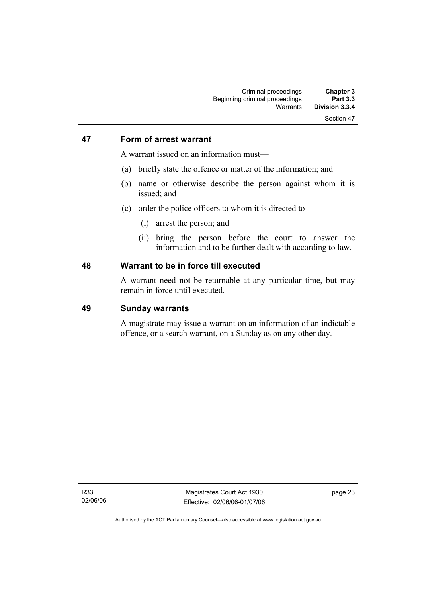#### **47 Form of arrest warrant**

A warrant issued on an information must—

- (a) briefly state the offence or matter of the information; and
- (b) name or otherwise describe the person against whom it is issued; and
- (c) order the police officers to whom it is directed to—
	- (i) arrest the person; and
	- (ii) bring the person before the court to answer the information and to be further dealt with according to law.

#### **48 Warrant to be in force till executed**

A warrant need not be returnable at any particular time, but may remain in force until executed.

#### **49 Sunday warrants**

A magistrate may issue a warrant on an information of an indictable offence, or a search warrant, on a Sunday as on any other day.

R33 02/06/06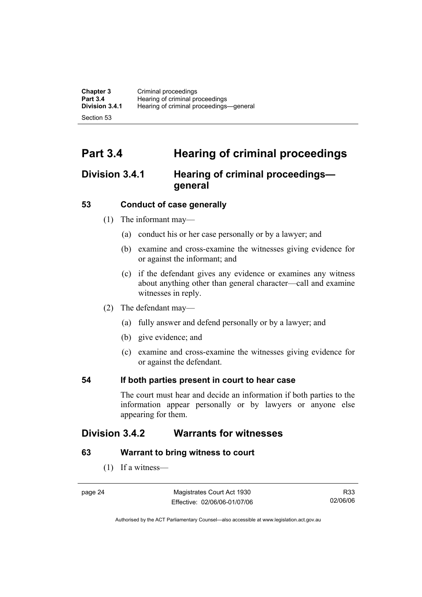| <b>Chapter 3</b> | Criminal proceedings                    |
|------------------|-----------------------------------------|
| <b>Part 3.4</b>  | Hearing of criminal proceedings         |
| Division 3.4.1   | Hearing of criminal proceedings-general |
| Section 53       |                                         |

# **Part 3.4 Hearing of criminal proceedings**

# **Division 3.4.1 Hearing of criminal proceedings general**

#### **53 Conduct of case generally**

- (1) The informant may—
	- (a) conduct his or her case personally or by a lawyer; and
	- (b) examine and cross-examine the witnesses giving evidence for or against the informant; and
	- (c) if the defendant gives any evidence or examines any witness about anything other than general character—call and examine witnesses in reply.
- (2) The defendant may—
	- (a) fully answer and defend personally or by a lawyer; and
	- (b) give evidence; and
	- (c) examine and cross-examine the witnesses giving evidence for or against the defendant.

### **54 If both parties present in court to hear case**

The court must hear and decide an information if both parties to the information appear personally or by lawyers or anyone else appearing for them.

# **Division 3.4.2 Warrants for witnesses**

#### **63 Warrant to bring witness to court**

(1) If a witness—

Magistrates Court Act 1930 Effective: 02/06/06-01/07/06

R33 02/06/06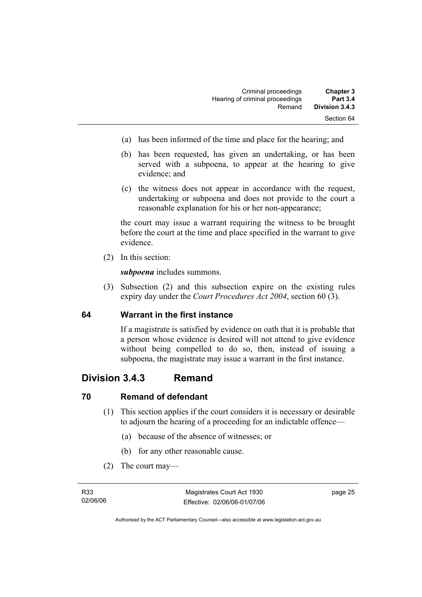| <b>Chapter 3</b> | Criminal proceedings            |
|------------------|---------------------------------|
| <b>Part 3.4</b>  | Hearing of criminal proceedings |
| Division 3.4.3   | Remand                          |
| Section 64       |                                 |

- (a) has been informed of the time and place for the hearing; and
- (b) has been requested, has given an undertaking, or has been served with a subpoena, to appear at the hearing to give evidence; and
- (c) the witness does not appear in accordance with the request, undertaking or subpoena and does not provide to the court a reasonable explanation for his or her non-appearance;

the court may issue a warrant requiring the witness to be brought before the court at the time and place specified in the warrant to give evidence.

(2) In this section:

*subpoena* includes summons.

 (3) Subsection (2) and this subsection expire on the existing rules expiry day under the *Court Procedures Act 2004*, section 60 (3).

#### **64 Warrant in the first instance**

If a magistrate is satisfied by evidence on oath that it is probable that a person whose evidence is desired will not attend to give evidence without being compelled to do so, then, instead of issuing a subpoena, the magistrate may issue a warrant in the first instance.

### **Division 3.4.3 Remand**

#### **70 Remand of defendant**

- (1) This section applies if the court considers it is necessary or desirable to adjourn the hearing of a proceeding for an indictable offence—
	- (a) because of the absence of witnesses; or
	- (b) for any other reasonable cause.
- (2) The court may—

page 25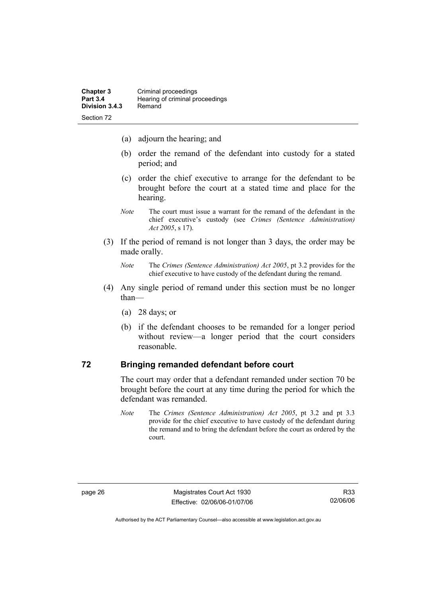- (a) adjourn the hearing; and
- (b) order the remand of the defendant into custody for a stated period; and
- (c) order the chief executive to arrange for the defendant to be brought before the court at a stated time and place for the hearing.
- *Note* The court must issue a warrant for the remand of the defendant in the chief executive's custody (see *Crimes (Sentence Administration) Act 2005*, s 17).
- (3) If the period of remand is not longer than 3 days, the order may be made orally.

- (4) Any single period of remand under this section must be no longer than—
	- (a) 28 days; or
	- (b) if the defendant chooses to be remanded for a longer period without review—a longer period that the court considers reasonable.

#### **72 Bringing remanded defendant before court**

The court may order that a defendant remanded under section 70 be brought before the court at any time during the period for which the defendant was remanded.

*Note* The *Crimes (Sentence Administration) Act 2005*, pt 3.2 and pt 3.3 provide for the chief executive to have custody of the defendant during the remand and to bring the defendant before the court as ordered by the court.

*Note* The *Crimes (Sentence Administration) Act 2005*, pt 3.2 provides for the chief executive to have custody of the defendant during the remand.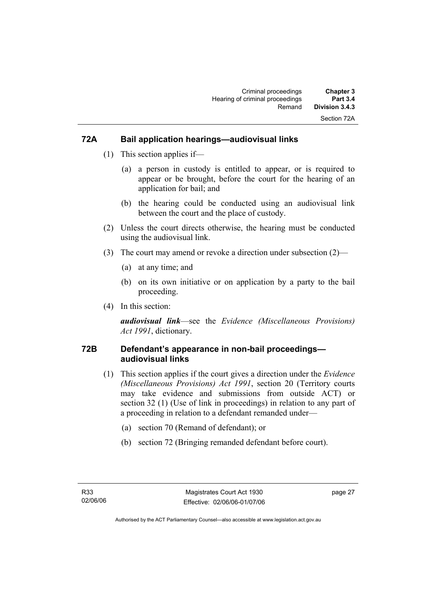### **72A Bail application hearings—audiovisual links**

- (1) This section applies if—
	- (a) a person in custody is entitled to appear, or is required to appear or be brought, before the court for the hearing of an application for bail; and
	- (b) the hearing could be conducted using an audiovisual link between the court and the place of custody.
- (2) Unless the court directs otherwise, the hearing must be conducted using the audiovisual link.
- (3) The court may amend or revoke a direction under subsection (2)—
	- (a) at any time; and
	- (b) on its own initiative or on application by a party to the bail proceeding.
- (4) In this section:

*audiovisual link*—see the *Evidence (Miscellaneous Provisions) Act 1991*, dictionary.

### **72B Defendant's appearance in non-bail proceedings audiovisual links**

- (1) This section applies if the court gives a direction under the *Evidence (Miscellaneous Provisions) Act 1991*, section 20 (Territory courts may take evidence and submissions from outside ACT) or section 32 (1) (Use of link in proceedings) in relation to any part of a proceeding in relation to a defendant remanded under—
	- (a) section 70 (Remand of defendant); or
	- (b) section 72 (Bringing remanded defendant before court).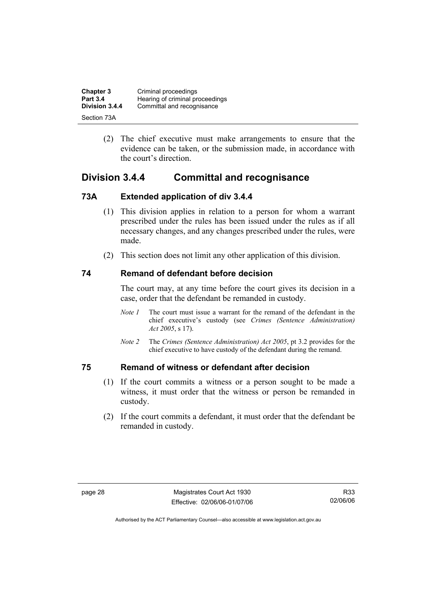| <b>Chapter 3</b> | Criminal proceedings            |
|------------------|---------------------------------|
| <b>Part 3.4</b>  | Hearing of criminal proceedings |
| Division 3.4.4   | Committal and recognisance      |
| Section 73A      |                                 |

 (2) The chief executive must make arrangements to ensure that the evidence can be taken, or the submission made, in accordance with the court's direction.

# **Division 3.4.4 Committal and recognisance**

### **73A Extended application of div 3.4.4**

- (1) This division applies in relation to a person for whom a warrant prescribed under the rules has been issued under the rules as if all necessary changes, and any changes prescribed under the rules, were made.
- (2) This section does not limit any other application of this division.

### **74 Remand of defendant before decision**

The court may, at any time before the court gives its decision in a case, order that the defendant be remanded in custody.

- *Note 1* The court must issue a warrant for the remand of the defendant in the chief executive's custody (see *Crimes (Sentence Administration) Act 2005*, s 17).
- *Note 2* The *Crimes (Sentence Administration) Act 2005*, pt 3.2 provides for the chief executive to have custody of the defendant during the remand.

### **75 Remand of witness or defendant after decision**

- (1) If the court commits a witness or a person sought to be made a witness, it must order that the witness or person be remanded in custody.
- (2) If the court commits a defendant, it must order that the defendant be remanded in custody.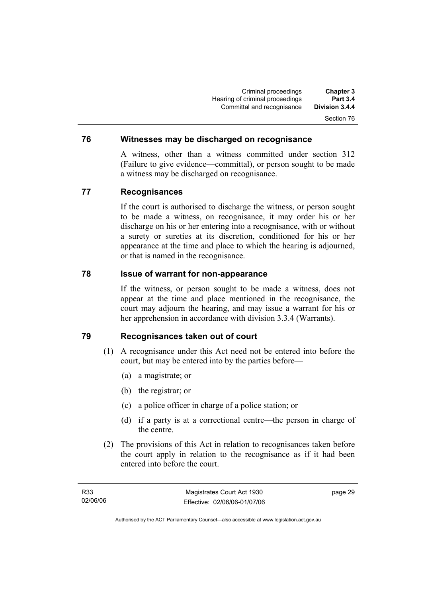Criminal proceedings **Chapter 3 Hearing of criminal proceedings** Committal and recognisance **Division 3.4.4**  Section 76

#### **76 Witnesses may be discharged on recognisance**

A witness, other than a witness committed under section 312 (Failure to give evidence—committal), or person sought to be made a witness may be discharged on recognisance.

#### **77 Recognisances**

If the court is authorised to discharge the witness, or person sought to be made a witness, on recognisance, it may order his or her discharge on his or her entering into a recognisance, with or without a surety or sureties at its discretion, conditioned for his or her appearance at the time and place to which the hearing is adjourned, or that is named in the recognisance.

#### **78 Issue of warrant for non-appearance**

If the witness, or person sought to be made a witness, does not appear at the time and place mentioned in the recognisance, the court may adjourn the hearing, and may issue a warrant for his or her apprehension in accordance with division 3.3.4 (Warrants).

### **79 Recognisances taken out of court**

- (1) A recognisance under this Act need not be entered into before the court, but may be entered into by the parties before—
	- (a) a magistrate; or
	- (b) the registrar; or
	- (c) a police officer in charge of a police station; or
	- (d) if a party is at a correctional centre—the person in charge of the centre.
- (2) The provisions of this Act in relation to recognisances taken before the court apply in relation to the recognisance as if it had been entered into before the court.

page 29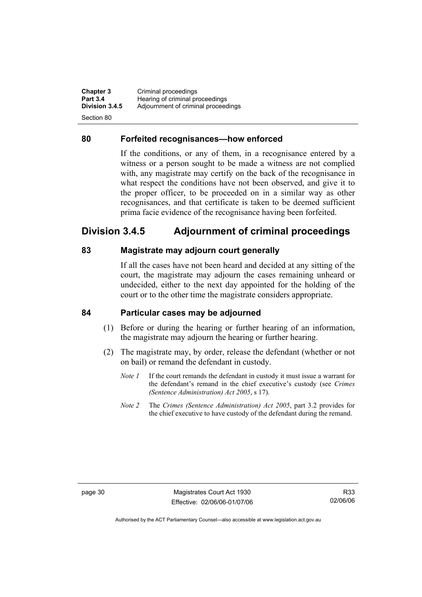**Chapter 3 Criminal proceedings**<br>**Part 3.4 Hearing of criminal property Part 3.4 Hearing of criminal proceedings**<br>**Division 3.4.5** Adjournment of criminal proceed Adjournment of criminal proceedings Section 80

#### **80 Forfeited recognisances—how enforced**

If the conditions, or any of them, in a recognisance entered by a witness or a person sought to be made a witness are not complied with, any magistrate may certify on the back of the recognisance in what respect the conditions have not been observed, and give it to the proper officer, to be proceeded on in a similar way as other recognisances, and that certificate is taken to be deemed sufficient prima facie evidence of the recognisance having been forfeited.

# **Division 3.4.5 Adjournment of criminal proceedings**

#### **83 Magistrate may adjourn court generally**

If all the cases have not been heard and decided at any sitting of the court, the magistrate may adjourn the cases remaining unheard or undecided, either to the next day appointed for the holding of the court or to the other time the magistrate considers appropriate.

#### **84 Particular cases may be adjourned**

- (1) Before or during the hearing or further hearing of an information, the magistrate may adjourn the hearing or further hearing.
- (2) The magistrate may, by order, release the defendant (whether or not on bail) or remand the defendant in custody.
	- *Note 1* If the court remands the defendant in custody it must issue a warrant for the defendant's remand in the chief executive's custody (see *Crimes (Sentence Administration) Act 2005*, s 17).
	- *Note 2* The *Crimes (Sentence Administration) Act 2005*, part 3.2 provides for the chief executive to have custody of the defendant during the remand.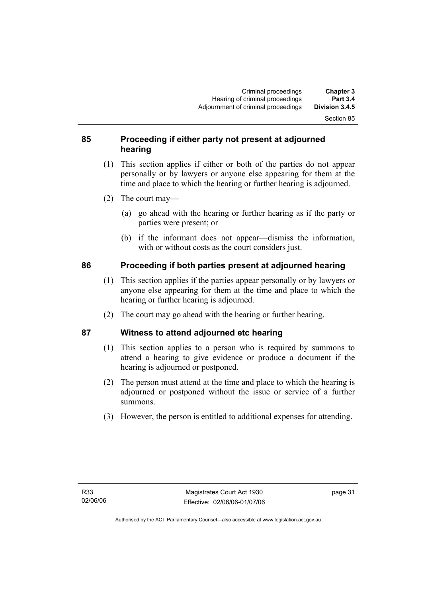Section 85

#### **85 Proceeding if either party not present at adjourned hearing**

- (1) This section applies if either or both of the parties do not appear personally or by lawyers or anyone else appearing for them at the time and place to which the hearing or further hearing is adjourned.
- (2) The court may—
	- (a) go ahead with the hearing or further hearing as if the party or parties were present; or
	- (b) if the informant does not appear—dismiss the information, with or without costs as the court considers just.

### **86 Proceeding if both parties present at adjourned hearing**

- (1) This section applies if the parties appear personally or by lawyers or anyone else appearing for them at the time and place to which the hearing or further hearing is adjourned.
- (2) The court may go ahead with the hearing or further hearing.

# **87 Witness to attend adjourned etc hearing**

- (1) This section applies to a person who is required by summons to attend a hearing to give evidence or produce a document if the hearing is adjourned or postponed.
- (2) The person must attend at the time and place to which the hearing is adjourned or postponed without the issue or service of a further summons.
- (3) However, the person is entitled to additional expenses for attending.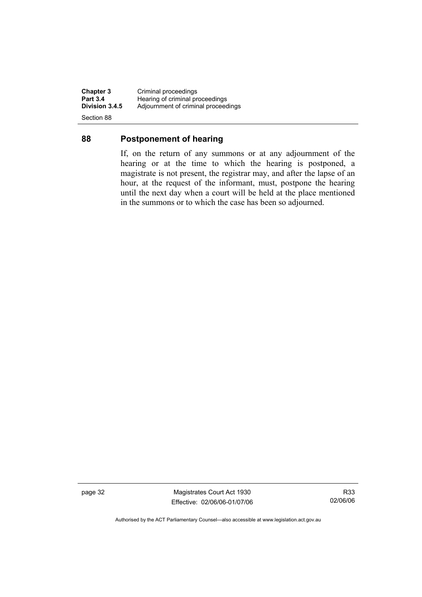**Chapter 3 Criminal proceedings**<br>**Part 3.4 Hearing of criminal pro-Part 3.4 Hearing of criminal proceedings**<br>**Division 3.4.5** Adjournment of criminal proceeding **Division 3.4.5** Adjournment of criminal proceedings Section 88

**88 Postponement of hearing** 

### If, on the return of any summons or at any adjournment of the hearing or at the time to which the hearing is postponed, a magistrate is not present, the registrar may, and after the lapse of an hour, at the request of the informant, must, postpone the hearing until the next day when a court will be held at the place mentioned

in the summons or to which the case has been so adjourned.

page 32 Magistrates Court Act 1930 Effective: 02/06/06-01/07/06

R33 02/06/06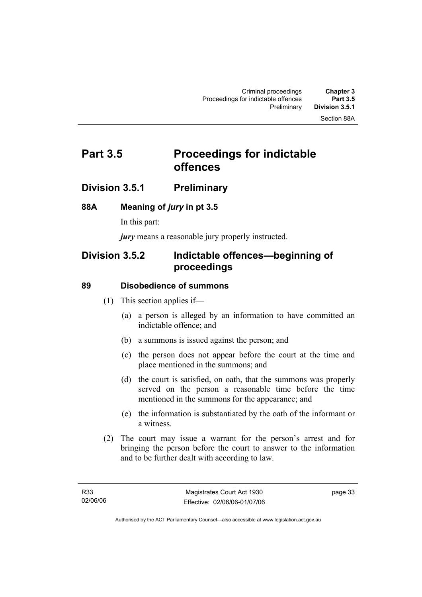#### Section 88A

# **Part 3.5** Proceedings for indictable **offences**

### **Division 3.5.1 Preliminary**

#### **88A Meaning of** *jury* **in pt 3.5**

In this part:

*jury* means a reasonable jury properly instructed.

# **Division 3.5.2 Indictable offences—beginning of proceedings**

#### **89 Disobedience of summons**

- (1) This section applies if—
	- (a) a person is alleged by an information to have committed an indictable offence; and
	- (b) a summons is issued against the person; and
	- (c) the person does not appear before the court at the time and place mentioned in the summons; and
	- (d) the court is satisfied, on oath, that the summons was properly served on the person a reasonable time before the time mentioned in the summons for the appearance; and
	- (e) the information is substantiated by the oath of the informant or a witness.
- (2) The court may issue a warrant for the person's arrest and for bringing the person before the court to answer to the information and to be further dealt with according to law.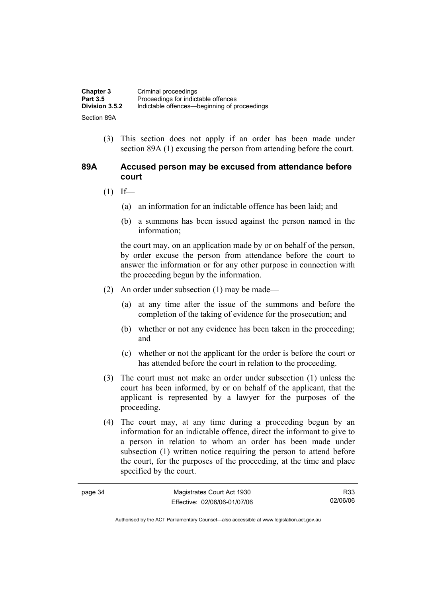| <b>Chapter 3</b> | Criminal proceedings                         |
|------------------|----------------------------------------------|
| <b>Part 3.5</b>  | Proceedings for indictable offences          |
| Division 3.5.2   | Indictable offences—beginning of proceedings |
| Section 89A      |                                              |

 (3) This section does not apply if an order has been made under section 89A (1) excusing the person from attending before the court.

#### **89A Accused person may be excused from attendance before court**

- $(1)$  If—
	- (a) an information for an indictable offence has been laid; and
	- (b) a summons has been issued against the person named in the information;

the court may, on an application made by or on behalf of the person, by order excuse the person from attendance before the court to answer the information or for any other purpose in connection with the proceeding begun by the information.

- (2) An order under subsection (1) may be made—
	- (a) at any time after the issue of the summons and before the completion of the taking of evidence for the prosecution; and
	- (b) whether or not any evidence has been taken in the proceeding; and
	- (c) whether or not the applicant for the order is before the court or has attended before the court in relation to the proceeding.
- (3) The court must not make an order under subsection (1) unless the court has been informed, by or on behalf of the applicant, that the applicant is represented by a lawyer for the purposes of the proceeding.
- (4) The court may, at any time during a proceeding begun by an information for an indictable offence, direct the informant to give to a person in relation to whom an order has been made under subsection (1) written notice requiring the person to attend before the court, for the purposes of the proceeding, at the time and place specified by the court.

| page 34 | Magistrates Court Act 1930   | R33      |
|---------|------------------------------|----------|
|         | Effective: 02/06/06-01/07/06 | 02/06/06 |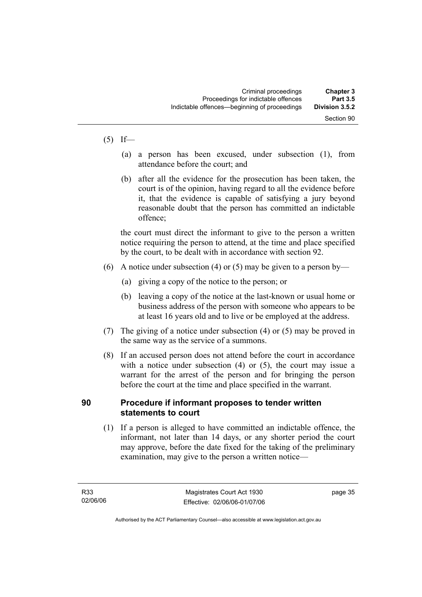#### $(5)$  If—

- (a) a person has been excused, under subsection (1), from attendance before the court; and
- (b) after all the evidence for the prosecution has been taken, the court is of the opinion, having regard to all the evidence before it, that the evidence is capable of satisfying a jury beyond reasonable doubt that the person has committed an indictable offence;

the court must direct the informant to give to the person a written notice requiring the person to attend, at the time and place specified by the court, to be dealt with in accordance with section 92.

- (6) A notice under subsection (4) or (5) may be given to a person by—
	- (a) giving a copy of the notice to the person; or
	- (b) leaving a copy of the notice at the last-known or usual home or business address of the person with someone who appears to be at least 16 years old and to live or be employed at the address.
- (7) The giving of a notice under subsection (4) or (5) may be proved in the same way as the service of a summons.
- (8) If an accused person does not attend before the court in accordance with a notice under subsection (4) or (5), the court may issue a warrant for the arrest of the person and for bringing the person before the court at the time and place specified in the warrant.

### **90 Procedure if informant proposes to tender written statements to court**

 (1) If a person is alleged to have committed an indictable offence, the informant, not later than 14 days, or any shorter period the court may approve, before the date fixed for the taking of the preliminary examination, may give to the person a written notice—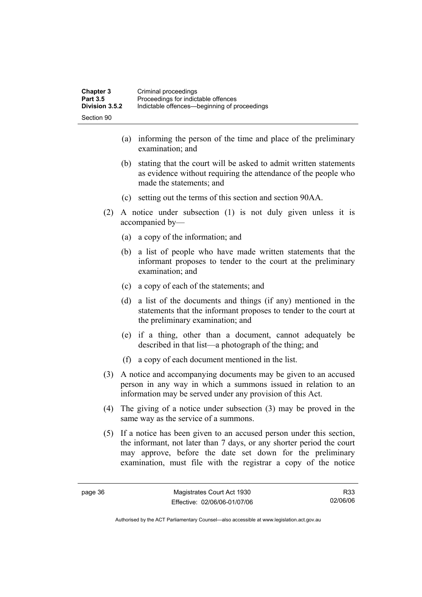- (a) informing the person of the time and place of the preliminary examination; and
- (b) stating that the court will be asked to admit written statements as evidence without requiring the attendance of the people who made the statements; and
- (c) setting out the terms of this section and section 90AA.
- (2) A notice under subsection (1) is not duly given unless it is accompanied by—
	- (a) a copy of the information; and
	- (b) a list of people who have made written statements that the informant proposes to tender to the court at the preliminary examination; and
	- (c) a copy of each of the statements; and
	- (d) a list of the documents and things (if any) mentioned in the statements that the informant proposes to tender to the court at the preliminary examination; and
	- (e) if a thing, other than a document, cannot adequately be described in that list—a photograph of the thing; and
	- (f) a copy of each document mentioned in the list.
- (3) A notice and accompanying documents may be given to an accused person in any way in which a summons issued in relation to an information may be served under any provision of this Act.
- (4) The giving of a notice under subsection (3) may be proved in the same way as the service of a summons.
- (5) If a notice has been given to an accused person under this section, the informant, not later than 7 days, or any shorter period the court may approve, before the date set down for the preliminary examination, must file with the registrar a copy of the notice

R33 02/06/06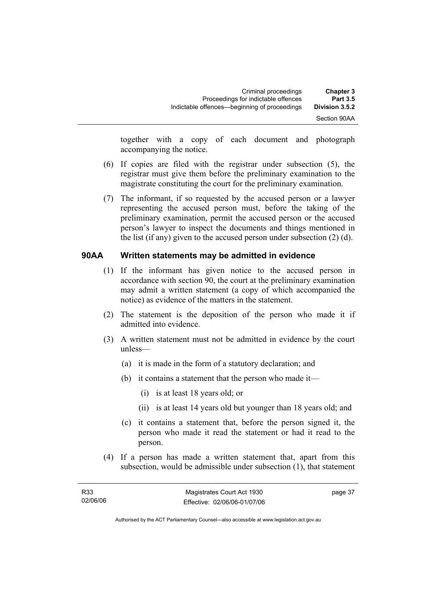together with a copy of each document and photograph accompanying the notice.

- (6) If copies are filed with the registrar under subsection (5), the registrar must give them before the preliminary examination to the magistrate constituting the court for the preliminary examination.
- (7) The informant, if so requested by the accused person or a lawyer representing the accused person must, before the taking of the preliminary examination, permit the accused person or the accused person's lawyer to inspect the documents and things mentioned in the list (if any) given to the accused person under subsection (2) (d).

#### **90AA Written statements may be admitted in evidence**

- (1) If the informant has given notice to the accused person in accordance with section 90, the court at the preliminary examination may admit a written statement (a copy of which accompanied the notice) as evidence of the matters in the statement.
- (2) The statement is the deposition of the person who made it if admitted into evidence.
- (3) A written statement must not be admitted in evidence by the court unless—
	- (a) it is made in the form of a statutory declaration; and
	- (b) it contains a statement that the person who made it—
		- (i) is at least 18 years old; or
		- (ii) is at least 14 years old but younger than 18 years old; and
	- (c) it contains a statement that, before the person signed it, the person who made it read the statement or had it read to the person.
- (4) If a person has made a written statement that, apart from this subsection, would be admissible under subsection (1), that statement

page 37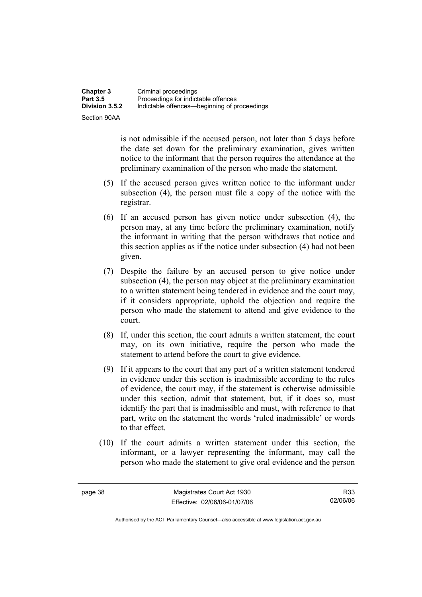is not admissible if the accused person, not later than 5 days before the date set down for the preliminary examination, gives written notice to the informant that the person requires the attendance at the preliminary examination of the person who made the statement.

- (5) If the accused person gives written notice to the informant under subsection (4), the person must file a copy of the notice with the registrar.
- (6) If an accused person has given notice under subsection (4), the person may, at any time before the preliminary examination, notify the informant in writing that the person withdraws that notice and this section applies as if the notice under subsection (4) had not been given.
- (7) Despite the failure by an accused person to give notice under subsection (4), the person may object at the preliminary examination to a written statement being tendered in evidence and the court may, if it considers appropriate, uphold the objection and require the person who made the statement to attend and give evidence to the court.
- (8) If, under this section, the court admits a written statement, the court may, on its own initiative, require the person who made the statement to attend before the court to give evidence.
- (9) If it appears to the court that any part of a written statement tendered in evidence under this section is inadmissible according to the rules of evidence, the court may, if the statement is otherwise admissible under this section, admit that statement, but, if it does so, must identify the part that is inadmissible and must, with reference to that part, write on the statement the words 'ruled inadmissible' or words to that effect.
- (10) If the court admits a written statement under this section, the informant, or a lawyer representing the informant, may call the person who made the statement to give oral evidence and the person

R33 02/06/06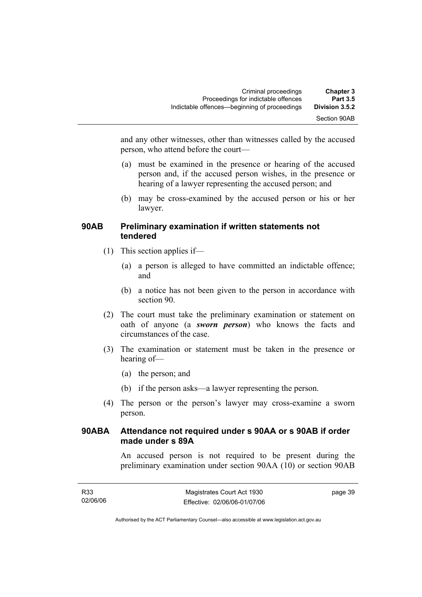| <b>Chapter 3</b> | Criminal proceedings                         |
|------------------|----------------------------------------------|
| <b>Part 3.5</b>  | Proceedings for indictable offences          |
| Division 3.5.2   | Indictable offences—beginning of proceedings |
| Section 90AB     |                                              |

and any other witnesses, other than witnesses called by the accused person, who attend before the court—

- (a) must be examined in the presence or hearing of the accused person and, if the accused person wishes, in the presence or hearing of a lawyer representing the accused person; and
- (b) may be cross-examined by the accused person or his or her lawyer.

#### **90AB Preliminary examination if written statements not tendered**

- (1) This section applies if—
	- (a) a person is alleged to have committed an indictable offence; and
	- (b) a notice has not been given to the person in accordance with section 90.
- (2) The court must take the preliminary examination or statement on oath of anyone (a *sworn person*) who knows the facts and circumstances of the case.
- (3) The examination or statement must be taken in the presence or hearing of—
	- (a) the person; and
	- (b) if the person asks—a lawyer representing the person.
- (4) The person or the person's lawyer may cross-examine a sworn person.

### **90ABA Attendance not required under s 90AA or s 90AB if order made under s 89A**

An accused person is not required to be present during the preliminary examination under section 90AA (10) or section 90AB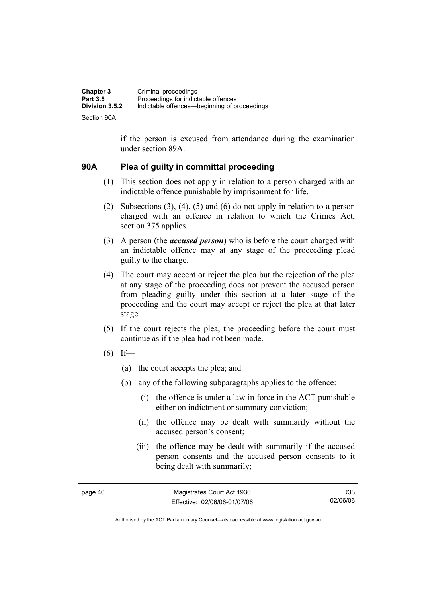| <b>Chapter 3</b> | Criminal proceedings                         |
|------------------|----------------------------------------------|
| <b>Part 3.5</b>  | Proceedings for indictable offences          |
| Division 3.5.2   | Indictable offences—beginning of proceedings |
| Section 90A      |                                              |

if the person is excused from attendance during the examination under section 89A.

#### **90A Plea of guilty in committal proceeding**

- (1) This section does not apply in relation to a person charged with an indictable offence punishable by imprisonment for life.
- (2) Subsections (3), (4), (5) and (6) do not apply in relation to a person charged with an offence in relation to which the Crimes Act, section 375 applies.
- (3) A person (the *accused person*) who is before the court charged with an indictable offence may at any stage of the proceeding plead guilty to the charge.
- (4) The court may accept or reject the plea but the rejection of the plea at any stage of the proceeding does not prevent the accused person from pleading guilty under this section at a later stage of the proceeding and the court may accept or reject the plea at that later stage.
- (5) If the court rejects the plea, the proceeding before the court must continue as if the plea had not been made.
- $(6)$  If—
	- (a) the court accepts the plea; and
	- (b) any of the following subparagraphs applies to the offence:
		- (i) the offence is under a law in force in the ACT punishable either on indictment or summary conviction;
		- (ii) the offence may be dealt with summarily without the accused person's consent;
		- (iii) the offence may be dealt with summarily if the accused person consents and the accused person consents to it being dealt with summarily;

page 40 Magistrates Court Act 1930 Effective: 02/06/06-01/07/06

R33 02/06/06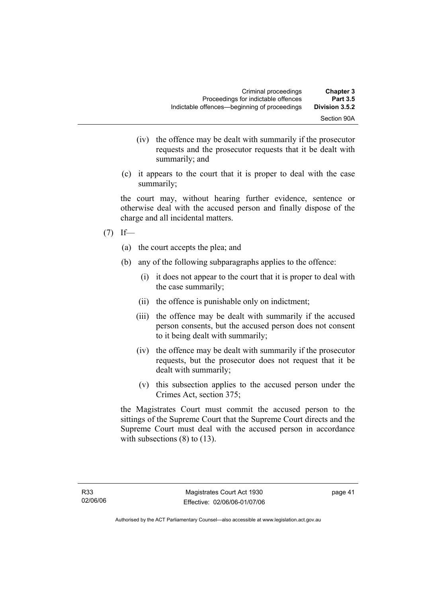- (iv) the offence may be dealt with summarily if the prosecutor requests and the prosecutor requests that it be dealt with summarily; and
- (c) it appears to the court that it is proper to deal with the case summarily;

the court may, without hearing further evidence, sentence or otherwise deal with the accused person and finally dispose of the charge and all incidental matters.

- $(7)$  If—
	- (a) the court accepts the plea; and
	- (b) any of the following subparagraphs applies to the offence:
		- (i) it does not appear to the court that it is proper to deal with the case summarily;
		- (ii) the offence is punishable only on indictment;
		- (iii) the offence may be dealt with summarily if the accused person consents, but the accused person does not consent to it being dealt with summarily;
		- (iv) the offence may be dealt with summarily if the prosecutor requests, but the prosecutor does not request that it be dealt with summarily;
		- (v) this subsection applies to the accused person under the Crimes Act, section 375;

the Magistrates Court must commit the accused person to the sittings of the Supreme Court that the Supreme Court directs and the Supreme Court must deal with the accused person in accordance with subsections  $(8)$  to  $(13)$ .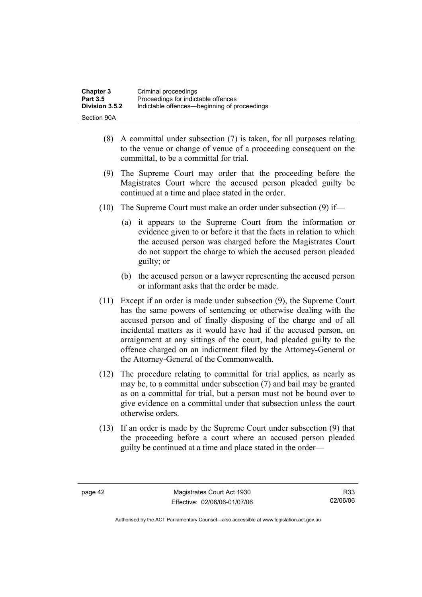| <b>Chapter 3</b> | Criminal proceedings                         |
|------------------|----------------------------------------------|
| <b>Part 3.5</b>  | Proceedings for indictable offences          |
| Division 3.5.2   | Indictable offences—beginning of proceedings |
| Section 90A      |                                              |

- (8) A committal under subsection (7) is taken, for all purposes relating to the venue or change of venue of a proceeding consequent on the committal, to be a committal for trial.
- (9) The Supreme Court may order that the proceeding before the Magistrates Court where the accused person pleaded guilty be continued at a time and place stated in the order.
- (10) The Supreme Court must make an order under subsection (9) if—
	- (a) it appears to the Supreme Court from the information or evidence given to or before it that the facts in relation to which the accused person was charged before the Magistrates Court do not support the charge to which the accused person pleaded guilty; or
	- (b) the accused person or a lawyer representing the accused person or informant asks that the order be made.
- (11) Except if an order is made under subsection (9), the Supreme Court has the same powers of sentencing or otherwise dealing with the accused person and of finally disposing of the charge and of all incidental matters as it would have had if the accused person, on arraignment at any sittings of the court, had pleaded guilty to the offence charged on an indictment filed by the Attorney-General or the Attorney-General of the Commonwealth.
- (12) The procedure relating to committal for trial applies, as nearly as may be, to a committal under subsection (7) and bail may be granted as on a committal for trial, but a person must not be bound over to give evidence on a committal under that subsection unless the court otherwise orders.
- (13) If an order is made by the Supreme Court under subsection (9) that the proceeding before a court where an accused person pleaded guilty be continued at a time and place stated in the order—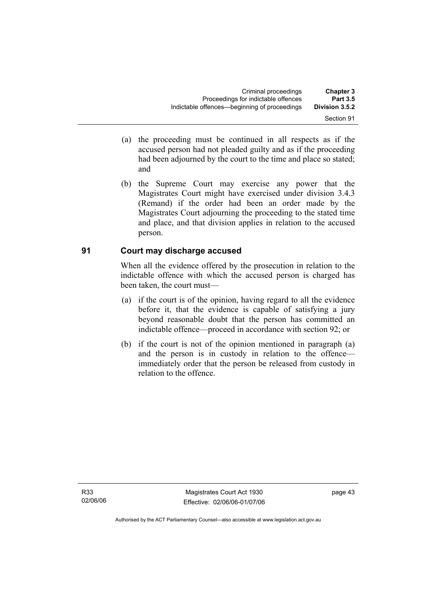- (a) the proceeding must be continued in all respects as if the accused person had not pleaded guilty and as if the proceeding had been adjourned by the court to the time and place so stated; and
- (b) the Supreme Court may exercise any power that the Magistrates Court might have exercised under division 3.4.3 (Remand) if the order had been an order made by the Magistrates Court adjourning the proceeding to the stated time and place, and that division applies in relation to the accused person.

### **91 Court may discharge accused**

When all the evidence offered by the prosecution in relation to the indictable offence with which the accused person is charged has been taken, the court must—

- (a) if the court is of the opinion, having regard to all the evidence before it, that the evidence is capable of satisfying a jury beyond reasonable doubt that the person has committed an indictable offence—proceed in accordance with section 92; or
- (b) if the court is not of the opinion mentioned in paragraph (a) and the person is in custody in relation to the offence immediately order that the person be released from custody in relation to the offence.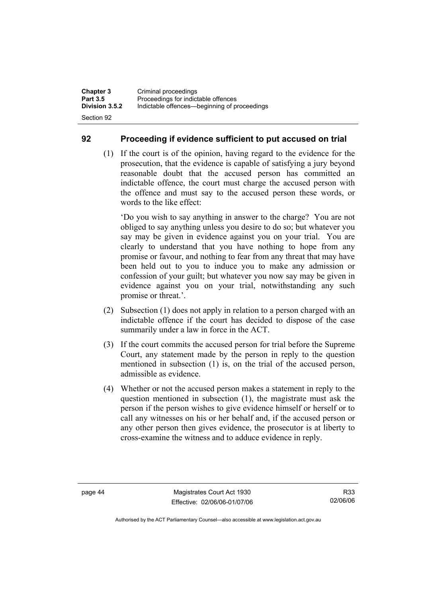#### **92 Proceeding if evidence sufficient to put accused on trial**

 (1) If the court is of the opinion, having regard to the evidence for the prosecution, that the evidence is capable of satisfying a jury beyond reasonable doubt that the accused person has committed an indictable offence, the court must charge the accused person with the offence and must say to the accused person these words, or words to the like effect:

'Do you wish to say anything in answer to the charge? You are not obliged to say anything unless you desire to do so; but whatever you say may be given in evidence against you on your trial. You are clearly to understand that you have nothing to hope from any promise or favour, and nothing to fear from any threat that may have been held out to you to induce you to make any admission or confession of your guilt; but whatever you now say may be given in evidence against you on your trial, notwithstanding any such promise or threat.'.

- (2) Subsection (1) does not apply in relation to a person charged with an indictable offence if the court has decided to dispose of the case summarily under a law in force in the ACT.
- (3) If the court commits the accused person for trial before the Supreme Court, any statement made by the person in reply to the question mentioned in subsection (1) is, on the trial of the accused person, admissible as evidence.
- (4) Whether or not the accused person makes a statement in reply to the question mentioned in subsection (1), the magistrate must ask the person if the person wishes to give evidence himself or herself or to call any witnesses on his or her behalf and, if the accused person or any other person then gives evidence, the prosecutor is at liberty to cross-examine the witness and to adduce evidence in reply.

R33 02/06/06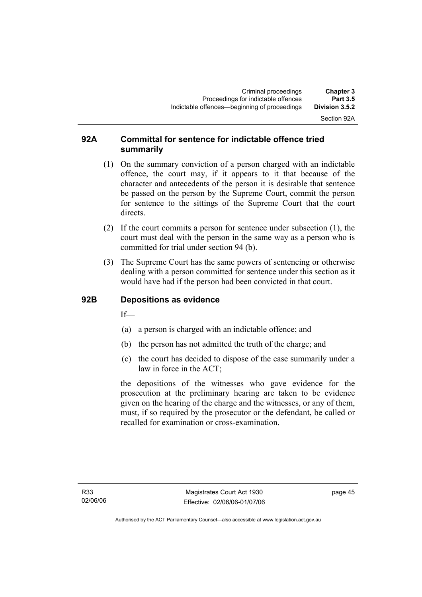# Section 92A

#### **92A Committal for sentence for indictable offence tried summarily**

- (1) On the summary conviction of a person charged with an indictable offence, the court may, if it appears to it that because of the character and antecedents of the person it is desirable that sentence be passed on the person by the Supreme Court, commit the person for sentence to the sittings of the Supreme Court that the court directs.
- (2) If the court commits a person for sentence under subsection (1), the court must deal with the person in the same way as a person who is committed for trial under section 94 (b).
- (3) The Supreme Court has the same powers of sentencing or otherwise dealing with a person committed for sentence under this section as it would have had if the person had been convicted in that court.

#### **92B Depositions as evidence**

 $If$ —

- (a) a person is charged with an indictable offence; and
- (b) the person has not admitted the truth of the charge; and
- (c) the court has decided to dispose of the case summarily under a law in force in the ACT;

the depositions of the witnesses who gave evidence for the prosecution at the preliminary hearing are taken to be evidence given on the hearing of the charge and the witnesses, or any of them, must, if so required by the prosecutor or the defendant, be called or recalled for examination or cross-examination.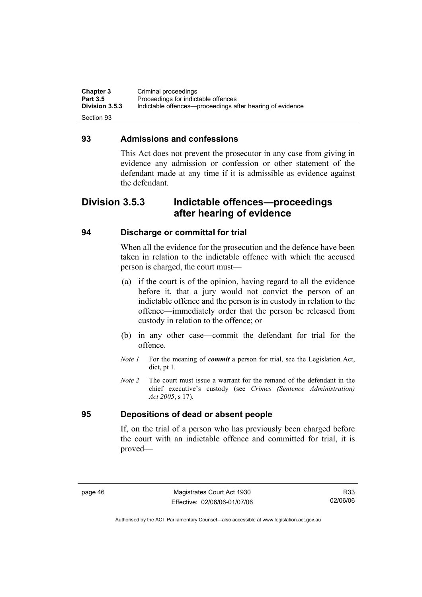**Chapter 3 Criminal proceedings**<br>**Part 3.5 Proceedings for indict Part 3.5** Proceedings for indictable offences<br>**Division 3.5.3** Indictable offences—proceedings at **Division 3.5.3** Indictable offences—proceedings after hearing of evidence Section 93

#### **93 Admissions and confessions**

This Act does not prevent the prosecutor in any case from giving in evidence any admission or confession or other statement of the defendant made at any time if it is admissible as evidence against the defendant.

# **Division 3.5.3 Indictable offences—proceedings after hearing of evidence**

#### **94 Discharge or committal for trial**

When all the evidence for the prosecution and the defence have been taken in relation to the indictable offence with which the accused person is charged, the court must—

- (a) if the court is of the opinion, having regard to all the evidence before it, that a jury would not convict the person of an indictable offence and the person is in custody in relation to the offence—immediately order that the person be released from custody in relation to the offence; or
- (b) in any other case—commit the defendant for trial for the offence.
- *Note 1* For the meaning of *commit* a person for trial, see the Legislation Act, dict, pt 1.
- *Note 2* The court must issue a warrant for the remand of the defendant in the chief executive's custody (see *Crimes (Sentence Administration) Act 2005*, s 17).

#### **95 Depositions of dead or absent people**

If, on the trial of a person who has previously been charged before the court with an indictable offence and committed for trial, it is proved—

R33 02/06/06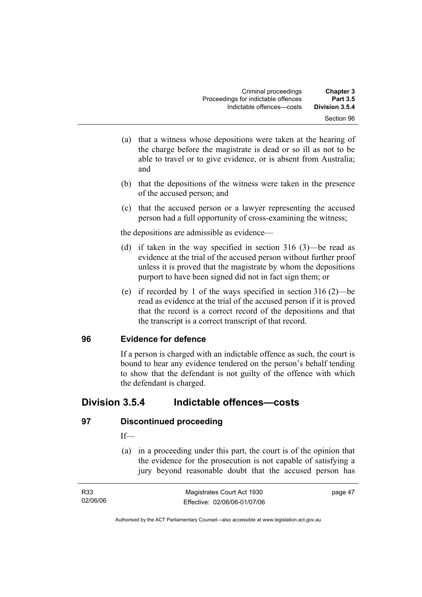- (a) that a witness whose depositions were taken at the hearing of the charge before the magistrate is dead or so ill as not to be able to travel or to give evidence, or is absent from Australia; and
- (b) that the depositions of the witness were taken in the presence of the accused person; and
- (c) that the accused person or a lawyer representing the accused person had a full opportunity of cross-examining the witness;

the depositions are admissible as evidence—

- (d) if taken in the way specified in section 316 (3)—be read as evidence at the trial of the accused person without further proof unless it is proved that the magistrate by whom the depositions purport to have been signed did not in fact sign them; or
- (e) if recorded by 1 of the ways specified in section 316 (2)—be read as evidence at the trial of the accused person if it is proved that the record is a correct record of the depositions and that the transcript is a correct transcript of that record.

### **96 Evidence for defence**

If a person is charged with an indictable offence as such, the court is bound to hear any evidence tendered on the person's behalf tending to show that the defendant is not guilty of the offence with which the defendant is charged.

# **Division 3.5.4 Indictable offences—costs**

### **97 Discontinued proceeding**

#### If—

 (a) in a proceeding under this part, the court is of the opinion that the evidence for the prosecution is not capable of satisfying a jury beyond reasonable doubt that the accused person has

| R33      | Magistrates Court Act 1930   | page 47 |
|----------|------------------------------|---------|
| 02/06/06 | Effective: 02/06/06-01/07/06 |         |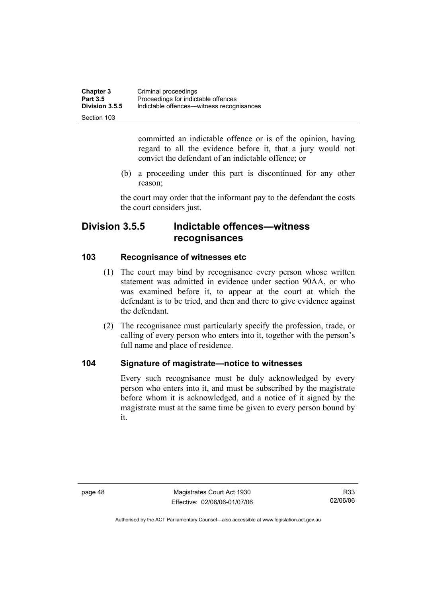| <b>Chapter 3</b> | Criminal proceedings                      |
|------------------|-------------------------------------------|
| <b>Part 3.5</b>  | Proceedings for indictable offences       |
| Division 3.5.5   | Indictable offences—witness recognisances |
| Section 103      |                                           |

committed an indictable offence or is of the opinion, having regard to all the evidence before it, that a jury would not convict the defendant of an indictable offence; or

 (b) a proceeding under this part is discontinued for any other reason;

the court may order that the informant pay to the defendant the costs the court considers just.

# **Division 3.5.5 Indictable offences—witness recognisances**

#### **103 Recognisance of witnesses etc**

- (1) The court may bind by recognisance every person whose written statement was admitted in evidence under section 90AA, or who was examined before it, to appear at the court at which the defendant is to be tried, and then and there to give evidence against the defendant.
- (2) The recognisance must particularly specify the profession, trade, or calling of every person who enters into it, together with the person's full name and place of residence.

### **104 Signature of magistrate—notice to witnesses**

Every such recognisance must be duly acknowledged by every person who enters into it, and must be subscribed by the magistrate before whom it is acknowledged, and a notice of it signed by the magistrate must at the same time be given to every person bound by it.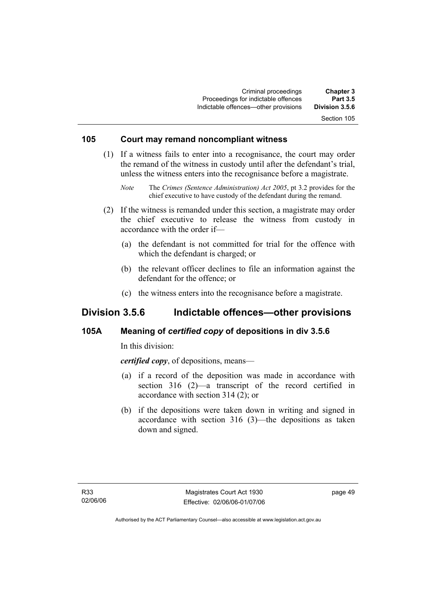### **105 Court may remand noncompliant witness**

 (1) If a witness fails to enter into a recognisance, the court may order the remand of the witness in custody until after the defendant's trial, unless the witness enters into the recognisance before a magistrate.

- (2) If the witness is remanded under this section, a magistrate may order the chief executive to release the witness from custody in accordance with the order if—
	- (a) the defendant is not committed for trial for the offence with which the defendant is charged; or
	- (b) the relevant officer declines to file an information against the defendant for the offence; or
	- (c) the witness enters into the recognisance before a magistrate.

### **Division 3.5.6 Indictable offences—other provisions**

#### **105A Meaning of** *certified copy* **of depositions in div 3.5.6**

In this division:

*certified copy*, of depositions, means—

- (a) if a record of the deposition was made in accordance with section 316 (2)—a transcript of the record certified in accordance with section 314 (2); or
- (b) if the depositions were taken down in writing and signed in accordance with section 316 (3)—the depositions as taken down and signed.

*Note* The *Crimes (Sentence Administration) Act 2005*, pt 3.2 provides for the chief executive to have custody of the defendant during the remand.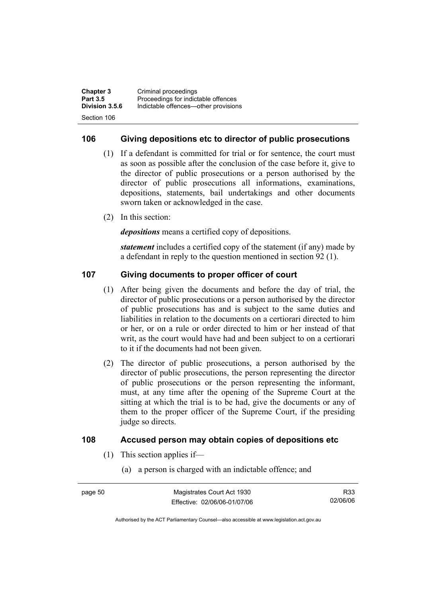| <b>Chapter 3</b> | Criminal proceedings                 |
|------------------|--------------------------------------|
| <b>Part 3.5</b>  | Proceedings for indictable offences  |
| Division 3.5.6   | Indictable offences—other provisions |
| Section 106      |                                      |

#### **106 Giving depositions etc to director of public prosecutions**

- (1) If a defendant is committed for trial or for sentence, the court must as soon as possible after the conclusion of the case before it, give to the director of public prosecutions or a person authorised by the director of public prosecutions all informations, examinations, depositions, statements, bail undertakings and other documents sworn taken or acknowledged in the case.
- (2) In this section:

*depositions* means a certified copy of depositions.

*statement* includes a certified copy of the statement (if any) made by a defendant in reply to the question mentioned in section 92 (1).

#### **107 Giving documents to proper officer of court**

- (1) After being given the documents and before the day of trial, the director of public prosecutions or a person authorised by the director of public prosecutions has and is subject to the same duties and liabilities in relation to the documents on a certiorari directed to him or her, or on a rule or order directed to him or her instead of that writ, as the court would have had and been subject to on a certiorari to it if the documents had not been given.
- (2) The director of public prosecutions, a person authorised by the director of public prosecutions, the person representing the director of public prosecutions or the person representing the informant, must, at any time after the opening of the Supreme Court at the sitting at which the trial is to be had, give the documents or any of them to the proper officer of the Supreme Court, if the presiding judge so directs.

#### **108 Accused person may obtain copies of depositions etc**

- (1) This section applies if—
	- (a) a person is charged with an indictable offence; and

R33 02/06/06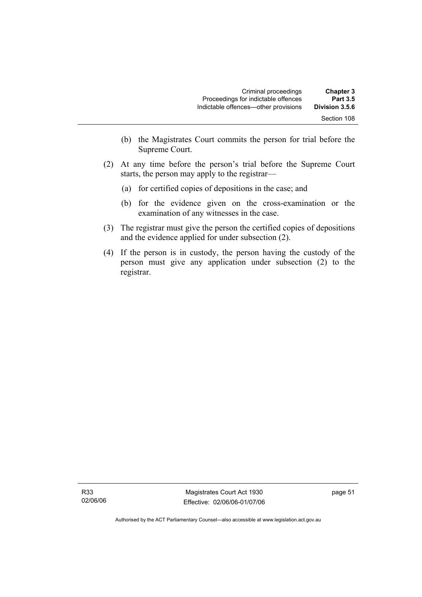| <b>Chapter 3</b><br><b>Part 3.5</b> | Criminal proceedings<br>Proceedings for indictable offences |  |
|-------------------------------------|-------------------------------------------------------------|--|
| Division 3.5.6                      | Indictable offences—other provisions                        |  |
| Section 108                         |                                                             |  |

- (b) the Magistrates Court commits the person for trial before the Supreme Court.
- (2) At any time before the person's trial before the Supreme Court starts, the person may apply to the registrar—
	- (a) for certified copies of depositions in the case; and
	- (b) for the evidence given on the cross-examination or the examination of any witnesses in the case.
- (3) The registrar must give the person the certified copies of depositions and the evidence applied for under subsection (2).
- (4) If the person is in custody, the person having the custody of the person must give any application under subsection (2) to the registrar.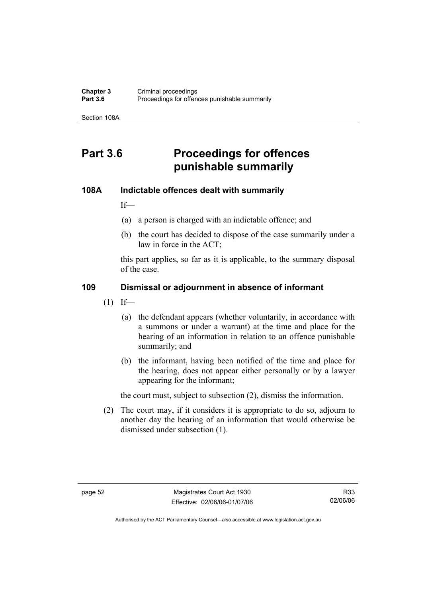Section 108A

# **Part 3.6 Proceedings for offences punishable summarily**

#### **108A Indictable offences dealt with summarily**

If—

- (a) a person is charged with an indictable offence; and
- (b) the court has decided to dispose of the case summarily under a law in force in the ACT;

this part applies, so far as it is applicable, to the summary disposal of the case.

#### **109 Dismissal or adjournment in absence of informant**

- $(1)$  If—
	- (a) the defendant appears (whether voluntarily, in accordance with a summons or under a warrant) at the time and place for the hearing of an information in relation to an offence punishable summarily; and
	- (b) the informant, having been notified of the time and place for the hearing, does not appear either personally or by a lawyer appearing for the informant;

the court must, subject to subsection (2), dismiss the information.

 (2) The court may, if it considers it is appropriate to do so, adjourn to another day the hearing of an information that would otherwise be dismissed under subsection (1).

R33 02/06/06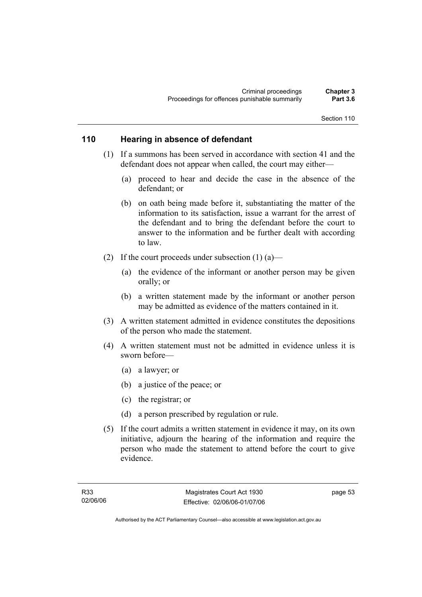#### **110 Hearing in absence of defendant**

- (1) If a summons has been served in accordance with section 41 and the defendant does not appear when called, the court may either—
	- (a) proceed to hear and decide the case in the absence of the defendant; or
	- (b) on oath being made before it, substantiating the matter of the information to its satisfaction, issue a warrant for the arrest of the defendant and to bring the defendant before the court to answer to the information and be further dealt with according to law.
- (2) If the court proceeds under subsection  $(1)$  (a)—
	- (a) the evidence of the informant or another person may be given orally; or
	- (b) a written statement made by the informant or another person may be admitted as evidence of the matters contained in it.
- (3) A written statement admitted in evidence constitutes the depositions of the person who made the statement.
- (4) A written statement must not be admitted in evidence unless it is sworn before—
	- (a) a lawyer; or
	- (b) a justice of the peace; or
	- (c) the registrar; or
	- (d) a person prescribed by regulation or rule.
- (5) If the court admits a written statement in evidence it may, on its own initiative, adjourn the hearing of the information and require the person who made the statement to attend before the court to give evidence.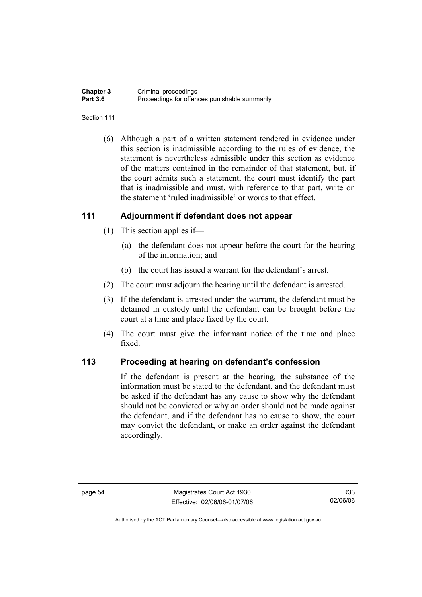| <b>Chapter 3</b> | Criminal proceedings                          |
|------------------|-----------------------------------------------|
| <b>Part 3.6</b>  | Proceedings for offences punishable summarily |

#### Section 111

 (6) Although a part of a written statement tendered in evidence under this section is inadmissible according to the rules of evidence, the statement is nevertheless admissible under this section as evidence of the matters contained in the remainder of that statement, but, if the court admits such a statement, the court must identify the part that is inadmissible and must, with reference to that part, write on the statement 'ruled inadmissible' or words to that effect.

#### **111 Adjournment if defendant does not appear**

- (1) This section applies if—
	- (a) the defendant does not appear before the court for the hearing of the information; and
	- (b) the court has issued a warrant for the defendant's arrest.
- (2) The court must adjourn the hearing until the defendant is arrested.
- (3) If the defendant is arrested under the warrant, the defendant must be detained in custody until the defendant can be brought before the court at a time and place fixed by the court.
- (4) The court must give the informant notice of the time and place fixed.

#### **113 Proceeding at hearing on defendant's confession**

If the defendant is present at the hearing, the substance of the information must be stated to the defendant, and the defendant must be asked if the defendant has any cause to show why the defendant should not be convicted or why an order should not be made against the defendant, and if the defendant has no cause to show, the court may convict the defendant, or make an order against the defendant accordingly.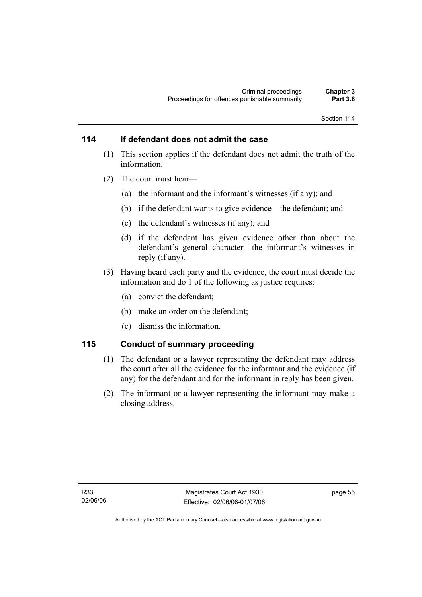### **114 If defendant does not admit the case**

- (1) This section applies if the defendant does not admit the truth of the information.
- (2) The court must hear—
	- (a) the informant and the informant's witnesses (if any); and
	- (b) if the defendant wants to give evidence—the defendant; and
	- (c) the defendant's witnesses (if any); and
	- (d) if the defendant has given evidence other than about the defendant's general character—the informant's witnesses in reply (if any).
- (3) Having heard each party and the evidence, the court must decide the information and do 1 of the following as justice requires:
	- (a) convict the defendant;
	- (b) make an order on the defendant;
	- (c) dismiss the information.

#### **115 Conduct of summary proceeding**

- (1) The defendant or a lawyer representing the defendant may address the court after all the evidence for the informant and the evidence (if any) for the defendant and for the informant in reply has been given.
- (2) The informant or a lawyer representing the informant may make a closing address.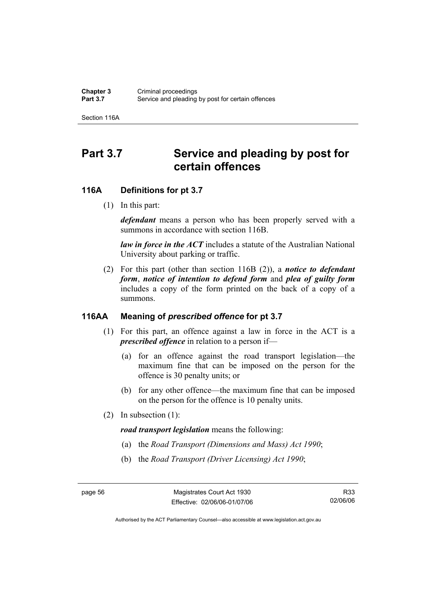Section 116A

# Part 3.7 Service and pleading by post for **certain offences**

#### **116A Definitions for pt 3.7**

(1) In this part:

*defendant* means a person who has been properly served with a summons in accordance with section 116B.

*law in force in the ACT* includes a statute of the Australian National University about parking or traffic.

 (2) For this part (other than section 116B (2)), a *notice to defendant form*, *notice of intention to defend form* and *plea of guilty form* includes a copy of the form printed on the back of a copy of a summons.

#### **116AA Meaning of** *prescribed offence* **for pt 3.7**

- (1) For this part, an offence against a law in force in the ACT is a *prescribed offence* in relation to a person if—
	- (a) for an offence against the road transport legislation—the maximum fine that can be imposed on the person for the offence is 30 penalty units; or
	- (b) for any other offence—the maximum fine that can be imposed on the person for the offence is 10 penalty units.
- (2) In subsection (1):

*road transport legislation* means the following:

- (a) the *Road Transport (Dimensions and Mass) Act 1990*;
- (b) the *Road Transport (Driver Licensing) Act 1990*;

R33 02/06/06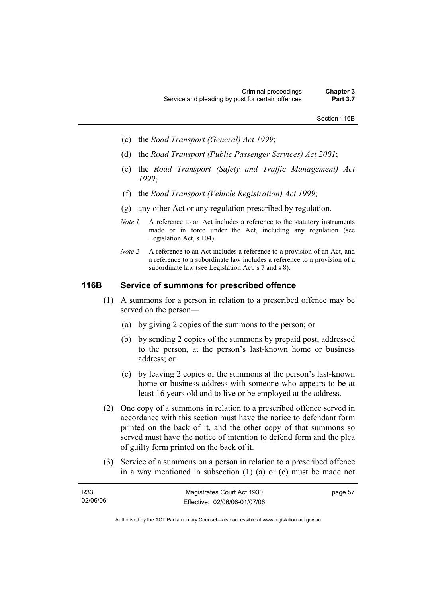Section 116B

- (c) the *Road Transport (General) Act 1999*;
- (d) the *Road Transport (Public Passenger Services) Act 2001*;
- (e) the *Road Transport (Safety and Traffic Management) Act 1999*;
- (f) the *Road Transport (Vehicle Registration) Act 1999*;
- (g) any other Act or any regulation prescribed by regulation.
- *Note 1* A reference to an Act includes a reference to the statutory instruments made or in force under the Act, including any regulation (see Legislation Act, s 104).
- *Note 2* A reference to an Act includes a reference to a provision of an Act, and a reference to a subordinate law includes a reference to a provision of a subordinate law (see Legislation Act, s 7 and s 8).

### **116B Service of summons for prescribed offence**

- (1) A summons for a person in relation to a prescribed offence may be served on the person—
	- (a) by giving 2 copies of the summons to the person; or
	- (b) by sending 2 copies of the summons by prepaid post, addressed to the person, at the person's last-known home or business address; or
	- (c) by leaving 2 copies of the summons at the person's last-known home or business address with someone who appears to be at least 16 years old and to live or be employed at the address.
- (2) One copy of a summons in relation to a prescribed offence served in accordance with this section must have the notice to defendant form printed on the back of it, and the other copy of that summons so served must have the notice of intention to defend form and the plea of guilty form printed on the back of it.
- (3) Service of a summons on a person in relation to a prescribed offence in a way mentioned in subsection (1) (a) or (c) must be made not

| R <sub>33</sub> | Magistrates Court Act 1930   | page 57 |
|-----------------|------------------------------|---------|
| 02/06/06        | Effective: 02/06/06-01/07/06 |         |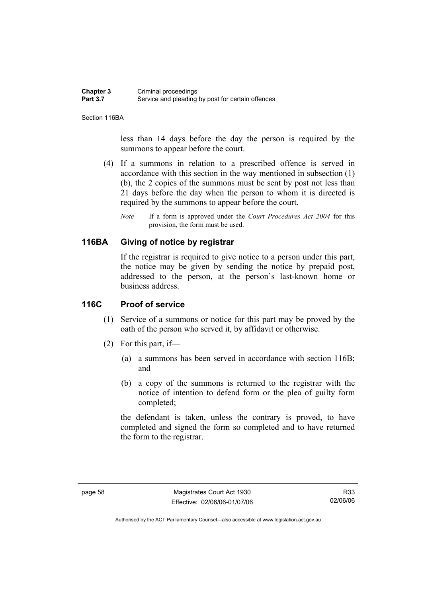#### **Chapter 3** Criminal proceedings<br> **Part 3.7** Service and pleading Service and pleading by post for certain offences

Section 116BA

less than 14 days before the day the person is required by the summons to appear before the court.

- (4) If a summons in relation to a prescribed offence is served in accordance with this section in the way mentioned in subsection (1) (b), the 2 copies of the summons must be sent by post not less than 21 days before the day when the person to whom it is directed is required by the summons to appear before the court.
	- *Note* If a form is approved under the *Court Procedures Act 2004* for this provision, the form must be used.

### **116BA Giving of notice by registrar**

If the registrar is required to give notice to a person under this part, the notice may be given by sending the notice by prepaid post, addressed to the person, at the person's last-known home or business address.

### **116C Proof of service**

- (1) Service of a summons or notice for this part may be proved by the oath of the person who served it, by affidavit or otherwise.
- (2) For this part, if—
	- (a) a summons has been served in accordance with section 116B; and
	- (b) a copy of the summons is returned to the registrar with the notice of intention to defend form or the plea of guilty form completed;

the defendant is taken, unless the contrary is proved, to have completed and signed the form so completed and to have returned the form to the registrar.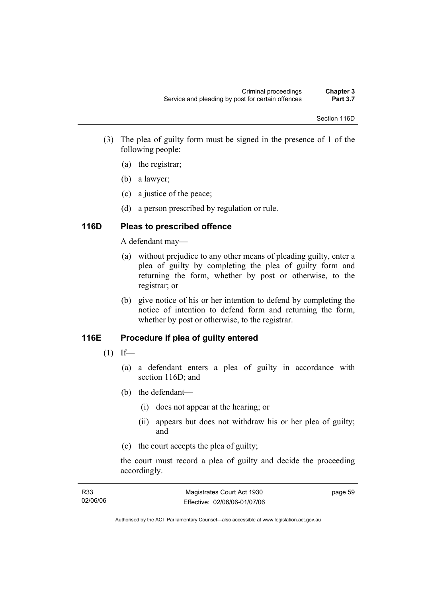- (3) The plea of guilty form must be signed in the presence of 1 of the following people:
	- (a) the registrar;
	- (b) a lawyer;
	- (c) a justice of the peace;
	- (d) a person prescribed by regulation or rule.

## **116D Pleas to prescribed offence**

A defendant may—

- (a) without prejudice to any other means of pleading guilty, enter a plea of guilty by completing the plea of guilty form and returning the form, whether by post or otherwise, to the registrar; or
- (b) give notice of his or her intention to defend by completing the notice of intention to defend form and returning the form, whether by post or otherwise, to the registrar.

## **116E Procedure if plea of guilty entered**

- $(1)$  If—
	- (a) a defendant enters a plea of guilty in accordance with section 116D; and
	- (b) the defendant—
		- (i) does not appear at the hearing; or
		- (ii) appears but does not withdraw his or her plea of guilty; and
	- (c) the court accepts the plea of guilty;

the court must record a plea of guilty and decide the proceeding accordingly.

| R33      | Magistrates Court Act 1930   | page 59 |
|----------|------------------------------|---------|
| 02/06/06 | Effective: 02/06/06-01/07/06 |         |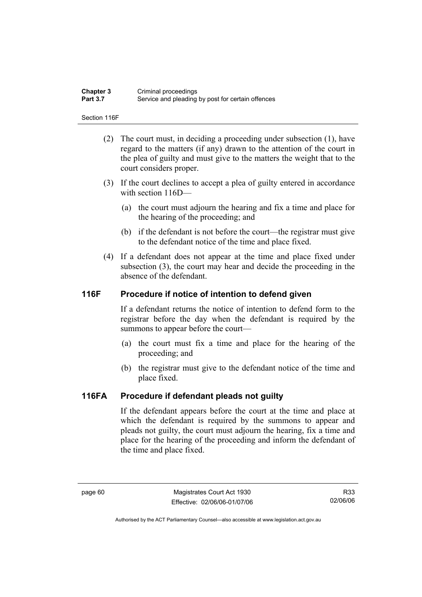| <b>Chapter 3</b> | Criminal proceedings                              |
|------------------|---------------------------------------------------|
| <b>Part 3.7</b>  | Service and pleading by post for certain offences |

Section 116F

- (2) The court must, in deciding a proceeding under subsection (1), have regard to the matters (if any) drawn to the attention of the court in the plea of guilty and must give to the matters the weight that to the court considers proper.
- (3) If the court declines to accept a plea of guilty entered in accordance with section  $116D$ —
	- (a) the court must adjourn the hearing and fix a time and place for the hearing of the proceeding; and
	- (b) if the defendant is not before the court—the registrar must give to the defendant notice of the time and place fixed.
- (4) If a defendant does not appear at the time and place fixed under subsection (3), the court may hear and decide the proceeding in the absence of the defendant.

### **116F Procedure if notice of intention to defend given**

If a defendant returns the notice of intention to defend form to the registrar before the day when the defendant is required by the summons to appear before the court—

- (a) the court must fix a time and place for the hearing of the proceeding; and
- (b) the registrar must give to the defendant notice of the time and place fixed.

### **116FA Procedure if defendant pleads not guilty**

If the defendant appears before the court at the time and place at which the defendant is required by the summons to appear and pleads not guilty, the court must adjourn the hearing, fix a time and place for the hearing of the proceeding and inform the defendant of the time and place fixed.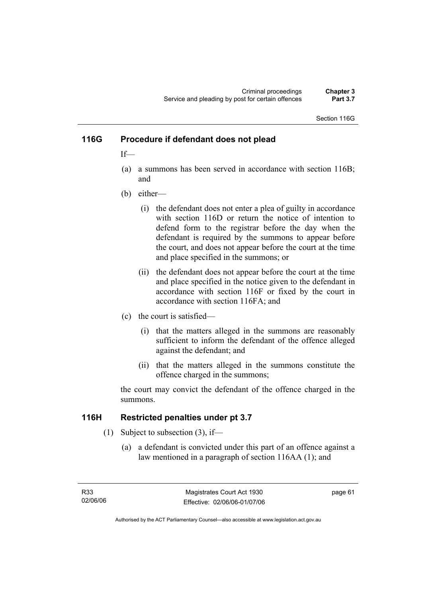Section 116G

### **116G Procedure if defendant does not plead**

If—

- (a) a summons has been served in accordance with section 116B; and
- (b) either—
	- (i) the defendant does not enter a plea of guilty in accordance with section 116D or return the notice of intention to defend form to the registrar before the day when the defendant is required by the summons to appear before the court, and does not appear before the court at the time and place specified in the summons; or
	- (ii) the defendant does not appear before the court at the time and place specified in the notice given to the defendant in accordance with section 116F or fixed by the court in accordance with section 116FA; and
- (c) the court is satisfied—
	- (i) that the matters alleged in the summons are reasonably sufficient to inform the defendant of the offence alleged against the defendant; and
	- (ii) that the matters alleged in the summons constitute the offence charged in the summons;

the court may convict the defendant of the offence charged in the summons.

### **116H Restricted penalties under pt 3.7**

- (1) Subject to subsection (3), if—
	- (a) a defendant is convicted under this part of an offence against a law mentioned in a paragraph of section 116AA (1); and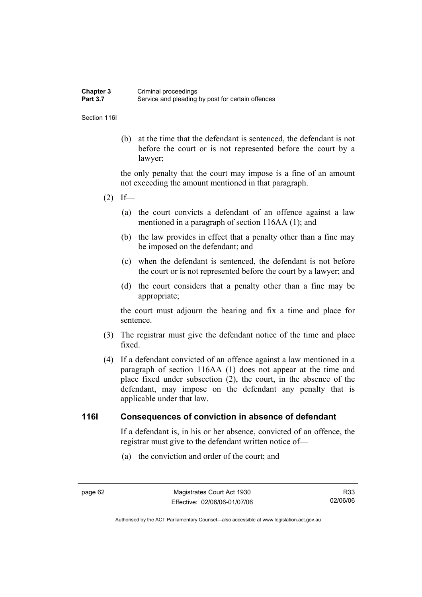| Chapter 3       | Criminal proceedings                              |
|-----------------|---------------------------------------------------|
| <b>Part 3.7</b> | Service and pleading by post for certain offences |

Section 116I

 (b) at the time that the defendant is sentenced, the defendant is not before the court or is not represented before the court by a lawyer;

the only penalty that the court may impose is a fine of an amount not exceeding the amount mentioned in that paragraph.

- $(2)$  If—
	- (a) the court convicts a defendant of an offence against a law mentioned in a paragraph of section 116AA (1); and
	- (b) the law provides in effect that a penalty other than a fine may be imposed on the defendant; and
	- (c) when the defendant is sentenced, the defendant is not before the court or is not represented before the court by a lawyer; and
	- (d) the court considers that a penalty other than a fine may be appropriate;

the court must adjourn the hearing and fix a time and place for sentence.

- (3) The registrar must give the defendant notice of the time and place fixed.
- (4) If a defendant convicted of an offence against a law mentioned in a paragraph of section 116AA (1) does not appear at the time and place fixed under subsection (2), the court, in the absence of the defendant, may impose on the defendant any penalty that is applicable under that law.

### **116I Consequences of conviction in absence of defendant**

If a defendant is, in his or her absence, convicted of an offence, the registrar must give to the defendant written notice of—

(a) the conviction and order of the court; and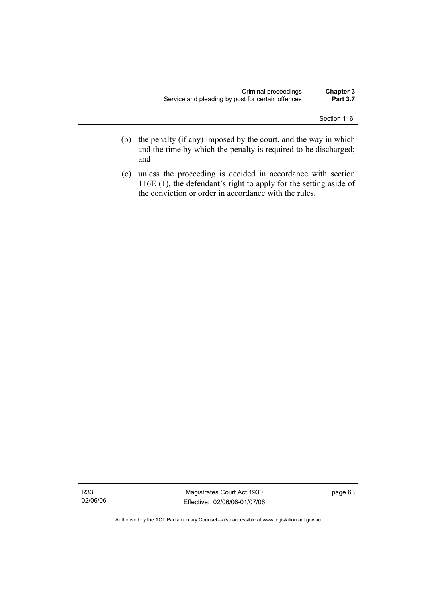Section 116I

- (b) the penalty (if any) imposed by the court, and the way in which and the time by which the penalty is required to be discharged; and
- (c) unless the proceeding is decided in accordance with section 116E (1), the defendant's right to apply for the setting aside of the conviction or order in accordance with the rules.

Magistrates Court Act 1930 Effective: 02/06/06-01/07/06 page 63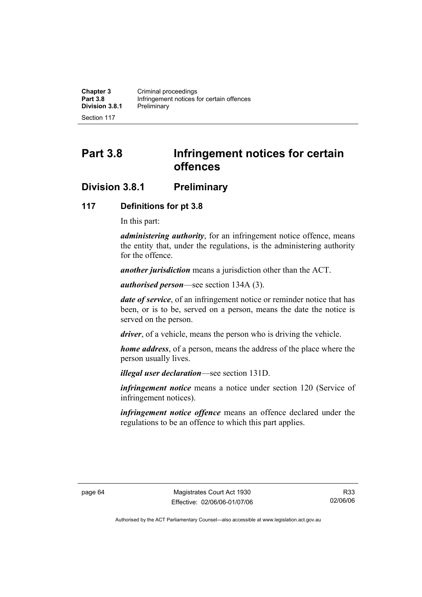**Chapter 3 Criminal proceedings**<br>**Part 3.8 Infringement potices for all property Infringement notices for certain offences**<br>Preliminary **Division 3.8.1** 

Section 117

# **Part 3.8 Infringement notices for certain offences**

## **Division 3.8.1 Preliminary**

### **117 Definitions for pt 3.8**

In this part:

*administering authority*, for an infringement notice offence, means the entity that, under the regulations, is the administering authority for the offence.

*another jurisdiction* means a jurisdiction other than the ACT.

*authorised person*—see section 134A (3).

*date of service*, of an infringement notice or reminder notice that has been, or is to be, served on a person, means the date the notice is served on the person.

*driver*, of a vehicle, means the person who is driving the vehicle.

*home address*, of a person, means the address of the place where the person usually lives.

*illegal user declaration*—see section 131D.

*infringement notice* means a notice under section 120 (Service of infringement notices).

*infringement notice offence* means an offence declared under the regulations to be an offence to which this part applies.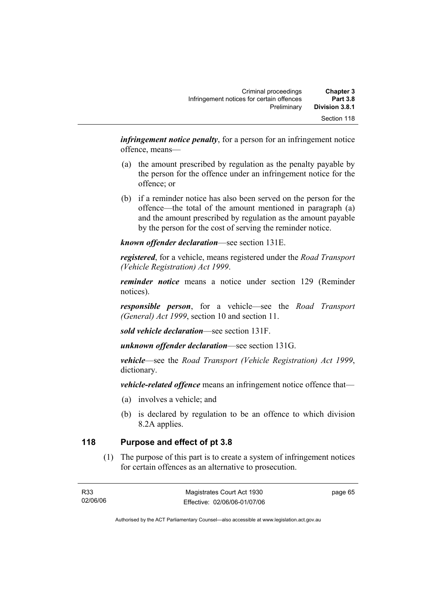| <b>Chapter 3</b> | Criminal proceedings                      |
|------------------|-------------------------------------------|
| <b>Part 3.8</b>  | Infringement notices for certain offences |
| Division 3.8.1   | Preliminary                               |
| Section 118      |                                           |

*infringement notice penalty*, for a person for an infringement notice offence, means—

- (a) the amount prescribed by regulation as the penalty payable by the person for the offence under an infringement notice for the offence; or
- (b) if a reminder notice has also been served on the person for the offence—the total of the amount mentioned in paragraph (a) and the amount prescribed by regulation as the amount payable by the person for the cost of serving the reminder notice.

*known offender declaration*—see section 131E.

*registered*, for a vehicle, means registered under the *Road Transport (Vehicle Registration) Act 1999*.

*reminder notice* means a notice under section 129 (Reminder notices).

*responsible person*, for a vehicle—see the *Road Transport (General) Act 1999*, section 10 and section 11.

*sold vehicle declaration*—see section 131F.

*unknown offender declaration*—see section 131G.

*vehicle*—see the *Road Transport (Vehicle Registration) Act 1999*, dictionary.

*vehicle-related offence* means an infringement notice offence that—

- (a) involves a vehicle; and
- (b) is declared by regulation to be an offence to which division 8.2A applies.

### **118 Purpose and effect of pt 3.8**

 (1) The purpose of this part is to create a system of infringement notices for certain offences as an alternative to prosecution.

page 65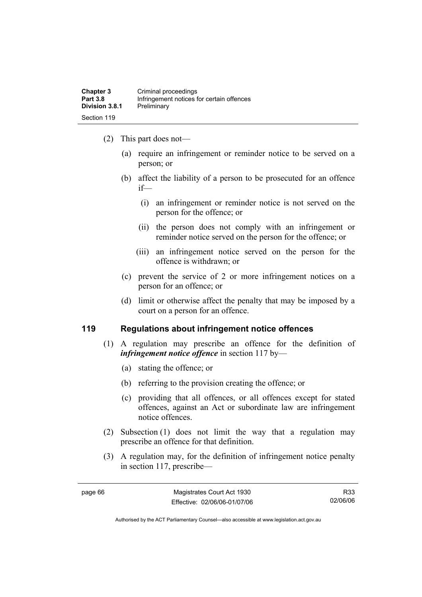- (2) This part does not—
	- (a) require an infringement or reminder notice to be served on a person; or
	- (b) affect the liability of a person to be prosecuted for an offence if—
		- (i) an infringement or reminder notice is not served on the person for the offence; or
		- (ii) the person does not comply with an infringement or reminder notice served on the person for the offence; or
		- (iii) an infringement notice served on the person for the offence is withdrawn; or
	- (c) prevent the service of 2 or more infringement notices on a person for an offence; or
	- (d) limit or otherwise affect the penalty that may be imposed by a court on a person for an offence.

### **119 Regulations about infringement notice offences**

- (1) A regulation may prescribe an offence for the definition of *infringement notice offence* in section 117 by—
	- (a) stating the offence; or
	- (b) referring to the provision creating the offence; or
	- (c) providing that all offences, or all offences except for stated offences, against an Act or subordinate law are infringement notice offences.
- (2) Subsection (1) does not limit the way that a regulation may prescribe an offence for that definition.
- (3) A regulation may, for the definition of infringement notice penalty in section 117, prescribe—

R33 02/06/06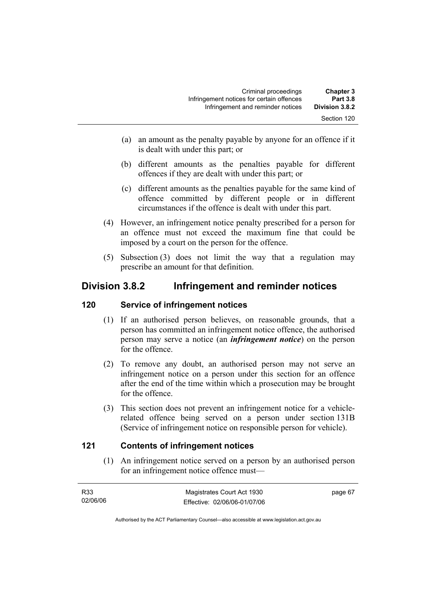| <b>Chapter 3</b> | Criminal proceedings                      |
|------------------|-------------------------------------------|
| <b>Part 3.8</b>  | Infringement notices for certain offences |
| Division 3.8.2   | Infringement and reminder notices         |
| Section 120      |                                           |

- (a) an amount as the penalty payable by anyone for an offence if it is dealt with under this part; or
- (b) different amounts as the penalties payable for different offences if they are dealt with under this part; or
- (c) different amounts as the penalties payable for the same kind of offence committed by different people or in different circumstances if the offence is dealt with under this part.
- (4) However, an infringement notice penalty prescribed for a person for an offence must not exceed the maximum fine that could be imposed by a court on the person for the offence.
- (5) Subsection (3) does not limit the way that a regulation may prescribe an amount for that definition.

## **Division 3.8.2 Infringement and reminder notices**

### **120 Service of infringement notices**

- (1) If an authorised person believes, on reasonable grounds, that a person has committed an infringement notice offence, the authorised person may serve a notice (an *infringement notice*) on the person for the offence.
- (2) To remove any doubt, an authorised person may not serve an infringement notice on a person under this section for an offence after the end of the time within which a prosecution may be brought for the offence.
- (3) This section does not prevent an infringement notice for a vehiclerelated offence being served on a person under section 131B (Service of infringement notice on responsible person for vehicle).

### **121 Contents of infringement notices**

 (1) An infringement notice served on a person by an authorised person for an infringement notice offence must—

| R33      | Magistrates Court Act 1930   | page 67 |
|----------|------------------------------|---------|
| 02/06/06 | Effective: 02/06/06-01/07/06 |         |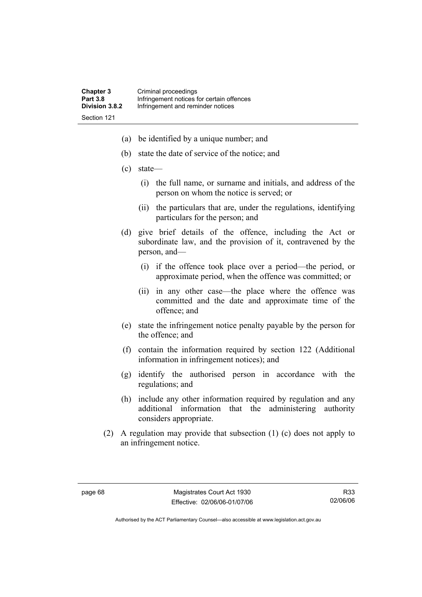- (a) be identified by a unique number; and
- (b) state the date of service of the notice; and
- (c) state—
	- (i) the full name, or surname and initials, and address of the person on whom the notice is served; or
	- (ii) the particulars that are, under the regulations, identifying particulars for the person; and
- (d) give brief details of the offence, including the Act or subordinate law, and the provision of it, contravened by the person, and—
	- (i) if the offence took place over a period—the period, or approximate period, when the offence was committed; or
	- (ii) in any other case—the place where the offence was committed and the date and approximate time of the offence; and
- (e) state the infringement notice penalty payable by the person for the offence; and
- (f) contain the information required by section 122 (Additional information in infringement notices); and
- (g) identify the authorised person in accordance with the regulations; and
- (h) include any other information required by regulation and any additional information that the administering authority considers appropriate.
- (2) A regulation may provide that subsection (1) (c) does not apply to an infringement notice.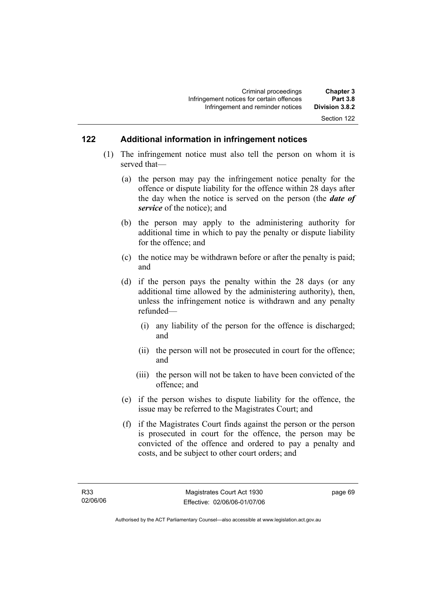### **122 Additional information in infringement notices**

- (1) The infringement notice must also tell the person on whom it is served that—
	- (a) the person may pay the infringement notice penalty for the offence or dispute liability for the offence within 28 days after the day when the notice is served on the person (the *date of service* of the notice); and
	- (b) the person may apply to the administering authority for additional time in which to pay the penalty or dispute liability for the offence; and
	- (c) the notice may be withdrawn before or after the penalty is paid; and
	- (d) if the person pays the penalty within the 28 days (or any additional time allowed by the administering authority), then, unless the infringement notice is withdrawn and any penalty refunded—
		- (i) any liability of the person for the offence is discharged; and
		- (ii) the person will not be prosecuted in court for the offence; and
		- (iii) the person will not be taken to have been convicted of the offence; and
	- (e) if the person wishes to dispute liability for the offence, the issue may be referred to the Magistrates Court; and
	- (f) if the Magistrates Court finds against the person or the person is prosecuted in court for the offence, the person may be convicted of the offence and ordered to pay a penalty and costs, and be subject to other court orders; and

page 69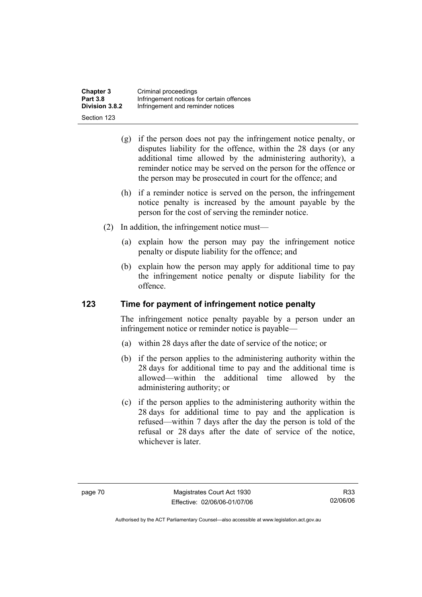| <b>Chapter 3</b>      | Criminal proceedings                      |
|-----------------------|-------------------------------------------|
| <b>Part 3.8</b>       | Infringement notices for certain offences |
| <b>Division 3.8.2</b> | Infringement and reminder notices         |
| Section 123           |                                           |

- (g) if the person does not pay the infringement notice penalty, or disputes liability for the offence, within the 28 days (or any additional time allowed by the administering authority), a reminder notice may be served on the person for the offence or the person may be prosecuted in court for the offence; and
- (h) if a reminder notice is served on the person, the infringement notice penalty is increased by the amount payable by the person for the cost of serving the reminder notice.
- (2) In addition, the infringement notice must—
	- (a) explain how the person may pay the infringement notice penalty or dispute liability for the offence; and
	- (b) explain how the person may apply for additional time to pay the infringement notice penalty or dispute liability for the offence.

### **123 Time for payment of infringement notice penalty**

The infringement notice penalty payable by a person under an infringement notice or reminder notice is payable—

- (a) within 28 days after the date of service of the notice; or
- (b) if the person applies to the administering authority within the 28 days for additional time to pay and the additional time is allowed—within the additional time allowed by the administering authority; or
- (c) if the person applies to the administering authority within the 28 days for additional time to pay and the application is refused—within 7 days after the day the person is told of the refusal or 28 days after the date of service of the notice, whichever is later.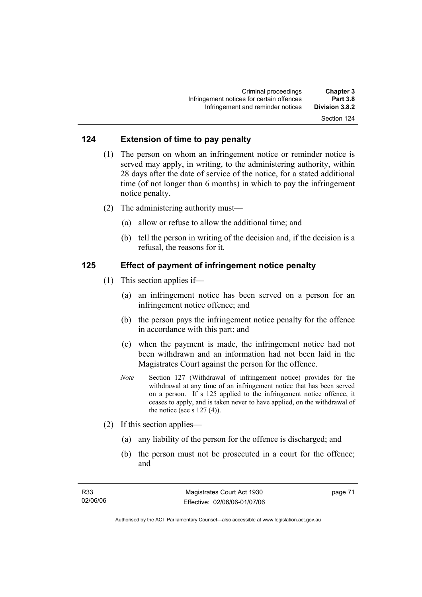Section 124

# **124 Extension of time to pay penalty**

- (1) The person on whom an infringement notice or reminder notice is served may apply, in writing, to the administering authority, within 28 days after the date of service of the notice, for a stated additional time (of not longer than 6 months) in which to pay the infringement notice penalty.
- (2) The administering authority must—
	- (a) allow or refuse to allow the additional time; and
	- (b) tell the person in writing of the decision and, if the decision is a refusal, the reasons for it.

### **125 Effect of payment of infringement notice penalty**

- (1) This section applies if—
	- (a) an infringement notice has been served on a person for an infringement notice offence; and
	- (b) the person pays the infringement notice penalty for the offence in accordance with this part; and
	- (c) when the payment is made, the infringement notice had not been withdrawn and an information had not been laid in the Magistrates Court against the person for the offence.
	- *Note* Section 127 (Withdrawal of infringement notice) provides for the withdrawal at any time of an infringement notice that has been served on a person. If s 125 applied to the infringement notice offence, it ceases to apply, and is taken never to have applied, on the withdrawal of the notice (see s  $127(4)$ ).
- (2) If this section applies—
	- (a) any liability of the person for the offence is discharged; and
	- (b) the person must not be prosecuted in a court for the offence; and

page 71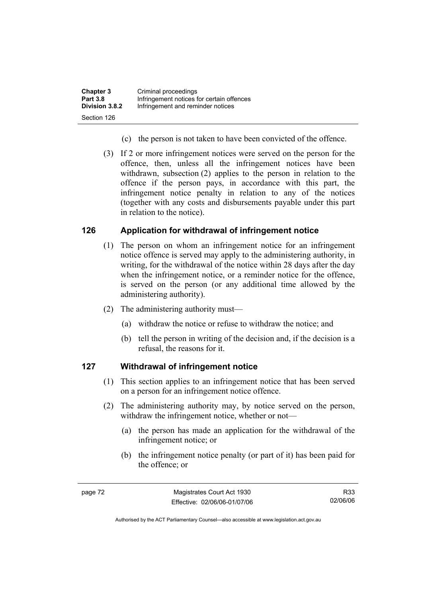| <b>Chapter 3</b> | Criminal proceedings                      |
|------------------|-------------------------------------------|
| <b>Part 3.8</b>  | Infringement notices for certain offences |
| Division 3.8.2   | Infringement and reminder notices         |
| Section 126      |                                           |

- (c) the person is not taken to have been convicted of the offence.
- (3) If 2 or more infringement notices were served on the person for the offence, then, unless all the infringement notices have been withdrawn, subsection (2) applies to the person in relation to the offence if the person pays, in accordance with this part, the infringement notice penalty in relation to any of the notices (together with any costs and disbursements payable under this part in relation to the notice).

### **126 Application for withdrawal of infringement notice**

- (1) The person on whom an infringement notice for an infringement notice offence is served may apply to the administering authority, in writing, for the withdrawal of the notice within 28 days after the day when the infringement notice, or a reminder notice for the offence, is served on the person (or any additional time allowed by the administering authority).
- (2) The administering authority must—
	- (a) withdraw the notice or refuse to withdraw the notice; and
	- (b) tell the person in writing of the decision and, if the decision is a refusal, the reasons for it.

### **127 Withdrawal of infringement notice**

- (1) This section applies to an infringement notice that has been served on a person for an infringement notice offence.
- (2) The administering authority may, by notice served on the person, withdraw the infringement notice, whether or not—
	- (a) the person has made an application for the withdrawal of the infringement notice; or
	- (b) the infringement notice penalty (or part of it) has been paid for the offence; or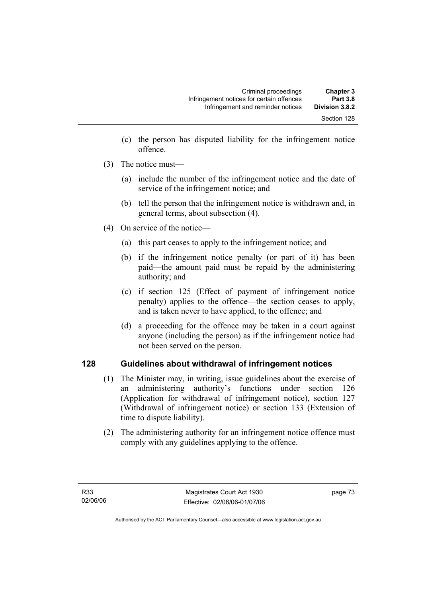- (c) the person has disputed liability for the infringement notice offence.
- (3) The notice must—
	- (a) include the number of the infringement notice and the date of service of the infringement notice; and
	- (b) tell the person that the infringement notice is withdrawn and, in general terms, about subsection (4).
- (4) On service of the notice—
	- (a) this part ceases to apply to the infringement notice; and
	- (b) if the infringement notice penalty (or part of it) has been paid—the amount paid must be repaid by the administering authority; and
	- (c) if section 125 (Effect of payment of infringement notice penalty) applies to the offence—the section ceases to apply, and is taken never to have applied, to the offence; and
	- (d) a proceeding for the offence may be taken in a court against anyone (including the person) as if the infringement notice had not been served on the person.

### **128 Guidelines about withdrawal of infringement notices**

- (1) The Minister may, in writing, issue guidelines about the exercise of an administering authority's functions under section 126 (Application for withdrawal of infringement notice), section 127 (Withdrawal of infringement notice) or section 133 (Extension of time to dispute liability).
- (2) The administering authority for an infringement notice offence must comply with any guidelines applying to the offence.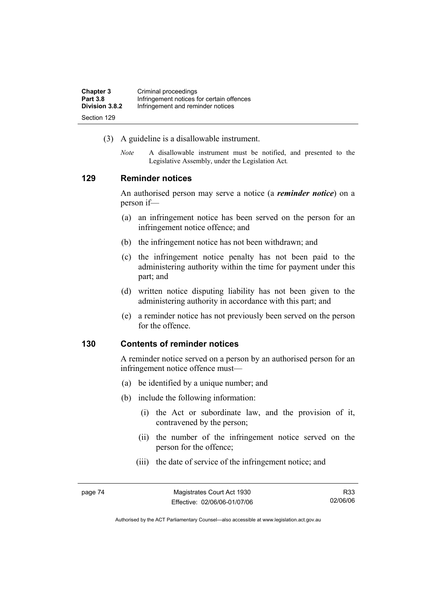| <b>Chapter 3</b> | Criminal proceedings                      |
|------------------|-------------------------------------------|
| <b>Part 3.8</b>  | Infringement notices for certain offences |
| Division 3.8.2   | Infringement and reminder notices         |
| Section 129      |                                           |

- (3) A guideline is a disallowable instrument.
	- *Note* A disallowable instrument must be notified, and presented to the Legislative Assembly, under the Legislation Act*.*

### **129 Reminder notices**

An authorised person may serve a notice (a *reminder notice*) on a person if—

- (a) an infringement notice has been served on the person for an infringement notice offence; and
- (b) the infringement notice has not been withdrawn; and
- (c) the infringement notice penalty has not been paid to the administering authority within the time for payment under this part; and
- (d) written notice disputing liability has not been given to the administering authority in accordance with this part; and
- (e) a reminder notice has not previously been served on the person for the offence.

### **130 Contents of reminder notices**

A reminder notice served on a person by an authorised person for an infringement notice offence must—

- (a) be identified by a unique number; and
- (b) include the following information:
	- (i) the Act or subordinate law, and the provision of it, contravened by the person;
	- (ii) the number of the infringement notice served on the person for the offence;
	- (iii) the date of service of the infringement notice; and

R33 02/06/06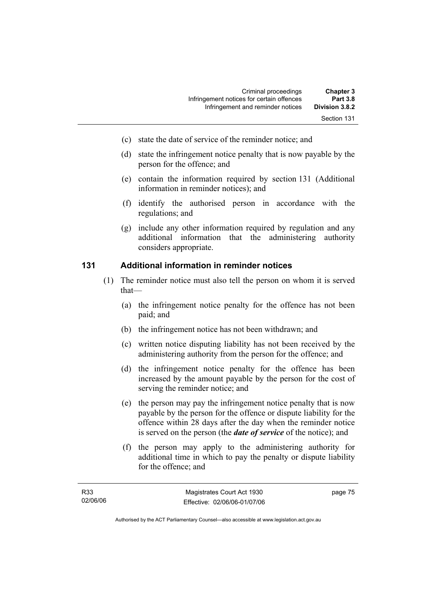- (c) state the date of service of the reminder notice; and
- (d) state the infringement notice penalty that is now payable by the person for the offence; and
- (e) contain the information required by section 131 (Additional information in reminder notices); and
- (f) identify the authorised person in accordance with the regulations; and
- (g) include any other information required by regulation and any additional information that the administering authority considers appropriate.

### **131 Additional information in reminder notices**

- (1) The reminder notice must also tell the person on whom it is served that—
	- (a) the infringement notice penalty for the offence has not been paid; and
	- (b) the infringement notice has not been withdrawn; and
	- (c) written notice disputing liability has not been received by the administering authority from the person for the offence; and
	- (d) the infringement notice penalty for the offence has been increased by the amount payable by the person for the cost of serving the reminder notice; and
	- (e) the person may pay the infringement notice penalty that is now payable by the person for the offence or dispute liability for the offence within 28 days after the day when the reminder notice is served on the person (the *date of service* of the notice); and
	- (f) the person may apply to the administering authority for additional time in which to pay the penalty or dispute liability for the offence; and

page 75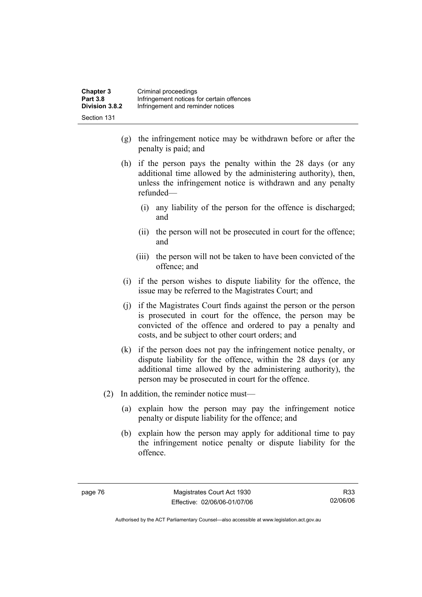| <b>Chapter 3</b> | Criminal proceedings                      |
|------------------|-------------------------------------------|
| <b>Part 3.8</b>  | Infringement notices for certain offences |
| Division 3.8.2   | Infringement and reminder notices         |
| -Section 131     |                                           |

- (g) the infringement notice may be withdrawn before or after the penalty is paid; and
- (h) if the person pays the penalty within the 28 days (or any additional time allowed by the administering authority), then, unless the infringement notice is withdrawn and any penalty refunded—
	- (i) any liability of the person for the offence is discharged; and
	- (ii) the person will not be prosecuted in court for the offence; and
	- (iii) the person will not be taken to have been convicted of the offence; and
- (i) if the person wishes to dispute liability for the offence, the issue may be referred to the Magistrates Court; and
- (j) if the Magistrates Court finds against the person or the person is prosecuted in court for the offence, the person may be convicted of the offence and ordered to pay a penalty and costs, and be subject to other court orders; and
- (k) if the person does not pay the infringement notice penalty, or dispute liability for the offence, within the 28 days (or any additional time allowed by the administering authority), the person may be prosecuted in court for the offence.
- (2) In addition, the reminder notice must—
	- (a) explain how the person may pay the infringement notice penalty or dispute liability for the offence; and
	- (b) explain how the person may apply for additional time to pay the infringement notice penalty or dispute liability for the offence.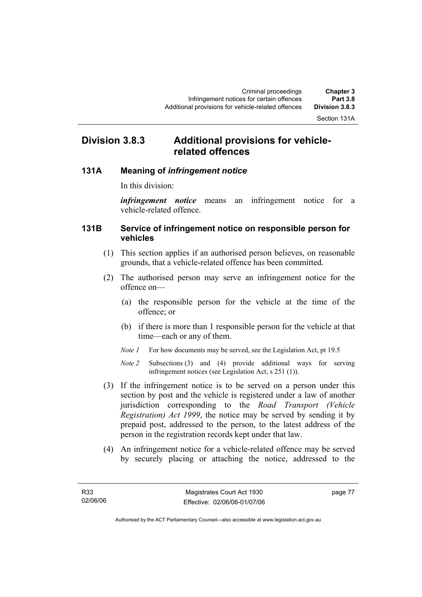## **Division 3.8.3 Additional provisions for vehiclerelated offences**

### **131A Meaning of** *infringement notice*

In this division:

*infringement notice* means an infringement notice for a vehicle-related offence.

### **131B Service of infringement notice on responsible person for vehicles**

- (1) This section applies if an authorised person believes, on reasonable grounds, that a vehicle-related offence has been committed.
- (2) The authorised person may serve an infringement notice for the offence on—
	- (a) the responsible person for the vehicle at the time of the offence; or
	- (b) if there is more than 1 responsible person for the vehicle at that time—each or any of them.
	- *Note 1* For how documents may be served, see the Legislation Act, pt 19.5

*Note 2* Subsections (3) and (4) provide additional ways for serving infringement notices (see Legislation Act, s 251 (1)).

- (3) If the infringement notice is to be served on a person under this section by post and the vehicle is registered under a law of another jurisdiction corresponding to the *Road Transport (Vehicle Registration) Act 1999*, the notice may be served by sending it by prepaid post, addressed to the person, to the latest address of the person in the registration records kept under that law.
- (4) An infringement notice for a vehicle-related offence may be served by securely placing or attaching the notice, addressed to the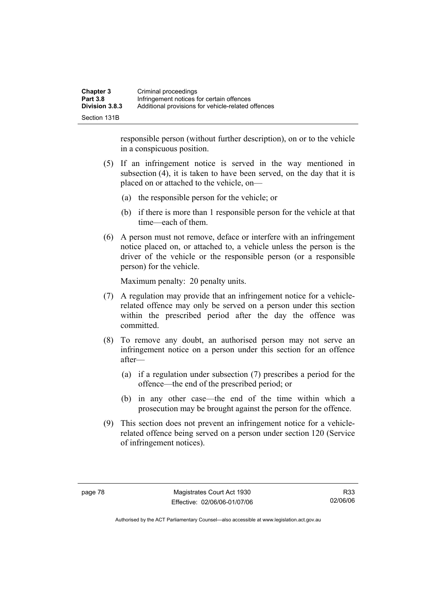| <b>Chapter 3</b> | Criminal proceedings                               |
|------------------|----------------------------------------------------|
| <b>Part 3.8</b>  | Infringement notices for certain offences          |
| Division 3.8.3   | Additional provisions for vehicle-related offences |
| Section 131B     |                                                    |

responsible person (without further description), on or to the vehicle in a conspicuous position.

- (5) If an infringement notice is served in the way mentioned in subsection (4), it is taken to have been served, on the day that it is placed on or attached to the vehicle, on—
	- (a) the responsible person for the vehicle; or
	- (b) if there is more than 1 responsible person for the vehicle at that time—each of them.
- (6) A person must not remove, deface or interfere with an infringement notice placed on, or attached to, a vehicle unless the person is the driver of the vehicle or the responsible person (or a responsible person) for the vehicle.

Maximum penalty: 20 penalty units.

- (7) A regulation may provide that an infringement notice for a vehiclerelated offence may only be served on a person under this section within the prescribed period after the day the offence was committed.
- (8) To remove any doubt, an authorised person may not serve an infringement notice on a person under this section for an offence after—
	- (a) if a regulation under subsection (7) prescribes a period for the offence—the end of the prescribed period; or
	- (b) in any other case—the end of the time within which a prosecution may be brought against the person for the offence.
- (9) This section does not prevent an infringement notice for a vehiclerelated offence being served on a person under section 120 (Service of infringement notices).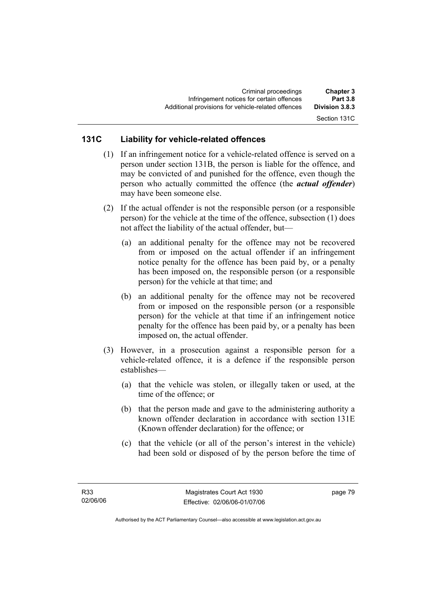Section 131C

### **131C Liability for vehicle-related offences**

- (1) If an infringement notice for a vehicle-related offence is served on a person under section 131B, the person is liable for the offence, and may be convicted of and punished for the offence, even though the person who actually committed the offence (the *actual offender*) may have been someone else.
- (2) If the actual offender is not the responsible person (or a responsible person) for the vehicle at the time of the offence, subsection (1) does not affect the liability of the actual offender, but—
	- (a) an additional penalty for the offence may not be recovered from or imposed on the actual offender if an infringement notice penalty for the offence has been paid by, or a penalty has been imposed on, the responsible person (or a responsible person) for the vehicle at that time; and
	- (b) an additional penalty for the offence may not be recovered from or imposed on the responsible person (or a responsible person) for the vehicle at that time if an infringement notice penalty for the offence has been paid by, or a penalty has been imposed on, the actual offender.
- (3) However, in a prosecution against a responsible person for a vehicle-related offence, it is a defence if the responsible person establishes—
	- (a) that the vehicle was stolen, or illegally taken or used, at the time of the offence; or
	- (b) that the person made and gave to the administering authority a known offender declaration in accordance with section 131E (Known offender declaration) for the offence; or
	- (c) that the vehicle (or all of the person's interest in the vehicle) had been sold or disposed of by the person before the time of

page 79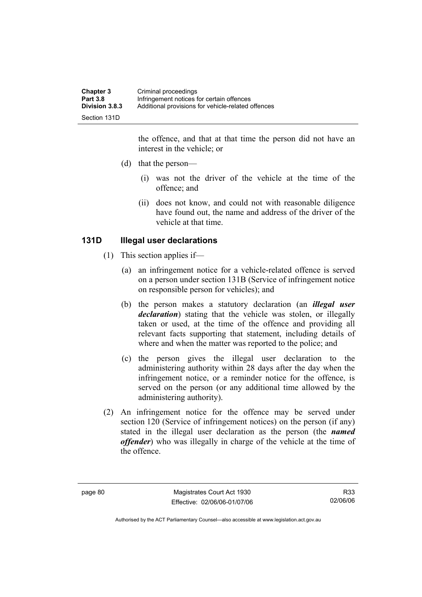| <b>Chapter 3</b>      | Criminal proceedings                               |
|-----------------------|----------------------------------------------------|
| <b>Part 3.8</b>       | Infringement notices for certain offences          |
| <b>Division 3.8.3</b> | Additional provisions for vehicle-related offences |
| Section 131D          |                                                    |

the offence, and that at that time the person did not have an interest in the vehicle; or

- (d) that the person—
	- (i) was not the driver of the vehicle at the time of the offence; and
	- (ii) does not know, and could not with reasonable diligence have found out, the name and address of the driver of the vehicle at that time.

### **131D Illegal user declarations**

- (1) This section applies if—
	- (a) an infringement notice for a vehicle-related offence is served on a person under section 131B (Service of infringement notice on responsible person for vehicles); and
	- (b) the person makes a statutory declaration (an *illegal user declaration*) stating that the vehicle was stolen, or illegally taken or used, at the time of the offence and providing all relevant facts supporting that statement, including details of where and when the matter was reported to the police; and
	- (c) the person gives the illegal user declaration to the administering authority within 28 days after the day when the infringement notice, or a reminder notice for the offence, is served on the person (or any additional time allowed by the administering authority).
- (2) An infringement notice for the offence may be served under section 120 (Service of infringement notices) on the person (if any) stated in the illegal user declaration as the person (the *named offender*) who was illegally in charge of the vehicle at the time of the offence.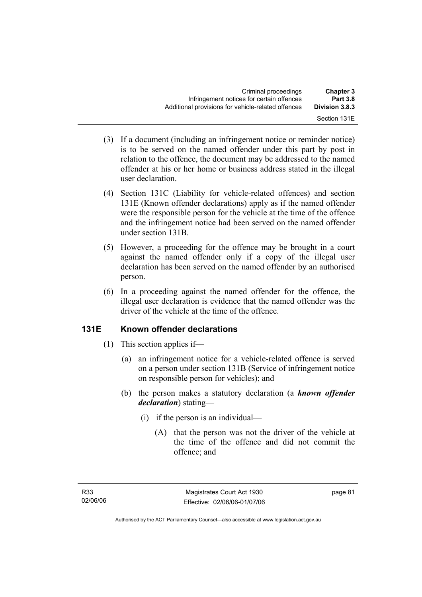- (3) If a document (including an infringement notice or reminder notice) is to be served on the named offender under this part by post in relation to the offence, the document may be addressed to the named offender at his or her home or business address stated in the illegal user declaration.
- (4) Section 131C (Liability for vehicle-related offences) and section 131E (Known offender declarations) apply as if the named offender were the responsible person for the vehicle at the time of the offence and the infringement notice had been served on the named offender under section 131B.
- (5) However, a proceeding for the offence may be brought in a court against the named offender only if a copy of the illegal user declaration has been served on the named offender by an authorised person.
- (6) In a proceeding against the named offender for the offence, the illegal user declaration is evidence that the named offender was the driver of the vehicle at the time of the offence.

## **131E Known offender declarations**

- (1) This section applies if—
	- (a) an infringement notice for a vehicle-related offence is served on a person under section 131B (Service of infringement notice on responsible person for vehicles); and
	- (b) the person makes a statutory declaration (a *known offender declaration*) stating—
		- (i) if the person is an individual—
			- (A) that the person was not the driver of the vehicle at the time of the offence and did not commit the offence; and

page 81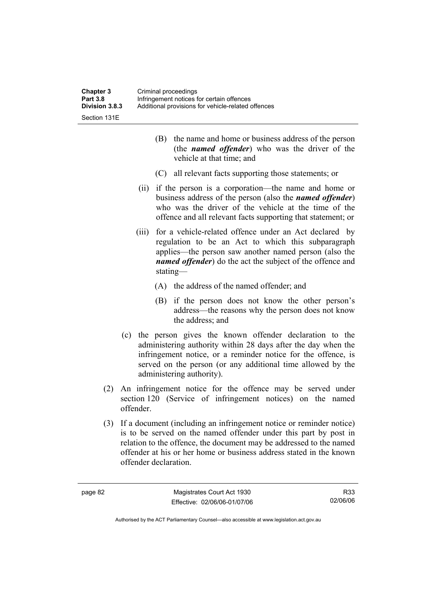Section 131E

 (B) the name and home or business address of the person (the *named offender*) who was the driver of the vehicle at that time; and

- (C) all relevant facts supporting those statements; or
- (ii) if the person is a corporation—the name and home or business address of the person (also the *named offender*) who was the driver of the vehicle at the time of the offence and all relevant facts supporting that statement; or
- (iii) for a vehicle-related offence under an Act declared by regulation to be an Act to which this subparagraph applies—the person saw another named person (also the *named offender*) do the act the subject of the offence and stating—
	- (A) the address of the named offender; and
	- (B) if the person does not know the other person's address—the reasons why the person does not know the address; and
- (c) the person gives the known offender declaration to the administering authority within 28 days after the day when the infringement notice, or a reminder notice for the offence, is served on the person (or any additional time allowed by the administering authority).
- (2) An infringement notice for the offence may be served under section 120 (Service of infringement notices) on the named offender.
- (3) If a document (including an infringement notice or reminder notice) is to be served on the named offender under this part by post in relation to the offence, the document may be addressed to the named offender at his or her home or business address stated in the known offender declaration.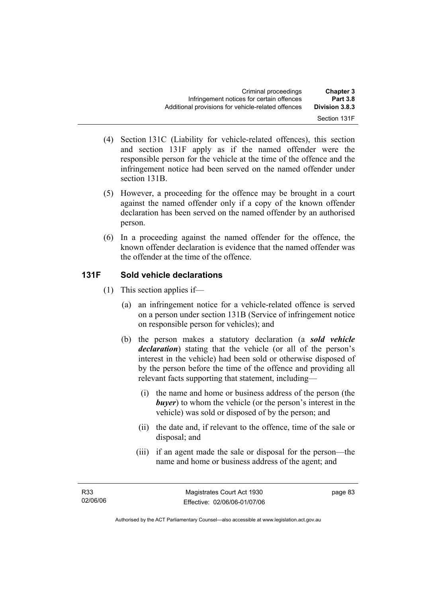- (4) Section 131C (Liability for vehicle-related offences), this section and section 131F apply as if the named offender were the responsible person for the vehicle at the time of the offence and the infringement notice had been served on the named offender under section 131B.
- (5) However, a proceeding for the offence may be brought in a court against the named offender only if a copy of the known offender declaration has been served on the named offender by an authorised person.
- (6) In a proceeding against the named offender for the offence, the known offender declaration is evidence that the named offender was the offender at the time of the offence.

## **131F Sold vehicle declarations**

- (1) This section applies if—
	- (a) an infringement notice for a vehicle-related offence is served on a person under section 131B (Service of infringement notice on responsible person for vehicles); and
	- (b) the person makes a statutory declaration (a *sold vehicle declaration*) stating that the vehicle (or all of the person's interest in the vehicle) had been sold or otherwise disposed of by the person before the time of the offence and providing all relevant facts supporting that statement, including—
		- (i) the name and home or business address of the person (the *buyer*) to whom the vehicle (or the person's interest in the vehicle) was sold or disposed of by the person; and
		- (ii) the date and, if relevant to the offence, time of the sale or disposal; and
		- (iii) if an agent made the sale or disposal for the person—the name and home or business address of the agent; and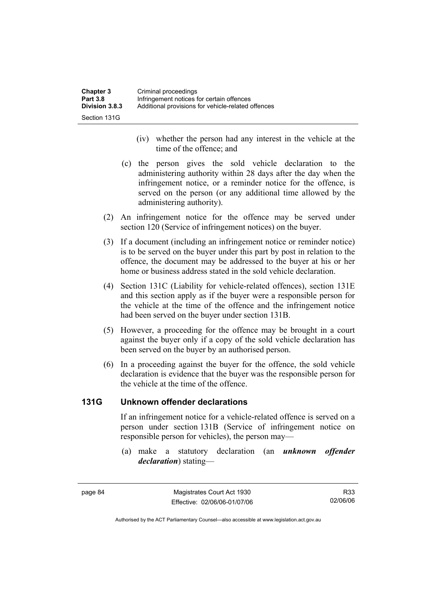| Chapter 3             | Criminal proceedings                               |
|-----------------------|----------------------------------------------------|
| <b>Part 3.8</b>       | Infringement notices for certain offences          |
| <b>Division 3.8.3</b> | Additional provisions for vehicle-related offences |
| Section 131G          |                                                    |

- (iv) whether the person had any interest in the vehicle at the time of the offence; and
- (c) the person gives the sold vehicle declaration to the administering authority within 28 days after the day when the infringement notice, or a reminder notice for the offence, is served on the person (or any additional time allowed by the administering authority).
- (2) An infringement notice for the offence may be served under section 120 (Service of infringement notices) on the buyer.
- (3) If a document (including an infringement notice or reminder notice) is to be served on the buyer under this part by post in relation to the offence, the document may be addressed to the buyer at his or her home or business address stated in the sold vehicle declaration.
- (4) Section 131C (Liability for vehicle-related offences), section 131E and this section apply as if the buyer were a responsible person for the vehicle at the time of the offence and the infringement notice had been served on the buyer under section 131B.
- (5) However, a proceeding for the offence may be brought in a court against the buyer only if a copy of the sold vehicle declaration has been served on the buyer by an authorised person.
- (6) In a proceeding against the buyer for the offence, the sold vehicle declaration is evidence that the buyer was the responsible person for the vehicle at the time of the offence.

### **131G Unknown offender declarations**

If an infringement notice for a vehicle-related offence is served on a person under section 131B (Service of infringement notice on responsible person for vehicles), the person may—

 (a) make a statutory declaration (an *unknown offender declaration*) stating—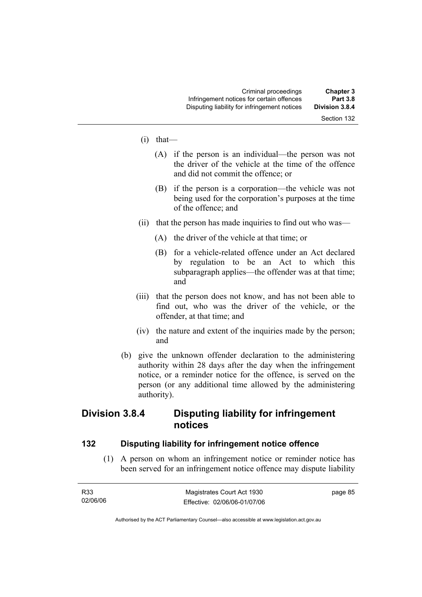### Section 132

- $(i)$  that—
	- (A) if the person is an individual—the person was not the driver of the vehicle at the time of the offence and did not commit the offence; or
	- (B) if the person is a corporation—the vehicle was not being used for the corporation's purposes at the time of the offence; and
- (ii) that the person has made inquiries to find out who was—
	- (A) the driver of the vehicle at that time; or
	- (B) for a vehicle-related offence under an Act declared by regulation to be an Act to which this subparagraph applies—the offender was at that time; and
- (iii) that the person does not know, and has not been able to find out, who was the driver of the vehicle, or the offender, at that time; and
- (iv) the nature and extent of the inquiries made by the person; and
- (b) give the unknown offender declaration to the administering authority within 28 days after the day when the infringement notice, or a reminder notice for the offence, is served on the person (or any additional time allowed by the administering authority).

## **Division 3.8.4 Disputing liability for infringement notices**

### **132 Disputing liability for infringement notice offence**

 (1) A person on whom an infringement notice or reminder notice has been served for an infringement notice offence may dispute liability

| R33      | Magistrates Court Act 1930   | page 85 |
|----------|------------------------------|---------|
| 02/06/06 | Effective: 02/06/06-01/07/06 |         |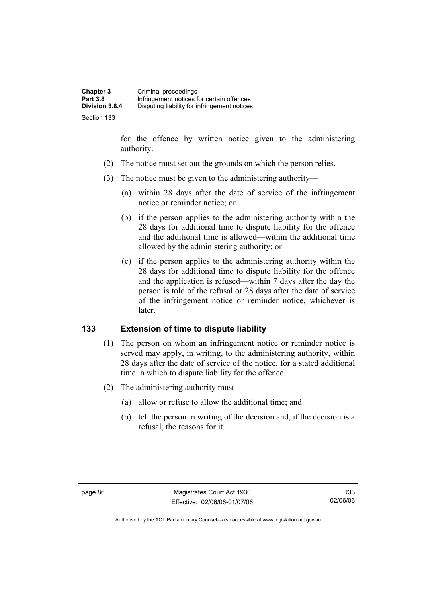| <b>Chapter 3</b> | Criminal proceedings                         |
|------------------|----------------------------------------------|
| <b>Part 3.8</b>  | Infringement notices for certain offences    |
| Division 3.8.4   | Disputing liability for infringement notices |
| Section 133      |                                              |

for the offence by written notice given to the administering authority.

- (2) The notice must set out the grounds on which the person relies.
- (3) The notice must be given to the administering authority—
	- (a) within 28 days after the date of service of the infringement notice or reminder notice; or
	- (b) if the person applies to the administering authority within the 28 days for additional time to dispute liability for the offence and the additional time is allowed—within the additional time allowed by the administering authority; or
	- (c) if the person applies to the administering authority within the 28 days for additional time to dispute liability for the offence and the application is refused—within 7 days after the day the person is told of the refusal or 28 days after the date of service of the infringement notice or reminder notice, whichever is later.

### **133 Extension of time to dispute liability**

- (1) The person on whom an infringement notice or reminder notice is served may apply, in writing, to the administering authority, within 28 days after the date of service of the notice, for a stated additional time in which to dispute liability for the offence.
- (2) The administering authority must—
	- (a) allow or refuse to allow the additional time; and
	- (b) tell the person in writing of the decision and, if the decision is a refusal, the reasons for it.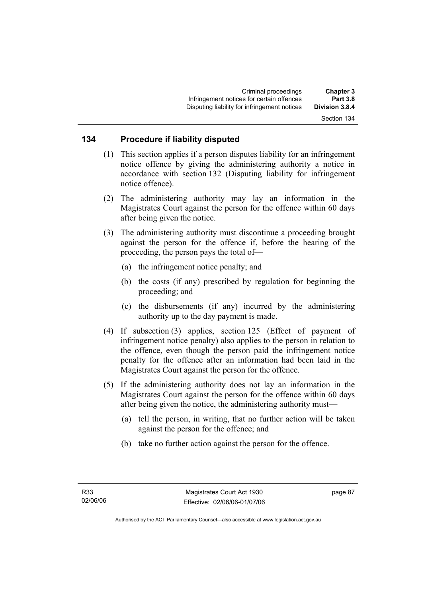Section 134

## **134 Procedure if liability disputed**

- (1) This section applies if a person disputes liability for an infringement notice offence by giving the administering authority a notice in accordance with section 132 (Disputing liability for infringement notice offence).
- (2) The administering authority may lay an information in the Magistrates Court against the person for the offence within 60 days after being given the notice.
- (3) The administering authority must discontinue a proceeding brought against the person for the offence if, before the hearing of the proceeding, the person pays the total of—
	- (a) the infringement notice penalty; and
	- (b) the costs (if any) prescribed by regulation for beginning the proceeding; and
	- (c) the disbursements (if any) incurred by the administering authority up to the day payment is made.
- (4) If subsection (3) applies, section 125 (Effect of payment of infringement notice penalty) also applies to the person in relation to the offence, even though the person paid the infringement notice penalty for the offence after an information had been laid in the Magistrates Court against the person for the offence.
- (5) If the administering authority does not lay an information in the Magistrates Court against the person for the offence within 60 days after being given the notice, the administering authority must—
	- (a) tell the person, in writing, that no further action will be taken against the person for the offence; and
	- (b) take no further action against the person for the offence.

page 87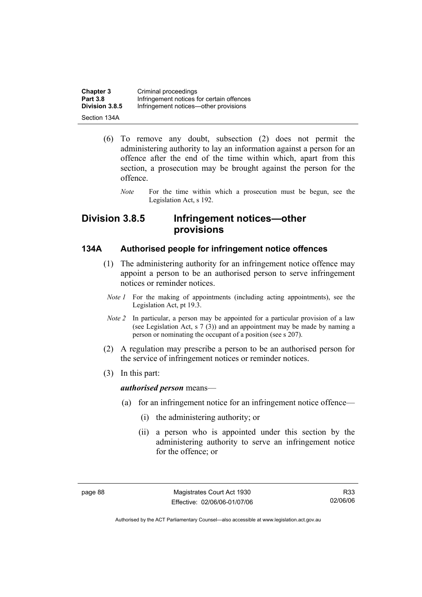| <b>Chapter 3</b> | Criminal proceedings                      |
|------------------|-------------------------------------------|
| <b>Part 3.8</b>  | Infringement notices for certain offences |
| Division 3.8.5   | Infringement notices—other provisions     |
| Section 134A     |                                           |

- (6) To remove any doubt, subsection (2) does not permit the administering authority to lay an information against a person for an offence after the end of the time within which, apart from this section, a prosecution may be brought against the person for the offence.
	- *Note* For the time within which a prosecution must be begun, see the Legislation Act, s 192.

## **Division 3.8.5 Infringement notices—other provisions**

### **134A Authorised people for infringement notice offences**

- (1) The administering authority for an infringement notice offence may appoint a person to be an authorised person to serve infringement notices or reminder notices.
	- *Note 1* For the making of appointments (including acting appointments), see the Legislation Act, pt 19.3.
	- *Note 2* In particular, a person may be appointed for a particular provision of a law (see Legislation Act, s 7 (3)) and an appointment may be made by naming a person or nominating the occupant of a position (see s 207).
- (2) A regulation may prescribe a person to be an authorised person for the service of infringement notices or reminder notices.
- (3) In this part:

#### *authorised person* means—

- (a) for an infringement notice for an infringement notice offence—
	- (i) the administering authority; or
	- (ii) a person who is appointed under this section by the administering authority to serve an infringement notice for the offence; or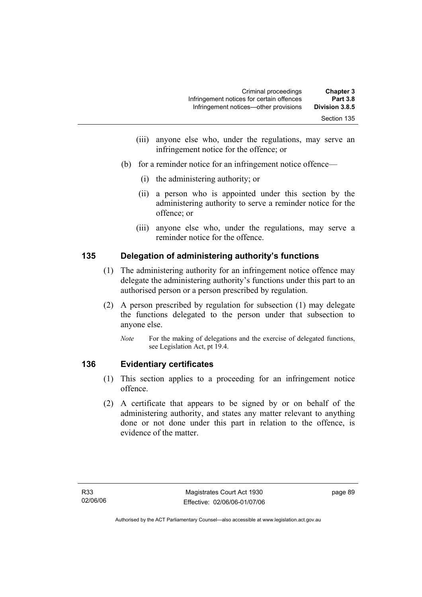| <b>Chapter 3</b><br><b>Part 3.8</b> | Criminal proceedings<br>Infringement notices for certain offences |
|-------------------------------------|-------------------------------------------------------------------|
| Division 3.8.5                      | Infringement notices—other provisions                             |
| Section 135                         |                                                                   |

- (iii) anyone else who, under the regulations, may serve an infringement notice for the offence; or
- (b) for a reminder notice for an infringement notice offence—
	- (i) the administering authority; or
	- (ii) a person who is appointed under this section by the administering authority to serve a reminder notice for the offence; or
	- (iii) anyone else who, under the regulations, may serve a reminder notice for the offence.

### **135 Delegation of administering authority's functions**

- (1) The administering authority for an infringement notice offence may delegate the administering authority's functions under this part to an authorised person or a person prescribed by regulation.
- (2) A person prescribed by regulation for subsection (1) may delegate the functions delegated to the person under that subsection to anyone else.
	- *Note* For the making of delegations and the exercise of delegated functions, see Legislation Act, pt 19.4.

### **136 Evidentiary certificates**

- (1) This section applies to a proceeding for an infringement notice offence.
- (2) A certificate that appears to be signed by or on behalf of the administering authority, and states any matter relevant to anything done or not done under this part in relation to the offence, is evidence of the matter.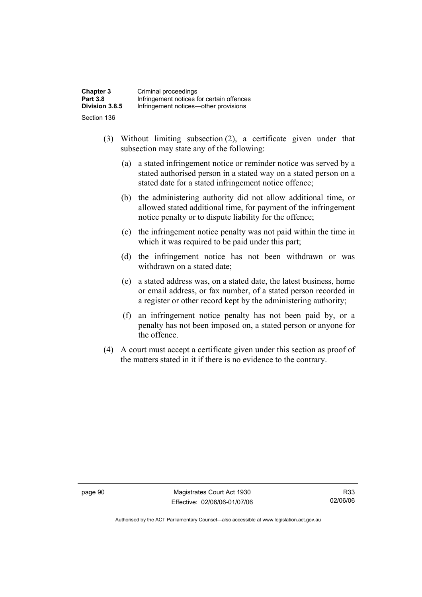| <b>Chapter 3</b> | Criminal proceedings                      |
|------------------|-------------------------------------------|
| <b>Part 3.8</b>  | Infringement notices for certain offences |
| Division 3.8.5   | Infringement notices—other provisions     |
| Section 136      |                                           |

- (3) Without limiting subsection (2), a certificate given under that subsection may state any of the following:
	- (a) a stated infringement notice or reminder notice was served by a stated authorised person in a stated way on a stated person on a stated date for a stated infringement notice offence;
	- (b) the administering authority did not allow additional time, or allowed stated additional time, for payment of the infringement notice penalty or to dispute liability for the offence;
	- (c) the infringement notice penalty was not paid within the time in which it was required to be paid under this part;
	- (d) the infringement notice has not been withdrawn or was withdrawn on a stated date;
	- (e) a stated address was, on a stated date, the latest business, home or email address, or fax number, of a stated person recorded in a register or other record kept by the administering authority;
	- (f) an infringement notice penalty has not been paid by, or a penalty has not been imposed on, a stated person or anyone for the offence.
- (4) A court must accept a certificate given under this section as proof of the matters stated in it if there is no evidence to the contrary.

page 90 Magistrates Court Act 1930 Effective: 02/06/06-01/07/06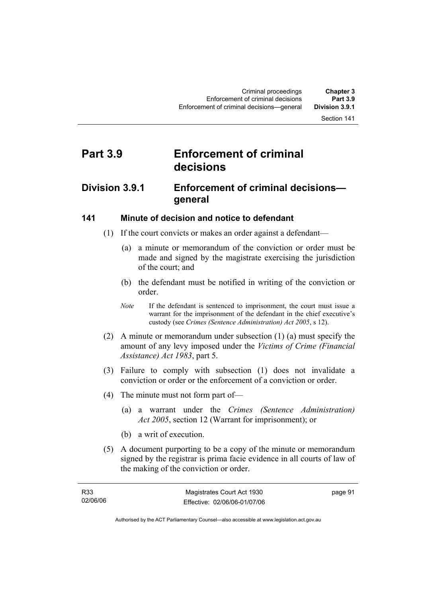## **Part 3.9 Enforcement of criminal decisions**

## **Division 3.9.1 Enforcement of criminal decisions general**

### **141 Minute of decision and notice to defendant**

- (1) If the court convicts or makes an order against a defendant—
	- (a) a minute or memorandum of the conviction or order must be made and signed by the magistrate exercising the jurisdiction of the court; and
	- (b) the defendant must be notified in writing of the conviction or order.
	- *Note* If the defendant is sentenced to imprisonment, the court must issue a warrant for the imprisonment of the defendant in the chief executive's custody (see *Crimes (Sentence Administration) Act 2005*, s 12).
- (2) A minute or memorandum under subsection (1) (a) must specify the amount of any levy imposed under the *Victims of Crime (Financial Assistance) Act 1983*, part 5.
- (3) Failure to comply with subsection (1) does not invalidate a conviction or order or the enforcement of a conviction or order.
- (4) The minute must not form part of—
	- (a) a warrant under the *Crimes (Sentence Administration) Act 2005*, section 12 (Warrant for imprisonment); or
	- (b) a writ of execution.
- (5) A document purporting to be a copy of the minute or memorandum signed by the registrar is prima facie evidence in all courts of law of the making of the conviction or order.

| R33      | Magistrates Court Act 1930   | page 91 |
|----------|------------------------------|---------|
| 02/06/06 | Effective: 02/06/06-01/07/06 |         |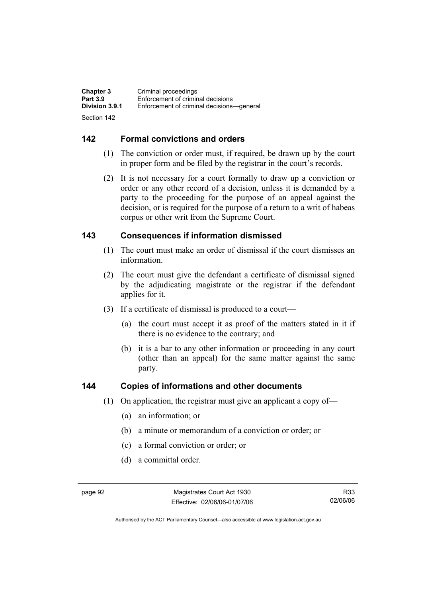| <b>Chapter 3</b> | Criminal proceedings                      |
|------------------|-------------------------------------------|
| <b>Part 3.9</b>  | Enforcement of criminal decisions         |
| Division 3.9.1   | Enforcement of criminal decisions—general |
| Section 142      |                                           |

### **142 Formal convictions and orders**

- (1) The conviction or order must, if required, be drawn up by the court in proper form and be filed by the registrar in the court's records.
- (2) It is not necessary for a court formally to draw up a conviction or order or any other record of a decision, unless it is demanded by a party to the proceeding for the purpose of an appeal against the decision, or is required for the purpose of a return to a writ of habeas corpus or other writ from the Supreme Court.

### **143 Consequences if information dismissed**

- (1) The court must make an order of dismissal if the court dismisses an information.
- (2) The court must give the defendant a certificate of dismissal signed by the adjudicating magistrate or the registrar if the defendant applies for it.
- (3) If a certificate of dismissal is produced to a court—
	- (a) the court must accept it as proof of the matters stated in it if there is no evidence to the contrary; and
	- (b) it is a bar to any other information or proceeding in any court (other than an appeal) for the same matter against the same party.

### **144 Copies of informations and other documents**

- (1) On application, the registrar must give an applicant a copy of—
	- (a) an information; or
	- (b) a minute or memorandum of a conviction or order; or
	- (c) a formal conviction or order; or
	- (d) a committal order.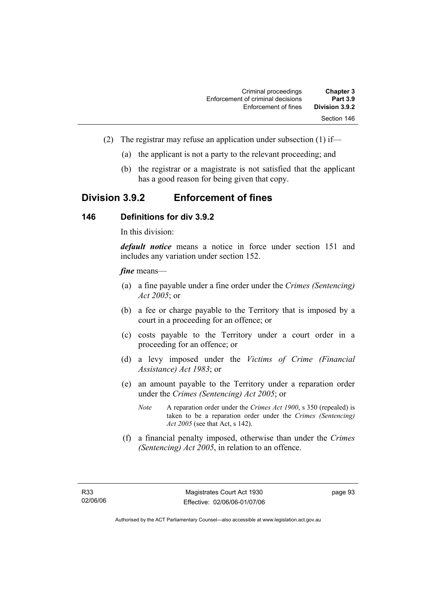| <b>Chapter 3</b> | Criminal proceedings              |
|------------------|-----------------------------------|
| <b>Part 3.9</b>  | Enforcement of criminal decisions |
| Division 3.9.2   | Enforcement of fines              |
| Section 146      |                                   |

- (2) The registrar may refuse an application under subsection (1) if—
	- (a) the applicant is not a party to the relevant proceeding; and
	- (b) the registrar or a magistrate is not satisfied that the applicant has a good reason for being given that copy.

## **Division 3.9.2 Enforcement of fines**

#### **146 Definitions for div 3.9.2**

In this division:

*default notice* means a notice in force under section 151 and includes any variation under section 152.

#### *fine* means—

- (a) a fine payable under a fine order under the *Crimes (Sentencing) Act 2005*; or
- (b) a fee or charge payable to the Territory that is imposed by a court in a proceeding for an offence; or
- (c) costs payable to the Territory under a court order in a proceeding for an offence; or
- (d) a levy imposed under the *Victims of Crime (Financial Assistance) Act 1983*; or
- (e) an amount payable to the Territory under a reparation order under the *Crimes (Sentencing) Act 2005*; or
	- *Note* A reparation order under the *Crimes Act 1900*, s 350 (repealed) is taken to be a reparation order under the *Crimes (Sentencing) Act 2005* (see that Act, s 142).
- (f) a financial penalty imposed, otherwise than under the *Crimes (Sentencing) Act 2005*, in relation to an offence.

page 93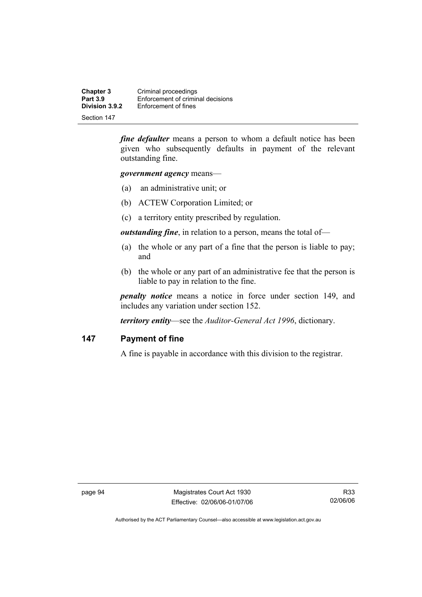**Chapter 3 Criminal proceedings**<br>**Part 3.9 Enforcement of criminal Part 3.9 Enforcement of criminal decisions**<br>**Division 3.9.2 Enforcement of fines Enforcement of fines** 

Section 147

*fine defaulter* means a person to whom a default notice has been given who subsequently defaults in payment of the relevant outstanding fine.

*government agency* means—

- (a) an administrative unit; or
- (b) ACTEW Corporation Limited; or
- (c) a territory entity prescribed by regulation.

*outstanding fine*, in relation to a person, means the total of—

- (a) the whole or any part of a fine that the person is liable to pay; and
- (b) the whole or any part of an administrative fee that the person is liable to pay in relation to the fine.

*penalty notice* means a notice in force under section 149, and includes any variation under section 152.

*territory entity*—see the *Auditor-General Act 1996*, dictionary.

#### **147 Payment of fine**

A fine is payable in accordance with this division to the registrar.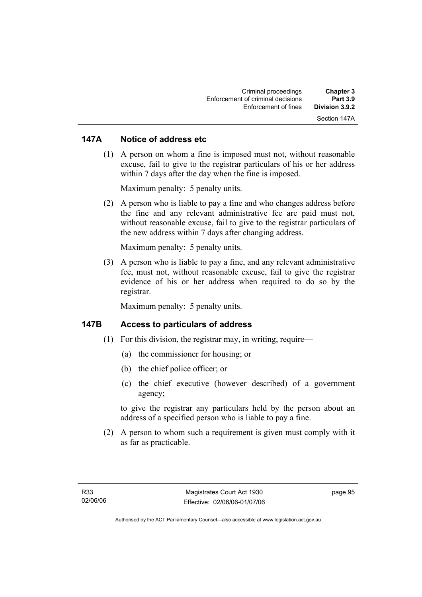### **147A Notice of address etc**

 (1) A person on whom a fine is imposed must not, without reasonable excuse, fail to give to the registrar particulars of his or her address within 7 days after the day when the fine is imposed.

Maximum penalty: 5 penalty units.

 (2) A person who is liable to pay a fine and who changes address before the fine and any relevant administrative fee are paid must not, without reasonable excuse, fail to give to the registrar particulars of the new address within 7 days after changing address.

Maximum penalty: 5 penalty units.

 (3) A person who is liable to pay a fine, and any relevant administrative fee, must not, without reasonable excuse, fail to give the registrar evidence of his or her address when required to do so by the registrar.

Maximum penalty: 5 penalty units.

### **147B Access to particulars of address**

- $(1)$  For this division, the registrar may, in writing, require—
	- (a) the commissioner for housing; or
	- (b) the chief police officer; or
	- (c) the chief executive (however described) of a government agency;

to give the registrar any particulars held by the person about an address of a specified person who is liable to pay a fine.

 (2) A person to whom such a requirement is given must comply with it as far as practicable.

page 95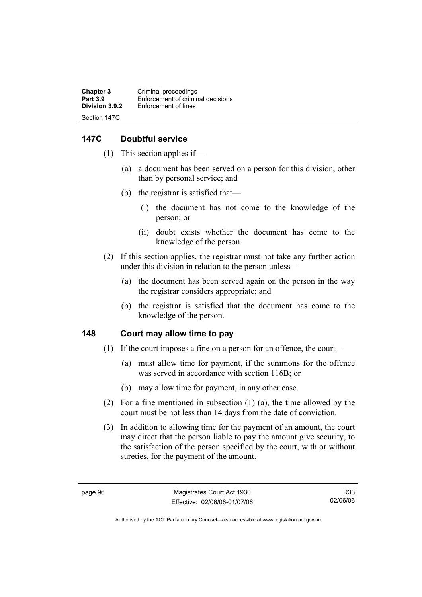**Chapter 3 Criminal proceedings**<br>**Part 3.9 Enforcement of criminal Part 3.9 Enforcement of criminal decisions**<br>**Division 3.9.2 Enforcement of fines Enforcement of fines** Section 147C

### **147C Doubtful service**

- (1) This section applies if—
	- (a) a document has been served on a person for this division, other than by personal service; and
	- (b) the registrar is satisfied that—
		- (i) the document has not come to the knowledge of the person; or
		- (ii) doubt exists whether the document has come to the knowledge of the person.
- (2) If this section applies, the registrar must not take any further action under this division in relation to the person unless—
	- (a) the document has been served again on the person in the way the registrar considers appropriate; and
	- (b) the registrar is satisfied that the document has come to the knowledge of the person.

#### **148 Court may allow time to pay**

- (1) If the court imposes a fine on a person for an offence, the court—
	- (a) must allow time for payment, if the summons for the offence was served in accordance with section 116B; or
	- (b) may allow time for payment, in any other case.
- (2) For a fine mentioned in subsection (1) (a), the time allowed by the court must be not less than 14 days from the date of conviction.
- (3) In addition to allowing time for the payment of an amount, the court may direct that the person liable to pay the amount give security, to the satisfaction of the person specified by the court, with or without sureties, for the payment of the amount.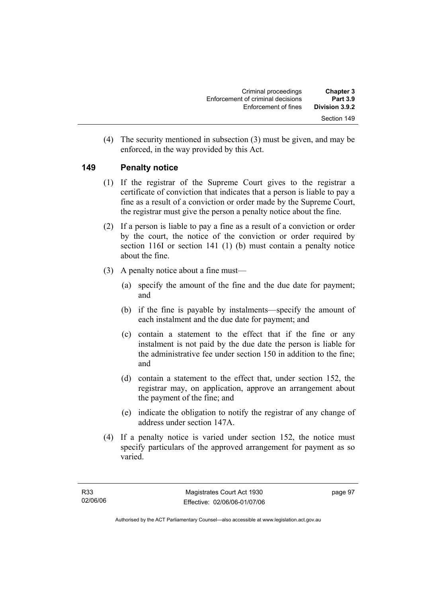| <b>Chapter 3</b><br><b>Part 3.9</b> | Criminal proceedings<br>Enforcement of criminal decisions |
|-------------------------------------|-----------------------------------------------------------|
| Division 3.9.2                      | Enforcement of fines                                      |
| Section 149                         |                                                           |

 (4) The security mentioned in subsection (3) must be given, and may be enforced, in the way provided by this Act.

#### **149 Penalty notice**

- (1) If the registrar of the Supreme Court gives to the registrar a certificate of conviction that indicates that a person is liable to pay a fine as a result of a conviction or order made by the Supreme Court, the registrar must give the person a penalty notice about the fine.
- (2) If a person is liable to pay a fine as a result of a conviction or order by the court, the notice of the conviction or order required by section 116I or section 141 (1) (b) must contain a penalty notice about the fine.
- (3) A penalty notice about a fine must—
	- (a) specify the amount of the fine and the due date for payment; and
	- (b) if the fine is payable by instalments—specify the amount of each instalment and the due date for payment; and
	- (c) contain a statement to the effect that if the fine or any instalment is not paid by the due date the person is liable for the administrative fee under section 150 in addition to the fine; and
	- (d) contain a statement to the effect that, under section 152, the registrar may, on application, approve an arrangement about the payment of the fine; and
	- (e) indicate the obligation to notify the registrar of any change of address under section 147A.
- (4) If a penalty notice is varied under section 152, the notice must specify particulars of the approved arrangement for payment as so varied.

page 97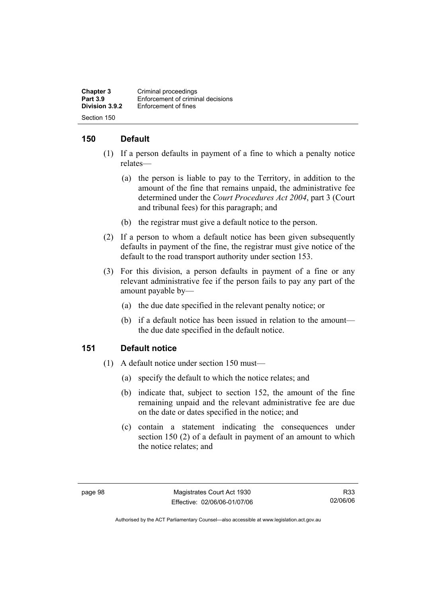**Chapter 3 Criminal proceedings**<br>**Part 3.9 Enforcement of criminal Part 3.9 Enforcement of criminal decisions**<br>**Division 3.9.2 Enforcement of fines Enforcement of fines** Section 150

### **150 Default**

- (1) If a person defaults in payment of a fine to which a penalty notice relates—
	- (a) the person is liable to pay to the Territory, in addition to the amount of the fine that remains unpaid, the administrative fee determined under the *Court Procedures Act 2004*, part 3 (Court and tribunal fees) for this paragraph; and
	- (b) the registrar must give a default notice to the person.
- (2) If a person to whom a default notice has been given subsequently defaults in payment of the fine, the registrar must give notice of the default to the road transport authority under section 153.
- (3) For this division, a person defaults in payment of a fine or any relevant administrative fee if the person fails to pay any part of the amount payable by—
	- (a) the due date specified in the relevant penalty notice; or
	- (b) if a default notice has been issued in relation to the amount the due date specified in the default notice.

#### **151 Default notice**

- (1) A default notice under section 150 must—
	- (a) specify the default to which the notice relates; and
	- (b) indicate that, subject to section 152, the amount of the fine remaining unpaid and the relevant administrative fee are due on the date or dates specified in the notice; and
	- (c) contain a statement indicating the consequences under section 150 (2) of a default in payment of an amount to which the notice relates; and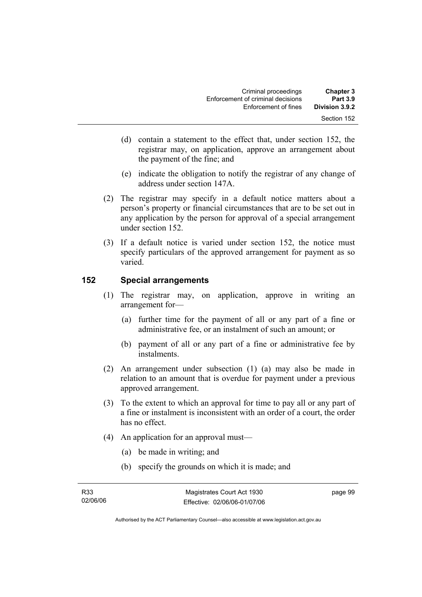| <b>Chapter 3</b><br><b>Part 3.9</b> | Criminal proceedings<br>Enforcement of criminal decisions |
|-------------------------------------|-----------------------------------------------------------|
| Division 3.9.2                      | Enforcement of fines                                      |
| Section 152                         |                                                           |

- (d) contain a statement to the effect that, under section 152, the registrar may, on application, approve an arrangement about the payment of the fine; and
- (e) indicate the obligation to notify the registrar of any change of address under section 147A.
- (2) The registrar may specify in a default notice matters about a person's property or financial circumstances that are to be set out in any application by the person for approval of a special arrangement under section 152.
- (3) If a default notice is varied under section 152, the notice must specify particulars of the approved arrangement for payment as so varied.

### **152 Special arrangements**

- (1) The registrar may, on application, approve in writing an arrangement for—
	- (a) further time for the payment of all or any part of a fine or administrative fee, or an instalment of such an amount; or
	- (b) payment of all or any part of a fine or administrative fee by instalments.
- (2) An arrangement under subsection (1) (a) may also be made in relation to an amount that is overdue for payment under a previous approved arrangement.
- (3) To the extent to which an approval for time to pay all or any part of a fine or instalment is inconsistent with an order of a court, the order has no effect.
- (4) An application for an approval must—
	- (a) be made in writing; and
	- (b) specify the grounds on which it is made; and

page 99

Authorised by the ACT Parliamentary Counsel—also accessible at www.legislation.act.gov.au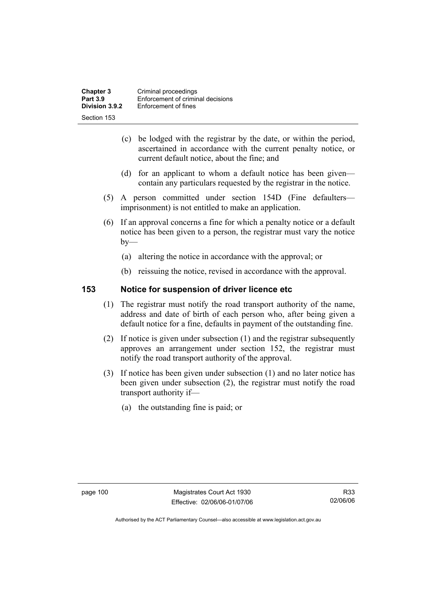**Chapter 3 Criminal proceedings**<br>**Part 3.9 Enforcement of criminal Part 3.9 Enforcement of criminal decisions**<br>**Division 3.9.2 Enforcement of fines Enforcement of fines** Section 153

- (c) be lodged with the registrar by the date, or within the period, ascertained in accordance with the current penalty notice, or current default notice, about the fine; and
- (d) for an applicant to whom a default notice has been given contain any particulars requested by the registrar in the notice.
- (5) A person committed under section 154D (Fine defaulters imprisonment) is not entitled to make an application.
- (6) If an approval concerns a fine for which a penalty notice or a default notice has been given to a person, the registrar must vary the notice  $by-$ 
	- (a) altering the notice in accordance with the approval; or
	- (b) reissuing the notice, revised in accordance with the approval.

#### **153 Notice for suspension of driver licence etc**

- (1) The registrar must notify the road transport authority of the name, address and date of birth of each person who, after being given a default notice for a fine, defaults in payment of the outstanding fine.
- (2) If notice is given under subsection (1) and the registrar subsequently approves an arrangement under section 152, the registrar must notify the road transport authority of the approval.
- (3) If notice has been given under subsection (1) and no later notice has been given under subsection (2), the registrar must notify the road transport authority if—
	- (a) the outstanding fine is paid; or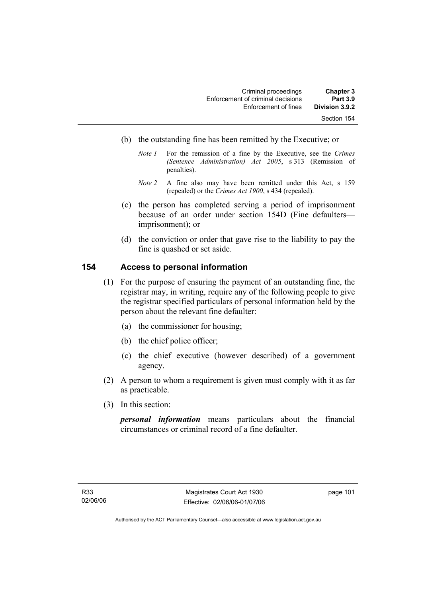| <b>Chapter 3</b><br><b>Part 3.9</b> | Criminal proceedings<br>Enforcement of criminal decisions |
|-------------------------------------|-----------------------------------------------------------|
| Division 3.9.2                      | Enforcement of fines                                      |
| Section 154                         |                                                           |

- (b) the outstanding fine has been remitted by the Executive; or
	- *Note 1* For the remission of a fine by the Executive, see the *Crimes (Sentence Administration) Act 2005*, s 313 (Remission of penalties).
	- *Note 2* A fine also may have been remitted under this Act, s 159 (repealed) or the *Crimes Act 1900*, s 434 (repealed).
- (c) the person has completed serving a period of imprisonment because of an order under section 154D (Fine defaulters imprisonment); or
- (d) the conviction or order that gave rise to the liability to pay the fine is quashed or set aside.

### **154 Access to personal information**

- (1) For the purpose of ensuring the payment of an outstanding fine, the registrar may, in writing, require any of the following people to give the registrar specified particulars of personal information held by the person about the relevant fine defaulter:
	- (a) the commissioner for housing;
	- (b) the chief police officer;
	- (c) the chief executive (however described) of a government agency.
- (2) A person to whom a requirement is given must comply with it as far as practicable.
- (3) In this section:

*personal information* means particulars about the financial circumstances or criminal record of a fine defaulter.

page 101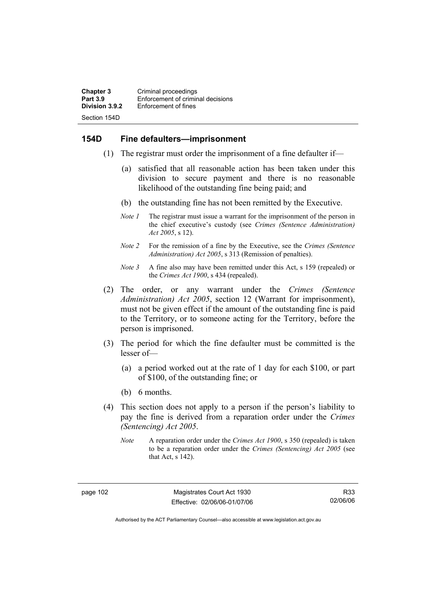**Chapter 3 Criminal proceedings**<br>**Part 3.9 Enforcement of criminal Part 3.9 Enforcement of criminal decisions**<br>**Division 3.9.2 Enforcement of fines Enforcement of fines** Section 154D

#### **154D Fine defaulters—imprisonment**

- (1) The registrar must order the imprisonment of a fine defaulter if—
	- (a) satisfied that all reasonable action has been taken under this division to secure payment and there is no reasonable likelihood of the outstanding fine being paid; and
	- (b) the outstanding fine has not been remitted by the Executive.
	- *Note 1* The registrar must issue a warrant for the imprisonment of the person in the chief executive's custody (see *Crimes (Sentence Administration) Act 2005*, s 12).
	- *Note 2* For the remission of a fine by the Executive, see the *Crimes (Sentence Administration) Act 2005*, s 313 (Remission of penalties).
	- *Note 3* A fine also may have been remitted under this Act, s 159 (repealed) or the *Crimes Act 1900*, s 434 (repealed).
- (2) The order, or any warrant under the *Crimes (Sentence Administration) Act 2005*, section 12 (Warrant for imprisonment), must not be given effect if the amount of the outstanding fine is paid to the Territory, or to someone acting for the Territory, before the person is imprisoned.
- (3) The period for which the fine defaulter must be committed is the lesser of—
	- (a) a period worked out at the rate of 1 day for each \$100, or part of \$100, of the outstanding fine; or
	- (b) 6 months.
- (4) This section does not apply to a person if the person's liability to pay the fine is derived from a reparation order under the *Crimes (Sentencing) Act 2005*.
	- *Note* A reparation order under the *Crimes Act 1900*, s 350 (repealed) is taken to be a reparation order under the *Crimes (Sentencing) Act 2005* (see that Act, s 142).

Authorised by the ACT Parliamentary Counsel—also accessible at www.legislation.act.gov.au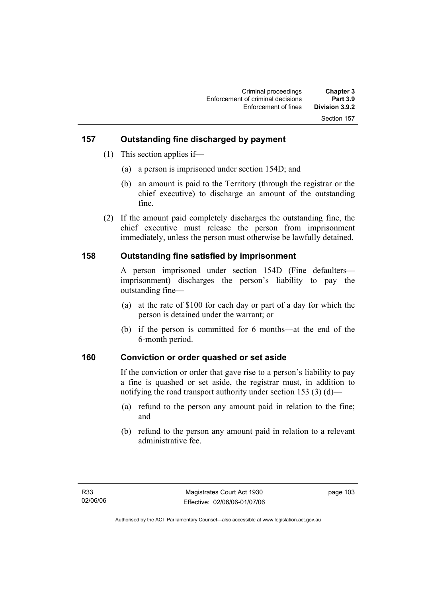### **157 Outstanding fine discharged by payment**

- (1) This section applies if—
	- (a) a person is imprisoned under section 154D; and
	- (b) an amount is paid to the Territory (through the registrar or the chief executive) to discharge an amount of the outstanding fine.
- (2) If the amount paid completely discharges the outstanding fine, the chief executive must release the person from imprisonment immediately, unless the person must otherwise be lawfully detained.

### **158 Outstanding fine satisfied by imprisonment**

A person imprisoned under section 154D (Fine defaulters imprisonment) discharges the person's liability to pay the outstanding fine—

- (a) at the rate of \$100 for each day or part of a day for which the person is detained under the warrant; or
- (b) if the person is committed for 6 months—at the end of the 6-month period.

#### **160 Conviction or order quashed or set aside**

If the conviction or order that gave rise to a person's liability to pay a fine is quashed or set aside, the registrar must, in addition to notifying the road transport authority under section 153 (3) (d)—

- (a) refund to the person any amount paid in relation to the fine; and
- (b) refund to the person any amount paid in relation to a relevant administrative fee.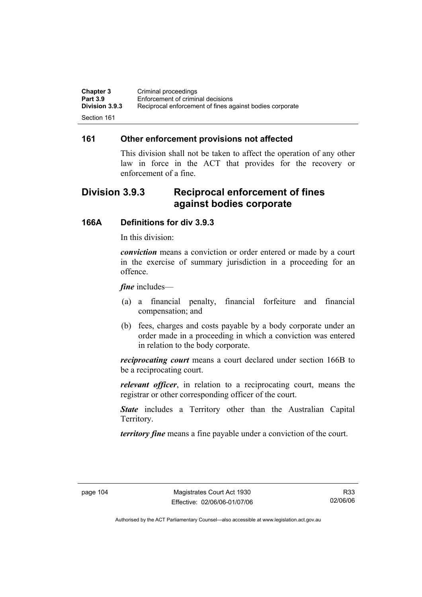| <b>Chapter 3</b>      | Criminal proceedings                                     |
|-----------------------|----------------------------------------------------------|
| <b>Part 3.9</b>       | Enforcement of criminal decisions                        |
| <b>Division 3.9.3</b> | Reciprocal enforcement of fines against bodies corporate |
| Section 161           |                                                          |

#### **161 Other enforcement provisions not affected**

This division shall not be taken to affect the operation of any other law in force in the ACT that provides for the recovery or enforcement of a fine.

## **Division 3.9.3 Reciprocal enforcement of fines against bodies corporate**

### **166A Definitions for div 3.9.3**

In this division:

*conviction* means a conviction or order entered or made by a court in the exercise of summary jurisdiction in a proceeding for an offence.

*fine* includes—

- (a) a financial penalty, financial forfeiture and financial compensation; and
- (b) fees, charges and costs payable by a body corporate under an order made in a proceeding in which a conviction was entered in relation to the body corporate.

*reciprocating court* means a court declared under section 166B to be a reciprocating court.

*relevant officer*, in relation to a reciprocating court, means the registrar or other corresponding officer of the court.

*State* includes a Territory other than the Australian Capital Territory.

*territory fine* means a fine payable under a conviction of the court.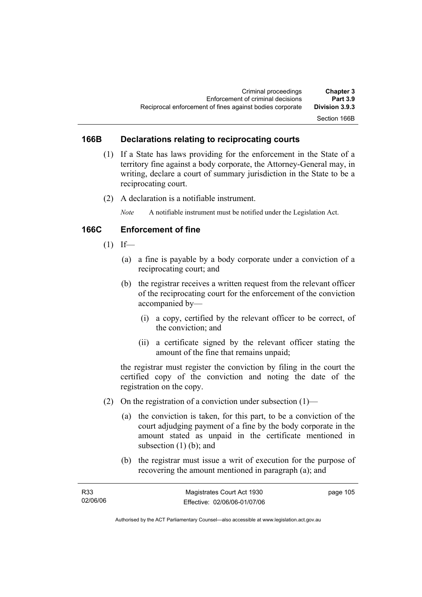### **166B Declarations relating to reciprocating courts**

- (1) If a State has laws providing for the enforcement in the State of a territory fine against a body corporate, the Attorney-General may, in writing, declare a court of summary jurisdiction in the State to be a reciprocating court.
- (2) A declaration is a notifiable instrument.

*Note* A notifiable instrument must be notified under the Legislation Act.

### **166C Enforcement of fine**

- $(1)$  If—
	- (a) a fine is payable by a body corporate under a conviction of a reciprocating court; and
	- (b) the registrar receives a written request from the relevant officer of the reciprocating court for the enforcement of the conviction accompanied by—
		- (i) a copy, certified by the relevant officer to be correct, of the conviction; and
		- (ii) a certificate signed by the relevant officer stating the amount of the fine that remains unpaid;

the registrar must register the conviction by filing in the court the certified copy of the conviction and noting the date of the registration on the copy.

- (2) On the registration of a conviction under subsection  $(1)$ 
	- (a) the conviction is taken, for this part, to be a conviction of the court adjudging payment of a fine by the body corporate in the amount stated as unpaid in the certificate mentioned in subsection (1) (b); and
	- (b) the registrar must issue a writ of execution for the purpose of recovering the amount mentioned in paragraph (a); and

| R33      | Magistrates Court Act 1930   | page 105 |
|----------|------------------------------|----------|
| 02/06/06 | Effective: 02/06/06-01/07/06 |          |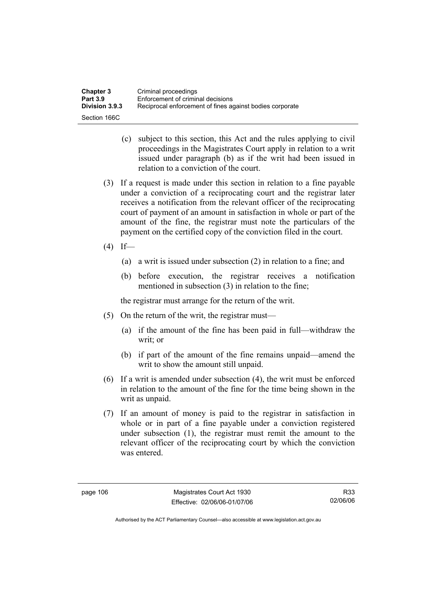| <b>Chapter 3</b> | Criminal proceedings                                     |
|------------------|----------------------------------------------------------|
| <b>Part 3.9</b>  | Enforcement of criminal decisions                        |
| Division 3.9.3   | Reciprocal enforcement of fines against bodies corporate |
| Section 166C     |                                                          |

- (c) subject to this section, this Act and the rules applying to civil proceedings in the Magistrates Court apply in relation to a writ issued under paragraph (b) as if the writ had been issued in relation to a conviction of the court.
- (3) If a request is made under this section in relation to a fine payable under a conviction of a reciprocating court and the registrar later receives a notification from the relevant officer of the reciprocating court of payment of an amount in satisfaction in whole or part of the amount of the fine, the registrar must note the particulars of the payment on the certified copy of the conviction filed in the court.
- $(4)$  If—
	- (a) a writ is issued under subsection (2) in relation to a fine; and
	- (b) before execution, the registrar receives a notification mentioned in subsection (3) in relation to the fine;

the registrar must arrange for the return of the writ.

- (5) On the return of the writ, the registrar must—
	- (a) if the amount of the fine has been paid in full—withdraw the writ; or
	- (b) if part of the amount of the fine remains unpaid—amend the writ to show the amount still unpaid.
- (6) If a writ is amended under subsection (4), the writ must be enforced in relation to the amount of the fine for the time being shown in the writ as unpaid.
- (7) If an amount of money is paid to the registrar in satisfaction in whole or in part of a fine payable under a conviction registered under subsection (1), the registrar must remit the amount to the relevant officer of the reciprocating court by which the conviction was entered.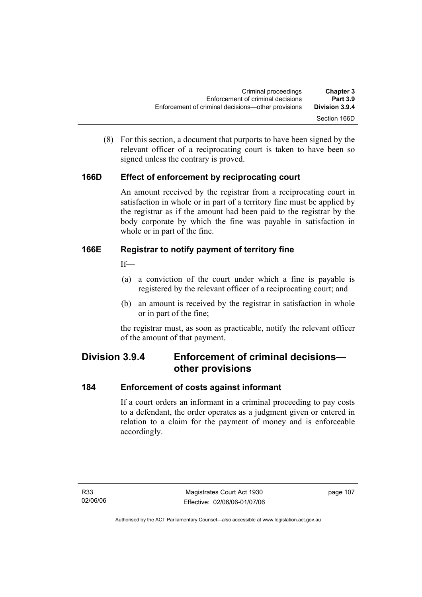(8) For this section, a document that purports to have been signed by the relevant officer of a reciprocating court is taken to have been so signed unless the contrary is proved.

### **166D Effect of enforcement by reciprocating court**

An amount received by the registrar from a reciprocating court in satisfaction in whole or in part of a territory fine must be applied by the registrar as if the amount had been paid to the registrar by the body corporate by which the fine was payable in satisfaction in whole or in part of the fine.

### **166E Registrar to notify payment of territory fine**

If—

- (a) a conviction of the court under which a fine is payable is registered by the relevant officer of a reciprocating court; and
- (b) an amount is received by the registrar in satisfaction in whole or in part of the fine;

the registrar must, as soon as practicable, notify the relevant officer of the amount of that payment.

## **Division 3.9.4 Enforcement of criminal decisions other provisions**

### **184 Enforcement of costs against informant**

If a court orders an informant in a criminal proceeding to pay costs to a defendant, the order operates as a judgment given or entered in relation to a claim for the payment of money and is enforceable accordingly.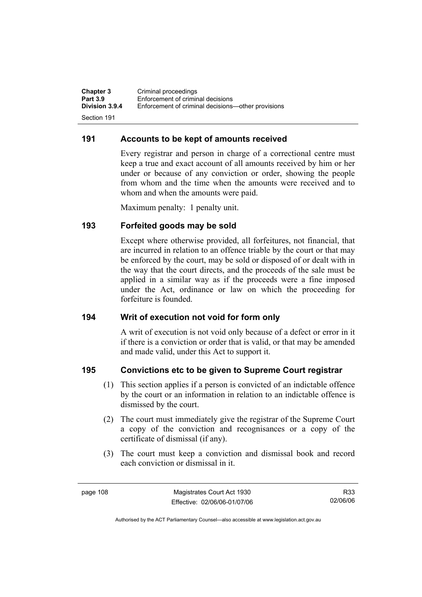**Chapter 3 Criminal proceedings**<br>**Part 3.9 Enforcement of criminal Part 3.9 Enforcement of criminal decisions**<br>**Division 3.9.4 Enforcement of criminal decisions Division 3.9.4** Enforcement of criminal decisions—other provisions

Section 191

### **191 Accounts to be kept of amounts received**

Every registrar and person in charge of a correctional centre must keep a true and exact account of all amounts received by him or her under or because of any conviction or order, showing the people from whom and the time when the amounts were received and to whom and when the amounts were paid.

Maximum penalty: 1 penalty unit.

### **193 Forfeited goods may be sold**

Except where otherwise provided, all forfeitures, not financial, that are incurred in relation to an offence triable by the court or that may be enforced by the court, may be sold or disposed of or dealt with in the way that the court directs, and the proceeds of the sale must be applied in a similar way as if the proceeds were a fine imposed under the Act, ordinance or law on which the proceeding for forfeiture is founded.

#### **194 Writ of execution not void for form only**

A writ of execution is not void only because of a defect or error in it if there is a conviction or order that is valid, or that may be amended and made valid, under this Act to support it.

### **195 Convictions etc to be given to Supreme Court registrar**

- (1) This section applies if a person is convicted of an indictable offence by the court or an information in relation to an indictable offence is dismissed by the court.
- (2) The court must immediately give the registrar of the Supreme Court a copy of the conviction and recognisances or a copy of the certificate of dismissal (if any).
- (3) The court must keep a conviction and dismissal book and record each conviction or dismissal in it.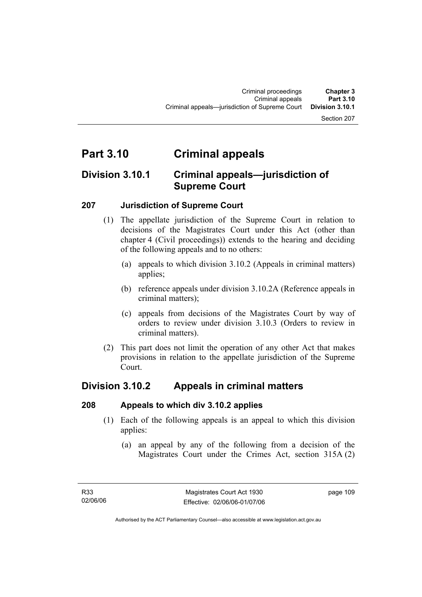#### Section 207

# **Part 3.10 Criminal appeals**

## **Division 3.10.1 Criminal appeals—jurisdiction of Supreme Court**

### **207 Jurisdiction of Supreme Court**

- (1) The appellate jurisdiction of the Supreme Court in relation to decisions of the Magistrates Court under this Act (other than chapter 4 (Civil proceedings)) extends to the hearing and deciding of the following appeals and to no others:
	- (a) appeals to which division 3.10.2 (Appeals in criminal matters) applies;
	- (b) reference appeals under division 3.10.2A (Reference appeals in criminal matters);
	- (c) appeals from decisions of the Magistrates Court by way of orders to review under division 3.10.3 (Orders to review in criminal matters).
- (2) This part does not limit the operation of any other Act that makes provisions in relation to the appellate jurisdiction of the Supreme Court.

## **Division 3.10.2 Appeals in criminal matters**

#### **208 Appeals to which div 3.10.2 applies**

- (1) Each of the following appeals is an appeal to which this division applies:
	- (a) an appeal by any of the following from a decision of the Magistrates Court under the Crimes Act, section 315A (2)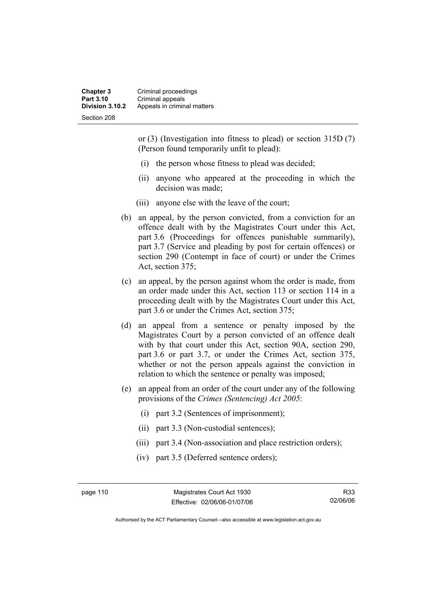**Chapter 3** Criminal proceedings **Part 3.10 Criminal appeals**<br>**Division 3.10.2** Appeals in crimin **Division 3.10.2** Appeals in criminal matters Section 208

> or (3) (Investigation into fitness to plead) or section 315D (7) (Person found temporarily unfit to plead):

- (i) the person whose fitness to plead was decided;
- (ii) anyone who appeared at the proceeding in which the decision was made;
- (iii) anyone else with the leave of the court;
- (b) an appeal, by the person convicted, from a conviction for an offence dealt with by the Magistrates Court under this Act, part 3.6 (Proceedings for offences punishable summarily), part 3.7 (Service and pleading by post for certain offences) or section 290 (Contempt in face of court) or under the Crimes Act, section 375;
- (c) an appeal, by the person against whom the order is made, from an order made under this Act, section 113 or section 114 in a proceeding dealt with by the Magistrates Court under this Act, part 3.6 or under the Crimes Act, section 375;
- (d) an appeal from a sentence or penalty imposed by the Magistrates Court by a person convicted of an offence dealt with by that court under this Act, section 90A, section 290, part 3.6 or part 3.7, or under the Crimes Act, section 375, whether or not the person appeals against the conviction in relation to which the sentence or penalty was imposed;
- (e) an appeal from an order of the court under any of the following provisions of the *Crimes (Sentencing) Act 2005*:
	- (i) part 3.2 (Sentences of imprisonment);
	- (ii) part 3.3 (Non-custodial sentences);
	- (iii) part 3.4 (Non-association and place restriction orders);
	- (iv) part 3.5 (Deferred sentence orders);

page 110 Magistrates Court Act 1930 Effective: 02/06/06-01/07/06

Authorised by the ACT Parliamentary Counsel—also accessible at www.legislation.act.gov.au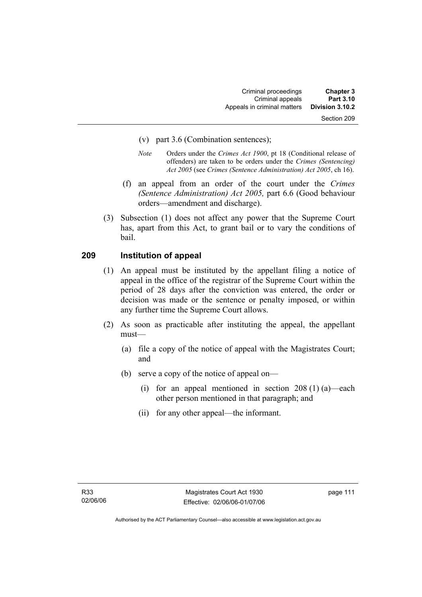- (v) part 3.6 (Combination sentences);
- *Note* Orders under the *Crimes Act 1900*, pt 18 (Conditional release of offenders) are taken to be orders under the *Crimes (Sentencing) Act 2005* (see *Crimes (Sentence Administration) Act 2005*, ch 16).
- (f) an appeal from an order of the court under the *Crimes (Sentence Administration) Act 2005,* part 6.6 (Good behaviour orders—amendment and discharge).
- (3) Subsection (1) does not affect any power that the Supreme Court has, apart from this Act, to grant bail or to vary the conditions of bail.

#### **209 Institution of appeal**

- (1) An appeal must be instituted by the appellant filing a notice of appeal in the office of the registrar of the Supreme Court within the period of 28 days after the conviction was entered, the order or decision was made or the sentence or penalty imposed, or within any further time the Supreme Court allows.
- (2) As soon as practicable after instituting the appeal, the appellant must—
	- (a) file a copy of the notice of appeal with the Magistrates Court; and
	- (b) serve a copy of the notice of appeal on—
		- (i) for an appeal mentioned in section  $208(1)(a)$ —each other person mentioned in that paragraph; and
		- (ii) for any other appeal—the informant.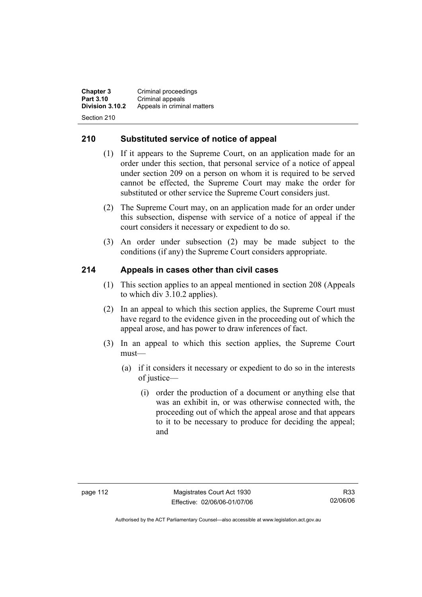**Chapter 3 Criminal proceedings**<br>**Part 3.10 Criminal appeals Part 3.10 Criminal appeals**<br>**Division 3.10.2** Appeals in crimin **Division 3.10.2** Appeals in criminal matters

Section 210

### **210 Substituted service of notice of appeal**

- (1) If it appears to the Supreme Court, on an application made for an order under this section, that personal service of a notice of appeal under section 209 on a person on whom it is required to be served cannot be effected, the Supreme Court may make the order for substituted or other service the Supreme Court considers just.
- (2) The Supreme Court may, on an application made for an order under this subsection, dispense with service of a notice of appeal if the court considers it necessary or expedient to do so.
- (3) An order under subsection (2) may be made subject to the conditions (if any) the Supreme Court considers appropriate.

### **214 Appeals in cases other than civil cases**

- (1) This section applies to an appeal mentioned in section 208 (Appeals to which div 3.10.2 applies).
- (2) In an appeal to which this section applies, the Supreme Court must have regard to the evidence given in the proceeding out of which the appeal arose, and has power to draw inferences of fact.
- (3) In an appeal to which this section applies, the Supreme Court must—
	- (a) if it considers it necessary or expedient to do so in the interests of justice—
		- (i) order the production of a document or anything else that was an exhibit in, or was otherwise connected with, the proceeding out of which the appeal arose and that appears to it to be necessary to produce for deciding the appeal; and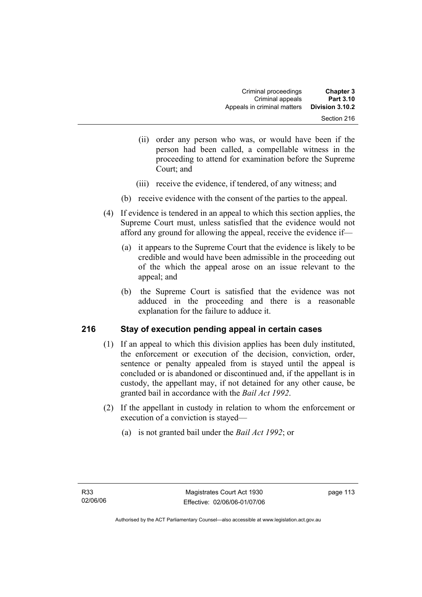- (ii) order any person who was, or would have been if the person had been called, a compellable witness in the proceeding to attend for examination before the Supreme Court; and
- (iii) receive the evidence, if tendered, of any witness; and
- (b) receive evidence with the consent of the parties to the appeal.
- (4) If evidence is tendered in an appeal to which this section applies, the Supreme Court must, unless satisfied that the evidence would not afford any ground for allowing the appeal, receive the evidence if—
	- (a) it appears to the Supreme Court that the evidence is likely to be credible and would have been admissible in the proceeding out of the which the appeal arose on an issue relevant to the appeal; and
	- (b) the Supreme Court is satisfied that the evidence was not adduced in the proceeding and there is a reasonable explanation for the failure to adduce it.

### **216 Stay of execution pending appeal in certain cases**

- (1) If an appeal to which this division applies has been duly instituted, the enforcement or execution of the decision, conviction, order, sentence or penalty appealed from is stayed until the appeal is concluded or is abandoned or discontinued and, if the appellant is in custody, the appellant may, if not detained for any other cause, be granted bail in accordance with the *Bail Act 1992*.
- (2) If the appellant in custody in relation to whom the enforcement or execution of a conviction is stayed—
	- (a) is not granted bail under the *Bail Act 1992*; or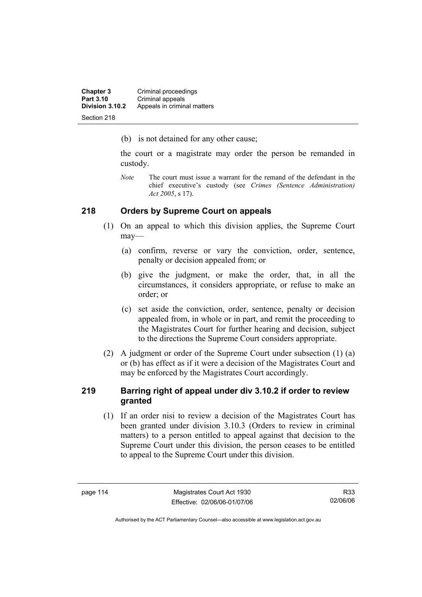| <b>Chapter 3</b> | Criminal proceedings        |
|------------------|-----------------------------|
| Part 3.10        | Criminal appeals            |
| Division 3.10.2  | Appeals in criminal matters |
| Section 218      |                             |

(b) is not detained for any other cause;

the court or a magistrate may order the person be remanded in custody.

*Note* The court must issue a warrant for the remand of the defendant in the chief executive's custody (see *Crimes (Sentence Administration) Act 2005*, s 17).

#### **218 Orders by Supreme Court on appeals**

- (1) On an appeal to which this division applies, the Supreme Court may—
	- (a) confirm, reverse or vary the conviction, order, sentence, penalty or decision appealed from; or
	- (b) give the judgment, or make the order, that, in all the circumstances, it considers appropriate, or refuse to make an order; or
	- (c) set aside the conviction, order, sentence, penalty or decision appealed from, in whole or in part, and remit the proceeding to the Magistrates Court for further hearing and decision, subject to the directions the Supreme Court considers appropriate.
- (2) A judgment or order of the Supreme Court under subsection (1) (a) or (b) has effect as if it were a decision of the Magistrates Court and may be enforced by the Magistrates Court accordingly.

### **219 Barring right of appeal under div 3.10.2 if order to review granted**

 (1) If an order nisi to review a decision of the Magistrates Court has been granted under division 3.10.3 (Orders to review in criminal matters) to a person entitled to appeal against that decision to the Supreme Court under this division, the person ceases to be entitled to appeal to the Supreme Court under this division.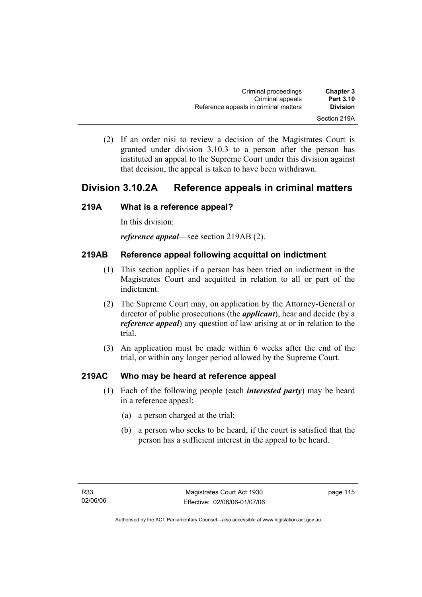(2) If an order nisi to review a decision of the Magistrates Court is granted under division 3.10.3 to a person after the person has instituted an appeal to the Supreme Court under this division against that decision, the appeal is taken to have been withdrawn.

## **Division 3.10.2A Reference appeals in criminal matters**

### **219A What is a reference appeal?**

In this division:

*reference appeal*—see section 219AB (2).

### **219AB Reference appeal following acquittal on indictment**

- (1) This section applies if a person has been tried on indictment in the Magistrates Court and acquitted in relation to all or part of the indictment.
- (2) The Supreme Court may, on application by the Attorney-General or director of public prosecutions (the *applicant*), hear and decide (by a *reference appeal*) any question of law arising at or in relation to the trial.
- (3) An application must be made within 6 weeks after the end of the trial, or within any longer period allowed by the Supreme Court.

### **219AC Who may be heard at reference appeal**

- (1) Each of the following people (each *interested party*) may be heard in a reference appeal:
	- (a) a person charged at the trial;
	- (b) a person who seeks to be heard, if the court is satisfied that the person has a sufficient interest in the appeal to be heard.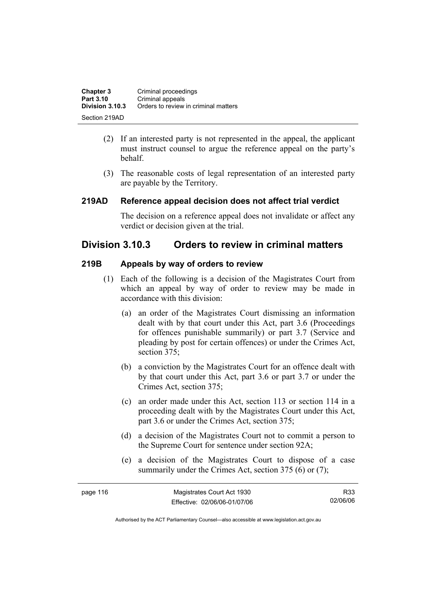| <b>Chapter 3</b> | Criminal proceedings                 |
|------------------|--------------------------------------|
| Part 3.10        | Criminal appeals                     |
| Division 3.10.3  | Orders to review in criminal matters |
| Section 219AD    |                                      |

- (2) If an interested party is not represented in the appeal, the applicant must instruct counsel to argue the reference appeal on the party's behalf.
- (3) The reasonable costs of legal representation of an interested party are payable by the Territory.

#### **219AD Reference appeal decision does not affect trial verdict**

The decision on a reference appeal does not invalidate or affect any verdict or decision given at the trial.

### **Division 3.10.3 Orders to review in criminal matters**

#### **219B Appeals by way of orders to review**

- (1) Each of the following is a decision of the Magistrates Court from which an appeal by way of order to review may be made in accordance with this division:
	- (a) an order of the Magistrates Court dismissing an information dealt with by that court under this Act, part 3.6 (Proceedings for offences punishable summarily) or part 3.7 (Service and pleading by post for certain offences) or under the Crimes Act, section 375;
	- (b) a conviction by the Magistrates Court for an offence dealt with by that court under this Act, part 3.6 or part 3.7 or under the Crimes Act, section 375;
	- (c) an order made under this Act, section 113 or section 114 in a proceeding dealt with by the Magistrates Court under this Act, part 3.6 or under the Crimes Act, section 375;
	- (d) a decision of the Magistrates Court not to commit a person to the Supreme Court for sentence under section 92A;
	- (e) a decision of the Magistrates Court to dispose of a case summarily under the Crimes Act, section 375 (6) or (7);

| page 116 | Magistrates Court Act 1930   | R33      |
|----------|------------------------------|----------|
|          | Effective: 02/06/06-01/07/06 | 02/06/06 |

Authorised by the ACT Parliamentary Counsel—also accessible at www.legislation.act.gov.au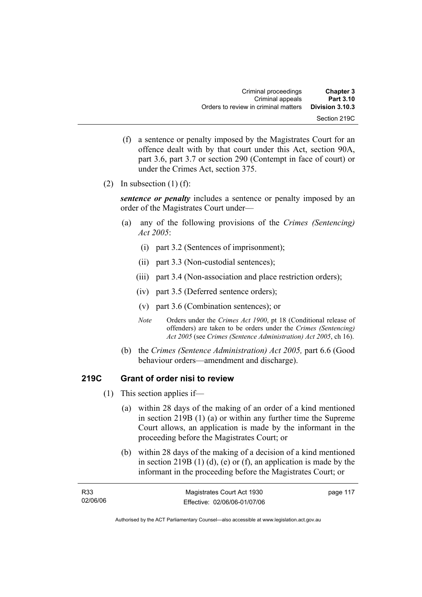- (f) a sentence or penalty imposed by the Magistrates Court for an offence dealt with by that court under this Act, section 90A, part 3.6, part 3.7 or section 290 (Contempt in face of court) or under the Crimes Act, section 375.
- (2) In subsection  $(1)$  (f):

*sentence or penalty* includes a sentence or penalty imposed by an order of the Magistrates Court under—

- (a) any of the following provisions of the *Crimes (Sentencing) Act 2005*:
	- (i) part 3.2 (Sentences of imprisonment);
	- (ii) part 3.3 (Non-custodial sentences);
	- (iii) part 3.4 (Non-association and place restriction orders);
	- (iv) part 3.5 (Deferred sentence orders);
	- (v) part 3.6 (Combination sentences); or
	- *Note* Orders under the *Crimes Act 1900*, pt 18 (Conditional release of offenders) are taken to be orders under the *Crimes (Sentencing) Act 2005* (see *Crimes (Sentence Administration) Act 2005*, ch 16).
- (b) the *Crimes (Sentence Administration) Act 2005,* part 6.6 (Good behaviour orders—amendment and discharge).

### **219C Grant of order nisi to review**

- (1) This section applies if—
	- (a) within 28 days of the making of an order of a kind mentioned in section 219B (1) (a) or within any further time the Supreme Court allows, an application is made by the informant in the proceeding before the Magistrates Court; or
	- (b) within 28 days of the making of a decision of a kind mentioned in section 219B  $(1)$   $(d)$ ,  $(e)$  or  $(f)$ , an application is made by the informant in the proceeding before the Magistrates Court; or

| R <sub>33</sub> | Magistrates Court Act 1930   | page 117 |
|-----------------|------------------------------|----------|
| 02/06/06        | Effective: 02/06/06-01/07/06 |          |

Authorised by the ACT Parliamentary Counsel—also accessible at www.legislation.act.gov.au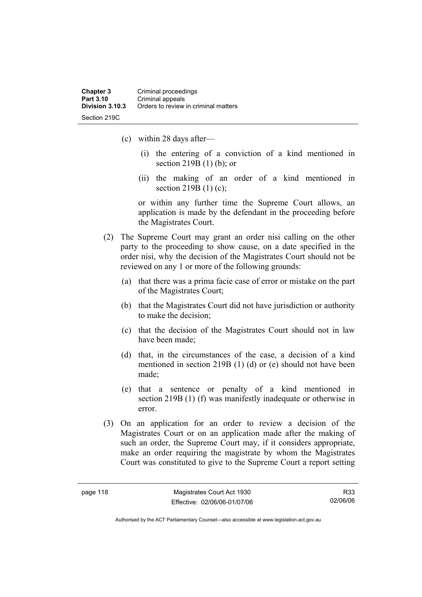- (c) within 28 days after—
	- (i) the entering of a conviction of a kind mentioned in section 219B (1) (b); or
	- (ii) the making of an order of a kind mentioned in section 219B (1) (c);

or within any further time the Supreme Court allows, an application is made by the defendant in the proceeding before the Magistrates Court.

- (2) The Supreme Court may grant an order nisi calling on the other party to the proceeding to show cause, on a date specified in the order nisi, why the decision of the Magistrates Court should not be reviewed on any 1 or more of the following grounds:
	- (a) that there was a prima facie case of error or mistake on the part of the Magistrates Court;
	- (b) that the Magistrates Court did not have jurisdiction or authority to make the decision;
	- (c) that the decision of the Magistrates Court should not in law have been made;
	- (d) that, in the circumstances of the case, a decision of a kind mentioned in section 219B (1) (d) or (e) should not have been made;
	- (e) that a sentence or penalty of a kind mentioned in section 219B (1) (f) was manifestly inadequate or otherwise in error.
- (3) On an application for an order to review a decision of the Magistrates Court or on an application made after the making of such an order, the Supreme Court may, if it considers appropriate, make an order requiring the magistrate by whom the Magistrates Court was constituted to give to the Supreme Court a report setting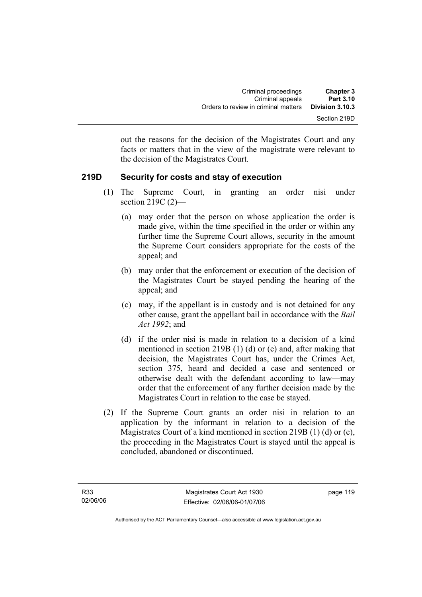out the reasons for the decision of the Magistrates Court and any facts or matters that in the view of the magistrate were relevant to the decision of the Magistrates Court.

### **219D Security for costs and stay of execution**

- (1) The Supreme Court, in granting an order nisi under section 219C (2)—
	- (a) may order that the person on whose application the order is made give, within the time specified in the order or within any further time the Supreme Court allows, security in the amount the Supreme Court considers appropriate for the costs of the appeal; and
	- (b) may order that the enforcement or execution of the decision of the Magistrates Court be stayed pending the hearing of the appeal; and
	- (c) may, if the appellant is in custody and is not detained for any other cause, grant the appellant bail in accordance with the *Bail Act 1992*; and
	- (d) if the order nisi is made in relation to a decision of a kind mentioned in section 219B (1) (d) or (e) and, after making that decision, the Magistrates Court has, under the Crimes Act, section 375, heard and decided a case and sentenced or otherwise dealt with the defendant according to law—may order that the enforcement of any further decision made by the Magistrates Court in relation to the case be stayed.
- (2) If the Supreme Court grants an order nisi in relation to an application by the informant in relation to a decision of the Magistrates Court of a kind mentioned in section 219B (1) (d) or (e), the proceeding in the Magistrates Court is stayed until the appeal is concluded, abandoned or discontinued.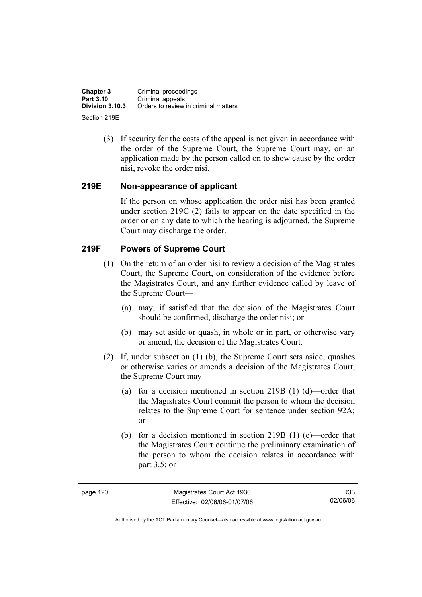**Chapter 3 Criminal proceedings**<br>**Part 3.10 Criminal appeals Part 3.10** Criminal appeals<br>**Division 3.10.3** Orders to review **Division 3.10.3** Orders to review in criminal matters Section 219E

> (3) If security for the costs of the appeal is not given in accordance with the order of the Supreme Court, the Supreme Court may, on an application made by the person called on to show cause by the order nisi, revoke the order nisi.

### **219E Non-appearance of applicant**

If the person on whose application the order nisi has been granted under section 219C (2) fails to appear on the date specified in the order or on any date to which the hearing is adjourned, the Supreme Court may discharge the order.

### **219F Powers of Supreme Court**

- (1) On the return of an order nisi to review a decision of the Magistrates Court, the Supreme Court, on consideration of the evidence before the Magistrates Court, and any further evidence called by leave of the Supreme Court—
	- (a) may, if satisfied that the decision of the Magistrates Court should be confirmed, discharge the order nisi; or
	- (b) may set aside or quash, in whole or in part, or otherwise vary or amend, the decision of the Magistrates Court.
- (2) If, under subsection (1) (b), the Supreme Court sets aside, quashes or otherwise varies or amends a decision of the Magistrates Court, the Supreme Court may—
	- (a) for a decision mentioned in section 219B (1) (d)—order that the Magistrates Court commit the person to whom the decision relates to the Supreme Court for sentence under section 92A; or
	- (b) for a decision mentioned in section 219B (1) (e)—order that the Magistrates Court continue the preliminary examination of the person to whom the decision relates in accordance with part 3.5; or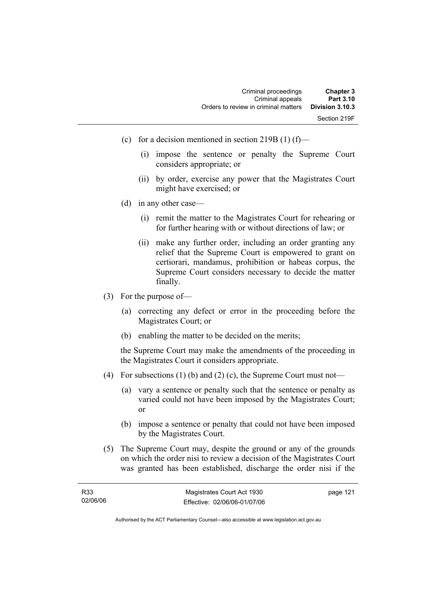| <b>Chapter 3</b> | Criminal proceedings                 |
|------------------|--------------------------------------|
| Part 3.10        | Criminal appeals                     |
| Division 3.10.3  | Orders to review in criminal matters |
| Section 219F     |                                      |

- (c) for a decision mentioned in section 219B (1) (f)—
	- (i) impose the sentence or penalty the Supreme Court considers appropriate; or
	- (ii) by order, exercise any power that the Magistrates Court might have exercised; or
- (d) in any other case—
	- (i) remit the matter to the Magistrates Court for rehearing or for further hearing with or without directions of law; or
	- (ii) make any further order, including an order granting any relief that the Supreme Court is empowered to grant on certiorari, mandamus, prohibition or habeas corpus, the Supreme Court considers necessary to decide the matter finally.
- (3) For the purpose of—
	- (a) correcting any defect or error in the proceeding before the Magistrates Court; or
	- (b) enabling the matter to be decided on the merits;

the Supreme Court may make the amendments of the proceeding in the Magistrates Court it considers appropriate.

- (4) For subsections (1) (b) and (2) (c), the Supreme Court must not—
	- (a) vary a sentence or penalty such that the sentence or penalty as varied could not have been imposed by the Magistrates Court; or
	- (b) impose a sentence or penalty that could not have been imposed by the Magistrates Court.
- (5) The Supreme Court may, despite the ground or any of the grounds on which the order nisi to review a decision of the Magistrates Court was granted has been established, discharge the order nisi if the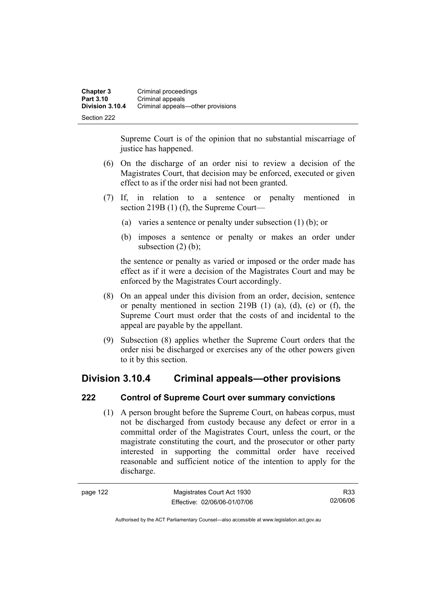| <b>Chapter 3</b> | Criminal proceedings              |
|------------------|-----------------------------------|
| Part 3.10        | Criminal appeals                  |
| Division 3.10.4  | Criminal appeals—other provisions |
| Section 222      |                                   |

Supreme Court is of the opinion that no substantial miscarriage of justice has happened.

- (6) On the discharge of an order nisi to review a decision of the Magistrates Court, that decision may be enforced, executed or given effect to as if the order nisi had not been granted.
- (7) If, in relation to a sentence or penalty mentioned in section 219B (1) (f), the Supreme Court—
	- (a) varies a sentence or penalty under subsection (1) (b); or
	- (b) imposes a sentence or penalty or makes an order under subsection  $(2)$  (b):

the sentence or penalty as varied or imposed or the order made has effect as if it were a decision of the Magistrates Court and may be enforced by the Magistrates Court accordingly.

- (8) On an appeal under this division from an order, decision, sentence or penalty mentioned in section 219B (1) (a), (d), (e) or (f), the Supreme Court must order that the costs of and incidental to the appeal are payable by the appellant.
- (9) Subsection (8) applies whether the Supreme Court orders that the order nisi be discharged or exercises any of the other powers given to it by this section.

## **Division 3.10.4 Criminal appeals—other provisions**

### **222 Control of Supreme Court over summary convictions**

 (1) A person brought before the Supreme Court, on habeas corpus, must not be discharged from custody because any defect or error in a committal order of the Magistrates Court, unless the court, or the magistrate constituting the court, and the prosecutor or other party interested in supporting the committal order have received reasonable and sufficient notice of the intention to apply for the discharge.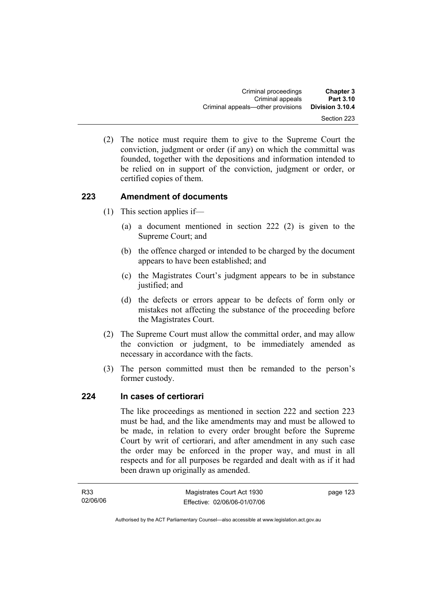(2) The notice must require them to give to the Supreme Court the conviction, judgment or order (if any) on which the committal was founded, together with the depositions and information intended to be relied on in support of the conviction, judgment or order, or certified copies of them.

### **223 Amendment of documents**

- (1) This section applies if—
	- (a) a document mentioned in section 222 (2) is given to the Supreme Court; and
	- (b) the offence charged or intended to be charged by the document appears to have been established; and
	- (c) the Magistrates Court's judgment appears to be in substance justified; and
	- (d) the defects or errors appear to be defects of form only or mistakes not affecting the substance of the proceeding before the Magistrates Court.
- (2) The Supreme Court must allow the committal order, and may allow the conviction or judgment, to be immediately amended as necessary in accordance with the facts.
- (3) The person committed must then be remanded to the person's former custody.

### **224 In cases of certiorari**

The like proceedings as mentioned in section 222 and section 223 must be had, and the like amendments may and must be allowed to be made, in relation to every order brought before the Supreme Court by writ of certiorari, and after amendment in any such case the order may be enforced in the proper way, and must in all respects and for all purposes be regarded and dealt with as if it had been drawn up originally as amended.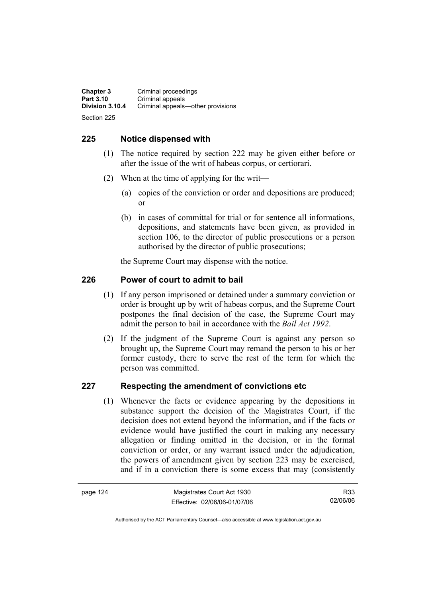**Chapter 3** Criminal proceedings<br> **Part 3.10** Criminal anneals **Part 3.10** Criminal appeals<br>**Division 3.10.4** Criminal appeals **Division 3.10.4** Criminal appeals—other provisions

Section 225

### **225 Notice dispensed with**

- (1) The notice required by section 222 may be given either before or after the issue of the writ of habeas corpus, or certiorari.
- (2) When at the time of applying for the writ—
	- (a) copies of the conviction or order and depositions are produced; or
	- (b) in cases of committal for trial or for sentence all informations, depositions, and statements have been given, as provided in section 106, to the director of public prosecutions or a person authorised by the director of public prosecutions;

the Supreme Court may dispense with the notice.

### **226 Power of court to admit to bail**

- (1) If any person imprisoned or detained under a summary conviction or order is brought up by writ of habeas corpus, and the Supreme Court postpones the final decision of the case, the Supreme Court may admit the person to bail in accordance with the *Bail Act 1992*.
- (2) If the judgment of the Supreme Court is against any person so brought up, the Supreme Court may remand the person to his or her former custody, there to serve the rest of the term for which the person was committed.

### **227 Respecting the amendment of convictions etc**

 (1) Whenever the facts or evidence appearing by the depositions in substance support the decision of the Magistrates Court, if the decision does not extend beyond the information, and if the facts or evidence would have justified the court in making any necessary allegation or finding omitted in the decision, or in the formal conviction or order, or any warrant issued under the adjudication, the powers of amendment given by section 223 may be exercised, and if in a conviction there is some excess that may (consistently

R33 02/06/06

Authorised by the ACT Parliamentary Counsel—also accessible at www.legislation.act.gov.au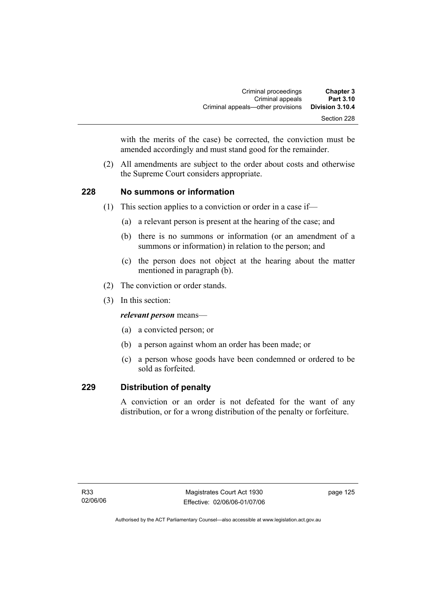with the merits of the case) be corrected, the conviction must be amended accordingly and must stand good for the remainder.

 (2) All amendments are subject to the order about costs and otherwise the Supreme Court considers appropriate.

### **228 No summons or information**

- (1) This section applies to a conviction or order in a case if—
	- (a) a relevant person is present at the hearing of the case; and
	- (b) there is no summons or information (or an amendment of a summons or information) in relation to the person; and
	- (c) the person does not object at the hearing about the matter mentioned in paragraph (b).
- (2) The conviction or order stands.
- (3) In this section:

*relevant person* means—

- (a) a convicted person; or
- (b) a person against whom an order has been made; or
- (c) a person whose goods have been condemned or ordered to be sold as forfeited.

### **229 Distribution of penalty**

A conviction or an order is not defeated for the want of any distribution, or for a wrong distribution of the penalty or forfeiture.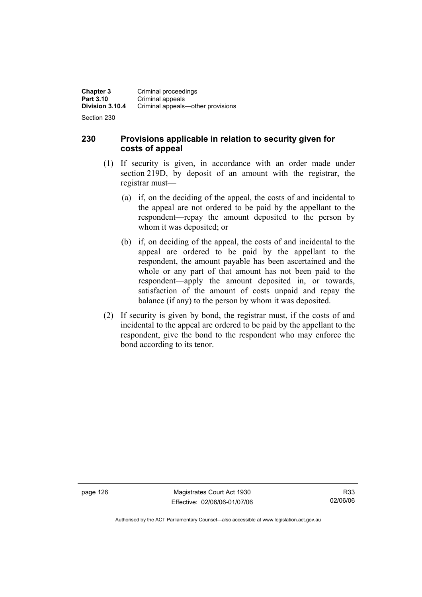Section 230

### **230 Provisions applicable in relation to security given for costs of appeal**

- (1) If security is given, in accordance with an order made under section 219D, by deposit of an amount with the registrar, the registrar must—
	- (a) if, on the deciding of the appeal, the costs of and incidental to the appeal are not ordered to be paid by the appellant to the respondent—repay the amount deposited to the person by whom it was deposited; or
	- (b) if, on deciding of the appeal, the costs of and incidental to the appeal are ordered to be paid by the appellant to the respondent, the amount payable has been ascertained and the whole or any part of that amount has not been paid to the respondent—apply the amount deposited in, or towards, satisfaction of the amount of costs unpaid and repay the balance (if any) to the person by whom it was deposited.
- (2) If security is given by bond, the registrar must, if the costs of and incidental to the appeal are ordered to be paid by the appellant to the respondent, give the bond to the respondent who may enforce the bond according to its tenor.

page 126 Magistrates Court Act 1930 Effective: 02/06/06-01/07/06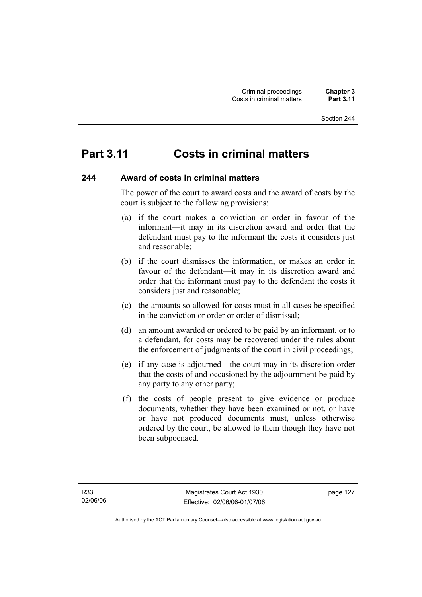#### Section 244

# **Part 3.11 Costs in criminal matters**

#### **244 Award of costs in criminal matters**

The power of the court to award costs and the award of costs by the court is subject to the following provisions:

- (a) if the court makes a conviction or order in favour of the informant—it may in its discretion award and order that the defendant must pay to the informant the costs it considers just and reasonable;
- (b) if the court dismisses the information, or makes an order in favour of the defendant—it may in its discretion award and order that the informant must pay to the defendant the costs it considers just and reasonable;
- (c) the amounts so allowed for costs must in all cases be specified in the conviction or order or order of dismissal;
- (d) an amount awarded or ordered to be paid by an informant, or to a defendant, for costs may be recovered under the rules about the enforcement of judgments of the court in civil proceedings;
- (e) if any case is adjourned—the court may in its discretion order that the costs of and occasioned by the adjournment be paid by any party to any other party;
- (f) the costs of people present to give evidence or produce documents, whether they have been examined or not, or have or have not produced documents must, unless otherwise ordered by the court, be allowed to them though they have not been subpoenaed.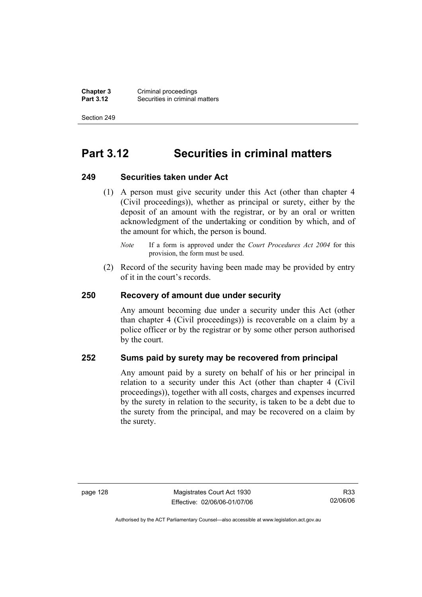**Chapter 3** Criminal proceedings<br>**Part 3.12** Securities in criminal **Securities in criminal matters** 

Section 249

# **Part 3.12 Securities in criminal matters**

#### **249 Securities taken under Act**

- (1) A person must give security under this Act (other than chapter 4 (Civil proceedings)), whether as principal or surety, either by the deposit of an amount with the registrar, or by an oral or written acknowledgment of the undertaking or condition by which, and of the amount for which, the person is bound.
	- *Note* If a form is approved under the *Court Procedures Act 2004* for this provision, the form must be used.
- (2) Record of the security having been made may be provided by entry of it in the court's records.

#### **250 Recovery of amount due under security**

Any amount becoming due under a security under this Act (other than chapter 4 (Civil proceedings)) is recoverable on a claim by a police officer or by the registrar or by some other person authorised by the court.

#### **252 Sums paid by surety may be recovered from principal**

Any amount paid by a surety on behalf of his or her principal in relation to a security under this Act (other than chapter 4 (Civil proceedings)), together with all costs, charges and expenses incurred by the surety in relation to the security, is taken to be a debt due to the surety from the principal, and may be recovered on a claim by the surety.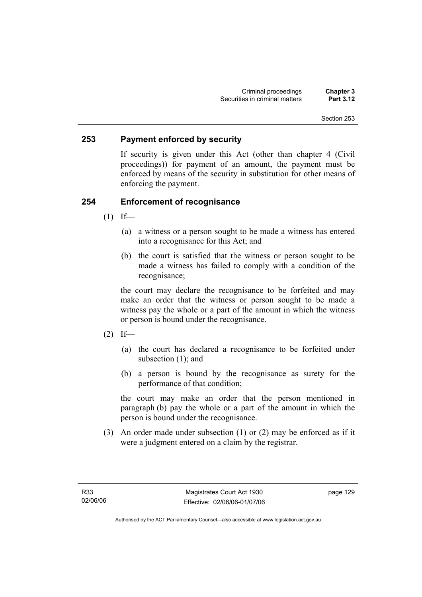## **253 Payment enforced by security**

If security is given under this Act (other than chapter 4 (Civil proceedings)) for payment of an amount, the payment must be enforced by means of the security in substitution for other means of enforcing the payment.

#### **254 Enforcement of recognisance**

- $(1)$  If—
	- (a) a witness or a person sought to be made a witness has entered into a recognisance for this Act; and
	- (b) the court is satisfied that the witness or person sought to be made a witness has failed to comply with a condition of the recognisance;

the court may declare the recognisance to be forfeited and may make an order that the witness or person sought to be made a witness pay the whole or a part of the amount in which the witness or person is bound under the recognisance.

- $(2)$  If—
	- (a) the court has declared a recognisance to be forfeited under subsection (1); and
	- (b) a person is bound by the recognisance as surety for the performance of that condition;

the court may make an order that the person mentioned in paragraph (b) pay the whole or a part of the amount in which the person is bound under the recognisance.

 (3) An order made under subsection (1) or (2) may be enforced as if it were a judgment entered on a claim by the registrar.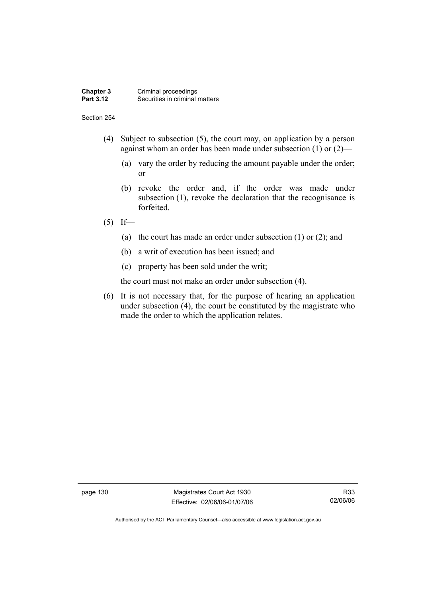#### **Chapter 3** Criminal proceedings<br>**Part 3.12** Securities in criminal **Securities in criminal matters**

#### Section 254

- (4) Subject to subsection (5), the court may, on application by a person against whom an order has been made under subsection (1) or (2)—
	- (a) vary the order by reducing the amount payable under the order; or
	- (b) revoke the order and, if the order was made under subsection (1), revoke the declaration that the recognisance is forfeited.

#### $(5)$  If—

- (a) the court has made an order under subsection (1) or (2); and
- (b) a writ of execution has been issued; and
- (c) property has been sold under the writ;

the court must not make an order under subsection (4).

 (6) It is not necessary that, for the purpose of hearing an application under subsection (4), the court be constituted by the magistrate who made the order to which the application relates.

page 130 Magistrates Court Act 1930 Effective: 02/06/06-01/07/06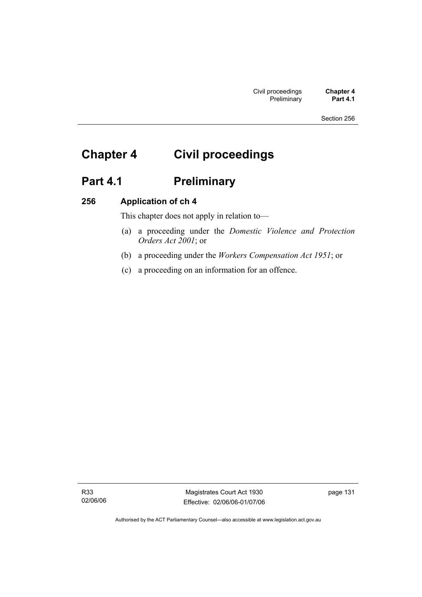# **Chapter 4 Civil proceedings**

# Part 4.1 **Preliminary**

## **256 Application of ch 4**

This chapter does not apply in relation to—

- (a) a proceeding under the *Domestic Violence and Protection Orders Act 2001*; or
- (b) a proceeding under the *Workers Compensation Act 1951*; or
- (c) a proceeding on an information for an offence.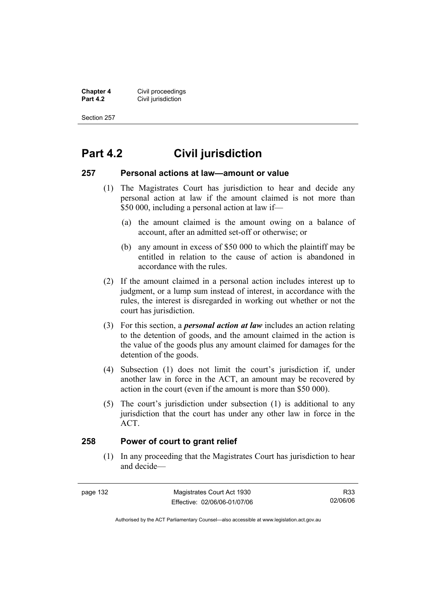**Chapter 4 Civil proceedings**<br>**Part 4.2 Civil jurisdiction Civil jurisdiction** 

Section 257

# **Part 4.2 Civil jurisdiction**

#### **257 Personal actions at law—amount or value**

- (1) The Magistrates Court has jurisdiction to hear and decide any personal action at law if the amount claimed is not more than \$50 000, including a personal action at law if—
	- (a) the amount claimed is the amount owing on a balance of account, after an admitted set-off or otherwise; or
	- (b) any amount in excess of \$50 000 to which the plaintiff may be entitled in relation to the cause of action is abandoned in accordance with the rules.
- (2) If the amount claimed in a personal action includes interest up to judgment, or a lump sum instead of interest, in accordance with the rules, the interest is disregarded in working out whether or not the court has jurisdiction.
- (3) For this section, a *personal action at law* includes an action relating to the detention of goods, and the amount claimed in the action is the value of the goods plus any amount claimed for damages for the detention of the goods.
- (4) Subsection (1) does not limit the court's jurisdiction if, under another law in force in the ACT, an amount may be recovered by action in the court (even if the amount is more than \$50 000).
- (5) The court's jurisdiction under subsection (1) is additional to any jurisdiction that the court has under any other law in force in the ACT.

#### **258 Power of court to grant relief**

 (1) In any proceeding that the Magistrates Court has jurisdiction to hear and decide—

page 132 Magistrates Court Act 1930 Effective: 02/06/06-01/07/06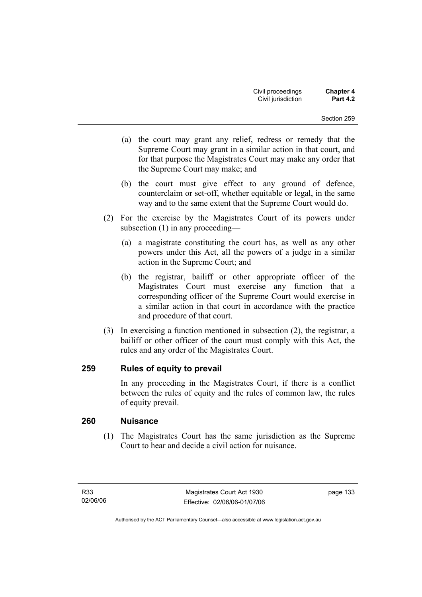- (a) the court may grant any relief, redress or remedy that the Supreme Court may grant in a similar action in that court, and for that purpose the Magistrates Court may make any order that the Supreme Court may make; and
- (b) the court must give effect to any ground of defence, counterclaim or set-off, whether equitable or legal, in the same way and to the same extent that the Supreme Court would do.
- (2) For the exercise by the Magistrates Court of its powers under subsection (1) in any proceeding—
	- (a) a magistrate constituting the court has, as well as any other powers under this Act, all the powers of a judge in a similar action in the Supreme Court; and
	- (b) the registrar, bailiff or other appropriate officer of the Magistrates Court must exercise any function that a corresponding officer of the Supreme Court would exercise in a similar action in that court in accordance with the practice and procedure of that court.
- (3) In exercising a function mentioned in subsection (2), the registrar, a bailiff or other officer of the court must comply with this Act, the rules and any order of the Magistrates Court.

## **259 Rules of equity to prevail**

In any proceeding in the Magistrates Court, if there is a conflict between the rules of equity and the rules of common law, the rules of equity prevail.

## **260 Nuisance**

 (1) The Magistrates Court has the same jurisdiction as the Supreme Court to hear and decide a civil action for nuisance.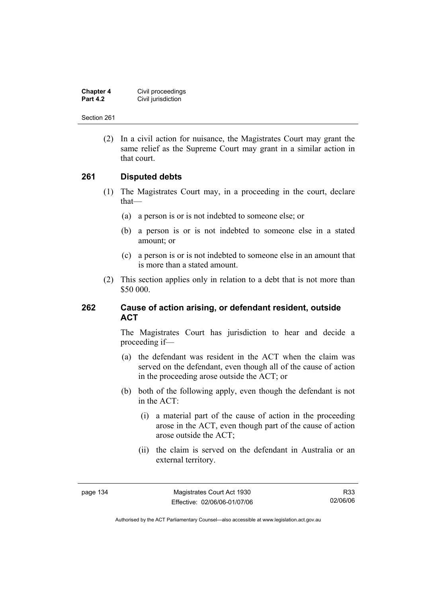| <b>Chapter 4</b> | Civil proceedings  |
|------------------|--------------------|
| <b>Part 4.2</b>  | Civil jurisdiction |

 (2) In a civil action for nuisance, the Magistrates Court may grant the same relief as the Supreme Court may grant in a similar action in that court.

#### **261 Disputed debts**

- (1) The Magistrates Court may, in a proceeding in the court, declare that—
	- (a) a person is or is not indebted to someone else; or
	- (b) a person is or is not indebted to someone else in a stated amount; or
	- (c) a person is or is not indebted to someone else in an amount that is more than a stated amount.
- (2) This section applies only in relation to a debt that is not more than \$50 000.

#### **262 Cause of action arising, or defendant resident, outside ACT**

The Magistrates Court has jurisdiction to hear and decide a proceeding if—

- (a) the defendant was resident in the ACT when the claim was served on the defendant, even though all of the cause of action in the proceeding arose outside the ACT; or
- (b) both of the following apply, even though the defendant is not in the ACT:
	- (i) a material part of the cause of action in the proceeding arose in the ACT, even though part of the cause of action arose outside the ACT;
	- (ii) the claim is served on the defendant in Australia or an external territory.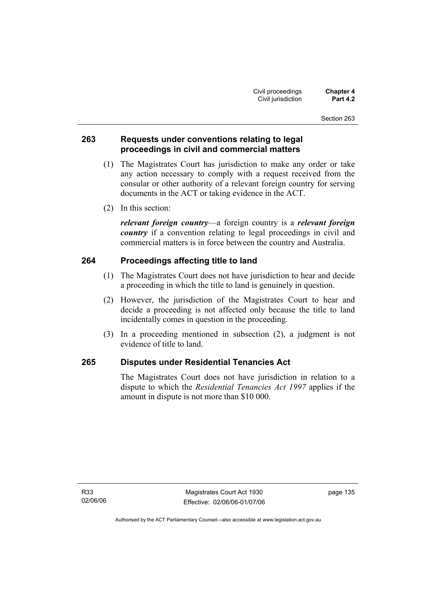## **263 Requests under conventions relating to legal proceedings in civil and commercial matters**

- (1) The Magistrates Court has jurisdiction to make any order or take any action necessary to comply with a request received from the consular or other authority of a relevant foreign country for serving documents in the ACT or taking evidence in the ACT.
- (2) In this section:

*relevant foreign country*—a foreign country is a *relevant foreign country* if a convention relating to legal proceedings in civil and commercial matters is in force between the country and Australia.

## **264 Proceedings affecting title to land**

- (1) The Magistrates Court does not have jurisdiction to hear and decide a proceeding in which the title to land is genuinely in question.
- (2) However, the jurisdiction of the Magistrates Court to hear and decide a proceeding is not affected only because the title to land incidentally comes in question in the proceeding.
- (3) In a proceeding mentioned in subsection (2), a judgment is not evidence of title to land.

## **265 Disputes under Residential Tenancies Act**

The Magistrates Court does not have jurisdiction in relation to a dispute to which the *Residential Tenancies Act 1997* applies if the amount in dispute is not more than \$10 000.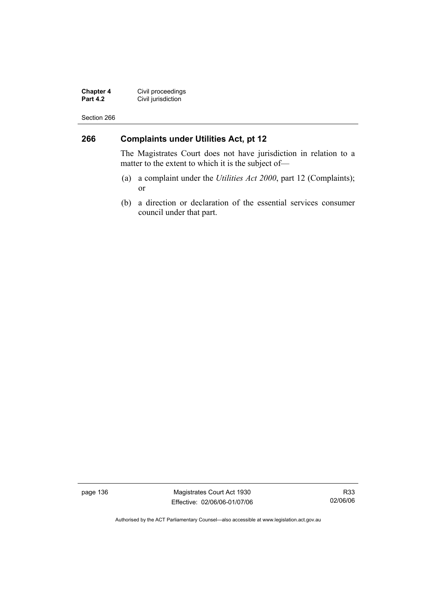**Chapter 4** Civil proceedings **Part 4.2 Civil jurisdiction** 

Section 266

## **266 Complaints under Utilities Act, pt 12**

The Magistrates Court does not have jurisdiction in relation to a matter to the extent to which it is the subject of—

- (a) a complaint under the *Utilities Act 2000*, part 12 (Complaints); or
- (b) a direction or declaration of the essential services consumer council under that part.

page 136 Magistrates Court Act 1930 Effective: 02/06/06-01/07/06

R33 02/06/06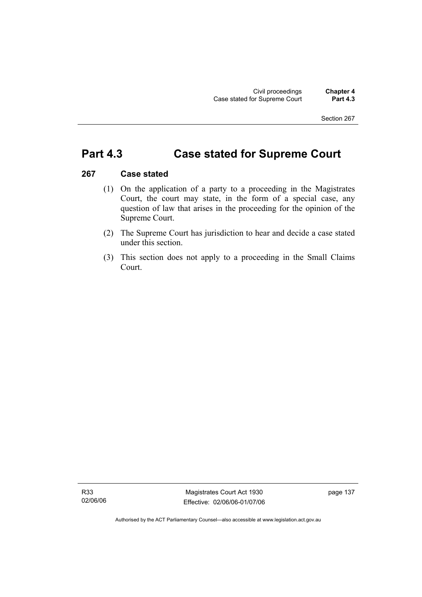# **Part 4.3 Case stated for Supreme Court**

#### **267 Case stated**

- (1) On the application of a party to a proceeding in the Magistrates Court, the court may state, in the form of a special case, any question of law that arises in the proceeding for the opinion of the Supreme Court.
- (2) The Supreme Court has jurisdiction to hear and decide a case stated under this section.
- (3) This section does not apply to a proceeding in the Small Claims Court.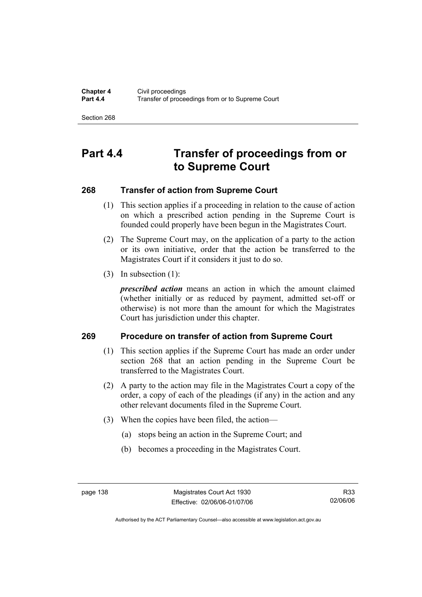# **Part 4.4 Transfer of proceedings from or to Supreme Court**

## **268 Transfer of action from Supreme Court**

- (1) This section applies if a proceeding in relation to the cause of action on which a prescribed action pending in the Supreme Court is founded could properly have been begun in the Magistrates Court.
- (2) The Supreme Court may, on the application of a party to the action or its own initiative, order that the action be transferred to the Magistrates Court if it considers it just to do so.
- (3) In subsection (1):

*prescribed action* means an action in which the amount claimed (whether initially or as reduced by payment, admitted set-off or otherwise) is not more than the amount for which the Magistrates Court has jurisdiction under this chapter.

## **269 Procedure on transfer of action from Supreme Court**

- (1) This section applies if the Supreme Court has made an order under section 268 that an action pending in the Supreme Court be transferred to the Magistrates Court.
- (2) A party to the action may file in the Magistrates Court a copy of the order, a copy of each of the pleadings (if any) in the action and any other relevant documents filed in the Supreme Court.
- (3) When the copies have been filed, the action—
	- (a) stops being an action in the Supreme Court; and
	- (b) becomes a proceeding in the Magistrates Court.

Authorised by the ACT Parliamentary Counsel—also accessible at www.legislation.act.gov.au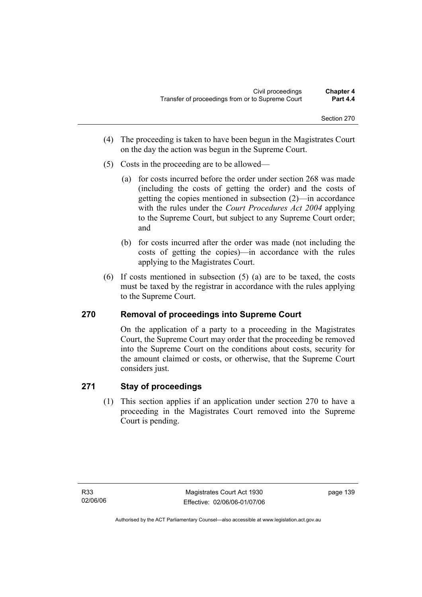- (4) The proceeding is taken to have been begun in the Magistrates Court on the day the action was begun in the Supreme Court.
- (5) Costs in the proceeding are to be allowed—
	- (a) for costs incurred before the order under section 268 was made (including the costs of getting the order) and the costs of getting the copies mentioned in subsection (2)—in accordance with the rules under the *Court Procedures Act 2004* applying to the Supreme Court, but subject to any Supreme Court order; and
	- (b) for costs incurred after the order was made (not including the costs of getting the copies)—in accordance with the rules applying to the Magistrates Court.
- (6) If costs mentioned in subsection (5) (a) are to be taxed, the costs must be taxed by the registrar in accordance with the rules applying to the Supreme Court.

## **270 Removal of proceedings into Supreme Court**

On the application of a party to a proceeding in the Magistrates Court, the Supreme Court may order that the proceeding be removed into the Supreme Court on the conditions about costs, security for the amount claimed or costs, or otherwise, that the Supreme Court considers just.

## **271 Stay of proceedings**

 (1) This section applies if an application under section 270 to have a proceeding in the Magistrates Court removed into the Supreme Court is pending.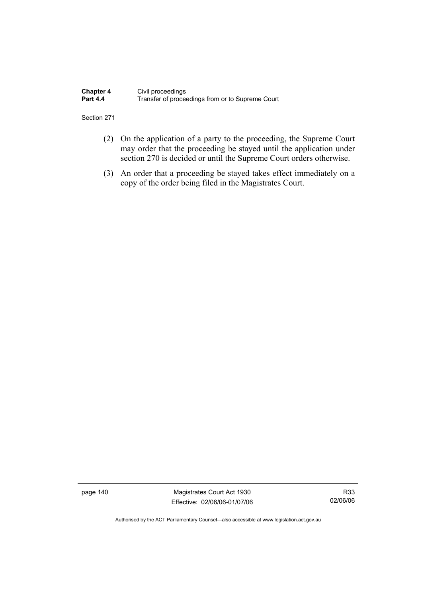| <b>Chapter 4</b> | Civil proceedings                                |
|------------------|--------------------------------------------------|
| <b>Part 4.4</b>  | Transfer of proceedings from or to Supreme Court |

- (2) On the application of a party to the proceeding, the Supreme Court may order that the proceeding be stayed until the application under section 270 is decided or until the Supreme Court orders otherwise.
- (3) An order that a proceeding be stayed takes effect immediately on a copy of the order being filed in the Magistrates Court.

page 140 Magistrates Court Act 1930 Effective: 02/06/06-01/07/06

R33 02/06/06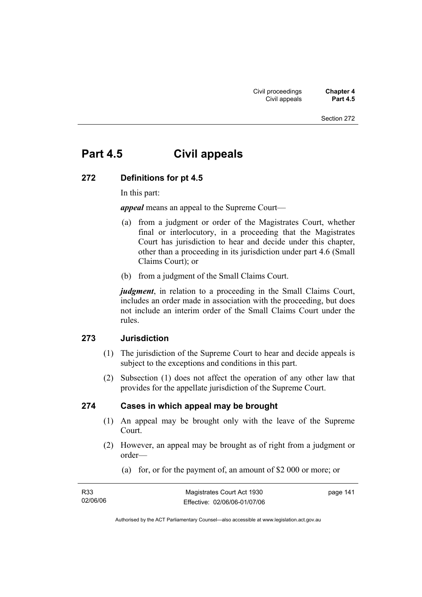# **Part 4.5 Civil appeals**

#### **272 Definitions for pt 4.5**

In this part:

*appeal* means an appeal to the Supreme Court—

- (a) from a judgment or order of the Magistrates Court, whether final or interlocutory, in a proceeding that the Magistrates Court has jurisdiction to hear and decide under this chapter, other than a proceeding in its jurisdiction under part 4.6 (Small Claims Court); or
- (b) from a judgment of the Small Claims Court.

*judgment*, in relation to a proceeding in the Small Claims Court, includes an order made in association with the proceeding, but does not include an interim order of the Small Claims Court under the rules.

#### **273 Jurisdiction**

- (1) The jurisdiction of the Supreme Court to hear and decide appeals is subject to the exceptions and conditions in this part.
- (2) Subsection (1) does not affect the operation of any other law that provides for the appellate jurisdiction of the Supreme Court.

#### **274 Cases in which appeal may be brought**

- (1) An appeal may be brought only with the leave of the Supreme Court.
- (2) However, an appeal may be brought as of right from a judgment or order—
	- (a) for, or for the payment of, an amount of \$2 000 or more; or

| R <sub>33</sub> | Magistrates Court Act 1930   | page 141 |
|-----------------|------------------------------|----------|
| 02/06/06        | Effective: 02/06/06-01/07/06 |          |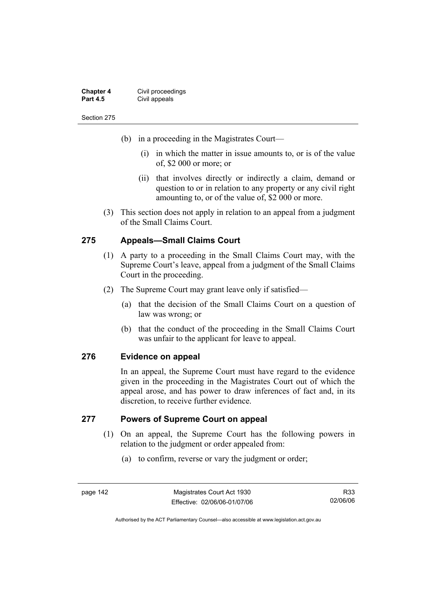| <b>Chapter 4</b> | Civil proceedings |
|------------------|-------------------|
| <b>Part 4.5</b>  | Civil appeals     |

- (b) in a proceeding in the Magistrates Court—
	- (i) in which the matter in issue amounts to, or is of the value of, \$2 000 or more; or
	- (ii) that involves directly or indirectly a claim, demand or question to or in relation to any property or any civil right amounting to, or of the value of, \$2 000 or more.
- (3) This section does not apply in relation to an appeal from a judgment of the Small Claims Court.

#### **275 Appeals—Small Claims Court**

- (1) A party to a proceeding in the Small Claims Court may, with the Supreme Court's leave, appeal from a judgment of the Small Claims Court in the proceeding.
- (2) The Supreme Court may grant leave only if satisfied—
	- (a) that the decision of the Small Claims Court on a question of law was wrong; or
	- (b) that the conduct of the proceeding in the Small Claims Court was unfair to the applicant for leave to appeal.

#### **276 Evidence on appeal**

In an appeal, the Supreme Court must have regard to the evidence given in the proceeding in the Magistrates Court out of which the appeal arose, and has power to draw inferences of fact and, in its discretion, to receive further evidence.

#### **277 Powers of Supreme Court on appeal**

- (1) On an appeal, the Supreme Court has the following powers in relation to the judgment or order appealed from:
	- (a) to confirm, reverse or vary the judgment or order;

page 142 Magistrates Court Act 1930 Effective: 02/06/06-01/07/06

R33 02/06/06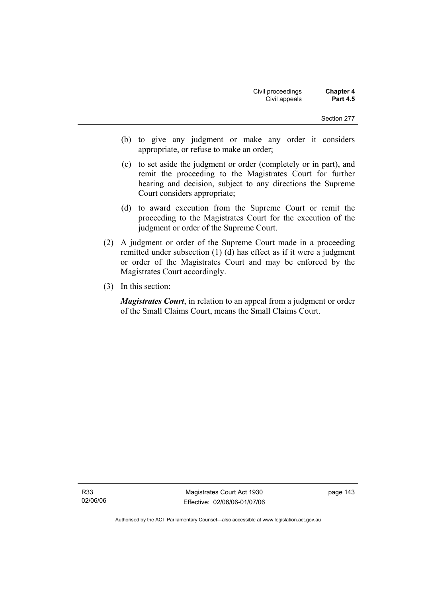- (b) to give any judgment or make any order it considers appropriate, or refuse to make an order;
- (c) to set aside the judgment or order (completely or in part), and remit the proceeding to the Magistrates Court for further hearing and decision, subject to any directions the Supreme Court considers appropriate;
- (d) to award execution from the Supreme Court or remit the proceeding to the Magistrates Court for the execution of the judgment or order of the Supreme Court.
- (2) A judgment or order of the Supreme Court made in a proceeding remitted under subsection (1) (d) has effect as if it were a judgment or order of the Magistrates Court and may be enforced by the Magistrates Court accordingly.
- (3) In this section:

*Magistrates Court*, in relation to an appeal from a judgment or order of the Small Claims Court, means the Small Claims Court.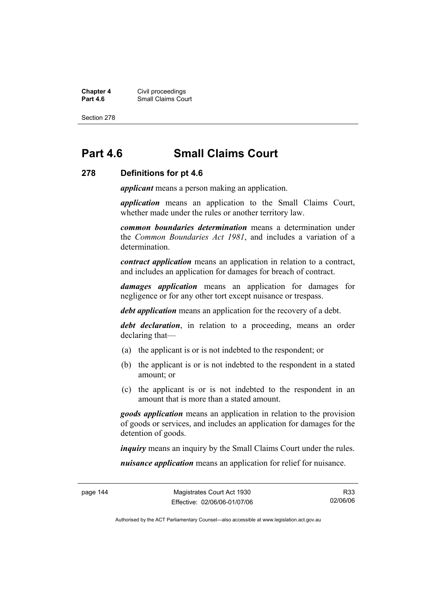**Chapter 4 Civil proceedings**<br>**Part 4.6 Consult Small Claims Cou Part 4.6 Part 4.6 Part 4.6 Part 4.6 Part 4.6 Part 4.6 Part 4.6 Part 4.6 Part 4.6 Part 4.6 Part 4.6 Part 4.6 Part 4.6 Part 4.6 Part 4.6 Part 4.6 Part 4.6 Part 4.6 Part 4.6 Part 4.6 Part 4.6 Part 4.6 Part 4.6 Part 4.6 Part** 

Section 278

# **Part 4.6 Small Claims Court**

#### **278 Definitions for pt 4.6**

*applicant* means a person making an application.

*application* means an application to the Small Claims Court, whether made under the rules or another territory law.

*common boundaries determination* means a determination under the *Common Boundaries Act 1981*, and includes a variation of a determination.

*contract application* means an application in relation to a contract, and includes an application for damages for breach of contract.

*damages application* means an application for damages for negligence or for any other tort except nuisance or trespass.

*debt application* means an application for the recovery of a debt.

*debt declaration*, in relation to a proceeding, means an order declaring that—

- (a) the applicant is or is not indebted to the respondent; or
- (b) the applicant is or is not indebted to the respondent in a stated amount; or
- (c) the applicant is or is not indebted to the respondent in an amount that is more than a stated amount.

*goods application* means an application in relation to the provision of goods or services, and includes an application for damages for the detention of goods.

*inquiry* means an inquiry by the Small Claims Court under the rules.

*nuisance application* means an application for relief for nuisance.

R33 02/06/06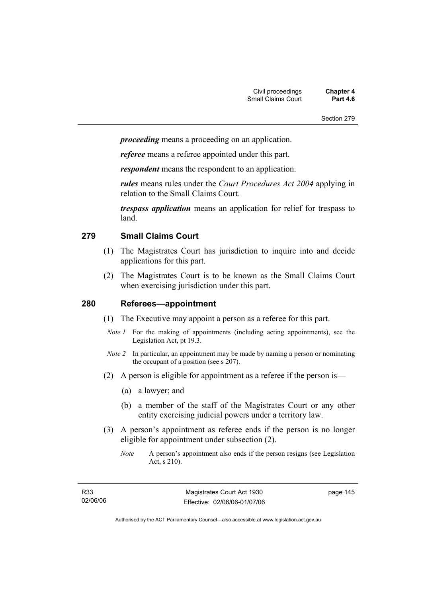*proceeding* means a proceeding on an application.

*referee* means a referee appointed under this part.

*respondent* means the respondent to an application.

*rules* means rules under the *Court Procedures Act 2004* applying in relation to the Small Claims Court.

*trespass application* means an application for relief for trespass to land.

#### **279 Small Claims Court**

- (1) The Magistrates Court has jurisdiction to inquire into and decide applications for this part.
- (2) The Magistrates Court is to be known as the Small Claims Court when exercising jurisdiction under this part.

#### **280 Referees—appointment**

- (1) The Executive may appoint a person as a referee for this part.
- *Note 1* For the making of appointments (including acting appointments), see the Legislation Act, pt 19.3.
- *Note 2* In particular, an appointment may be made by naming a person or nominating the occupant of a position (see s 207).
- (2) A person is eligible for appointment as a referee if the person is—
	- (a) a lawyer; and
	- (b) a member of the staff of the Magistrates Court or any other entity exercising judicial powers under a territory law.
- (3) A person's appointment as referee ends if the person is no longer eligible for appointment under subsection (2).
	- *Note* A person's appointment also ends if the person resigns (see Legislation Act, s 210).

page 145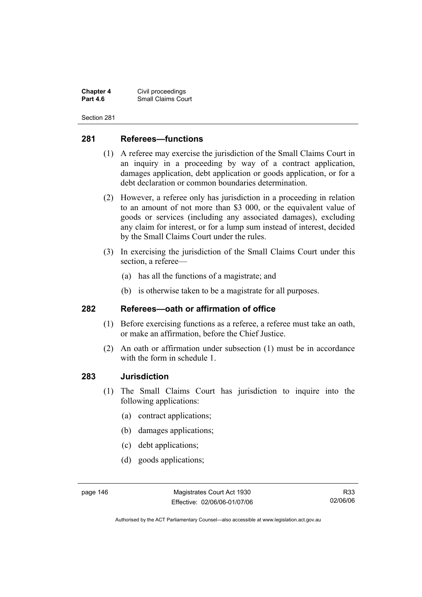**Chapter 4 Civil proceedings**<br>**Part 4.6 Consult Small Claims Cou Small Claims Court** 

Section 281

## **281 Referees—functions**

- (1) A referee may exercise the jurisdiction of the Small Claims Court in an inquiry in a proceeding by way of a contract application, damages application, debt application or goods application, or for a debt declaration or common boundaries determination.
- (2) However, a referee only has jurisdiction in a proceeding in relation to an amount of not more than \$3 000, or the equivalent value of goods or services (including any associated damages), excluding any claim for interest, or for a lump sum instead of interest, decided by the Small Claims Court under the rules.
- (3) In exercising the jurisdiction of the Small Claims Court under this section, a referee—
	- (a) has all the functions of a magistrate; and
	- (b) is otherwise taken to be a magistrate for all purposes.

#### **282 Referees—oath or affirmation of office**

- (1) Before exercising functions as a referee, a referee must take an oath, or make an affirmation, before the Chief Justice.
- (2) An oath or affirmation under subsection (1) must be in accordance with the form in schedule 1.

#### **283 Jurisdiction**

- (1) The Small Claims Court has jurisdiction to inquire into the following applications:
	- (a) contract applications;
	- (b) damages applications;
	- (c) debt applications;
	- (d) goods applications;

Authorised by the ACT Parliamentary Counsel—also accessible at www.legislation.act.gov.au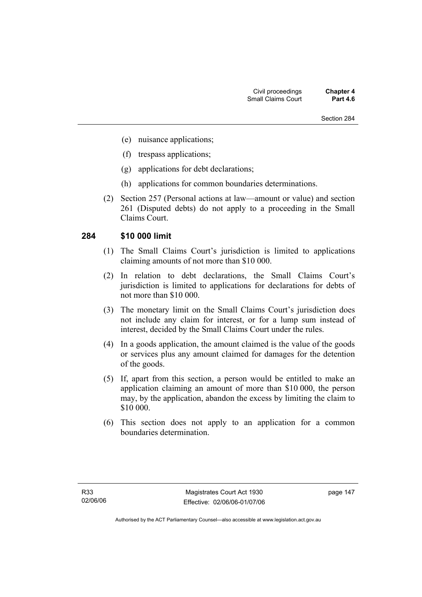- (e) nuisance applications;
- (f) trespass applications;
- (g) applications for debt declarations;
- (h) applications for common boundaries determinations.
- (2) Section 257 (Personal actions at law—amount or value) and section 261 (Disputed debts) do not apply to a proceeding in the Small Claims Court.

#### **284 \$10 000 limit**

- (1) The Small Claims Court's jurisdiction is limited to applications claiming amounts of not more than \$10 000.
- (2) In relation to debt declarations, the Small Claims Court's jurisdiction is limited to applications for declarations for debts of not more than \$10 000.
- (3) The monetary limit on the Small Claims Court's jurisdiction does not include any claim for interest, or for a lump sum instead of interest, decided by the Small Claims Court under the rules.
- (4) In a goods application, the amount claimed is the value of the goods or services plus any amount claimed for damages for the detention of the goods.
- (5) If, apart from this section, a person would be entitled to make an application claiming an amount of more than \$10 000, the person may, by the application, abandon the excess by limiting the claim to \$10 000.
- (6) This section does not apply to an application for a common boundaries determination.

page 147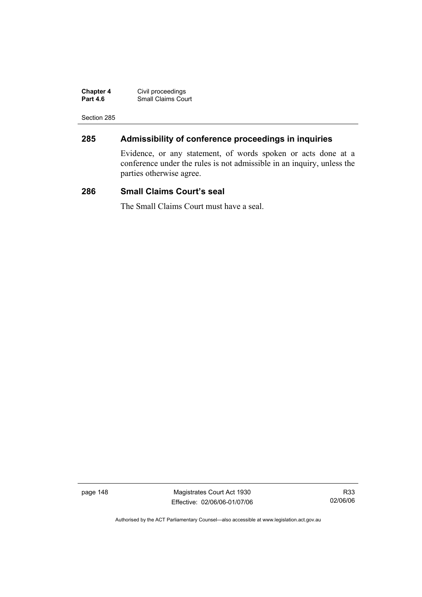| <b>Chapter 4</b> | Civil proceedings         |
|------------------|---------------------------|
| <b>Part 4.6</b>  | <b>Small Claims Court</b> |

# **285 Admissibility of conference proceedings in inquiries**

Evidence, or any statement, of words spoken or acts done at a conference under the rules is not admissible in an inquiry, unless the parties otherwise agree.

#### **286 Small Claims Court's seal**

The Small Claims Court must have a seal.

page 148 Magistrates Court Act 1930 Effective: 02/06/06-01/07/06

R33 02/06/06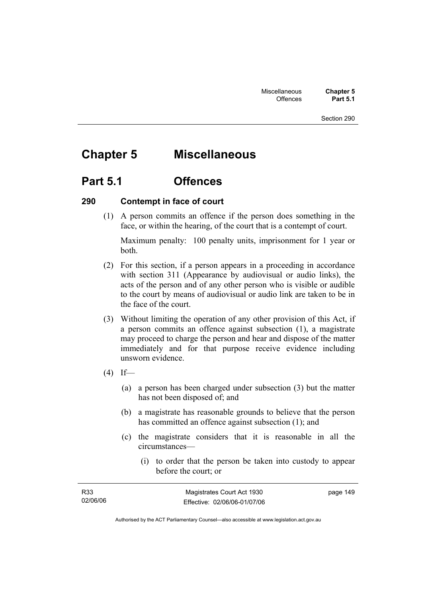# **Chapter 5 Miscellaneous**

# **Part 5.1 Offences**

#### **290 Contempt in face of court**

 (1) A person commits an offence if the person does something in the face, or within the hearing, of the court that is a contempt of court.

Maximum penalty: 100 penalty units, imprisonment for 1 year or both.

- (2) For this section, if a person appears in a proceeding in accordance with section 311 (Appearance by audiovisual or audio links), the acts of the person and of any other person who is visible or audible to the court by means of audiovisual or audio link are taken to be in the face of the court.
- (3) Without limiting the operation of any other provision of this Act, if a person commits an offence against subsection (1), a magistrate may proceed to charge the person and hear and dispose of the matter immediately and for that purpose receive evidence including unsworn evidence.
- $(4)$  If—
	- (a) a person has been charged under subsection (3) but the matter has not been disposed of; and
	- (b) a magistrate has reasonable grounds to believe that the person has committed an offence against subsection (1); and
	- (c) the magistrate considers that it is reasonable in all the circumstances—
		- (i) to order that the person be taken into custody to appear before the court; or

| R33      | Magistrates Court Act 1930   | page 149 |
|----------|------------------------------|----------|
| 02/06/06 | Effective: 02/06/06-01/07/06 |          |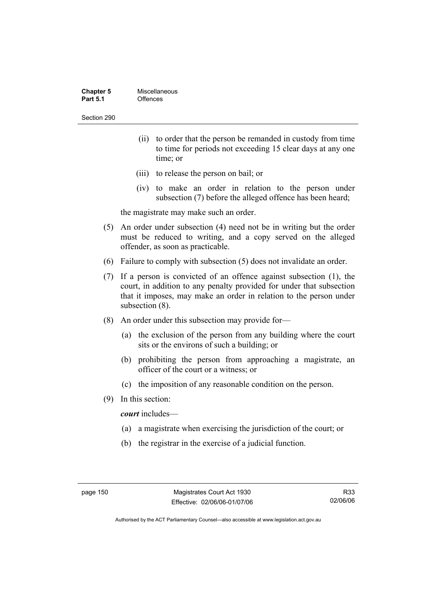| <b>Chapter 5</b> | Miscellaneous |
|------------------|---------------|
| <b>Part 5.1</b>  | Offences      |

- (ii) to order that the person be remanded in custody from time to time for periods not exceeding 15 clear days at any one time; or
- (iii) to release the person on bail; or
- (iv) to make an order in relation to the person under subsection (7) before the alleged offence has been heard;

the magistrate may make such an order.

- (5) An order under subsection (4) need not be in writing but the order must be reduced to writing, and a copy served on the alleged offender, as soon as practicable.
- (6) Failure to comply with subsection (5) does not invalidate an order.
- (7) If a person is convicted of an offence against subsection (1), the court, in addition to any penalty provided for under that subsection that it imposes, may make an order in relation to the person under subsection (8).
- (8) An order under this subsection may provide for—
	- (a) the exclusion of the person from any building where the court sits or the environs of such a building; or
	- (b) prohibiting the person from approaching a magistrate, an officer of the court or a witness; or
	- (c) the imposition of any reasonable condition on the person.
- (9) In this section:

*court* includes—

- (a) a magistrate when exercising the jurisdiction of the court; or
- (b) the registrar in the exercise of a judicial function.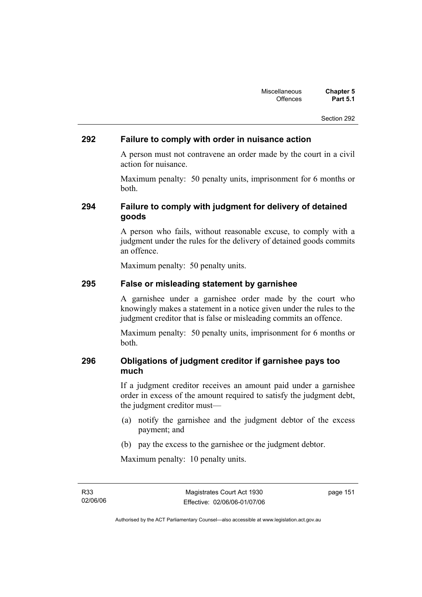#### **292 Failure to comply with order in nuisance action**

A person must not contravene an order made by the court in a civil action for nuisance.

Maximum penalty: 50 penalty units, imprisonment for 6 months or both.

## **294 Failure to comply with judgment for delivery of detained goods**

A person who fails, without reasonable excuse, to comply with a judgment under the rules for the delivery of detained goods commits an offence.

Maximum penalty: 50 penalty units.

#### **295 False or misleading statement by garnishee**

A garnishee under a garnishee order made by the court who knowingly makes a statement in a notice given under the rules to the judgment creditor that is false or misleading commits an offence.

Maximum penalty: 50 penalty units, imprisonment for 6 months or both.

## **296 Obligations of judgment creditor if garnishee pays too much**

If a judgment creditor receives an amount paid under a garnishee order in excess of the amount required to satisfy the judgment debt, the judgment creditor must—

- (a) notify the garnishee and the judgment debtor of the excess payment; and
- (b) pay the excess to the garnishee or the judgment debtor.

Maximum penalty: 10 penalty units.

R33 02/06/06 page 151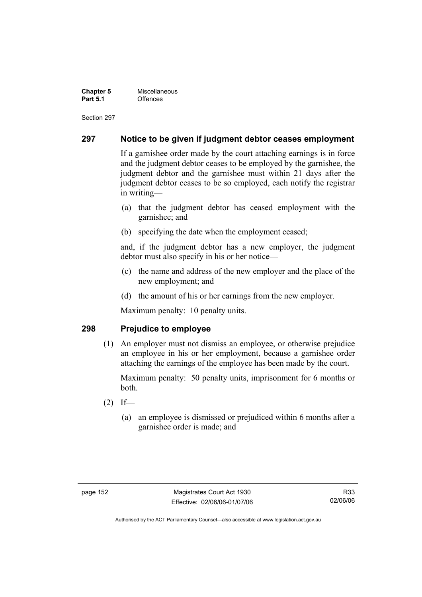#### **Chapter 5 Miscellaneous**<br>**Part 5.1** Offences **Part 5.1** Offences

Section 297

#### **297 Notice to be given if judgment debtor ceases employment**

If a garnishee order made by the court attaching earnings is in force and the judgment debtor ceases to be employed by the garnishee, the judgment debtor and the garnishee must within 21 days after the judgment debtor ceases to be so employed, each notify the registrar in writing—

- (a) that the judgment debtor has ceased employment with the garnishee; and
- (b) specifying the date when the employment ceased;

and, if the judgment debtor has a new employer, the judgment debtor must also specify in his or her notice—

- (c) the name and address of the new employer and the place of the new employment; and
- (d) the amount of his or her earnings from the new employer.

Maximum penalty: 10 penalty units.

#### **298 Prejudice to employee**

 (1) An employer must not dismiss an employee, or otherwise prejudice an employee in his or her employment, because a garnishee order attaching the earnings of the employee has been made by the court.

Maximum penalty: 50 penalty units, imprisonment for 6 months or both.

- $(2)$  If—
	- (a) an employee is dismissed or prejudiced within 6 months after a garnishee order is made; and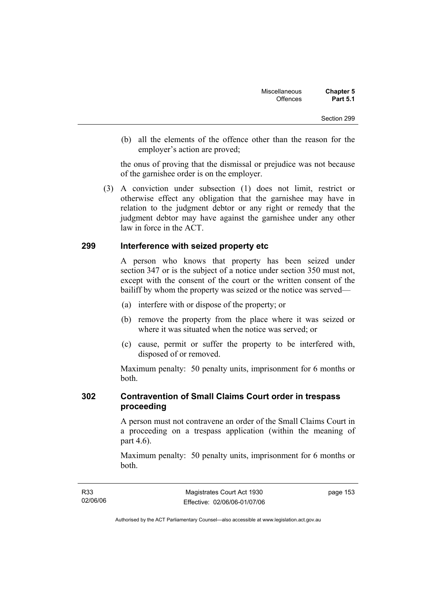(b) all the elements of the offence other than the reason for the employer's action are proved;

the onus of proving that the dismissal or prejudice was not because of the garnishee order is on the employer.

 (3) A conviction under subsection (1) does not limit, restrict or otherwise effect any obligation that the garnishee may have in relation to the judgment debtor or any right or remedy that the judgment debtor may have against the garnishee under any other law in force in the ACT.

#### **299 Interference with seized property etc**

A person who knows that property has been seized under section 347 or is the subject of a notice under section 350 must not, except with the consent of the court or the written consent of the bailiff by whom the property was seized or the notice was served—

- (a) interfere with or dispose of the property; or
- (b) remove the property from the place where it was seized or where it was situated when the notice was served; or
- (c) cause, permit or suffer the property to be interfered with, disposed of or removed.

Maximum penalty: 50 penalty units, imprisonment for 6 months or both.

#### **302 Contravention of Small Claims Court order in trespass proceeding**

A person must not contravene an order of the Small Claims Court in a proceeding on a trespass application (within the meaning of part 4.6).

Maximum penalty: 50 penalty units, imprisonment for 6 months or both.

page 153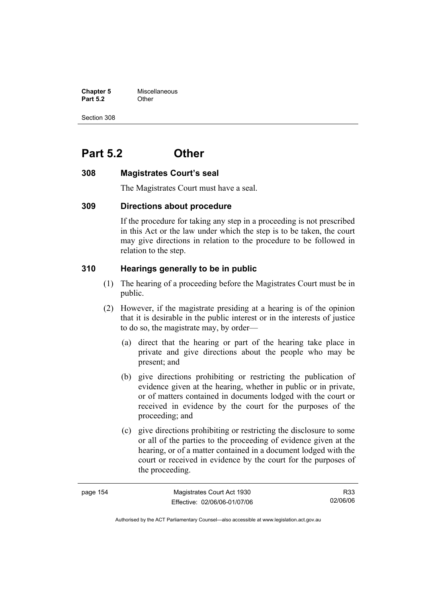**Chapter 5** Miscellaneous **Part 5.2** Other

Section 308

# **Part 5.2 Other**

#### **308 Magistrates Court's seal**

The Magistrates Court must have a seal.

#### **309 Directions about procedure**

If the procedure for taking any step in a proceeding is not prescribed in this Act or the law under which the step is to be taken, the court may give directions in relation to the procedure to be followed in relation to the step.

#### **310 Hearings generally to be in public**

- (1) The hearing of a proceeding before the Magistrates Court must be in public.
- (2) However, if the magistrate presiding at a hearing is of the opinion that it is desirable in the public interest or in the interests of justice to do so, the magistrate may, by order—
	- (a) direct that the hearing or part of the hearing take place in private and give directions about the people who may be present; and
	- (b) give directions prohibiting or restricting the publication of evidence given at the hearing, whether in public or in private, or of matters contained in documents lodged with the court or received in evidence by the court for the purposes of the proceeding; and
	- (c) give directions prohibiting or restricting the disclosure to some or all of the parties to the proceeding of evidence given at the hearing, or of a matter contained in a document lodged with the court or received in evidence by the court for the purposes of the proceeding.

| page 154 | Magistrates Court Act 1930   | R33      |
|----------|------------------------------|----------|
|          | Effective: 02/06/06-01/07/06 | 02/06/06 |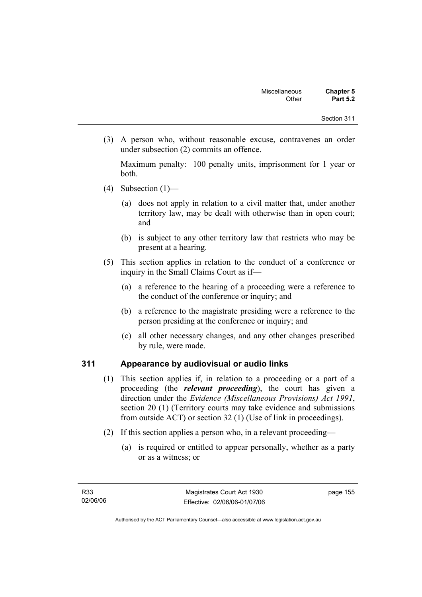(3) A person who, without reasonable excuse, contravenes an order under subsection (2) commits an offence.

Maximum penalty: 100 penalty units, imprisonment for 1 year or both.

- (4) Subsection  $(1)$ 
	- (a) does not apply in relation to a civil matter that, under another territory law, may be dealt with otherwise than in open court; and
	- (b) is subject to any other territory law that restricts who may be present at a hearing.
- (5) This section applies in relation to the conduct of a conference or inquiry in the Small Claims Court as if—
	- (a) a reference to the hearing of a proceeding were a reference to the conduct of the conference or inquiry; and
	- (b) a reference to the magistrate presiding were a reference to the person presiding at the conference or inquiry; and
	- (c) all other necessary changes, and any other changes prescribed by rule, were made.

## **311 Appearance by audiovisual or audio links**

- (1) This section applies if, in relation to a proceeding or a part of a proceeding (the *relevant proceeding*), the court has given a direction under the *Evidence (Miscellaneous Provisions) Act 1991*, section 20 (1) (Territory courts may take evidence and submissions from outside ACT) or section 32 (1) (Use of link in proceedings).
- (2) If this section applies a person who, in a relevant proceeding—
	- (a) is required or entitled to appear personally, whether as a party or as a witness; or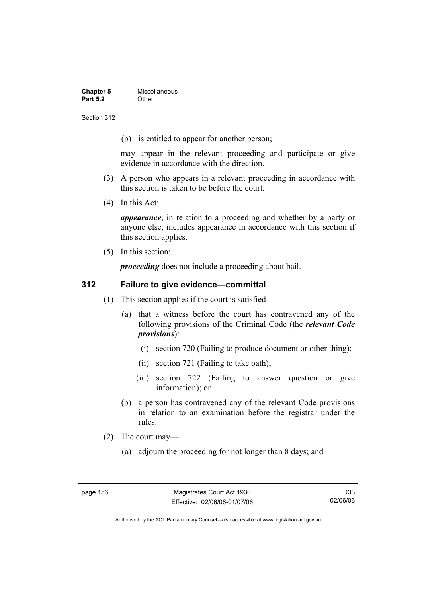| <b>Chapter 5</b> | Miscellaneous |
|------------------|---------------|
| <b>Part 5.2</b>  | Other         |

(b) is entitled to appear for another person;

may appear in the relevant proceeding and participate or give evidence in accordance with the direction.

- (3) A person who appears in a relevant proceeding in accordance with this section is taken to be before the court.
- (4) In this Act:

*appearance*, in relation to a proceeding and whether by a party or anyone else, includes appearance in accordance with this section if this section applies.

(5) In this section:

*proceeding* does not include a proceeding about bail.

#### **312 Failure to give evidence—committal**

- (1) This section applies if the court is satisfied—
	- (a) that a witness before the court has contravened any of the following provisions of the Criminal Code (the *relevant Code provisions*):
		- (i) section 720 (Failing to produce document or other thing);
		- (ii) section 721 (Failing to take oath);
		- (iii) section 722 (Failing to answer question or give information); or
	- (b) a person has contravened any of the relevant Code provisions in relation to an examination before the registrar under the rules.
- (2) The court may—
	- (a) adjourn the proceeding for not longer than 8 days; and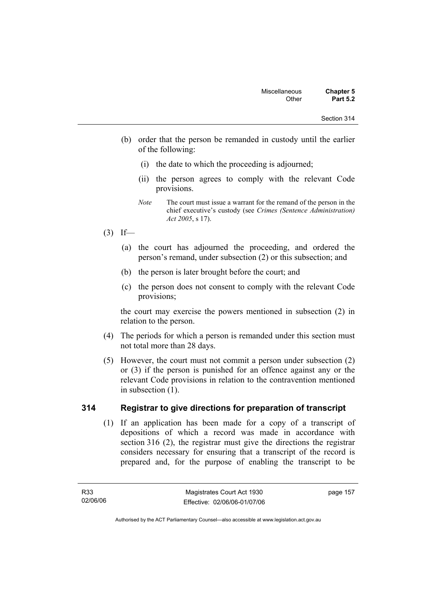- (b) order that the person be remanded in custody until the earlier of the following:
	- (i) the date to which the proceeding is adjourned;
	- (ii) the person agrees to comply with the relevant Code provisions.
	- *Note* The court must issue a warrant for the remand of the person in the chief executive's custody (see *Crimes (Sentence Administration) Act 2005*, s 17).
- $(3)$  If—
	- (a) the court has adjourned the proceeding, and ordered the person's remand, under subsection (2) or this subsection; and
	- (b) the person is later brought before the court; and
	- (c) the person does not consent to comply with the relevant Code provisions;

the court may exercise the powers mentioned in subsection (2) in relation to the person.

- (4) The periods for which a person is remanded under this section must not total more than 28 days.
- (5) However, the court must not commit a person under subsection (2) or (3) if the person is punished for an offence against any or the relevant Code provisions in relation to the contravention mentioned in subsection (1).

## **314 Registrar to give directions for preparation of transcript**

 (1) If an application has been made for a copy of a transcript of depositions of which a record was made in accordance with section 316 (2), the registrar must give the directions the registrar considers necessary for ensuring that a transcript of the record is prepared and, for the purpose of enabling the transcript to be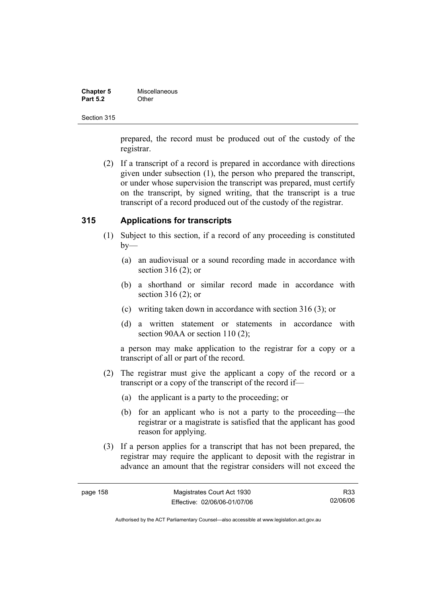| <b>Chapter 5</b> | Miscellaneous |
|------------------|---------------|
| <b>Part 5.2</b>  | Other         |

prepared, the record must be produced out of the custody of the registrar.

 (2) If a transcript of a record is prepared in accordance with directions given under subsection (1), the person who prepared the transcript, or under whose supervision the transcript was prepared, must certify on the transcript, by signed writing, that the transcript is a true transcript of a record produced out of the custody of the registrar.

## **315 Applications for transcripts**

- (1) Subject to this section, if a record of any proceeding is constituted  $by-$ 
	- (a) an audiovisual or a sound recording made in accordance with section 316 (2); or
	- (b) a shorthand or similar record made in accordance with section 316 (2); or
	- (c) writing taken down in accordance with section 316 (3); or
	- (d) a written statement or statements in accordance with section 90AA or section 110 (2);

a person may make application to the registrar for a copy or a transcript of all or part of the record.

- (2) The registrar must give the applicant a copy of the record or a transcript or a copy of the transcript of the record if—
	- (a) the applicant is a party to the proceeding; or
	- (b) for an applicant who is not a party to the proceeding—the registrar or a magistrate is satisfied that the applicant has good reason for applying.
- (3) If a person applies for a transcript that has not been prepared, the registrar may require the applicant to deposit with the registrar in advance an amount that the registrar considers will not exceed the

R33 02/06/06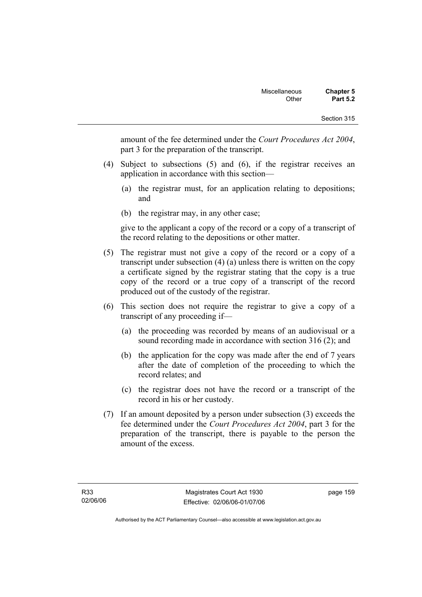amount of the fee determined under the *Court Procedures Act 2004*, part 3 for the preparation of the transcript.

- (4) Subject to subsections (5) and (6), if the registrar receives an application in accordance with this section—
	- (a) the registrar must, for an application relating to depositions; and
	- (b) the registrar may, in any other case;

give to the applicant a copy of the record or a copy of a transcript of the record relating to the depositions or other matter.

- (5) The registrar must not give a copy of the record or a copy of a transcript under subsection (4) (a) unless there is written on the copy a certificate signed by the registrar stating that the copy is a true copy of the record or a true copy of a transcript of the record produced out of the custody of the registrar.
- (6) This section does not require the registrar to give a copy of a transcript of any proceeding if—
	- (a) the proceeding was recorded by means of an audiovisual or a sound recording made in accordance with section 316 (2); and
	- (b) the application for the copy was made after the end of 7 years after the date of completion of the proceeding to which the record relates; and
	- (c) the registrar does not have the record or a transcript of the record in his or her custody.
- (7) If an amount deposited by a person under subsection (3) exceeds the fee determined under the *Court Procedures Act 2004*, part 3 for the preparation of the transcript, there is payable to the person the amount of the excess.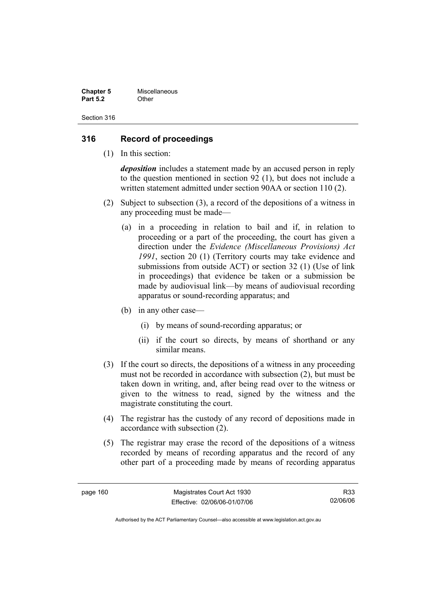| <b>Chapter 5</b> | Miscellaneous |
|------------------|---------------|
| <b>Part 5.2</b>  | Other         |

#### **316 Record of proceedings**

(1) In this section:

*deposition* includes a statement made by an accused person in reply to the question mentioned in section 92 (1), but does not include a written statement admitted under section 90AA or section 110 (2).

- (2) Subject to subsection (3), a record of the depositions of a witness in any proceeding must be made—
	- (a) in a proceeding in relation to bail and if, in relation to proceeding or a part of the proceeding, the court has given a direction under the *Evidence (Miscellaneous Provisions) Act 1991*, section 20 (1) (Territory courts may take evidence and submissions from outside ACT) or section 32 (1) (Use of link in proceedings) that evidence be taken or a submission be made by audiovisual link—by means of audiovisual recording apparatus or sound-recording apparatus; and
	- (b) in any other case—
		- (i) by means of sound-recording apparatus; or
		- (ii) if the court so directs, by means of shorthand or any similar means.
- (3) If the court so directs, the depositions of a witness in any proceeding must not be recorded in accordance with subsection (2), but must be taken down in writing, and, after being read over to the witness or given to the witness to read, signed by the witness and the magistrate constituting the court.
- (4) The registrar has the custody of any record of depositions made in accordance with subsection (2).
- (5) The registrar may erase the record of the depositions of a witness recorded by means of recording apparatus and the record of any other part of a proceeding made by means of recording apparatus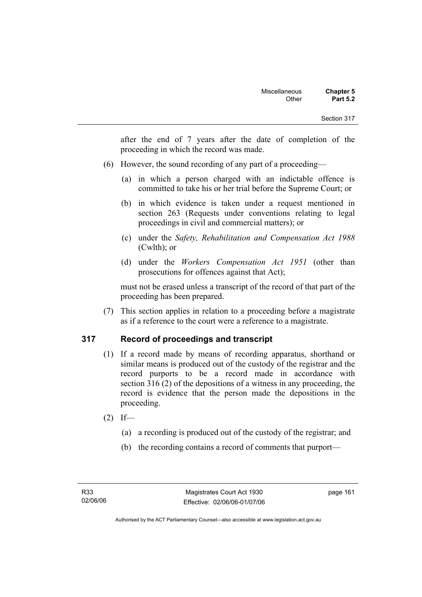after the end of 7 years after the date of completion of the proceeding in which the record was made.

- (6) However, the sound recording of any part of a proceeding—
	- (a) in which a person charged with an indictable offence is committed to take his or her trial before the Supreme Court; or
	- (b) in which evidence is taken under a request mentioned in section 263 (Requests under conventions relating to legal proceedings in civil and commercial matters); or
	- (c) under the *Safety, Rehabilitation and Compensation Act 1988* (Cwlth); or
	- (d) under the *Workers Compensation Act 1951* (other than prosecutions for offences against that Act);

must not be erased unless a transcript of the record of that part of the proceeding has been prepared.

 (7) This section applies in relation to a proceeding before a magistrate as if a reference to the court were a reference to a magistrate.

## **317 Record of proceedings and transcript**

- (1) If a record made by means of recording apparatus, shorthand or similar means is produced out of the custody of the registrar and the record purports to be a record made in accordance with section 316 (2) of the depositions of a witness in any proceeding, the record is evidence that the person made the depositions in the proceeding.
- $(2)$  If—
	- (a) a recording is produced out of the custody of the registrar; and
	- (b) the recording contains a record of comments that purport—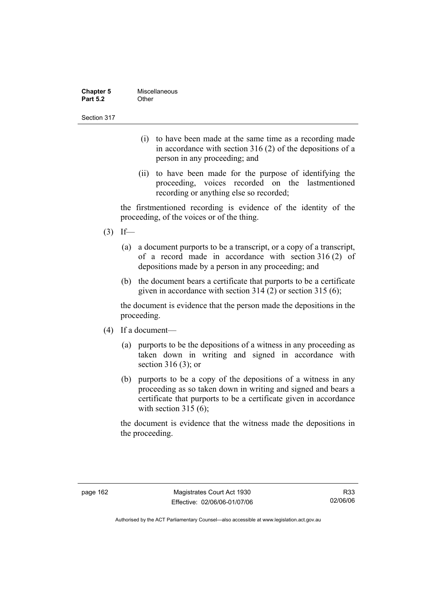| <b>Chapter 5</b> | Miscellaneous |
|------------------|---------------|
| <b>Part 5.2</b>  | Other         |

- (i) to have been made at the same time as a recording made in accordance with section 316 (2) of the depositions of a person in any proceeding; and
- (ii) to have been made for the purpose of identifying the proceeding, voices recorded on the lastmentioned recording or anything else so recorded;

the firstmentioned recording is evidence of the identity of the proceeding, of the voices or of the thing.

- $(3)$  If—
	- (a) a document purports to be a transcript, or a copy of a transcript, of a record made in accordance with section 316 (2) of depositions made by a person in any proceeding; and
	- (b) the document bears a certificate that purports to be a certificate given in accordance with section 314 (2) or section 315 (6);

the document is evidence that the person made the depositions in the proceeding.

- (4) If a document—
	- (a) purports to be the depositions of a witness in any proceeding as taken down in writing and signed in accordance with section 316 (3); or
	- (b) purports to be a copy of the depositions of a witness in any proceeding as so taken down in writing and signed and bears a certificate that purports to be a certificate given in accordance with section 315 (6);

the document is evidence that the witness made the depositions in the proceeding.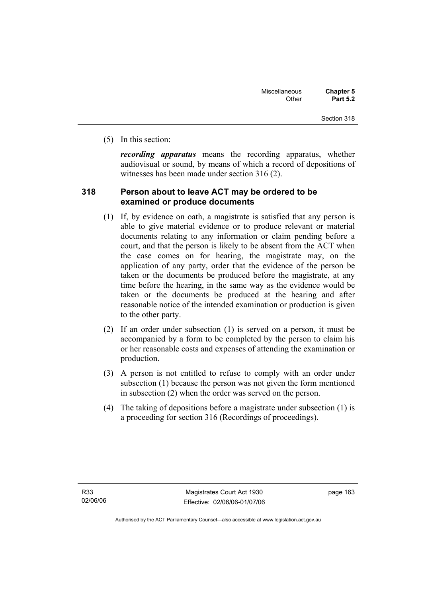(5) In this section:

*recording apparatus* means the recording apparatus, whether audiovisual or sound, by means of which a record of depositions of witnesses has been made under section 316 (2).

#### **318 Person about to leave ACT may be ordered to be examined or produce documents**

- (1) If, by evidence on oath, a magistrate is satisfied that any person is able to give material evidence or to produce relevant or material documents relating to any information or claim pending before a court, and that the person is likely to be absent from the ACT when the case comes on for hearing, the magistrate may, on the application of any party, order that the evidence of the person be taken or the documents be produced before the magistrate, at any time before the hearing, in the same way as the evidence would be taken or the documents be produced at the hearing and after reasonable notice of the intended examination or production is given to the other party.
- (2) If an order under subsection (1) is served on a person, it must be accompanied by a form to be completed by the person to claim his or her reasonable costs and expenses of attending the examination or production.
- (3) A person is not entitled to refuse to comply with an order under subsection (1) because the person was not given the form mentioned in subsection (2) when the order was served on the person.
- (4) The taking of depositions before a magistrate under subsection (1) is a proceeding for section 316 (Recordings of proceedings).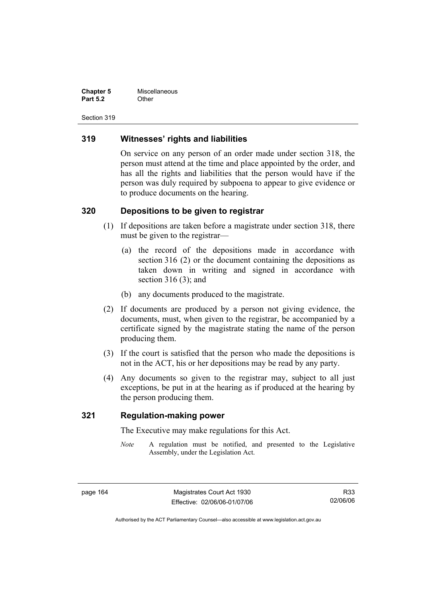| <b>Chapter 5</b> | Miscellaneous |
|------------------|---------------|
| <b>Part 5.2</b>  | Other         |

#### **319 Witnesses' rights and liabilities**

On service on any person of an order made under section 318, the person must attend at the time and place appointed by the order, and has all the rights and liabilities that the person would have if the person was duly required by subpoena to appear to give evidence or to produce documents on the hearing.

## **320 Depositions to be given to registrar**

- (1) If depositions are taken before a magistrate under section 318, there must be given to the registrar—
	- (a) the record of the depositions made in accordance with section 316 (2) or the document containing the depositions as taken down in writing and signed in accordance with section 316 (3); and
	- (b) any documents produced to the magistrate.
- (2) If documents are produced by a person not giving evidence, the documents, must, when given to the registrar, be accompanied by a certificate signed by the magistrate stating the name of the person producing them.
- (3) If the court is satisfied that the person who made the depositions is not in the ACT, his or her depositions may be read by any party.
- (4) Any documents so given to the registrar may, subject to all just exceptions, be put in at the hearing as if produced at the hearing by the person producing them.

#### **321 Regulation-making power**

The Executive may make regulations for this Act.

*Note* A regulation must be notified, and presented to the Legislative Assembly, under the Legislation Act.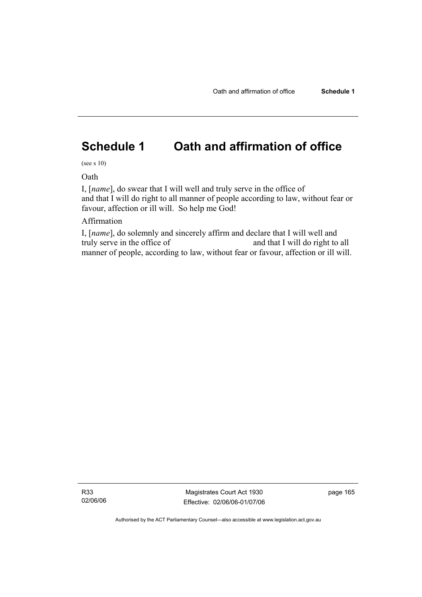# **Schedule 1 Oath and affirmation of office**

(see s 10)

Oath

I, [*name*], do swear that I will well and truly serve in the office of and that I will do right to all manner of people according to law, without fear or favour, affection or ill will. So help me God!

## Affirmation

I, [*name*], do solemnly and sincerely affirm and declare that I will well and truly serve in the office of and that I will do right to all manner of people, according to law, without fear or favour, affection or ill will.

R33 02/06/06

Magistrates Court Act 1930 Effective: 02/06/06-01/07/06 page 165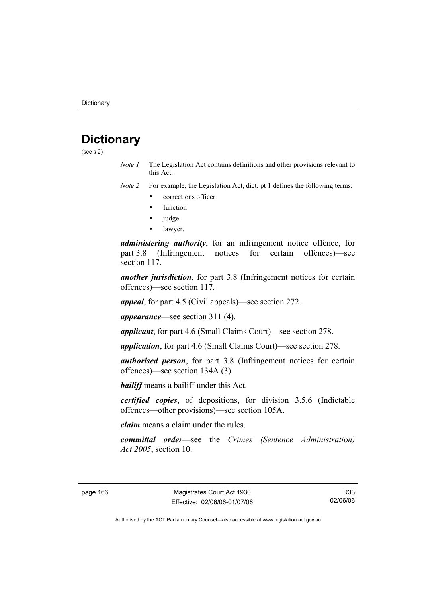# **Dictionary**

(see s 2)

*Note 1* The Legislation Act contains definitions and other provisions relevant to this Act.

*Note 2* For example, the Legislation Act, dict, pt 1 defines the following terms:

- corrections officer
- function
- judge
- lawyer.

*administering authority*, for an infringement notice offence, for part 3.8 (Infringement notices for certain offences)—see section 117

*another jurisdiction*, for part 3.8 (Infringement notices for certain offences)—see section 117.

*appeal*, for part 4.5 (Civil appeals)—see section 272.

*appearance*—see section 311 (4).

*applicant*, for part 4.6 (Small Claims Court)—see section 278.

*application*, for part 4.6 (Small Claims Court)—see section 278.

*authorised person*, for part 3.8 (Infringement notices for certain offences)—see section 134A (3).

*bailiff* means a bailiff under this Act.

*certified copies*, of depositions, for division 3.5.6 (Indictable offences—other provisions)—see section 105A.

*claim* means a claim under the rules.

*committal order*—see the *Crimes (Sentence Administration) Act 2005*, section 10.

R33 02/06/06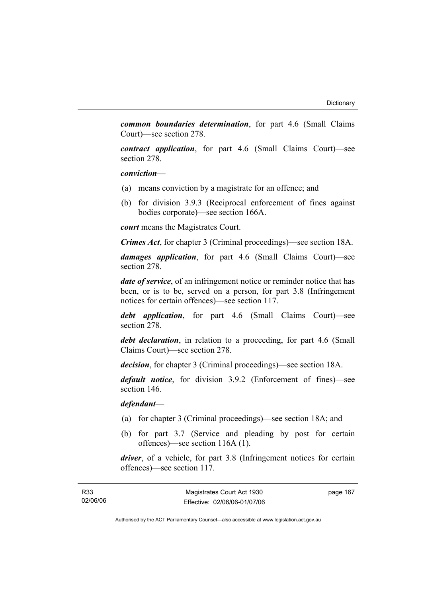*common boundaries determination*, for part 4.6 (Small Claims Court)—see section 278.

*contract application*, for part 4.6 (Small Claims Court)—see section 278.

*conviction*—

- (a) means conviction by a magistrate for an offence; and
- (b) for division 3.9.3 (Reciprocal enforcement of fines against bodies corporate)—see section 166A.

*court* means the Magistrates Court.

*Crimes Act*, for chapter 3 (Criminal proceedings)—see section 18A.

*damages application*, for part 4.6 (Small Claims Court)—see section 278.

*date of service*, of an infringement notice or reminder notice that has been, or is to be, served on a person, for part 3.8 (Infringement notices for certain offences)—see section 117.

*debt application*, for part 4.6 (Small Claims Court)—see section 278.

*debt declaration*, in relation to a proceeding, for part 4.6 (Small Claims Court)—see section 278.

*decision*, for chapter 3 (Criminal proceedings)—see section 18A.

*default notice*, for division 3.9.2 (Enforcement of fines)—see section 146.

*defendant*—

- (a) for chapter 3 (Criminal proceedings)—see section 18A; and
- (b) for part 3.7 (Service and pleading by post for certain offences)—see section 116A (1).

*driver*, of a vehicle, for part 3.8 (Infringement notices for certain offences)—see section 117.

page 167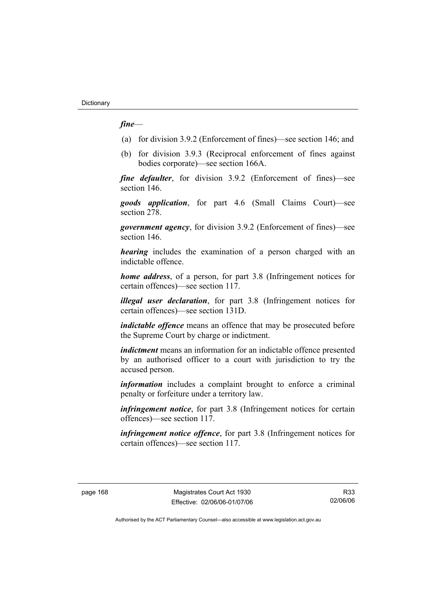## *fine*—

- (a) for division 3.9.2 (Enforcement of fines)—see section 146; and
- (b) for division 3.9.3 (Reciprocal enforcement of fines against bodies corporate)—see section 166A.

*fine defaulter*, for division 3.9.2 (Enforcement of fines)—see section 146.

*goods application*, for part 4.6 (Small Claims Court)—see section 278.

*government agency*, for division 3.9.2 (Enforcement of fines)—see section 146.

*hearing* includes the examination of a person charged with an indictable offence.

*home address*, of a person, for part 3.8 (Infringement notices for certain offences)—see section 117.

*illegal user declaration*, for part 3.8 (Infringement notices for certain offences)—see section 131D.

*indictable offence* means an offence that may be prosecuted before the Supreme Court by charge or indictment.

*indictment* means an information for an indictable offence presented by an authorised officer to a court with jurisdiction to try the accused person.

*information* includes a complaint brought to enforce a criminal penalty or forfeiture under a territory law.

*infringement notice*, for part 3.8 (Infringement notices for certain offences)—see section 117.

*infringement notice offence*, for part 3.8 (Infringement notices for certain offences)—see section 117.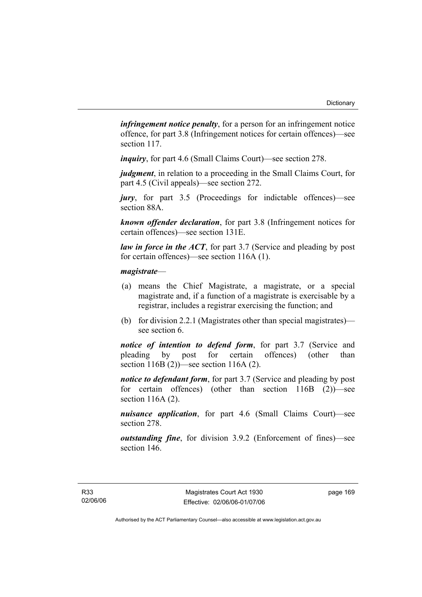*infringement notice penalty*, for a person for an infringement notice offence, for part 3.8 (Infringement notices for certain offences)—see section 117.

*inquiry*, for part 4.6 (Small Claims Court)—see section 278.

*judgment*, in relation to a proceeding in the Small Claims Court, for part 4.5 (Civil appeals)—see section 272.

*jury*, for part 3.5 (Proceedings for indictable offences)—see section 88A.

*known offender declaration*, for part 3.8 (Infringement notices for certain offences)—see section 131E.

*law in force in the ACT*, for part 3.7 (Service and pleading by post for certain offences)—see section 116A (1).

## *magistrate*—

- (a) means the Chief Magistrate, a magistrate, or a special magistrate and, if a function of a magistrate is exercisable by a registrar, includes a registrar exercising the function; and
- (b) for division 2.2.1 (Magistrates other than special magistrates) see section 6.

*notice of intention to defend form*, for part 3.7 (Service and pleading by post for certain offences) (other than section 116B (2))—see section 116A (2).

*notice to defendant form*, for part 3.7 (Service and pleading by post for certain offences) (other than section 116B (2))—see section 116A (2).

*nuisance application*, for part 4.6 (Small Claims Court)—see section 278.

*outstanding fine*, for division 3.9.2 (Enforcement of fines)—see section 146.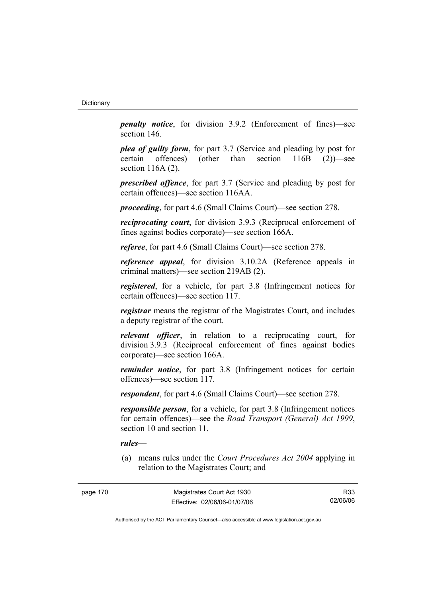*penalty notice*, for division 3.9.2 (Enforcement of fines)—see section 146.

*plea of guilty form*, for part 3.7 (Service and pleading by post for certain offences) (other than section 116B (2))—see section 116A (2).

*prescribed offence*, for part 3.7 (Service and pleading by post for certain offences)—see section 116AA.

*proceeding*, for part 4.6 (Small Claims Court)—see section 278.

*reciprocating court*, for division 3.9.3 (Reciprocal enforcement of fines against bodies corporate)—see section 166A.

*referee*, for part 4.6 (Small Claims Court)—see section 278.

*reference appeal*, for division 3.10.2A (Reference appeals in criminal matters)—see section 219AB (2).

*registered*, for a vehicle, for part 3.8 (Infringement notices for certain offences)—see section 117.

*registrar* means the registrar of the Magistrates Court, and includes a deputy registrar of the court.

*relevant officer*, in relation to a reciprocating court, for division 3.9.3 (Reciprocal enforcement of fines against bodies corporate)—see section 166A.

*reminder notice*, for part 3.8 (Infringement notices for certain offences)—see section 117.

*respondent*, for part 4.6 (Small Claims Court)—see section 278.

*responsible person*, for a vehicle, for part 3.8 (Infringement notices for certain offences)—see the *Road Transport (General) Act 1999*, section 10 and section 11.

#### *rules*—

 (a) means rules under the *Court Procedures Act 2004* applying in relation to the Magistrates Court; and

R33 02/06/06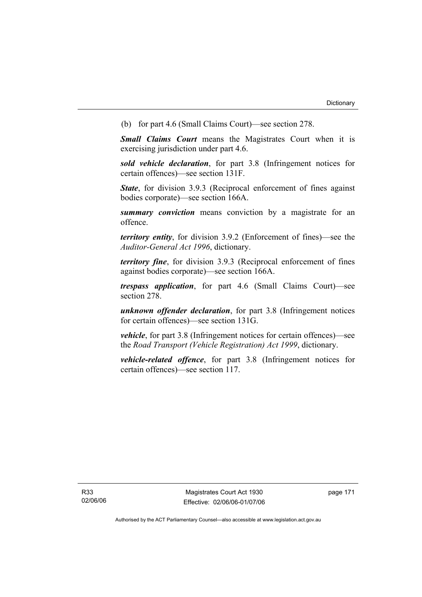(b) for part 4.6 (Small Claims Court)—see section 278.

*Small Claims Court* means the Magistrates Court when it is exercising jurisdiction under part 4.6.

*sold vehicle declaration*, for part 3.8 (Infringement notices for certain offences)—see section 131F.

*State*, for division 3.9.3 (Reciprocal enforcement of fines against bodies corporate)—see section 166A.

*summary conviction* means conviction by a magistrate for an offence.

*territory entity*, for division 3.9.2 (Enforcement of fines)—see the *Auditor-General Act 1996*, dictionary.

*territory fine*, for division 3.9.3 (Reciprocal enforcement of fines against bodies corporate)—see section 166A.

*trespass application*, for part 4.6 (Small Claims Court)—see section 278.

*unknown offender declaration*, for part 3.8 (Infringement notices for certain offences)—see section 131G.

*vehicle*, for part 3.8 (Infringement notices for certain offences)—see the *Road Transport (Vehicle Registration) Act 1999*, dictionary.

*vehicle-related offence*, for part 3.8 (Infringement notices for certain offences)—see section 117.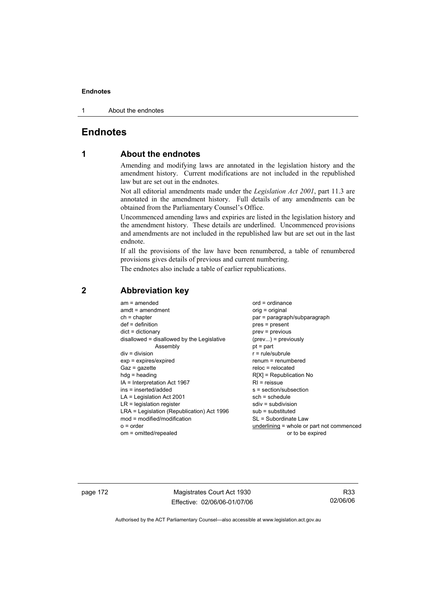1 About the endnotes

## **Endnotes**

## **1 About the endnotes**

Amending and modifying laws are annotated in the legislation history and the amendment history. Current modifications are not included in the republished law but are set out in the endnotes.

Not all editorial amendments made under the *Legislation Act 2001*, part 11.3 are annotated in the amendment history. Full details of any amendments can be obtained from the Parliamentary Counsel's Office.

Uncommenced amending laws and expiries are listed in the legislation history and the amendment history. These details are underlined. Uncommenced provisions and amendments are not included in the republished law but are set out in the last endnote.

If all the provisions of the law have been renumbered, a table of renumbered provisions gives details of previous and current numbering.

The endnotes also include a table of earlier republications.

| $am = amended$<br>$amdt = amendment$<br>$ch = chapter$<br>$def = definition$<br>$dict = dictionary$<br>disallowed = disallowed by the Legislative<br>Assembly<br>$div = division$<br>$exp = expires/expired$<br>$Gaz = gazette$<br>$h dq =$ heading<br>IA = Interpretation Act 1967<br>ins = inserted/added<br>$LA =$ Legislation Act 2001<br>$LR =$ legislation register<br>LRA = Legislation (Republication) Act 1996<br>$mod = modified/modification$<br>$o = order$ | $ord = ordinance$<br>$orig = original$<br>par = paragraph/subparagraph<br>$pres = present$<br>$prev = previous$<br>$(\text{prev}) = \text{previously}$<br>$pt = part$<br>$r = rule/subrule$<br>$renum = renumbered$<br>$reloc = relocated$<br>$R[X]$ = Republication No<br>$RI =$ reissue<br>$s = section/subsection$<br>$sch = schedule$<br>$sdiv = subdivision$<br>$sub =$ substituted<br>SL = Subordinate Law |
|-------------------------------------------------------------------------------------------------------------------------------------------------------------------------------------------------------------------------------------------------------------------------------------------------------------------------------------------------------------------------------------------------------------------------------------------------------------------------|------------------------------------------------------------------------------------------------------------------------------------------------------------------------------------------------------------------------------------------------------------------------------------------------------------------------------------------------------------------------------------------------------------------|
| $om = omitted/repealed$                                                                                                                                                                                                                                                                                                                                                                                                                                                 | underlining = whole or part not commenced<br>or to be expired                                                                                                                                                                                                                                                                                                                                                    |
|                                                                                                                                                                                                                                                                                                                                                                                                                                                                         |                                                                                                                                                                                                                                                                                                                                                                                                                  |

## **2 Abbreviation key**

page 172 Magistrates Court Act 1930 Effective: 02/06/06-01/07/06

R33 02/06/06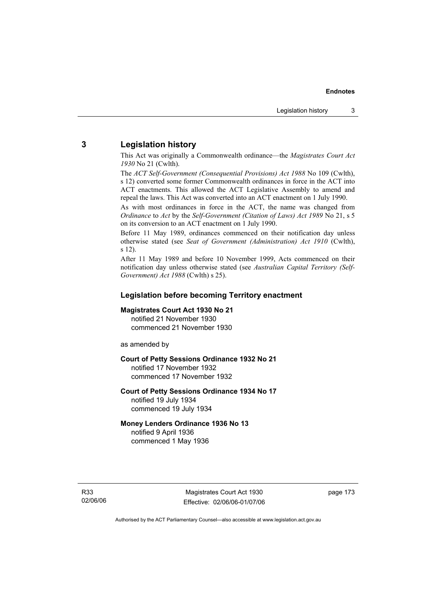## **3 Legislation history**

This Act was originally a Commonwealth ordinance—the *Magistrates Court Act 1930* No 21 (Cwlth).

The *ACT Self-Government (Consequential Provisions) Act 1988* No 109 (Cwlth), s 12) converted some former Commonwealth ordinances in force in the ACT into ACT enactments. This allowed the ACT Legislative Assembly to amend and repeal the laws. This Act was converted into an ACT enactment on 1 July 1990.

As with most ordinances in force in the ACT, the name was changed from *Ordinance* to *Act* by the *Self-Government (Citation of Laws) Act 1989* No 21, s 5 on its conversion to an ACT enactment on 1 July 1990.

Before 11 May 1989, ordinances commenced on their notification day unless otherwise stated (see *Seat of Government (Administration) Act 1910* (Cwlth), s 12).

After 11 May 1989 and before 10 November 1999, Acts commenced on their notification day unless otherwise stated (see *Australian Capital Territory (Self-Government) Act 1988* (Cwlth) s 25).

## **Legislation before becoming Territory enactment**

#### **Magistrates Court Act 1930 No 21**

notified 21 November 1930 commenced 21 November 1930

as amended by

## **Court of Petty Sessions Ordinance 1932 No 21**

notified 17 November 1932 commenced 17 November 1932

#### **Court of Petty Sessions Ordinance 1934 No 17**  notified 19 July 1934

commenced 19 July 1934

## **Money Lenders Ordinance 1936 No 13**

notified 9 April 1936 commenced 1 May 1936

R33 02/06/06 page 173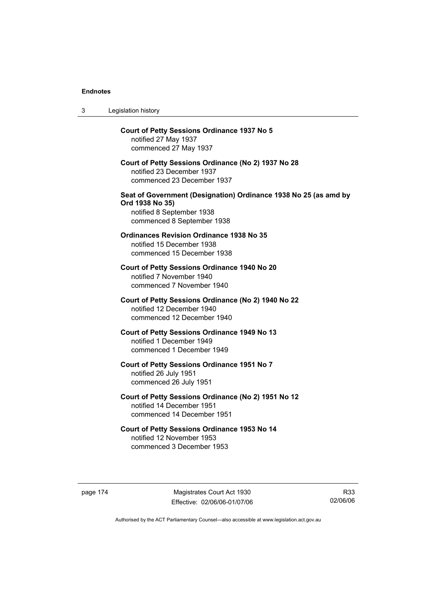| 3 | Legislation history                                                                                                                            |
|---|------------------------------------------------------------------------------------------------------------------------------------------------|
|   | <b>Court of Petty Sessions Ordinance 1937 No 5</b><br>notified 27 May 1937<br>commenced 27 May 1937                                            |
|   | Court of Petty Sessions Ordinance (No 2) 1937 No 28<br>notified 23 December 1937<br>commenced 23 December 1937                                 |
|   | Seat of Government (Designation) Ordinance 1938 No 25 (as amd by<br>Ord 1938 No 35)<br>notified 8 September 1938<br>commenced 8 September 1938 |
|   | <b>Ordinances Revision Ordinance 1938 No 35</b><br>notified 15 December 1938<br>commenced 15 December 1938                                     |
|   | Court of Petty Sessions Ordinance 1940 No 20<br>notified 7 November 1940<br>commenced 7 November 1940                                          |
|   | Court of Petty Sessions Ordinance (No 2) 1940 No 22<br>notified 12 December 1940<br>commenced 12 December 1940                                 |
|   | <b>Court of Petty Sessions Ordinance 1949 No 13</b><br>notified 1 December 1949<br>commenced 1 December 1949                                   |
|   | Court of Petty Sessions Ordinance 1951 No 7<br>notified 26 July 1951<br>commenced 26 July 1951                                                 |
|   | Court of Petty Sessions Ordinance (No 2) 1951 No 12<br>notified 14 December 1951<br>commenced 14 December 1951                                 |
|   | Court of Petty Sessions Ordinance 1953 No 14<br>notified 12 November 1953<br>commenced 3 December 1953                                         |

page 174 Magistrates Court Act 1930 Effective: 02/06/06-01/07/06

R33 02/06/06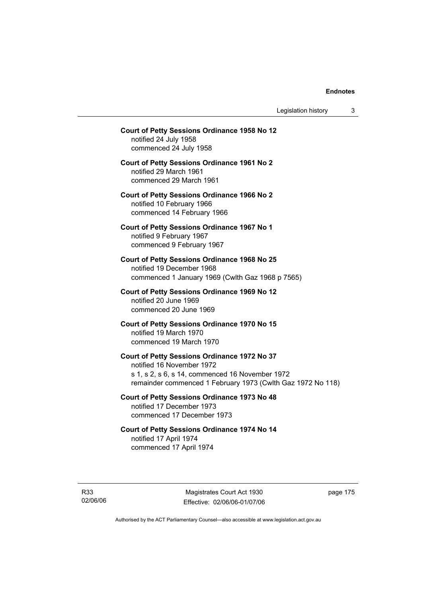Legislation history 3

## **Court of Petty Sessions Ordinance 1958 No 12**  notified 24 July 1958 commenced 24 July 1958 **Court of Petty Sessions Ordinance 1961 No 2**  notified 29 March 1961 commenced 29 March 1961 **Court of Petty Sessions Ordinance 1966 No 2**  notified 10 February 1966 commenced 14 February 1966 **Court of Petty Sessions Ordinance 1967 No 1**  notified 9 February 1967 commenced 9 February 1967 **Court of Petty Sessions Ordinance 1968 No 25**  notified 19 December 1968 commenced 1 January 1969 (Cwlth Gaz 1968 p 7565) **Court of Petty Sessions Ordinance 1969 No 12**  notified 20 June 1969 commenced 20 June 1969 **Court of Petty Sessions Ordinance 1970 No 15**  notified 19 March 1970 commenced 19 March 1970 **Court of Petty Sessions Ordinance 1972 No 37**  notified 16 November 1972 s 1, s 2, s 6, s 14, commenced 16 November 1972 remainder commenced 1 February 1973 (Cwlth Gaz 1972 No 118) **Court of Petty Sessions Ordinance 1973 No 48**  notified 17 December 1973 commenced 17 December 1973 **Court of Petty Sessions Ordinance 1974 No 14**  notified 17 April 1974 commenced 17 April 1974

R33 02/06/06

Magistrates Court Act 1930 Effective: 02/06/06-01/07/06 page 175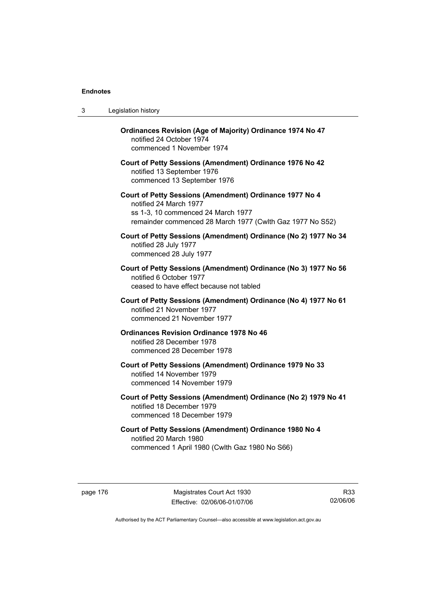| 3 | Legislation history                                                                                                                                                                  |
|---|--------------------------------------------------------------------------------------------------------------------------------------------------------------------------------------|
|   | Ordinances Revision (Age of Majority) Ordinance 1974 No 47<br>notified 24 October 1974<br>commenced 1 November 1974                                                                  |
|   | Court of Petty Sessions (Amendment) Ordinance 1976 No 42<br>notified 13 September 1976<br>commenced 13 September 1976                                                                |
|   | Court of Petty Sessions (Amendment) Ordinance 1977 No 4<br>notified 24 March 1977<br>ss 1-3, 10 commenced 24 March 1977<br>remainder commenced 28 March 1977 (Cwlth Gaz 1977 No S52) |
|   | Court of Petty Sessions (Amendment) Ordinance (No 2) 1977 No 34<br>notified 28 July 1977<br>commenced 28 July 1977                                                                   |
|   | Court of Petty Sessions (Amendment) Ordinance (No 3) 1977 No 56<br>notified 6 October 1977<br>ceased to have effect because not tabled                                               |
|   | Court of Petty Sessions (Amendment) Ordinance (No 4) 1977 No 61<br>notified 21 November 1977<br>commenced 21 November 1977                                                           |
|   | <b>Ordinances Revision Ordinance 1978 No 46</b><br>notified 28 December 1978<br>commenced 28 December 1978                                                                           |
|   | Court of Petty Sessions (Amendment) Ordinance 1979 No 33<br>notified 14 November 1979<br>commenced 14 November 1979                                                                  |
|   | Court of Petty Sessions (Amendment) Ordinance (No 2) 1979 No 41<br>notified 18 December 1979<br>commenced 18 December 1979                                                           |
|   | Court of Petty Sessions (Amendment) Ordinance 1980 No 4<br>notified 20 March 1980<br>commenced 1 April 1980 (Cwlth Gaz 1980 No S66)                                                  |

page 176 Magistrates Court Act 1930 Effective: 02/06/06-01/07/06

R33 02/06/06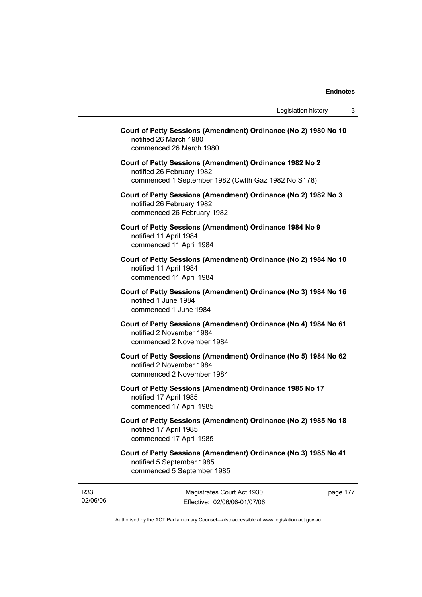| Court of Petty Sessions (Amendment) Ordinance (No 2) 1980 No 10<br>notified 26 March 1980<br>commenced 26 March 1980                        |
|---------------------------------------------------------------------------------------------------------------------------------------------|
| Court of Petty Sessions (Amendment) Ordinance 1982 No 2<br>notified 26 February 1982<br>commenced 1 September 1982 (Cwlth Gaz 1982 No S178) |
| Court of Petty Sessions (Amendment) Ordinance (No 2) 1982 No 3<br>notified 26 February 1982<br>commenced 26 February 1982                   |
| Court of Petty Sessions (Amendment) Ordinance 1984 No 9<br>notified 11 April 1984<br>commenced 11 April 1984                                |
| Court of Petty Sessions (Amendment) Ordinance (No 2) 1984 No 10<br>notified 11 April 1984<br>commenced 11 April 1984                        |
| Court of Petty Sessions (Amendment) Ordinance (No 3) 1984 No 16<br>notified 1 June 1984<br>commenced 1 June 1984                            |
| Court of Petty Sessions (Amendment) Ordinance (No 4) 1984 No 61<br>notified 2 November 1984<br>commenced 2 November 1984                    |
| Court of Petty Sessions (Amendment) Ordinance (No 5) 1984 No 62<br>notified 2 November 1984<br>commenced 2 November 1984                    |
| Court of Petty Sessions (Amendment) Ordinance 1985 No 17<br>notified 17 April 1985<br>commenced 17 April 1985                               |
| Court of Petty Sessions (Amendment) Ordinance (No 2) 1985 No 18<br>notified 17 April 1985<br>commenced 17 April 1985                        |
| Court of Petty Sessions (Amendment) Ordinance (No 3) 1985 No 41<br>notified 5 September 1985<br>commenced 5 September 1985                  |

R33 02/06/06

Magistrates Court Act 1930 Effective: 02/06/06-01/07/06 page 177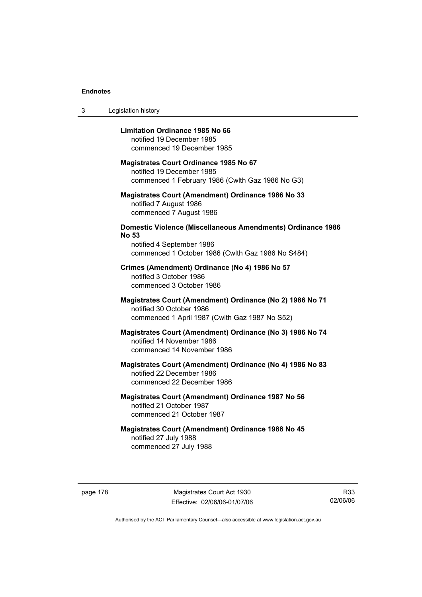3 Legislation history

## **Limitation Ordinance 1985 No 66**

notified 19 December 1985 commenced 19 December 1985

#### **Magistrates Court Ordinance 1985 No 67**

notified 19 December 1985 commenced 1 February 1986 (Cwlth Gaz 1986 No G3)

## **Magistrates Court (Amendment) Ordinance 1986 No 33**  notified 7 August 1986 commenced 7 August 1986

## **Domestic Violence (Miscellaneous Amendments) Ordinance 1986 No 53**

notified 4 September 1986 commenced 1 October 1986 (Cwlth Gaz 1986 No S484)

### **Crimes (Amendment) Ordinance (No 4) 1986 No 57**  notified 3 October 1986

commenced 3 October 1986

## **Magistrates Court (Amendment) Ordinance (No 2) 1986 No 71**  notified 30 October 1986 commenced 1 April 1987 (Cwlth Gaz 1987 No S52)

## **Magistrates Court (Amendment) Ordinance (No 3) 1986 No 74**  notified 14 November 1986 commenced 14 November 1986

## **Magistrates Court (Amendment) Ordinance (No 4) 1986 No 83**  notified 22 December 1986 commenced 22 December 1986

## **Magistrates Court (Amendment) Ordinance 1987 No 56**  notified 21 October 1987 commenced 21 October 1987

## **Magistrates Court (Amendment) Ordinance 1988 No 45**  notified 27 July 1988 commenced 27 July 1988

page 178 Magistrates Court Act 1930 Effective: 02/06/06-01/07/06

R33 02/06/06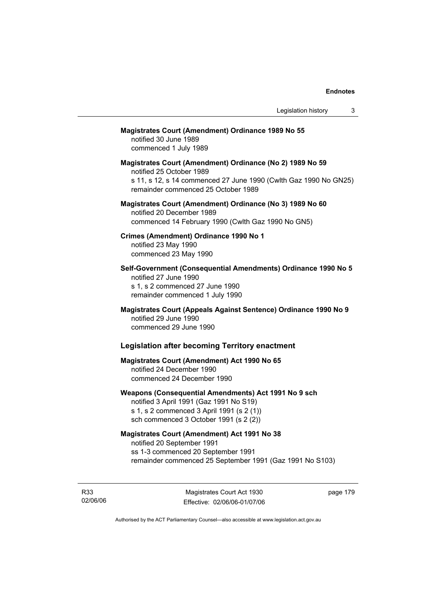## **Magistrates Court (Amendment) Ordinance 1989 No 55**

notified 30 June 1989 commenced 1 July 1989

**Magistrates Court (Amendment) Ordinance (No 2) 1989 No 59**  notified 25 October 1989 s 11, s 12, s 14 commenced 27 June 1990 (Cwlth Gaz 1990 No GN25) remainder commenced 25 October 1989

## **Magistrates Court (Amendment) Ordinance (No 3) 1989 No 60**  notified 20 December 1989 commenced 14 February 1990 (Cwlth Gaz 1990 No GN5)

**Crimes (Amendment) Ordinance 1990 No 1**  notified 23 May 1990 commenced 23 May 1990

**Self-Government (Consequential Amendments) Ordinance 1990 No 5**  notified 27 June 1990 s 1, s 2 commenced 27 June 1990 remainder commenced 1 July 1990

**Magistrates Court (Appeals Against Sentence) Ordinance 1990 No 9**  notified 29 June 1990 commenced 29 June 1990

## **Legislation after becoming Territory enactment**

## **Magistrates Court (Amendment) Act 1990 No 65**  notified 24 December 1990 commenced 24 December 1990

## **Weapons (Consequential Amendments) Act 1991 No 9 sch**

notified 3 April 1991 (Gaz 1991 No S19) s 1, s 2 commenced 3 April 1991 (s 2 (1)) sch commenced 3 October 1991 (s 2 (2))

## **Magistrates Court (Amendment) Act 1991 No 38**

notified 20 September 1991 ss 1-3 commenced 20 September 1991 remainder commenced 25 September 1991 (Gaz 1991 No S103)

R33 02/06/06 page 179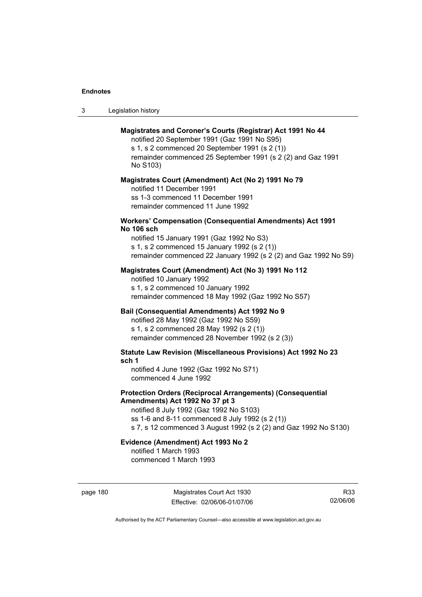| -3 | Legislation history |  |
|----|---------------------|--|
|----|---------------------|--|

## **Magistrates and Coroner's Courts (Registrar) Act 1991 No 44**

notified 20 September 1991 (Gaz 1991 No S95) s 1, s 2 commenced 20 September 1991 (s 2 (1)) remainder commenced 25 September 1991 (s 2 (2) and Gaz 1991 No S103)

#### **Magistrates Court (Amendment) Act (No 2) 1991 No 79**

notified 11 December 1991 ss 1-3 commenced 11 December 1991 remainder commenced 11 June 1992

#### **Workers' Compensation (Consequential Amendments) Act 1991 No 106 sch**

notified 15 January 1991 (Gaz 1992 No S3) s 1, s 2 commenced 15 January 1992 (s 2 (1)) remainder commenced 22 January 1992 (s 2 (2) and Gaz 1992 No S9)

## **Magistrates Court (Amendment) Act (No 3) 1991 No 112**

notified 10 January 1992 s 1, s 2 commenced 10 January 1992 remainder commenced 18 May 1992 (Gaz 1992 No S57)

## **Bail (Consequential Amendments) Act 1992 No 9**

notified 28 May 1992 (Gaz 1992 No S59) s 1, s 2 commenced 28 May 1992 (s 2 (1)) remainder commenced 28 November 1992 (s 2 (3))

**Statute Law Revision (Miscellaneous Provisions) Act 1992 No 23 sch 1** 

notified 4 June 1992 (Gaz 1992 No S71) commenced 4 June 1992

## **Protection Orders (Reciprocal Arrangements) (Consequential Amendments) Act 1992 No 37 pt 3**

notified 8 July 1992 (Gaz 1992 No S103) ss 1-6 and 8-11 commenced 8 July 1992 (s 2 (1)) s 7, s 12 commenced 3 August 1992 (s 2 (2) and Gaz 1992 No S130)

## **Evidence (Amendment) Act 1993 No 2**

notified 1 March 1993 commenced 1 March 1993

page 180 Magistrates Court Act 1930 Effective: 02/06/06-01/07/06

R33 02/06/06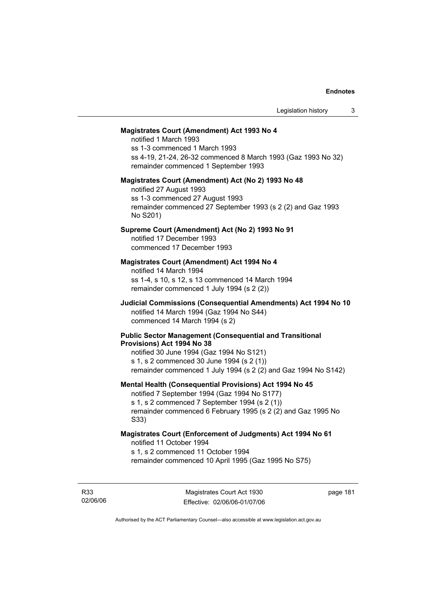#### **Magistrates Court (Amendment) Act 1993 No 4**

notified 1 March 1993 ss 1-3 commenced 1 March 1993 ss 4-19, 21-24, 26-32 commenced 8 March 1993 (Gaz 1993 No 32) remainder commenced 1 September 1993

#### **Magistrates Court (Amendment) Act (No 2) 1993 No 48**

notified 27 August 1993 ss 1-3 commenced 27 August 1993 remainder commenced 27 September 1993 (s 2 (2) and Gaz 1993 No S201)

## **Supreme Court (Amendment) Act (No 2) 1993 No 91**

notified 17 December 1993 commenced 17 December 1993

#### **Magistrates Court (Amendment) Act 1994 No 4**

notified 14 March 1994 ss 1-4, s 10, s 12, s 13 commenced 14 March 1994 remainder commenced 1 July 1994 (s 2 (2))

## **Judicial Commissions (Consequential Amendments) Act 1994 No 10**  notified 14 March 1994 (Gaz 1994 No S44) commenced 14 March 1994 (s 2)

#### **Public Sector Management (Consequential and Transitional Provisions) Act 1994 No 38**

notified 30 June 1994 (Gaz 1994 No S121) s 1, s 2 commenced 30 June 1994 (s 2 (1)) remainder commenced 1 July 1994 (s 2 (2) and Gaz 1994 No S142)

#### **Mental Health (Consequential Provisions) Act 1994 No 45**

notified 7 September 1994 (Gaz 1994 No S177) s 1, s 2 commenced 7 September 1994 (s 2 (1)) remainder commenced 6 February 1995 (s 2 (2) and Gaz 1995 No S33)

### **Magistrates Court (Enforcement of Judgments) Act 1994 No 61**  notified 11 October 1994

s 1, s 2 commenced 11 October 1994

remainder commenced 10 April 1995 (Gaz 1995 No S75)

R33 02/06/06 page 181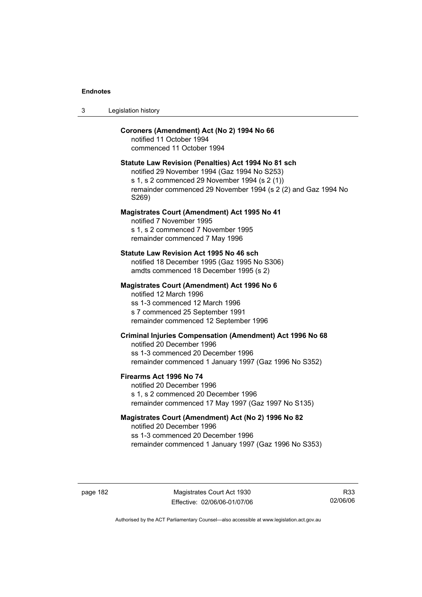| Legislation history<br>-3 |  |
|---------------------------|--|
|---------------------------|--|

## **Coroners (Amendment) Act (No 2) 1994 No 66**

notified 11 October 1994 commenced 11 October 1994

#### **Statute Law Revision (Penalties) Act 1994 No 81 sch**

notified 29 November 1994 (Gaz 1994 No S253) s 1, s 2 commenced 29 November 1994 (s 2 (1)) remainder commenced 29 November 1994 (s 2 (2) and Gaz 1994 No S269)

#### **Magistrates Court (Amendment) Act 1995 No 41**

notified 7 November 1995 s 1, s 2 commenced 7 November 1995 remainder commenced 7 May 1996

#### **Statute Law Revision Act 1995 No 46 sch**

notified 18 December 1995 (Gaz 1995 No S306) amdts commenced 18 December 1995 (s 2)

### **Magistrates Court (Amendment) Act 1996 No 6**

notified 12 March 1996 ss 1-3 commenced 12 March 1996 s 7 commenced 25 September 1991 remainder commenced 12 September 1996

## **Criminal Injuries Compensation (Amendment) Act 1996 No 68**

notified 20 December 1996 ss 1-3 commenced 20 December 1996 remainder commenced 1 January 1997 (Gaz 1996 No S352)

#### **Firearms Act 1996 No 74**

notified 20 December 1996 s 1, s 2 commenced 20 December 1996 remainder commenced 17 May 1997 (Gaz 1997 No S135)

## **Magistrates Court (Amendment) Act (No 2) 1996 No 82**

notified 20 December 1996 ss 1-3 commenced 20 December 1996 remainder commenced 1 January 1997 (Gaz 1996 No S353)

page 182 Magistrates Court Act 1930 Effective: 02/06/06-01/07/06

R33 02/06/06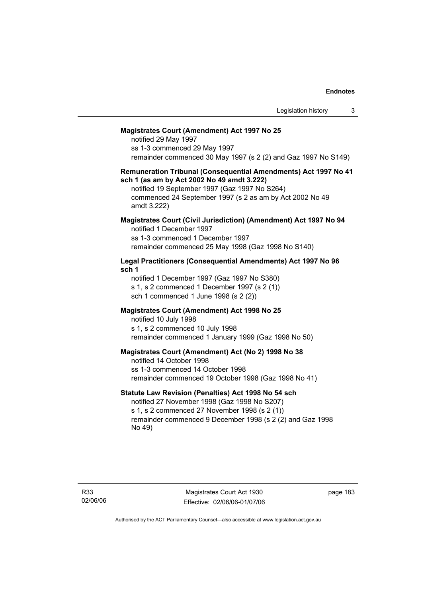#### **Magistrates Court (Amendment) Act 1997 No 25**

notified 29 May 1997 ss 1-3 commenced 29 May 1997 remainder commenced 30 May 1997 (s 2 (2) and Gaz 1997 No S149)

#### **Remuneration Tribunal (Consequential Amendments) Act 1997 No 41 sch 1 (as am by Act 2002 No 49 amdt 3.222)**

notified 19 September 1997 (Gaz 1997 No S264) commenced 24 September 1997 (s 2 as am by Act 2002 No 49 amdt 3.222)

### **Magistrates Court (Civil Jurisdiction) (Amendment) Act 1997 No 94**  notified 1 December 1997

ss 1-3 commenced 1 December 1997 remainder commenced 25 May 1998 (Gaz 1998 No S140)

## **Legal Practitioners (Consequential Amendments) Act 1997 No 96 sch 1**

notified 1 December 1997 (Gaz 1997 No S380) s 1, s 2 commenced 1 December 1997 (s 2 (1)) sch 1 commenced 1 June 1998 (s 2 (2))

## **Magistrates Court (Amendment) Act 1998 No 25**

notified 10 July 1998 s 1, s 2 commenced 10 July 1998 remainder commenced 1 January 1999 (Gaz 1998 No 50)

## **Magistrates Court (Amendment) Act (No 2) 1998 No 38**

notified 14 October 1998 ss 1-3 commenced 14 October 1998 remainder commenced 19 October 1998 (Gaz 1998 No 41)

## **Statute Law Revision (Penalties) Act 1998 No 54 sch**

notified 27 November 1998 (Gaz 1998 No S207) s 1, s 2 commenced 27 November 1998 (s 2 (1)) remainder commenced 9 December 1998 (s 2 (2) and Gaz 1998 No 49)

Magistrates Court Act 1930 Effective: 02/06/06-01/07/06 page 183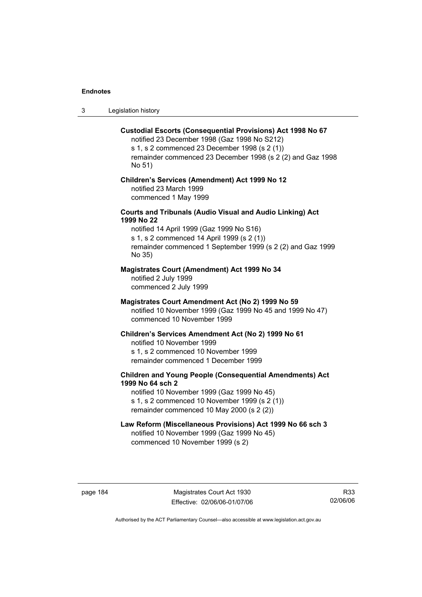3 Legislation history

#### **Custodial Escorts (Consequential Provisions) Act 1998 No 67**

notified 23 December 1998 (Gaz 1998 No S212) s 1, s 2 commenced 23 December 1998 (s 2 (1)) remainder commenced 23 December 1998 (s 2 (2) and Gaz 1998 No 51)

## **Children's Services (Amendment) Act 1999 No 12**  notified 23 March 1999 commenced 1 May 1999

## **Courts and Tribunals (Audio Visual and Audio Linking) Act 1999 No 22**

notified 14 April 1999 (Gaz 1999 No S16) s 1, s 2 commenced 14 April 1999 (s 2 (1)) remainder commenced 1 September 1999 (s 2 (2) and Gaz 1999 No 35)

## **Magistrates Court (Amendment) Act 1999 No 34**

notified 2 July 1999 commenced 2 July 1999

#### **Magistrates Court Amendment Act (No 2) 1999 No 59**

notified 10 November 1999 (Gaz 1999 No 45 and 1999 No 47) commenced 10 November 1999

#### **Children's Services Amendment Act (No 2) 1999 No 61**

notified 10 November 1999 s 1, s 2 commenced 10 November 1999 remainder commenced 1 December 1999

## **Children and Young People (Consequential Amendments) Act 1999 No 64 sch 2**

notified 10 November 1999 (Gaz 1999 No 45) s 1, s 2 commenced 10 November 1999 (s 2 (1)) remainder commenced 10 May 2000 (s 2 (2))

## **Law Reform (Miscellaneous Provisions) Act 1999 No 66 sch 3**

notified 10 November 1999 (Gaz 1999 No 45) commenced 10 November 1999 (s 2)

page 184 Magistrates Court Act 1930 Effective: 02/06/06-01/07/06

R33 02/06/06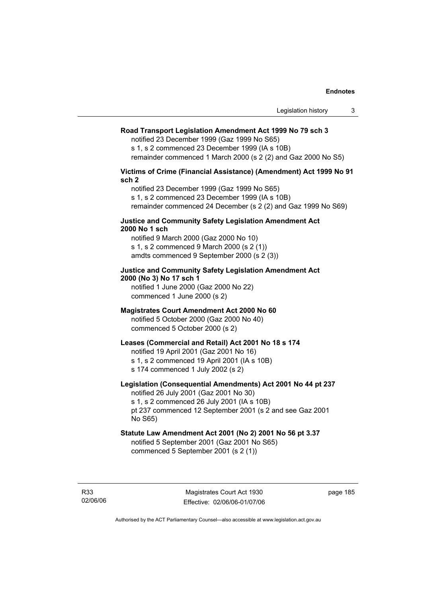## **Road Transport Legislation Amendment Act 1999 No 79 sch 3**

notified 23 December 1999 (Gaz 1999 No S65)

s 1, s 2 commenced 23 December 1999 (IA s 10B)

remainder commenced 1 March 2000 (s 2 (2) and Gaz 2000 No S5)

### **Victims of Crime (Financial Assistance) (Amendment) Act 1999 No 91 sch 2**

notified 23 December 1999 (Gaz 1999 No S65) s 1, s 2 commenced 23 December 1999 (IA s 10B) remainder commenced 24 December (s 2 (2) and Gaz 1999 No S69)

## **Justice and Community Safety Legislation Amendment Act 2000 No 1 sch**

notified 9 March 2000 (Gaz 2000 No 10) s 1, s 2 commenced 9 March 2000 (s 2 (1)) amdts commenced 9 September 2000 (s 2 (3))

## **Justice and Community Safety Legislation Amendment Act 2000 (No 3) No 17 sch 1**

notified 1 June 2000 (Gaz 2000 No 22) commenced 1 June 2000 (s 2)

## **Magistrates Court Amendment Act 2000 No 60**

notified 5 October 2000 (Gaz 2000 No 40) commenced 5 October 2000 (s 2)

## **Leases (Commercial and Retail) Act 2001 No 18 s 174**

notified 19 April 2001 (Gaz 2001 No 16)

s 1, s 2 commenced 19 April 2001 (IA s 10B)

s 174 commenced 1 July 2002 (s 2)

## **Legislation (Consequential Amendments) Act 2001 No 44 pt 237**

notified 26 July 2001 (Gaz 2001 No 30) s 1, s 2 commenced 26 July 2001 (IA s 10B)

pt 237 commenced 12 September 2001 (s 2 and see Gaz 2001 No S65)

## **Statute Law Amendment Act 2001 (No 2) 2001 No 56 pt 3.37**

notified 5 September 2001 (Gaz 2001 No S65) commenced 5 September 2001 (s 2 (1))

R33 02/06/06 page 185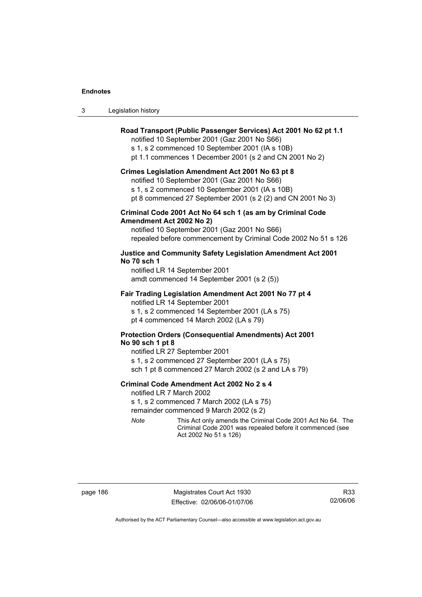| Legislation history<br>-3 |  |
|---------------------------|--|
|---------------------------|--|

## **Road Transport (Public Passenger Services) Act 2001 No 62 pt 1.1**

notified 10 September 2001 (Gaz 2001 No S66)

s 1, s 2 commenced 10 September 2001 (IA s 10B)

pt 1.1 commences 1 December 2001 (s 2 and CN 2001 No 2)

#### **Crimes Legislation Amendment Act 2001 No 63 pt 8**

notified 10 September 2001 (Gaz 2001 No S66)

s 1, s 2 commenced 10 September 2001 (IA s 10B)

pt 8 commenced 27 September 2001 (s 2 (2) and CN 2001 No 3)

## **Criminal Code 2001 Act No 64 sch 1 (as am by Criminal Code Amendment Act 2002 No 2)**

notified 10 September 2001 (Gaz 2001 No S66) repealed before commencement by Criminal Code 2002 No 51 s 126

## **Justice and Community Safety Legislation Amendment Act 2001 No 70 sch 1**

notified LR 14 September 2001 amdt commenced 14 September 2001 (s 2 (5))

## **Fair Trading Legislation Amendment Act 2001 No 77 pt 4**

notified LR 14 September 2001 s 1, s 2 commenced 14 September 2001 (LA s 75) pt 4 commenced 14 March 2002 (LA s 79)

## **Protection Orders (Consequential Amendments) Act 2001 No 90 sch 1 pt 8**

notified LR 27 September 2001 s 1, s 2 commenced 27 September 2001 (LA s 75) sch 1 pt 8 commenced 27 March 2002 (s 2 and LA s 79)

#### **Criminal Code Amendment Act 2002 No 2 s 4**

notified LR 7 March 2002

s 1, s 2 commenced 7 March 2002 (LA s 75)

remainder commenced 9 March 2002 (s 2)

*Note* This Act only amends the Criminal Code 2001 Act No 64. The Criminal Code 2001 was repealed before it commenced (see Act 2002 No 51 s 126)

page 186 Magistrates Court Act 1930 Effective: 02/06/06-01/07/06

R33 02/06/06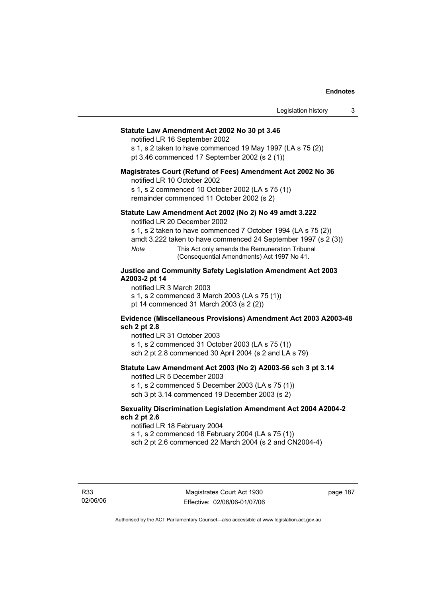## **Statute Law Amendment Act 2002 No 30 pt 3.46**

notified LR 16 September 2002

s 1, s 2 taken to have commenced 19 May 1997 (LA s 75 (2)) pt 3.46 commenced 17 September 2002 (s 2 (1))

#### **Magistrates Court (Refund of Fees) Amendment Act 2002 No 36**

notified LR 10 October 2002

s 1, s 2 commenced 10 October 2002 (LA s 75 (1)) remainder commenced 11 October 2002 (s 2)

## **Statute Law Amendment Act 2002 (No 2) No 49 amdt 3.222**

notified LR 20 December 2002

s 1, s 2 taken to have commenced 7 October 1994 (LA s 75 (2))

amdt 3.222 taken to have commenced 24 September 1997 (s 2 (3))

*Note* This Act only amends the Remuneration Tribunal (Consequential Amendments) Act 1997 No 41.

## **Justice and Community Safety Legislation Amendment Act 2003 A2003-2 pt 14**

notified LR 3 March 2003

s 1, s 2 commenced 3 March 2003 (LA s 75 (1))

pt 14 commenced 31 March 2003 (s 2 (2))

## **Evidence (Miscellaneous Provisions) Amendment Act 2003 A2003-48 sch 2 pt 2.8**

notified LR 31 October 2003

s 1, s 2 commenced 31 October 2003 (LA s 75 (1)) sch 2 pt 2.8 commenced 30 April 2004 (s 2 and LA s 79)

## **Statute Law Amendment Act 2003 (No 2) A2003-56 sch 3 pt 3.14**

notified LR 5 December 2003

s 1, s 2 commenced 5 December 2003 (LA s 75 (1)) sch 3 pt 3.14 commenced 19 December 2003 (s 2)

## **Sexuality Discrimination Legislation Amendment Act 2004 A2004-2 sch 2 pt 2.6**

notified LR 18 February 2004

s 1, s 2 commenced 18 February 2004 (LA s 75 (1))

sch 2 pt 2.6 commenced 22 March 2004 (s 2 and CN2004-4)

R33 02/06/06

Magistrates Court Act 1930 Effective: 02/06/06-01/07/06 page 187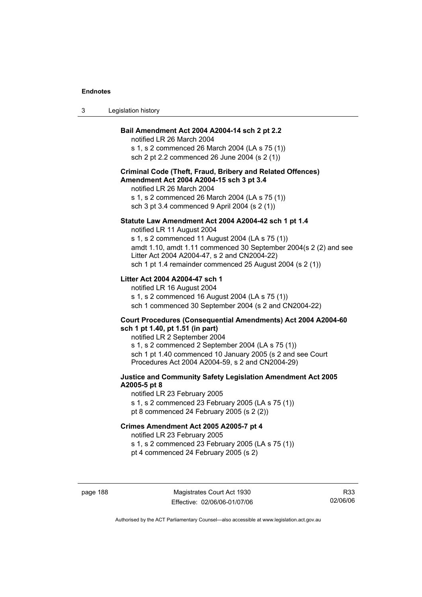| Legislation history<br>-3 |  |
|---------------------------|--|
|---------------------------|--|

#### **Bail Amendment Act 2004 A2004-14 sch 2 pt 2.2**

notified LR 26 March 2004 s 1, s 2 commenced 26 March 2004 (LA s 75 (1)) sch 2 pt 2.2 commenced 26 June 2004 (s 2 (1))

## **Criminal Code (Theft, Fraud, Bribery and Related Offences) Amendment Act 2004 A2004-15 sch 3 pt 3.4**

notified LR 26 March 2004 s 1, s 2 commenced 26 March 2004 (LA s 75 (1))

sch 3 pt 3.4 commenced 9 April 2004 (s 2 (1))

#### **Statute Law Amendment Act 2004 A2004-42 sch 1 pt 1.4**

notified LR 11 August 2004 s 1, s 2 commenced 11 August 2004 (LA s 75 (1)) amdt 1.10, amdt 1.11 commenced 30 September 2004(s 2 (2) and see Litter Act 2004 A2004-47, s 2 and CN2004-22) sch 1 pt 1.4 remainder commenced 25 August 2004 (s 2 (1))

## **Litter Act 2004 A2004-47 sch 1**

notified LR 16 August 2004 s 1, s 2 commenced 16 August 2004 (LA s 75 (1)) sch 1 commenced 30 September 2004 (s 2 and CN2004-22)

#### **Court Procedures (Consequential Amendments) Act 2004 A2004-60 sch 1 pt 1.40, pt 1.51 (in part)**

notified LR 2 September 2004 s 1, s 2 commenced 2 September 2004 (LA s 75 (1)) sch 1 pt 1.40 commenced 10 January 2005 (s 2 and see Court Procedures Act 2004 A2004-59, s 2 and CN2004-29)

## **Justice and Community Safety Legislation Amendment Act 2005 A2005-5 pt 8**

notified LR 23 February 2005 s 1, s 2 commenced 23 February 2005 (LA s 75 (1)) pt 8 commenced 24 February 2005 (s 2 (2))

## **Crimes Amendment Act 2005 A2005-7 pt 4**

notified LR 23 February 2005

s 1, s 2 commenced 23 February 2005 (LA s 75 (1))

pt 4 commenced 24 February 2005 (s 2)

page 188 Magistrates Court Act 1930 Effective: 02/06/06-01/07/06

R33 02/06/06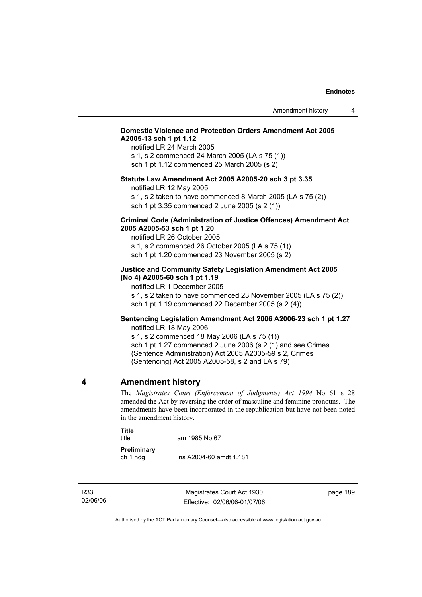## **Domestic Violence and Protection Orders Amendment Act 2005 A2005-13 sch 1 pt 1.12**

notified LR 24 March 2005 s 1, s 2 commenced 24 March 2005 (LA s 75 (1)) sch 1 pt 1.12 commenced 25 March 2005 (s 2)

## **Statute Law Amendment Act 2005 A2005-20 sch 3 pt 3.35**

notified LR 12 May 2005

s 1, s 2 taken to have commenced 8 March 2005 (LA s 75 (2)) sch 1 pt 3.35 commenced 2 June 2005 (s 2 (1))

## **Criminal Code (Administration of Justice Offences) Amendment Act 2005 A2005-53 sch 1 pt 1.20**

notified LR 26 October 2005 s 1, s 2 commenced 26 October 2005 (LA s 75 (1)) sch 1 pt 1.20 commenced 23 November 2005 (s 2)

## **Justice and Community Safety Legislation Amendment Act 2005 (No 4) A2005-60 sch 1 pt 1.19**

notified LR 1 December 2005

s 1, s 2 taken to have commenced 23 November 2005 (LA s 75 (2)) sch 1 pt 1.19 commenced 22 December 2005 (s 2 (4))

## **Sentencing Legislation Amendment Act 2006 A2006-23 sch 1 pt 1.27**  notified LR 18 May 2006

s 1, s 2 commenced 18 May 2006 (LA s 75 (1)) sch 1 pt 1.27 commenced 2 June 2006 (s 2 (1) and see Crimes (Sentence Administration) Act 2005 A2005-59 s 2, Crimes (Sentencing) Act 2005 A2005-58, s 2 and LA s 79)

## **4 Amendment history**

The *Magistrates Court (Enforcement of Judgments) Act 1994* No 61 s 28 amended the Act by reversing the order of masculine and feminine pronouns. The amendments have been incorporated in the republication but have not been noted in the amendment history.

| Title<br>title          | am 1985 No 67           |
|-------------------------|-------------------------|
| Preliminary<br>ch 1 hdg | ins A2004-60 amdt 1.181 |

R33 02/06/06

Magistrates Court Act 1930 Effective: 02/06/06-01/07/06 page 189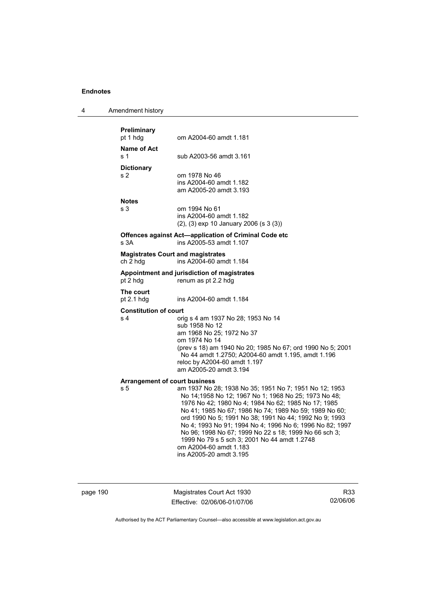| 4 | Amendment history |
|---|-------------------|
|---|-------------------|

| Preliminary<br>pt 1 hdg                              | om A2004-60 amdt 1.181                                                                                                                                                                                                                                                                                                                                                                                                                                                                                              |
|------------------------------------------------------|---------------------------------------------------------------------------------------------------------------------------------------------------------------------------------------------------------------------------------------------------------------------------------------------------------------------------------------------------------------------------------------------------------------------------------------------------------------------------------------------------------------------|
| Name of Act<br>s <sub>1</sub>                        | sub A2003-56 amdt 3.161                                                                                                                                                                                                                                                                                                                                                                                                                                                                                             |
| <b>Dictionary</b><br>s <sub>2</sub>                  | om 1978 No 46<br>ins A2004-60 amdt 1.182<br>am A2005-20 amdt 3.193                                                                                                                                                                                                                                                                                                                                                                                                                                                  |
| <b>Notes</b><br>s 3                                  | om 1994 No 61<br>ins A2004-60 amdt 1.182<br>(2), (3) exp 10 January 2006 (s 3 (3))                                                                                                                                                                                                                                                                                                                                                                                                                                  |
| s 3A                                                 | Offences against Act-application of Criminal Code etc<br>ins A2005-53 amdt 1.107                                                                                                                                                                                                                                                                                                                                                                                                                                    |
| <b>Magistrates Court and magistrates</b><br>ch 2 hdg | ins A2004-60 amdt 1.184                                                                                                                                                                                                                                                                                                                                                                                                                                                                                             |
| pt 2 hdg                                             | Appointment and jurisdiction of magistrates<br>renum as pt 2.2 hdg                                                                                                                                                                                                                                                                                                                                                                                                                                                  |
| The court<br>pt 2.1 hdg                              | ins A2004-60 amdt 1.184                                                                                                                                                                                                                                                                                                                                                                                                                                                                                             |
| <b>Constitution of court</b><br>s <sub>4</sub>       | orig s 4 am 1937 No 28; 1953 No 14<br>sub 1958 No 12<br>am 1968 No 25; 1972 No 37<br>om 1974 No 14<br>(prev s 18) am 1940 No 20; 1985 No 67; ord 1990 No 5; 2001<br>No 44 amdt 1.2750; A2004-60 amdt 1.195, amdt 1.196<br>reloc by A2004-60 amdt 1.197<br>am A2005-20 amdt 3.194                                                                                                                                                                                                                                    |
| <b>Arrangement of court business</b><br>s 5          | am 1937 No 28; 1938 No 35; 1951 No 7; 1951 No 12; 1953<br>No 14;1958 No 12; 1967 No 1; 1968 No 25; 1973 No 48;<br>1976 No 42; 1980 No 4; 1984 No 62; 1985 No 17; 1985<br>No 41; 1985 No 67; 1986 No 74; 1989 No 59; 1989 No 60;<br>ord 1990 No 5; 1991 No 38; 1991 No 44; 1992 No 9; 1993<br>No 4; 1993 No 91; 1994 No 4; 1996 No 6; 1996 No 82; 1997<br>No 96; 1998 No 67; 1999 No 22 s 18; 1999 No 66 sch 3;<br>1999 No 79 s 5 sch 3; 2001 No 44 amdt 1.2748<br>om A2004-60 amdt 1.183<br>ins A2005-20 amdt 3.195 |

page 190 Magistrates Court Act 1930 Effective: 02/06/06-01/07/06

R33 02/06/06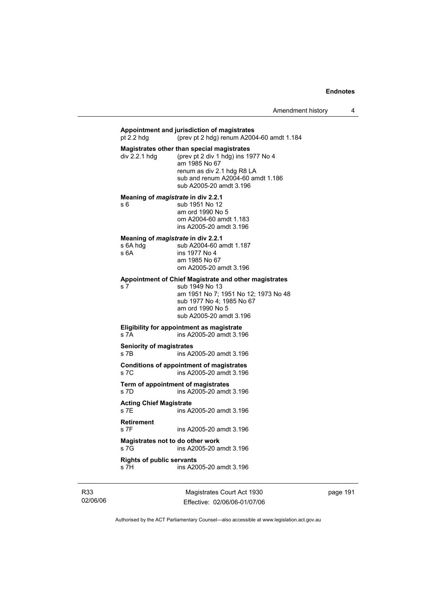| pt 2.2 hdg                                             | Appointment and jurisdiction of magistrates<br>(prev pt 2 hdg) renum $A2004-60$ amdt 1.184                                                                                                       |
|--------------------------------------------------------|--------------------------------------------------------------------------------------------------------------------------------------------------------------------------------------------------|
| div 2.2.1 hdg                                          | Magistrates other than special magistrates<br>(prev pt 2 div 1 hdg) ins 1977 No 4<br>am 1985 No 67<br>renum as div 2.1 hdg R8 LA<br>sub and renum A2004-60 amdt 1.186<br>sub A2005-20 amdt 3.196 |
| Meaning of magistrate in div 2.2.1<br>s 6              | sub 1951 No 12<br>am ord 1990 No 5<br>om A2004-60 amdt 1.183<br>ins A2005-20 amdt 3.196                                                                                                          |
| Meaning of magistrate in div 2.2.1<br>s 6A hdg<br>s 6A | sub A2004-60 amdt 1.187<br>ins 1977 No 4<br>am 1985 No 67<br>om A2005-20 amdt 3.196                                                                                                              |
| s 7                                                    | Appointment of Chief Magistrate and other magistrates<br>sub 1949 No 13<br>am 1951 No 7; 1951 No 12; 1973 No 48<br>sub 1977 No 4; 1985 No 67<br>am ord 1990 No 5<br>sub A2005-20 amdt 3.196      |
| s 7A                                                   | Eligibility for appointment as magistrate<br>ins A2005-20 amdt 3.196                                                                                                                             |
| <b>Seniority of magistrates</b><br>s 7B                | ins A2005-20 amdt 3.196                                                                                                                                                                          |
| s 7C                                                   | Conditions of appointment of magistrates<br>ins A2005-20 amdt 3.196                                                                                                                              |
| Term of appointment of magistrates<br>$s$ 7D           | ins A2005-20 amdt 3.196                                                                                                                                                                          |
| <b>Acting Chief Magistrate</b><br>s 7E                 | ins A2005-20 amdt 3.196                                                                                                                                                                          |
| <b>Retirement</b><br>s 7F                              | ins A2005-20 amdt 3.196                                                                                                                                                                          |
| Magistrates not to do other work<br>s 7G               | ins A2005-20 amdt 3.196                                                                                                                                                                          |
| <b>Rights of public servants</b><br>s 7H               | ins A2005-20 amdt 3.196                                                                                                                                                                          |

R33 02/06/06

Magistrates Court Act 1930 Effective: 02/06/06-01/07/06 page 191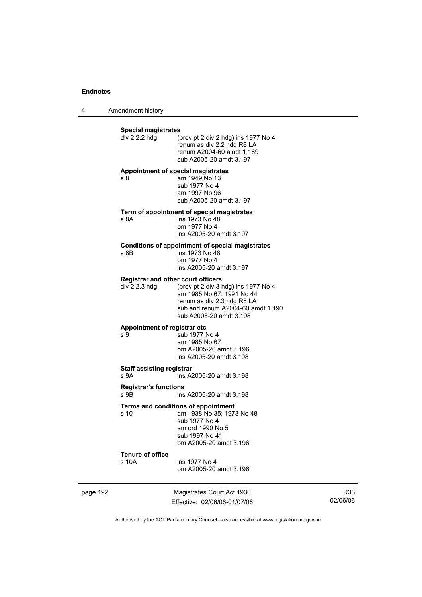4 Amendment history

|          | <b>Special magistrates</b><br>div 2.2.2 hdg                | (prev pt 2 div 2 hdg) ins 1977 No 4<br>renum as div 2.2 hdg R8 LA<br>renum A2004-60 amdt 1.189<br>sub A2005-20 amdt 3.197                                      |
|----------|------------------------------------------------------------|----------------------------------------------------------------------------------------------------------------------------------------------------------------|
|          | Appointment of special magistrates<br>s 8                  | am 1949 No 13<br>sub 1977 No 4<br>am 1997 No 96<br>sub A2005-20 amdt 3.197                                                                                     |
|          | s 8A                                                       | Term of appointment of special magistrates<br>ins 1973 No 48<br>om 1977 No 4<br>ins A2005-20 amdt 3.197                                                        |
|          | s 8B                                                       | <b>Conditions of appointment of special magistrates</b><br>ins 1973 No 48<br>om 1977 No 4<br>ins A2005-20 amdt 3.197                                           |
|          | <b>Registrar and other court officers</b><br>div 2.2.3 hdg | (prev pt 2 div 3 hdg) ins 1977 No 4<br>am 1985 No 67; 1991 No 44<br>renum as div 2.3 hdg R8 LA<br>sub and renum A2004-60 amdt 1.190<br>sub A2005-20 amdt 3.198 |
|          | Appointment of registrar etc<br>s 9                        | sub 1977 No 4<br>am 1985 No 67<br>om A2005-20 amdt 3.196<br>ins A2005-20 amdt 3.198                                                                            |
|          | <b>Staff assisting registrar</b><br>s 9A                   | ins A2005-20 amdt 3.198                                                                                                                                        |
|          | <b>Registrar's functions</b><br>s 9B                       | ins A2005-20 amdt 3.198                                                                                                                                        |
|          | s 10                                                       | Terms and conditions of appointment<br>am 1938 No 35; 1973 No 48<br>sub 1977 No 4<br>am ord 1990 No 5<br>sub 1997 No 41<br>om A2005-20 amdt 3.196              |
|          | <b>Tenure of office</b><br>s 10A                           | ins 1977 No 4<br>om A2005-20 amdt 3.196                                                                                                                        |
| page 192 |                                                            | Magistrates Court Act 1930                                                                                                                                     |

Effective: 02/06/06-01/07/06

R33 02/06/06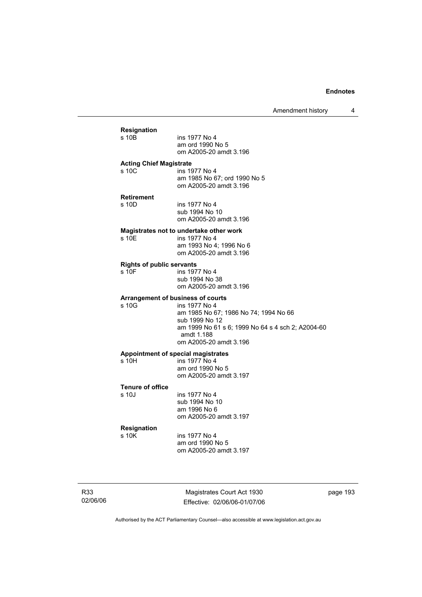|                 |                                           | Amendment history                                                                                                                                                                                          | 4        |
|-----------------|-------------------------------------------|------------------------------------------------------------------------------------------------------------------------------------------------------------------------------------------------------------|----------|
|                 | <b>Resignation</b><br>s 10B               | ins 1977 No 4<br>am ord 1990 No 5<br>om A2005-20 amdt 3.196                                                                                                                                                |          |
|                 | <b>Acting Chief Magistrate</b><br>s 10C   | ins 1977 No 4<br>am 1985 No 67; ord 1990 No 5<br>om A2005-20 amdt 3.196                                                                                                                                    |          |
|                 | <b>Retirement</b><br>s 10D                | ins 1977 No 4<br>sub 1994 No 10<br>om A2005-20 amdt 3.196                                                                                                                                                  |          |
|                 | s 10E                                     | Magistrates not to undertake other work<br>ins 1977 No 4<br>am 1993 No 4; 1996 No 6<br>om A2005-20 amdt 3.196                                                                                              |          |
|                 | <b>Rights of public servants</b><br>s 10F | ins 1977 No 4<br>sub 1994 No 38<br>om A2005-20 amdt 3.196                                                                                                                                                  |          |
|                 | s 10G                                     | Arrangement of business of courts<br>ins 1977 No 4<br>am 1985 No 67; 1986 No 74; 1994 No 66<br>sub 1999 No 12<br>am 1999 No 61 s 6; 1999 No 64 s 4 sch 2; A2004-60<br>amdt 1.188<br>om A2005-20 amdt 3.196 |          |
|                 | s 10H                                     | Appointment of special magistrates<br>ins 1977 No 4<br>am ord 1990 No 5<br>om A2005-20 amdt 3.197                                                                                                          |          |
|                 | <b>Tenure of office</b><br>s 10J          | ins 1977 No 4<br>sub 1994 No 10<br>am 1996 No 6<br>om A2005-20 amdt 3.197                                                                                                                                  |          |
|                 | Resignation<br>s 10K                      | ins 1977 No 4<br>am ord 1990 No 5<br>om A2005-20 amdt 3.197                                                                                                                                                |          |
| R33<br>02/06/06 |                                           | Magistrates Court Act 1930<br>Effective: 02/06/06-01/07/06                                                                                                                                                 | page 193 |

Authorised by the ACT Parliamentary Counsel—also accessible at www.legislation.act.gov.au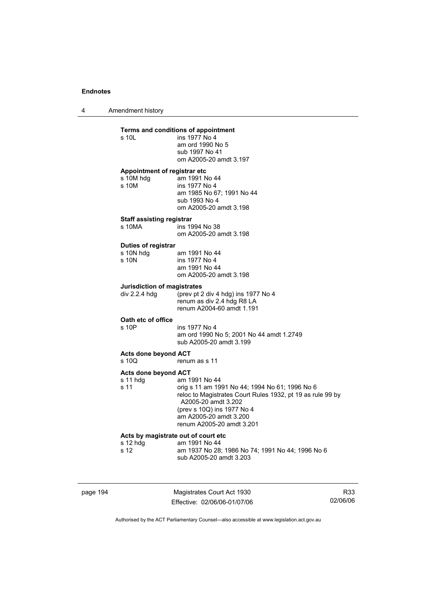4 Amendment history

#### **Terms and conditions of appointment**

|                              | Terms and conditions of appointment |  |
|------------------------------|-------------------------------------|--|
| s 10L                        | ins 1977 No 4                       |  |
|                              | am ord 1990 No 5                    |  |
|                              | sub 1997 No 41                      |  |
|                              | om A2005-20 amdt 3.197              |  |
| Appointment of registrar etc |                                     |  |

| s 10M hdg | am 1991 No 44             |
|-----------|---------------------------|
| s 10M     | ins 1977 No 4             |
|           | am 1985 No 67: 1991 No 44 |
|           | sub 1993 No 4             |
|           | om A2005-20 amdt 3.198    |
|           |                           |

### **Staff assisting registrar**

| s 10MA | ins 1994 No 38         |
|--------|------------------------|
|        | om A2005-20 amdt 3.198 |

## **Duties of registrar**

| s 10N hdg | am 1991 No 44          |
|-----------|------------------------|
| s 10N     | ins 1977 No 4          |
|           | am 1991 No 44          |
|           | om A2005-20 amdt 3.198 |

#### **Jurisdiction of magistrates**

div 2.2.4 hdg  $\frac{6}{2}$  (prev pt 2 div 4 hdg) ins 1977 No 4 renum as div 2.4 hdg R8 LA renum A2004-60 amdt 1.191

#### **Oath etc of office**

| s 10P | ins 1977 No 4                            |
|-------|------------------------------------------|
|       | am ord 1990 No 5; 2001 No 44 amdt 1.2749 |
|       | sub A2005-20 amdt 3.199                  |

# **Acts done beyond ACT**

renum as s 11

### **Acts done beyond ACT**

| s 11 hdg | am 1991 No 44                                                                                                |
|----------|--------------------------------------------------------------------------------------------------------------|
| s 11     | orig s 11 am 1991 No 44; 1994 No 61; 1996 No 6<br>reloc to Magistrates Court Rules 1932, pt 19 as rule 99 by |
|          | A2005-20 amdt 3.202                                                                                          |
|          | (prev s 10Q) ins 1977 No 4                                                                                   |
|          | am A2005-20 amdt 3.200                                                                                       |
|          | renum A2005-20 amdt 3.201                                                                                    |

## **Acts by magistrate out of court etc**

| s 12 hdq | am 1991 No 44                                    |
|----------|--------------------------------------------------|
| s 12     | am 1937 No 28: 1986 No 74: 1991 No 44: 1996 No 6 |
|          | sub A2005-20 amdt 3.203                          |

page 194 Magistrates Court Act 1930 Effective: 02/06/06-01/07/06

R33 02/06/06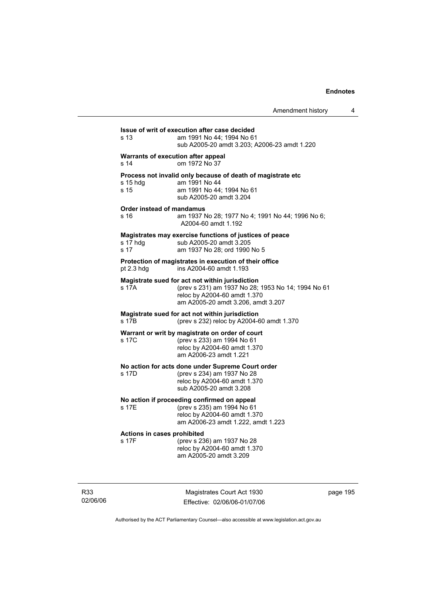| Amendment history |  |
|-------------------|--|
|-------------------|--|

| s 13              | am 1991 No 44; 1994 No 61<br>sub A2005-20 amdt 3.203; A2006-23 amdt 1.220                                                                                                   |
|-------------------|-----------------------------------------------------------------------------------------------------------------------------------------------------------------------------|
| s 14              | Warrants of execution after appeal<br>om 1972 No 37                                                                                                                         |
| s 15 hdg<br>s 15  | Process not invalid only because of death of magistrate etc<br>am 1991 No 44<br>am 1991 No 44: 1994 No 61<br>sub A2005-20 amdt 3.204                                        |
| s 16              | Order instead of mandamus<br>am 1937 No 28; 1977 No 4; 1991 No 44; 1996 No 6;<br>A2004-60 amdt 1.192                                                                        |
| s 17 hdg<br>s 17  | Magistrates may exercise functions of justices of peace<br>sub A2005-20 amdt 3.205<br>am 1937 No 28; ord 1990 No 5                                                          |
| pt 2.3 hdg        | Protection of magistrates in execution of their office<br>ins A2004-60 amdt 1.193                                                                                           |
| s 17A             | Magistrate sued for act not within jurisdiction<br>(prev s 231) am 1937 No 28; 1953 No 14; 1994 No 61<br>reloc by A2004-60 amdt 1.370<br>am A2005-20 amdt 3.206, amdt 3.207 |
| s 17 <sub>B</sub> | Magistrate sued for act not within jurisdiction<br>(prev s 232) reloc by A2004-60 amdt 1.370                                                                                |
| s 17C             | Warrant or writ by magistrate on order of court<br>(prev s 233) am 1994 No 61<br>reloc by A2004-60 amdt 1.370<br>am A2006-23 amdt 1.221                                     |
| s 17D             | No action for acts done under Supreme Court order<br>(prev s 234) am 1937 No 28<br>reloc by A2004-60 amdt 1.370<br>sub A2005-20 amdt 3.208                                  |
| s 17E             | No action if proceeding confirmed on appeal<br>(prev s 235) am 1994 No 61<br>reloc by A2004-60 amdt 1.370<br>am A2006-23 amdt 1.222, amdt 1.223                             |
| s 17F             | Actions in cases prohibited<br>(prev s 236) am 1937 No 28<br>reloc by A2004-60 amdt 1.370<br>am A2005-20 amdt 3.209                                                         |

R33 02/06/06

Magistrates Court Act 1930 Effective: 02/06/06-01/07/06 page 195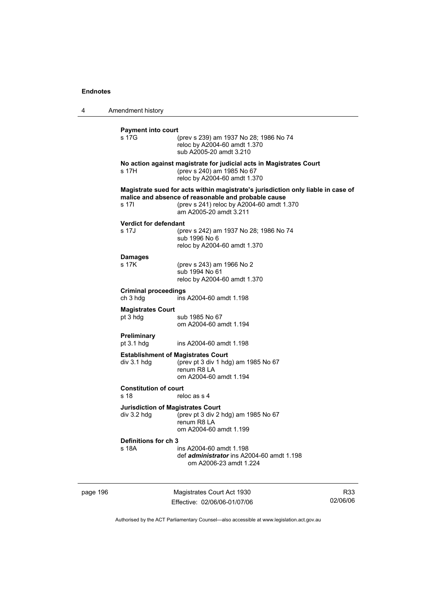4 Amendment history page 196 Magistrates Court Act 1930 R33 **Payment into court**  (prev s 239) am 1937 No 28; 1986 No 74 reloc by A2004-60 amdt 1.370 sub A2005-20 amdt 3.210 **No action against magistrate for judicial acts in Magistrates Court**  s 17H (prev s 240) am 1985 No 67 reloc by A2004-60 amdt 1.370 **Magistrate sued for acts within magistrate's jurisdiction only liable in case of malice and absence of reasonable and probable cause**  s 17I (prev s 241) reloc by A2004-60 amdt 1.370 am A2005-20 amdt 3.211 **Verdict for defendant**  (prev s 242) am 1937 No 28; 1986 No 74 sub 1996 No 6 reloc by A2004-60 amdt 1.370 **Damages**  s 17K (prev s 243) am 1966 No 2 sub 1994 No 61 reloc by A2004-60 amdt 1.370 **Criminal proceedings**  ch 3 hdg ins A2004-60 amdt 1.198 **Magistrates Court**  pt 3 hdg sub 1985 No 67 om A2004-60 amdt 1.194 **Preliminary**  pt 3.1 hdg ins A2004-60 amdt 1.198 **Establishment of Magistrates Court<br>div 3.1 hdg (prev pt 3 div 1 hdg)** (prev pt 3 div 1 hdg) am 1985 No  $67$  renum R8 LA om A2004-60 amdt 1.194 **Constitution of court**  s 18 reloc as s 4 **Jurisdiction of Magistrates Court**  div 3.2 hdg  $\qquad$  (prev pt 3 div 2 hdg) am 1985 No 67 renum R8 LA om A2004-60 amdt 1.199 **Definitions for ch 3**  ins A2004-60 amdt 1.198 def *administrator* ins A2004-60 amdt 1.198 om A2006-23 amdt 1.224

Authorised by the ACT Parliamentary Counsel—also accessible at www.legislation.act.gov.au

02/06/06

Effective: 02/06/06-01/07/06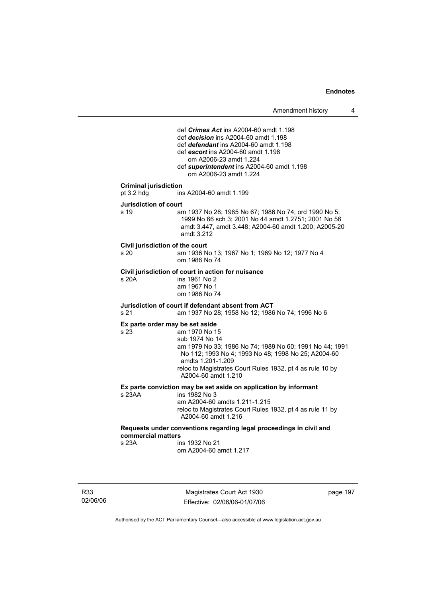Amendment history 4

 def *Crimes Act* ins A2004-60 amdt 1.198 def *decision* ins A2004-60 amdt 1.198 def *defendant* ins A2004-60 amdt 1.198 def *escort* ins A2004-60 amdt 1.198 om A2006-23 amdt 1.224 def *superintendent* ins A2004-60 amdt 1.198 om A2006-23 amdt 1.224 **Criminal jurisdiction**  pt 3.2 hdg ins A2004-60 amdt 1.199 **Jurisdiction of court**  s 19 am 1937 No 28; 1985 No 67; 1986 No 74; ord 1990 No 5; 1999 No 66 sch 3; 2001 No 44 amdt 1.2751; 2001 No 56 amdt 3.447, amdt 3.448; A2004-60 amdt 1.200; A2005-20 amdt 3.212 **Civil jurisdiction of the court**  am 1936 No 13; 1967 No 1; 1969 No 12; 1977 No 4 om 1986 No 74 **Civil jurisdiction of court in action for nuisance**  s 20A ins 1961 No 2 am 1967 No 1 om 1986 No 74 **Jurisdiction of court if defendant absent from ACT**  s 21 am 1937 No 28; 1958 No 12; 1986 No 74; 1996 No 6 **Ex parte order may be set aside**  s 23 am 1970 No 15 sub 1974 No 14 am 1979 No 33; 1986 No 74; 1989 No 60; 1991 No 44; 1991 No 112; 1993 No 4; 1993 No 48; 1998 No 25; A2004-60 amdts 1.201-1.209 reloc to Magistrates Court Rules 1932, pt 4 as rule 10 by A2004-60 amdt 1.210 **Ex parte conviction may be set aside on application by informant**  ins 1982 No 3 am A2004-60 amdts 1.211-1.215 reloc to Magistrates Court Rules 1932, pt 4 as rule 11 by A2004-60 amdt 1.216 **Requests under conventions regarding legal proceedings in civil and commercial matters**  s 23A ins 1932 No 21 om A2004-60 amdt 1.217

R33 02/06/06

Magistrates Court Act 1930 Effective: 02/06/06-01/07/06 page 197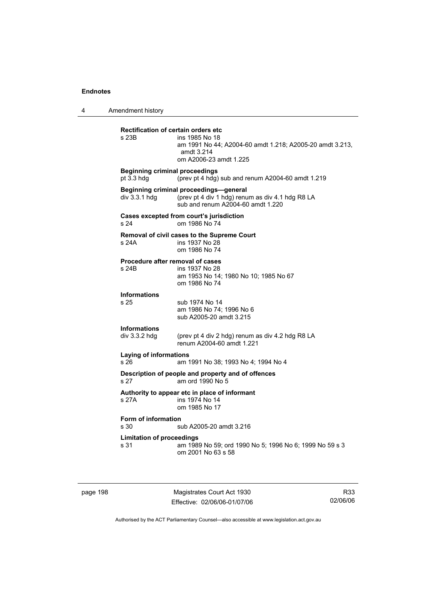4 Amendment history

| <b>Rectification of certain orders etc</b><br>s 23B | ins 1985 No 18<br>am 1991 No 44; A2004-60 amdt 1.218; A2005-20 amdt 3.213,<br>amdt 3.214<br>om A2006-23 amdt 1.225              |
|-----------------------------------------------------|---------------------------------------------------------------------------------------------------------------------------------|
| <b>Beginning criminal proceedings</b><br>pt 3.3 hdg | (prev pt 4 hdg) sub and renum A2004-60 amdt 1.219                                                                               |
| div 3.3.1 hdg                                       | Beginning criminal proceedings-general<br>(prev pt 4 div 1 hdg) renum as div 4.1 hdg R8 LA<br>sub and renum A2004-60 amdt 1.220 |
| s <sub>24</sub>                                     | Cases excepted from court's jurisdiction<br>om 1986 No 74                                                                       |
| s 24A                                               | Removal of civil cases to the Supreme Court<br>ins 1937 No 28<br>om 1986 No 74                                                  |
| Procedure after removal of cases<br>s 24B           | ins 1937 No 28<br>am 1953 No 14; 1980 No 10; 1985 No 67<br>om 1986 No 74                                                        |
| <b>Informations</b><br>s <sub>25</sub>              | sub 1974 No 14<br>am 1986 No 74; 1996 No 6<br>sub A2005-20 amdt 3.215                                                           |
| <b>Informations</b><br>div $3.3.2$ hdg              | (prev pt 4 div 2 hdg) renum as div 4.2 hdg R8 LA<br>renum A2004-60 amdt 1.221                                                   |
| <b>Laying of informations</b><br>s 26               | am 1991 No 38; 1993 No 4; 1994 No 4                                                                                             |
| s 27                                                | Description of people and property and of offences<br>am ord 1990 No 5                                                          |
| s 27A                                               | Authority to appear etc in place of informant<br>ins 1974 No 14<br>om 1985 No 17                                                |
| Form of information<br>s 30                         | sub A2005-20 amdt 3.216                                                                                                         |
| <b>Limitation of proceedings</b><br>s 31            | am 1989 No 59; ord 1990 No 5; 1996 No 6; 1999 No 59 s 3<br>om 2001 No 63 s 58                                                   |
|                                                     |                                                                                                                                 |

page 198 Magistrates Court Act 1930 Effective: 02/06/06-01/07/06

R33 02/06/06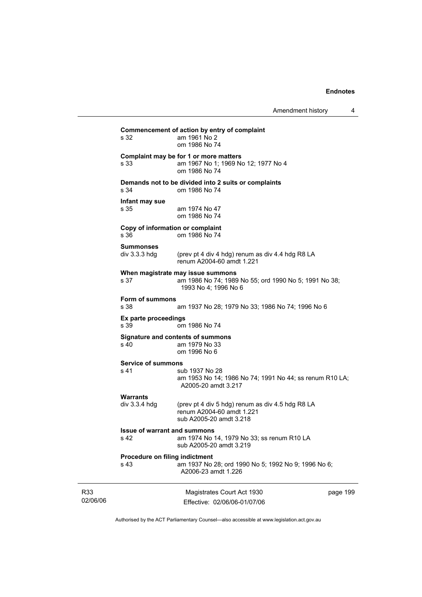Amendment history 4

| s 32                                   | Commencement of action by entry of complaint<br>am 1961 No 2<br>om 1986 No 74                                      |  |
|----------------------------------------|--------------------------------------------------------------------------------------------------------------------|--|
| s 33                                   | Complaint may be for 1 or more matters<br>am 1967 No 1; 1969 No 12; 1977 No 4<br>om 1986 No 74                     |  |
| s 34                                   | Demands not to be divided into 2 suits or complaints<br>om 1986 No 74                                              |  |
| Infant may sue<br>s 35                 | am 1974 No 47<br>om 1986 No 74                                                                                     |  |
| s 36                                   | Copy of information or complaint<br>om 1986 No 74                                                                  |  |
| <b>Summonses</b><br>div 3.3.3 hdg      | (prev pt 4 div 4 hdg) renum as div 4.4 hdg R8 LA<br>renum A2004-60 amdt 1.221                                      |  |
| s 37                                   | When magistrate may issue summons<br>am 1986 No 74; 1989 No 55; ord 1990 No 5; 1991 No 38;<br>1993 No 4; 1996 No 6 |  |
| Form of summons<br>s 38                | am 1937 No 28; 1979 No 33; 1986 No 74; 1996 No 6                                                                   |  |
| Ex parte proceedings<br>s 39           | om 1986 No 74                                                                                                      |  |
| s 40                                   | Signature and contents of summons<br>am 1979 No 33<br>om 1996 No 6                                                 |  |
| <b>Service of summons</b><br>s 41      | sub 1937 No 28<br>am 1953 No 14; 1986 No 74; 1991 No 44; ss renum R10 LA;<br>A2005-20 amdt 3.217                   |  |
| Warrants<br>div $3.3.4$ hdg            | (prev pt 4 div 5 hdg) renum as div 4.5 hdg R8 LA<br>renum A2004-60 amdt 1.221<br>sub A2005-20 amdt 3.218           |  |
| s 42                                   | <b>Issue of warrant and summons</b><br>am 1974 No 14, 1979 No 33; ss renum R10 LA<br>sub A2005-20 amdt 3.219       |  |
| Procedure on filing indictment<br>s 43 | am 1937 No 28; ord 1990 No 5; 1992 No 9; 1996 No 6;<br>A2006-23 amdt 1.226                                         |  |
|                                        | page 199<br>Magistrates Court Act 1930<br>Effective: 02/06/06-01/07/06                                             |  |

Authorised by the ACT Parliamentary Counsel—also accessible at www.legislation.act.gov.au

R33 02/06/06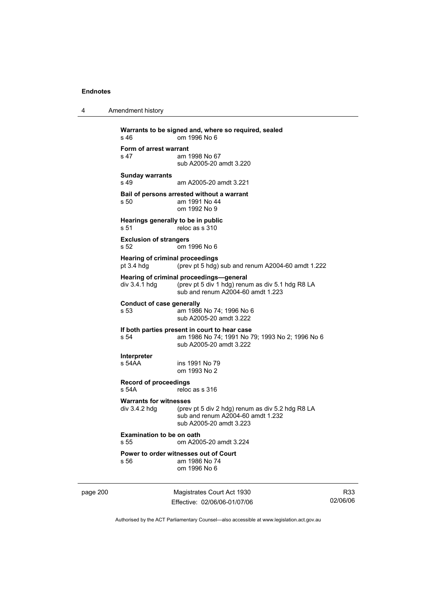| 4 | Amendment history |
|---|-------------------|
|---|-------------------|

| Warrants to be signed and, where so required, sealed<br>s <sub>46</sub><br>om 1996 No 6                                             |                                                                                                                                  |  |
|-------------------------------------------------------------------------------------------------------------------------------------|----------------------------------------------------------------------------------------------------------------------------------|--|
| Form of arrest warrant<br>s 47                                                                                                      | am 1998 No 67<br>sub A2005-20 amdt 3.220                                                                                         |  |
| <b>Sunday warrants</b><br>s 49                                                                                                      | am A2005-20 amdt 3.221                                                                                                           |  |
| s 50                                                                                                                                | Bail of persons arrested without a warrant<br>am 1991 No 44<br>om 1992 No 9                                                      |  |
| Hearings generally to be in public<br>s 51                                                                                          | reloc as s 310                                                                                                                   |  |
| <b>Exclusion of strangers</b><br>s 52                                                                                               | om 1996 No 6                                                                                                                     |  |
| <b>Hearing of criminal proceedings</b><br>pt $3.4$ hdg                                                                              | (prev pt 5 hdg) sub and renum A2004-60 amdt 1.222                                                                                |  |
| div 3.4.1 hdg                                                                                                                       | Hearing of criminal proceedings-general<br>(prev pt 5 div 1 hdg) renum as div 5.1 hdg R8 LA<br>sub and renum A2004-60 amdt 1.223 |  |
| Conduct of case generally<br>s 53                                                                                                   | am 1986 No 74; 1996 No 6<br>sub A2005-20 amdt 3.222                                                                              |  |
| If both parties present in court to hear case<br>s 54<br>am 1986 No 74; 1991 No 79; 1993 No 2; 1996 No 6<br>sub A2005-20 amdt 3.222 |                                                                                                                                  |  |
| Interpreter<br>s 54AA                                                                                                               | ins 1991 No 79<br>om 1993 No 2                                                                                                   |  |
| <b>Record of proceedings</b><br>s <sub>54A</sub><br>reloc as s 316                                                                  |                                                                                                                                  |  |
| <b>Warrants for witnesses</b><br>div 3.4.2 hdg                                                                                      | (prev pt 5 div 2 hdg) renum as div 5.2 hdg R8 LA<br>sub and renum A2004-60 amdt 1.232<br>sub A2005-20 amdt 3.223                 |  |
| <b>Examination to be on oath</b><br>s 55<br>om A2005-20 amdt 3.224                                                                  |                                                                                                                                  |  |
| s 56                                                                                                                                | Power to order witnesses out of Court<br>am 1986 No 74<br>om 1996 No 6                                                           |  |

page 200 Magistrates Court Act 1930 Effective: 02/06/06-01/07/06

R33 02/06/06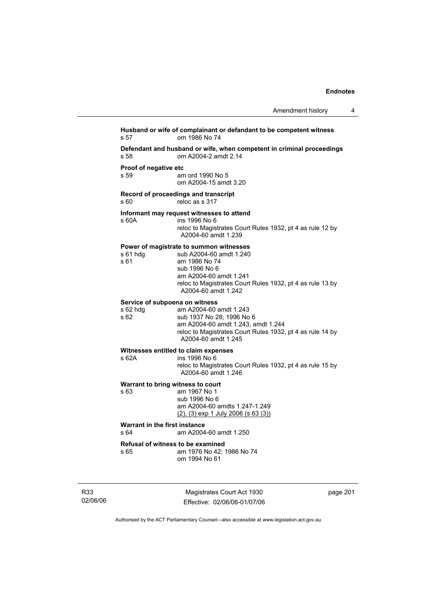# **Husband or wife of complainant or defandant to be competent witness**  s 57 om 1986 No 74 **Defendant and husband or wife, when competent in criminal proceedings**  s 58 om A2004-2 amdt 2.14 **Proof of negative etc** s 59 am am ord 1990 No 5 om A2004-15 amdt 3.20 **Record of proceedings and transcript**  s 60 reloc as s 317 **Informant may request witnesses to attend**  s 60A ins 1996 No 6 reloc to Magistrates Court Rules 1932, pt 4 as rule 12 by A2004-60 amdt 1.239 **Power of magistrate to summon witnesses**  s 61 hdg sub A2004-60 amdt 1.240<br>s 61 am 1986 No 74 am 1986 No 74 sub 1996 No 6 am A2004-60 amdt 1.241 reloc to Magistrates Court Rules 1932, pt 4 as rule 13 by A2004-60 amdt 1.242 **Service of subpoena on witness**  s 62 hdg am A2004-60 amdt 1.243<br>s 62 sub 1937 No 28; 1996 No sub 1937 No 28; 1996 No 6 am A2004-60 amdt 1.243, amdt 1.244 reloc to Magistrates Court Rules 1932, pt 4 as rule 14 by A2004-60 amdt 1.245 **Witnesses entitled to claim expenses**  s 62A ins 1996 No 6 reloc to Magistrates Court Rules 1932, pt 4 as rule 15 by A2004-60 amdt 1.246 **Warrant to bring witness to court**  s 63 am 1967 No 1 sub 1996 No 6 am A2004-60 amdts 1.247-1.249 (2), (3) exp 1 July 2006 (s 63 (3)) **Warrant in the first instance**<br>s 64 am A2004 am A2004-60 amdt 1.250 **Refusal of witness to be examined**  s 65 am 1976 No 42; 1986 No 74 om 1994 No 61

R33 02/06/06

Magistrates Court Act 1930 Effective: 02/06/06-01/07/06 page 201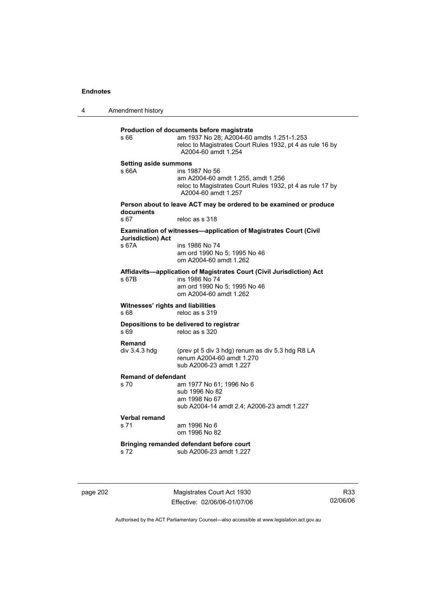4 Amendment history **Production of documents before magistrate**  s 66 am 1937 No 28; A2004-60 amdts 1.251-1.253 reloc to Magistrates Court Rules 1932, pt 4 as rule 16 by A2004-60 amdt 1.254 **Setting aside summons**  s 66A ins 1987 No 56 am A2004-60 amdt 1.255, amdt 1.256 reloc to Magistrates Court Rules 1932, pt 4 as rule 17 by A2004-60 amdt 1.257 **Person about to leave ACT may be ordered to be examined or produce documents**  s 67 reloc as s 318 **Examination of witnesses—application of Magistrates Court (Civil Jurisdiction) Act**  ins 1986 No 74 am ord 1990 No 5; 1995 No 46 om A2004-60 amdt 1.262 **Affidavits—application of Magistrates Court (Civil Jurisdiction) Act**  s 67B ins 1986 No 74 am ord 1990 No 5; 1995 No 46 om A2004-60 amdt 1.262 **Witnesses' rights and liabilities**  s 68 reloc as s 319 **Depositions to be delivered to registrar**<br>s 69 **reloc** as s 320 reloc as s 320 **Remand**  div 3.4.3 hdg (prev pt 5 div 3 hdg) renum as div 5.3 hdg R8 LA renum A2004-60 amdt 1.270 sub A2006-23 amdt 1.227 **Remand of defendant**  am 1977 No 61; 1996 No 6 sub 1996 No 82 am 1998 No 67 sub A2004-14 amdt 2.4; A2006-23 amdt 1.227 **Verbal remand**  s 71 am 1996 No 6 om 1996 No 82 **Bringing remanded defendant before court**  s 72 sub A2006-23 amdt 1.227

page 202 Magistrates Court Act 1930 Effective: 02/06/06-01/07/06

R33 02/06/06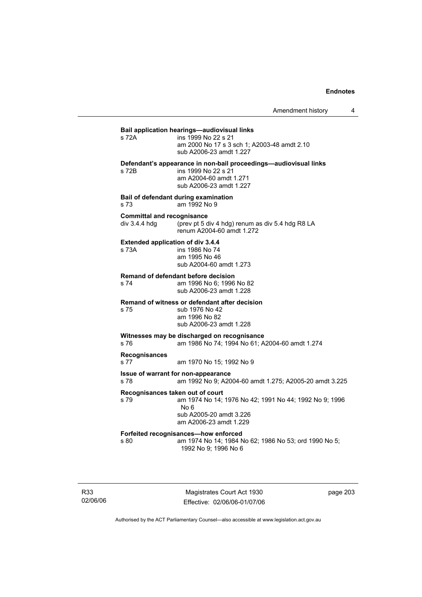## **Bail application hearings—audiovisual links**

| s 72A | ins 1999 No 22 s 21                                              |
|-------|------------------------------------------------------------------|
|       | am 2000 No 17 s 3 sch 1: A2003-48 amdt 2.10                      |
|       | sub A2006-23 amdt 1.227                                          |
|       | Defendant's appearance in non-bail proceedings—audiovisual links |

s 72B ins 1999 No 22 s 21 am A2004-60 amdt 1.271 sub A2006-23 amdt 1.227

**Bail of defendant during examination**  s 73 am 1992 No 9

## **Committal and recognisance**

div 3.4.4 hdg (prev pt 5 div 4 hdg) renum as div 5.4 hdg R8 LA renum A2004-60 amdt 1.272

## **Extended application of div 3.4.4**

s 73A ins 1986 No 74 am 1995 No 46 sub A2004-60 amdt 1.273

# **Remand of defendant before decision**

am 1996 No 6; 1996 No 82 sub A2006-23 amdt 1.228

### **Remand of witness or defendant after decision**

s 75 sub 1976 No 42 am 1996 No 82 sub A2006-23 amdt 1.228

## **Witnesses may be discharged on recognisance**

s 76 am 1986 No 74; 1994 No 61; A2004-60 amdt 1.274

# **Recognisances**

am 1970 No 15: 1992 No 9

#### **Issue of warrant for non-appearance**

s 78 am 1992 No 9; A2004-60 amdt 1.275; A2005-20 amdt 3.225

#### **Recognisances taken out of court**

s 79 am 1974 No 14; 1976 No 42; 1991 No 44; 1992 No 9; 1996 No 6 sub A2005-20 amdt 3.226

am A2006-23 amdt 1.229

## **Forfeited recognisances—how enforced**

s 80 am 1974 No 14; 1984 No 62; 1986 No 53; ord 1990 No 5; 1992 No 9; 1996 No 6

R33 02/06/06

Magistrates Court Act 1930 Effective: 02/06/06-01/07/06 page 203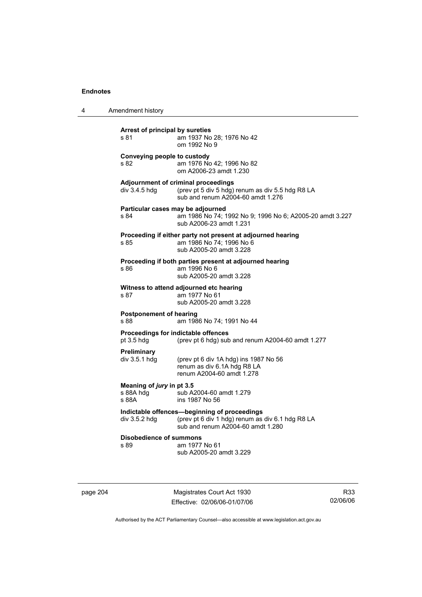| 4 | Amendment history                                   |                                                                                                                                       |
|---|-----------------------------------------------------|---------------------------------------------------------------------------------------------------------------------------------------|
|   | Arrest of principal by sureties<br>s 81             | am 1937 No 28; 1976 No 42<br>om 1992 No 9                                                                                             |
|   | Conveying people to custody<br>s 82                 | am 1976 No 42; 1996 No 82<br>om A2006-23 amdt 1.230                                                                                   |
|   | div 3.4.5 hdg                                       | Adjournment of criminal proceedings<br>(prev pt 5 div 5 hdg) renum as div 5.5 hdg R8 LA<br>sub and renum A2004-60 amdt 1.276          |
|   | Particular cases may be adjourned<br>s 84           | am 1986 No 74; 1992 No 9; 1996 No 6; A2005-20 amdt 3.227<br>sub A2006-23 amdt 1.231                                                   |
|   | s 85                                                | Proceeding if either party not present at adjourned hearing<br>am 1986 No 74; 1996 No 6<br>sub A2005-20 amdt 3.228                    |
|   | s 86                                                | Proceeding if both parties present at adjourned hearing<br>am 1996 No 6<br>sub A2005-20 amdt 3.228                                    |
|   | s 87                                                | Witness to attend adjourned etc hearing<br>am 1977 No 61<br>sub A2005-20 amdt 3.228                                                   |
|   | Postponement of hearing<br>s 88                     | am 1986 No 74; 1991 No 44                                                                                                             |
|   | Proceedings for indictable offences<br>$pt$ 3.5 hdg | (prev pt 6 hdg) sub and renum A2004-60 amdt 1.277                                                                                     |
|   | <b>Preliminary</b><br>$div$ 3.5.1 hdg               | (prev pt 6 div 1A hdg) ins 1987 No 56<br>renum as div 6.1A hdg R8 LA<br>renum A2004-60 amdt 1.278                                     |
|   | Meaning of jury in pt 3.5<br>s 88A hdg<br>s 88A     | sub A2004-60 amdt 1.279<br>ins 1987 No 56                                                                                             |
|   | div $3.5.2$ hdg                                     | Indictable offences-beginning of proceedings<br>(prev pt 6 div 1 hdg) renum as div 6.1 hdg R8 LA<br>sub and renum A2004-60 amdt 1.280 |
|   | <b>Disobedience of summons</b><br>s 89              | am 1977 No 61<br>sub A2005-20 amdt 3.229                                                                                              |

page 204 Magistrates Court Act 1930 Effective: 02/06/06-01/07/06

R33 02/06/06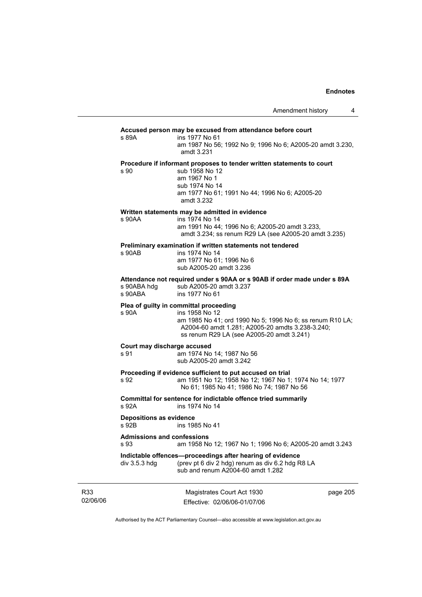#### **Accused person may be excused from attendance before court**

s 89A ins 1977 No 61 am 1987 No 56; 1992 No 9; 1996 No 6; A2005-20 amdt 3.230, amdt 3.231

## **Procedure if informant proposes to tender written statements to court**

s 90 sub 1958 No 12 am 1967 No 1 sub 1974 No 14 am 1977 No 61; 1991 No 44; 1996 No 6; A2005-20 amdt 3.232

#### **Written statements may be admitted in evidence**

s 90AA ins 1974 No 14

 am 1991 No 44; 1996 No 6; A2005-20 amdt 3.233, amdt 3.234; ss renum R29 LA (see A2005-20 amdt 3.235)

# **Preliminary examination if written statements not tendered**

ins 1974 No 14 am 1977 No 61; 1996 No 6 sub A2005-20 amdt 3.236

**Attendance not required under s 90AA or s 90AB if order made under s 89A**  s 90ABA hdg sub A2005-20 amdt 3.237

|         | . . |                |  |
|---------|-----|----------------|--|
| s 90ABA |     | ins 1977 No 61 |  |
|         |     |                |  |

## **Plea of guilty in committal proceeding**

s 90A ins 1958 No 12

 am 1985 No 41; ord 1990 No 5; 1996 No 6; ss renum R10 LA; A2004-60 amdt 1.281; A2005-20 amdts 3.238-3.240; ss renum R29 LA (see A2005-20 amdt 3.241)

#### **Court may discharge accused**

s 91 am 1974 No 14; 1987 No 56 sub A2005-20 amdt 3.242

#### **Proceeding if evidence sufficient to put accused on trial**

s 92 am 1951 No 12; 1958 No 12; 1967 No 1; 1974 No 14; 1977 No 61; 1985 No 41; 1986 No 74; 1987 No 56

**Committal for sentence for indictable offence tried summarily**  s 92A ins 1974 No 14

#### **Depositions as evidence**

s 92B ins 1985 No 41

#### **Admissions and confessions**

## s 93 am 1958 No 12; 1967 No 1; 1996 No 6; A2005-20 amdt 3.243

**Indictable offences—proceedings after hearing of evidence** 

div 3.5.3 hdg (prev pt 6 div 2 hdg) renum as div 6.2 hdg R8 LA sub and renum A2004-60 amdt 1.282

R33 02/06/06

Magistrates Court Act 1930 Effective: 02/06/06-01/07/06 page 205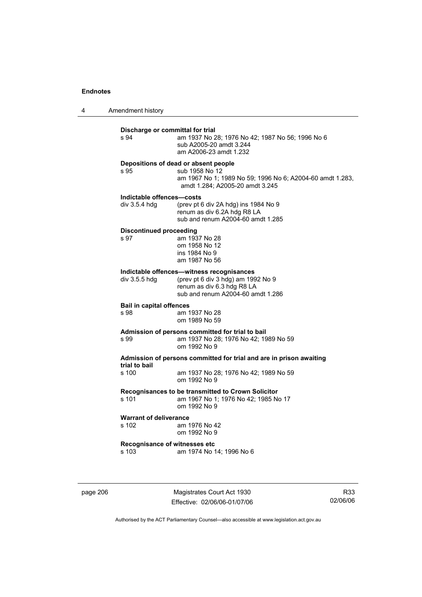4 Amendment history

| s 94                                       | am 1937 No 28; 1976 No 42; 1987 No 56; 1996 No 6<br>sub A2005-20 amdt 3.244<br>am A2006-23 amdt 1.232                                                  |
|--------------------------------------------|--------------------------------------------------------------------------------------------------------------------------------------------------------|
| s 95                                       | Depositions of dead or absent people<br>sub 1958 No 12<br>am 1967 No 1; 1989 No 59; 1996 No 6; A2004-60 amdt 1.283,<br>amdt 1.284; A2005-20 amdt 3.245 |
| Indictable offences-costs<br>div 3.5.4 hdq | (prev pt 6 div 2A hdg) ins 1984 No 9<br>renum as div 6.2A hdg R8 LA<br>sub and renum A2004-60 amdt 1.285                                               |
| <b>Discontinued proceeding</b><br>s 97     | am 1937 No 28<br>om 1958 No 12<br>ins 1984 No 9<br>am 1987 No 56                                                                                       |
| div 3.5.5 hdg                              | Indictable offences-witness recognisances<br>(prev pt 6 div 3 hdg) am 1992 No 9<br>renum as div 6.3 hdg R8 LA<br>sub and renum A2004-60 amdt 1.286     |
| <b>Bail in capital offences</b><br>s 98    | am 1937 No 28<br>om 1989 No 59                                                                                                                         |
| s 99                                       | Admission of persons committed for trial to bail<br>am 1937 No 28; 1976 No 42; 1989 No 59<br>om 1992 No 9                                              |
| trial to bail                              | Admission of persons committed for trial and are in prison awaiting                                                                                    |
| s 100                                      | am 1937 No 28; 1976 No 42; 1989 No 59<br>om 1992 No 9                                                                                                  |
| s 101                                      | Recognisances to be transmitted to Crown Solicitor<br>am 1967 No 1; 1976 No 42; 1985 No 17<br>om 1992 No 9                                             |
| <b>Warrant of deliverance</b><br>s 102     | am 1976 No 42<br>om 1992 No 9                                                                                                                          |
|                                            | Recognisance of witnesses etc                                                                                                                          |

page 206 Magistrates Court Act 1930 Effective: 02/06/06-01/07/06

R33 02/06/06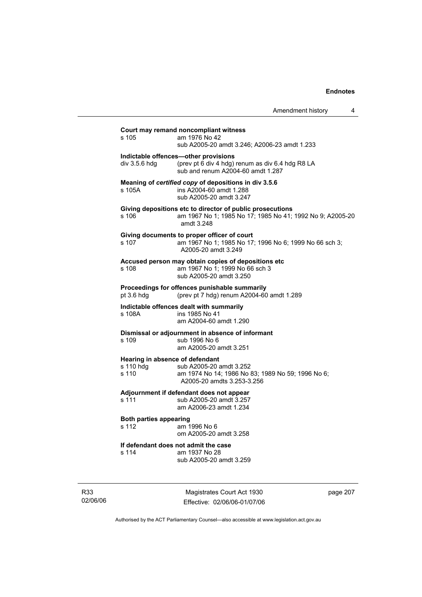|                                                       | Amendment history<br>4                                                                                                               |
|-------------------------------------------------------|--------------------------------------------------------------------------------------------------------------------------------------|
| s 105                                                 | Court may remand noncompliant witness<br>am 1976 No 42<br>sub A2005-20 amdt 3.246; A2006-23 amdt 1.233                               |
| div $3.5.6$ hdg                                       | Indictable offences-other provisions<br>(prev pt 6 div 4 hdg) renum as div 6.4 hdg R8 LA<br>sub and renum A2004-60 amdt 1.287        |
| s 105A                                                | Meaning of certified copy of depositions in div 3.5.6<br>ins A2004-60 amdt 1.288<br>sub A2005-20 amdt 3.247                          |
| s 106                                                 | Giving depositions etc to director of public prosecutions<br>am 1967 No 1; 1985 No 17; 1985 No 41; 1992 No 9; A2005-20<br>amdt 3.248 |
| s 107                                                 | Giving documents to proper officer of court<br>am 1967 No 1; 1985 No 17; 1996 No 6; 1999 No 66 sch 3;<br>A2005-20 amdt 3.249         |
| s 108                                                 | Accused person may obtain copies of depositions etc<br>am 1967 No 1; 1999 No 66 sch 3<br>sub A2005-20 amdt 3.250                     |
| pt 3.6 hdg                                            | Proceedings for offences punishable summarily<br>(prev pt 7 hdg) renum A2004-60 amdt 1.289                                           |
| s 108A                                                | Indictable offences dealt with summarily<br>ins 1985 No 41<br>am A2004-60 amdt 1.290                                                 |
| s 109                                                 | Dismissal or adjournment in absence of informant<br>sub 1996 No 6<br>am A2005-20 amdt 3.251                                          |
| Hearing in absence of defendant<br>s 110 hdg<br>s 110 | sub A2005-20 amdt 3.252<br>am 1974 No 14; 1986 No 83; 1989 No 59; 1996 No 6;<br>A2005-20 amdts 3.253-3.256                           |
| s 111                                                 | Adjournment if defendant does not appear<br>sub A2005-20 amdt 3.257<br>am A2006-23 amdt 1.234                                        |
| <b>Both parties appearing</b><br>s 112                | am 1996 No 6<br>om A2005-20 amdt 3.258                                                                                               |
| s 114                                                 | If defendant does not admit the case<br>am 1937 No 28<br>sub A2005-20 amdt 3.259                                                     |
|                                                       |                                                                                                                                      |

R33 02/06/06

Magistrates Court Act 1930 Effective: 02/06/06-01/07/06 page 207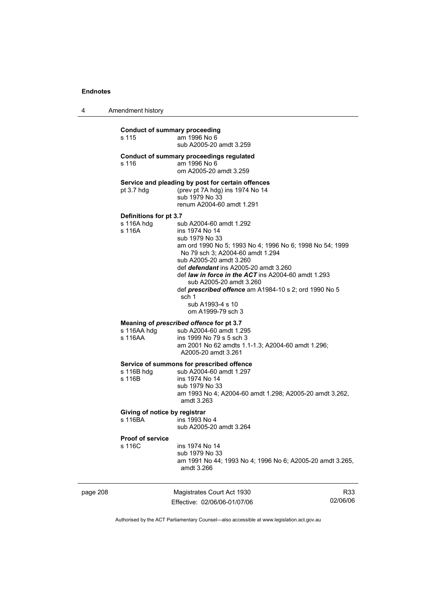4 Amendment history

## **Conduct of summary proceeding**

s 115 am 1996 No 6 sub A2005-20 amdt 3.259

**Conduct of summary proceedings regulated** 

| s 116 | am 1996 No 6           |
|-------|------------------------|
|       | om A2005-20 amdt 3.259 |

**Service and pleading by post for certain offences** 

pt 3.7 hdg (prev pt 7A hdg) ins 1974 No 14 sub 1979 No 33 renum A2004-60 amdt 1.291

# **Definitions for pt 3.7**

s 116A hdg sub A2004-60 amdt 1.292<br>s 116A ins 1974 No 14 ins 1974 No 14

 sub 1979 No 33 am ord 1990 No 5; 1993 No 4; 1996 No 6; 1998 No 54; 1999 No 79 sch 3; A2004-60 amdt 1.294 sub A2005-20 amdt 3.260 def *defendant* ins A2005-20 amdt 3.260 def *law in force in the ACT* ins A2004-60 amdt 1.293 sub A2005-20 amdt 3.260 def *prescribed offence* am A1984-10 s 2; ord 1990 No 5 sch 1 sub A1993-4 s 10

om A1999-79 sch 3

# **Meaning of** *prescribed offence* **for pt 3.7 s** 116AA hdg sub A2004-60 amdt 1.2

sub A2004-60 amdt 1.295 s 116AA ins 1999 No 79 s 5 sch 3 am 2001 No 62 amdts 1.1-1.3; A2004-60 amdt 1.296; A2005-20 amdt 3.261

## **Service of summons for prescribed offence**

s 116B hdg sub A2004-60 amdt 1.297<br>s 116B ins 1974 No 14 ins 1974 No 14 sub 1979 No 33 am 1993 No 4; A2004-60 amdt 1.298; A2005-20 amdt 3.262, amdt 3.263

## **Giving of notice by registrar**

s 116BA ins 1993 No 4 sub A2005-20 amdt 3.264

# **Proof of service**

ins 1974 No 14 sub 1979 No 33 am 1991 No 44; 1993 No 4; 1996 No 6; A2005-20 amdt 3.265, amdt 3.266

| page 208 | Magistrates Court Act 1930   | R33      |
|----------|------------------------------|----------|
|          | Effective: 02/06/06-01/07/06 | 02/06/06 |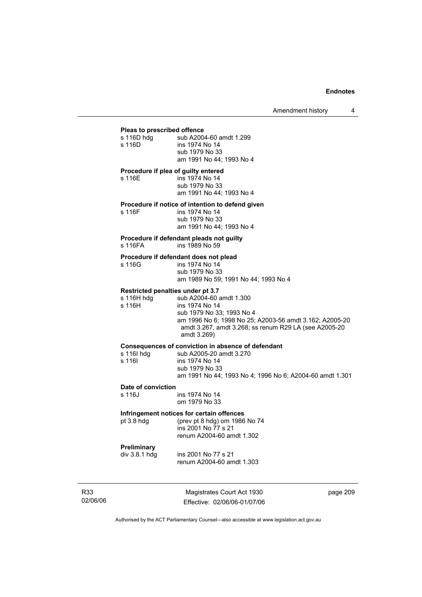# **Pleas to prescribed offence**

| Pleas to prescribed offence                               |                                                                                                                                                                                                           |
|-----------------------------------------------------------|-----------------------------------------------------------------------------------------------------------------------------------------------------------------------------------------------------------|
| s 116D hdg<br>s 116D                                      | sub A2004-60 amdt 1.299<br>ins 1974 No 14<br>sub 1979 No 33<br>am 1991 No 44: 1993 No 4                                                                                                                   |
| Procedure if plea of guilty entered<br>s 116E             | ins 1974 No 14<br>sub 1979 No 33<br>am 1991 No 44; 1993 No 4                                                                                                                                              |
| s 116F                                                    | Procedure if notice of intention to defend given<br>ins 1974 No 14<br>sub 1979 No 33<br>am 1991 No 44; 1993 No 4                                                                                          |
| s 116FA                                                   | Procedure if defendant pleads not guilty<br>ins 1989 No 59                                                                                                                                                |
| s 116G                                                    | Procedure if defendant does not plead<br>ins 1974 No 14<br>sub 1979 No 33<br>am 1989 No 59; 1991 No 44; 1993 No 4                                                                                         |
| Restricted penalties under pt 3.7<br>s 116H hdg<br>s 116H | sub A2004-60 amdt 1.300<br>ins 1974 No 14<br>sub 1979 No 33; 1993 No 4<br>am 1996 No 6; 1998 No 25; A2003-56 amdt 3.162; A2005-20<br>amdt 3.267, amdt 3.268; ss renum R29 LA (see A2005-20<br>amdt 3.269) |
| s 116I hdg<br>s 116I                                      | Consequences of conviction in absence of defendant<br>sub A2005-20 amdt 3.270<br>ins 1974 No 14<br>sub 1979 No 33<br>am 1991 No 44; 1993 No 4; 1996 No 6; A2004-60 amdt 1.301                             |
| Date of conviction<br>s 116J                              | ins 1974 No 14<br>om 1979 No 33                                                                                                                                                                           |
| pt $3.8$ hdg                                              | Infringement notices for certain offences<br>(prev pt 8 hdg) om 1986 No 74<br>ins 2001 No 77 s 21<br>renum A2004-60 amdt 1.302                                                                            |
| Preliminary<br>div 3.8.1 hdg                              | ins 2001 No 77 s 21<br>renum A2004-60 amdt 1.303                                                                                                                                                          |

R33 02/06/06

Magistrates Court Act 1930 Effective: 02/06/06-01/07/06 page 209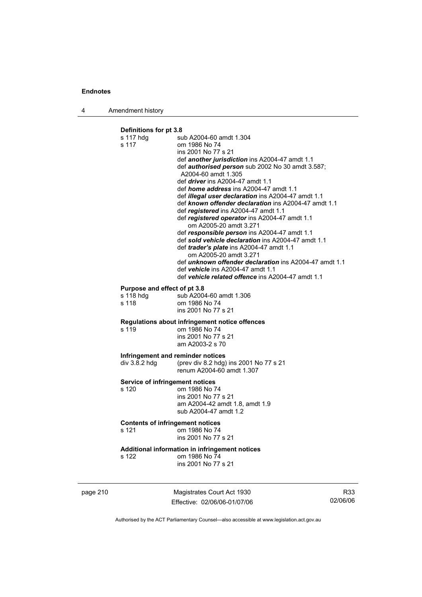4 Amendment history

# **Definitions for pt 3.8**

|                                                    | Magistrates Court Act 1930                                                                                                                                                                                                                                                                                                                                                                                                                                                                                                                                                                                                                                                                                                                                                                                                            | R |
|----------------------------------------------------|---------------------------------------------------------------------------------------------------------------------------------------------------------------------------------------------------------------------------------------------------------------------------------------------------------------------------------------------------------------------------------------------------------------------------------------------------------------------------------------------------------------------------------------------------------------------------------------------------------------------------------------------------------------------------------------------------------------------------------------------------------------------------------------------------------------------------------------|---|
| s 122                                              | Additional information in infringement notices<br>om 1986 No 74<br>ins 2001 No 77 s 21                                                                                                                                                                                                                                                                                                                                                                                                                                                                                                                                                                                                                                                                                                                                                |   |
| <b>Contents of infringement notices</b><br>s 121   | om 1986 No 74<br>ins 2001 No 77 s 21                                                                                                                                                                                                                                                                                                                                                                                                                                                                                                                                                                                                                                                                                                                                                                                                  |   |
| Service of infringement notices<br>s 120           | om 1986 No 74<br>ins 2001 No 77 s 21<br>am A2004-42 amdt 1.8, amdt 1.9<br>sub A2004-47 amdt 1.2                                                                                                                                                                                                                                                                                                                                                                                                                                                                                                                                                                                                                                                                                                                                       |   |
| div 3.8.2 hdg                                      | Infringement and reminder notices<br>(prev div 8.2 hdg) ins 2001 No 77 s 21<br>renum A2004-60 amdt 1.307                                                                                                                                                                                                                                                                                                                                                                                                                                                                                                                                                                                                                                                                                                                              |   |
| s 119                                              | Regulations about infringement notice offences<br>om 1986 No 74<br>ins 2001 No 77 s 21<br>am A2003-2 s 70                                                                                                                                                                                                                                                                                                                                                                                                                                                                                                                                                                                                                                                                                                                             |   |
| Purpose and effect of pt 3.8<br>s 118 hdg<br>s 118 | sub A2004-60 amdt 1.306<br>om 1986 No 74<br>ins 2001 No 77 s 21                                                                                                                                                                                                                                                                                                                                                                                                                                                                                                                                                                                                                                                                                                                                                                       |   |
| s 117 hdg<br>s 117                                 | om 1986 No 74<br>ins 2001 No 77 s 21<br>def another jurisdiction ins A2004-47 amdt 1.1<br>def <i>authorised person</i> sub 2002 No 30 amdt 3.587;<br>A2004-60 amdt 1.305<br>def <i>driver</i> ins A2004-47 amdt 1.1<br>def home address ins A2004-47 amdt 1.1<br>def illegal user declaration ins A2004-47 amdt 1.1<br>def known offender declaration ins A2004-47 amdt 1.1<br>def registered ins A2004-47 amdt 1.1<br>def registered operator ins A2004-47 amdt 1.1<br>om A2005-20 amdt 3.271<br>def responsible person ins A2004-47 amdt 1.1<br>def sold vehicle declaration ins A2004-47 amdt 1.1<br>def trader's plate ins A2004-47 amdt 1.1<br>om A2005-20 amdt 3.271<br>def <i>unknown offender declaration</i> ins A2004-47 amdt 1.1<br>def vehicle ins A2004-47 amdt 1.1<br>def vehicle related offence ins A2004-47 amdt 1.1 |   |
| Deminions ior proto                                | sub A2004-60 amdt 1.304                                                                                                                                                                                                                                                                                                                                                                                                                                                                                                                                                                                                                                                                                                                                                                                                               |   |

page 210

Effective: 02/06/06-01/07/06

R33 02/06/06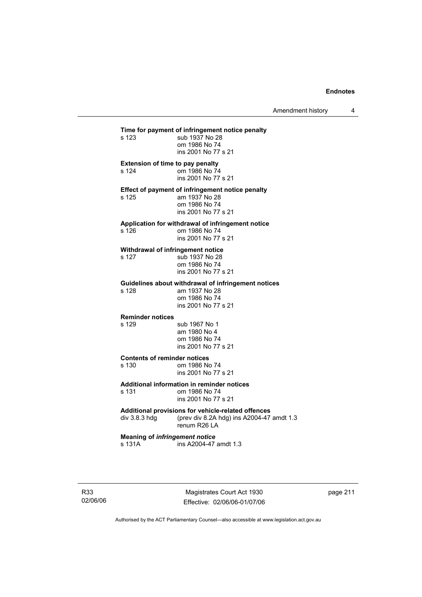Amendment history 4

**Time for payment of infringement notice penalty**<br>s 123 sub 1937 No 28 sub 1937 No 28 om 1986 No 74 ins 2001 No 77 s 21 **Extension of time to pay penalty**  s 124 om 1986 No 74 ins 2001 No 77 s 21 **Effect of payment of infringement notice penalty**  am 1937 No 28 om 1986 No 74 ins 2001 No 77 s 21 **Application for withdrawal of infringement notice**  om 1986 No 74 ins 2001 No 77 s 21 **Withdrawal of infringement notice**  s 127 sub 1937 No 28 om 1986 No 74 ins 2001 No 77 s 21 **Guidelines about withdrawal of infringement notices**  am 1937 No 28 om 1986 No 74 ins 2001 No 77 s 21 **Reminder notices**  s 129 sub 1967 No 1 am 1980 No 4 om 1986 No 74 ins 2001 No 77 s 21 **Contents of reminder notices**  s 130 om 1986 No 74 ins 2001 No 77 s 21 **Additional information in reminder notices**  s 131 om 1986 No 74 ins 2001 No 77 s 21 **Additional provisions for vehicle-related offences**  div 3.8.3 hdg (prev div 8.2A hdg) ins A2004-47 amdt 1.3 renum R26 LA **Meaning of** *infringement notice* s 131A ins A2004-47 amdt 1.3

R33 02/06/06

Magistrates Court Act 1930 Effective: 02/06/06-01/07/06 page 211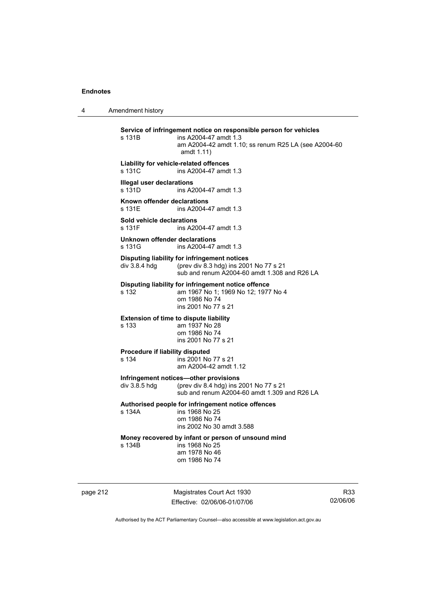4 Amendment history **Service of infringement notice on responsible person for vehicles**  ins A2004-47 amdt  $1.3$  am A2004-42 amdt 1.10; ss renum R25 LA (see A2004-60 amdt 1.11) **Liability for vehicle-related offences**  s 131C ins A2004-47 amdt 1.3 **Illegal user declarations**  s 131D ins A2004-47 amdt 1.3 **Known offender declarations**  s 131E ins A2004-47 amdt 1.3 **Sold vehicle declarations**  ins A2004-47 amdt 1.3 **Unknown offender declarations**  s 131G **ins A2004-47** amdt 1.3 **Disputing liability for infringement notices**<br>div 3.8.4 hdg (prev div 8.3 hdg) ins 200 (prev div 8.3 hdg) ins 2001 No 77 s 21 sub and renum A2004-60 amdt 1.308 and R26 LA **Disputing liability for infringement notice offence**  s 132 am 1967 No 1; 1969 No 12; 1977 No 4 om 1986 No 74 ins 2001 No 77 s 21 **Extension of time to dispute liability**  s 133 am 1937 No 28 om 1986 No 74 ins 2001 No 77 s 21 **Procedure if liability disputed**  s 134 ins 2001 No 77 s 21 am A2004-42 amdt 1.12 **Infringement notices—other provisions**  div 3.8.5 hdg (prev div 8.4 hdg) ins 2001 No 77 s 21 sub and renum A2004-60 amdt 1.309 and R26 LA **Authorised people for infringement notice offences**  s 134A ins 1968 No 25 om 1986 No 74 ins 2002 No 30 amdt 3.588 **Money recovered by infant or person of unsound mind**  s 134B ins 1968 No 25 am 1978 No 46 om 1986 No 74

page 212 Magistrates Court Act 1930 Effective: 02/06/06-01/07/06

R33 02/06/06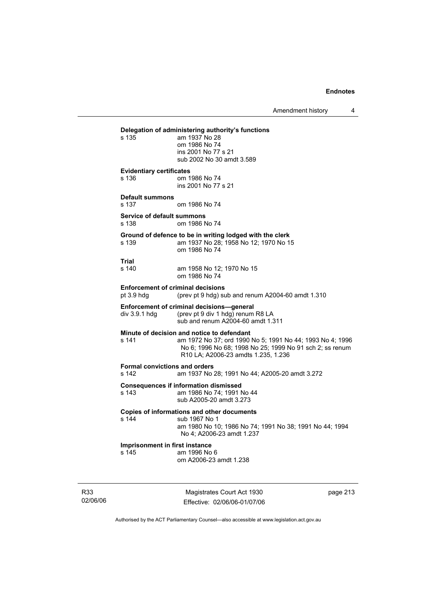Amendment history 4

# **Delegation of administering authority's functions**  am 1937 No 28 om 1986 No 74 ins 2001 No 77 s 21 sub 2002 No 30 amdt 3.589 **Evidentiary certificates**  s 136 om 1986 No 74 ins 2001 No 77 s 21 **Default summons**  s 137 om 1986 No 74 **Service of default summons**  s 138 om 1986 No 74 **Ground of defence to be in writing lodged with the clerk**  s 139 am 1937 No 28; 1958 No 12; 1970 No 15 om 1986 No 74 **Trial**  am 1958 No 12; 1970 No 15 om 1986 No 74 **Enforcement of criminal decisions**  pt 3.9 hdg (prev pt 9 hdg) sub and renum A2004-60 amdt 1.310 **Enforcement of criminal decisions—general**  div 3.9.1 hdg (prev pt 9 div 1 hdg) renum R8 LA sub and renum A2004-60 amdt 1.311 **Minute of decision and notice to defendant**  s 141 am 1972 No 37; ord 1990 No 5; 1991 No 44; 1993 No 4; 1996 No 6; 1996 No 68; 1998 No 25; 1999 No 91 sch 2; ss renum R10 LA; A2006-23 amdts 1.235, 1.236 **Formal convictions and orders**  s 142 am 1937 No 28; 1991 No 44; A2005-20 amdt 3.272 **Consequences if information dismissed**  am 1986 No 74; 1991 No 44 sub A2005-20 amdt 3.273 **Copies of informations and other documents**  s 144 sub 1967 No 1 am 1980 No 10; 1986 No 74; 1991 No 38; 1991 No 44; 1994 No 4; A2006-23 amdt 1.237 **Imprisonment in first instance**  s 145 am 1996 No 6

om A2006-23 amdt 1.238

R33 02/06/06

Magistrates Court Act 1930 Effective: 02/06/06-01/07/06 page 213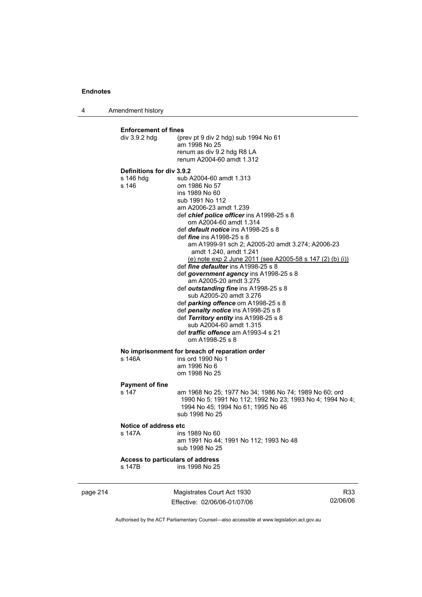4 Amendment history

|          | <b>Enforcement of fines</b><br>div $3.9.2$ hdg  | (prev pt 9 div 2 hdg) sub 1994 No 61<br>am 1998 No 25<br>renum as div 9.2 hdg R8 LA<br>renum A2004-60 amdt 1.312                                                                                                                                                                                                                                                                                                                                                                                                                                                                                                                                                                                                                                                                                                     |                 |
|----------|-------------------------------------------------|----------------------------------------------------------------------------------------------------------------------------------------------------------------------------------------------------------------------------------------------------------------------------------------------------------------------------------------------------------------------------------------------------------------------------------------------------------------------------------------------------------------------------------------------------------------------------------------------------------------------------------------------------------------------------------------------------------------------------------------------------------------------------------------------------------------------|-----------------|
|          | Definitions for div 3.9.2<br>s 146 hdg<br>s 146 | sub A2004-60 amdt 1.313<br>om 1986 No 57<br>ins 1989 No 60<br>sub 1991 No 112<br>am A2006-23 amdt 1.239<br>def chief police officer ins A1998-25 s 8<br>om A2004-60 amdt 1.314<br>def <i>default notice</i> ins A1998-25 s 8<br>def <i>fine</i> ins A1998-25 s 8<br>am A1999-91 sch 2; A2005-20 amdt 3.274; A2006-23<br>amdt 1.240, amdt 1.241<br>(e) note exp 2 June 2011 (see A2005-58 s 147 (2) (b) (i))<br>def <i>fine defaulter</i> ins A1998-25 s 8<br>def government agency ins A1998-25 s 8<br>am A2005-20 amdt 3.275<br>def outstanding fine ins A1998-25 s 8<br>sub A2005-20 amdt 3.276<br>def parking offence om A1998-25 s 8<br>def penalty notice ins A1998-25 s 8<br>def Territory entity ins A1998-25 s 8<br>sub A2004-60 amdt 1.315<br>def <i>traffic offence</i> am A1993-4 s 21<br>om A1998-25 s 8 |                 |
|          | s 146A                                          | No imprisonment for breach of reparation order<br>ins ord 1990 No 1<br>am 1996 No 6<br>om 1998 No 25                                                                                                                                                                                                                                                                                                                                                                                                                                                                                                                                                                                                                                                                                                                 |                 |
|          | <b>Payment of fine</b><br>s 147                 | am 1968 No 25; 1977 No 34; 1986 No 74; 1989 No 60; ord<br>1990 No 5; 1991 No 112; 1992 No 23; 1993 No 4; 1994 No 4;<br>1994 No 45; 1994 No 61; 1995 No 46<br>sub 1998 No 25                                                                                                                                                                                                                                                                                                                                                                                                                                                                                                                                                                                                                                          |                 |
|          | Notice of address etc<br>s 147A                 | ins 1989 No 60<br>am 1991 No 44; 1991 No 112; 1993 No 48<br>sub 1998 No 25                                                                                                                                                                                                                                                                                                                                                                                                                                                                                                                                                                                                                                                                                                                                           |                 |
|          | Access to particulars of address<br>s 147B      | ins 1998 No 25                                                                                                                                                                                                                                                                                                                                                                                                                                                                                                                                                                                                                                                                                                                                                                                                       |                 |
| page 214 |                                                 | Magistrates Court Act 1930<br>Fffective: 02/06/06-01/07/06                                                                                                                                                                                                                                                                                                                                                                                                                                                                                                                                                                                                                                                                                                                                                           | R33<br>02/06/06 |

Authorised by the ACT Parliamentary Counsel—also accessible at www.legislation.act.gov.au

Effective: 02/06/06-01/07/06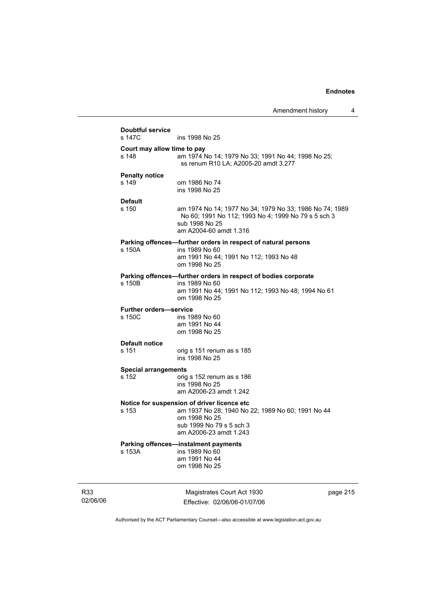|                 | <b>Doubtful service</b><br>s 147C       | ins 1998 No 25                                                                                                                                                          |          |
|-----------------|-----------------------------------------|-------------------------------------------------------------------------------------------------------------------------------------------------------------------------|----------|
|                 | Court may allow time to pay<br>s 148    | am 1974 No 14; 1979 No 33; 1991 No 44; 1998 No 25;<br>ss renum R10 LA; A2005-20 amdt 3.277                                                                              |          |
|                 | <b>Penalty notice</b><br>s 149          | om 1986 No 74<br>ins 1998 No 25                                                                                                                                         |          |
|                 | <b>Default</b><br>s 150                 | am 1974 No 14; 1977 No 34; 1979 No 33; 1986 No 74; 1989<br>No 60; 1991 No 112; 1993 No 4; 1999 No 79 s 5 sch 3<br>sub 1998 No 25<br>am A2004-60 amdt 1.316              |          |
|                 | s 150A                                  | Parking offences-further orders in respect of natural persons<br>ins 1989 No 60<br>am 1991 No 44; 1991 No 112; 1993 No 48<br>om 1998 No 25                              |          |
|                 | s 150B                                  | Parking offences-further orders in respect of bodies corporate<br>ins 1989 No 60<br>am 1991 No 44; 1991 No 112; 1993 No 48; 1994 No 61<br>om 1998 No 25                 |          |
|                 | <b>Further orders-service</b><br>s 150C | ins 1989 No 60<br>am 1991 No 44<br>om 1998 No 25                                                                                                                        |          |
|                 | <b>Default notice</b><br>s 151          | orig s 151 renum as s 185<br>ins 1998 No 25                                                                                                                             |          |
|                 | <b>Special arrangements</b><br>s 152    | orig s 152 renum as s 186<br>ins 1998 No 25<br>am A2006-23 amdt 1.242                                                                                                   |          |
|                 | s 153                                   | Notice for suspension of driver licence etc<br>am 1937 No 28; 1940 No 22; 1989 No 60; 1991 No 44<br>om 1998 No 25<br>sub 1999 No 79 s 5 sch 3<br>am A2006-23 amdt 1.243 |          |
|                 | s 153A                                  | Parking offences-instalment payments<br>ins 1989 No 60<br>am 1991 No 44<br>om 1998 No 25                                                                                |          |
| R33<br>02/06/06 |                                         | Magistrates Court Act 1930<br>Fffective: 02/06/06-01/07/06                                                                                                              | page 215 |

Authorised by the ACT Parliamentary Counsel—also accessible at www.legislation.act.gov.au

Effective: 02/06/06-01/07/06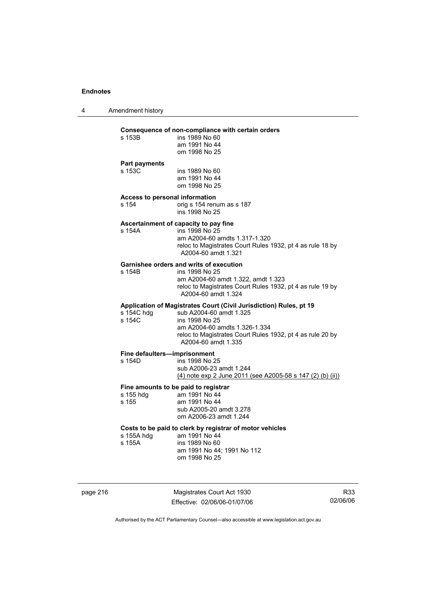4 Amendment history

| ins 1989 No 60<br>s 153B<br>am 1991 No 44<br>om 1998 No 25<br><b>Part payments</b><br>s 153C<br>ins 1989 No 60<br>am 1991 No 44<br>om 1998 No 25<br><b>Access to personal information</b><br>s 154<br>orig s 154 renum as s 187<br>ins 1998 No 25<br>Ascertainment of capacity to pay fine<br>ins 1998 No 25<br>s 154A<br>am A2004-60 amdts 1.317-1.320<br>A2004-60 amdt 1.321<br><b>Garnishee orders and writs of execution</b><br>s 154B<br>ins 1998 No 25<br>am A2004-60 amdt 1.322, amdt 1.323<br>A2004-60 amdt 1.324<br>Application of Magistrates Court (Civil Jurisdiction) Rules, pt 19<br>s 154C hdg<br>sub A2004-60 amdt 1.325<br>s 154C<br>ins 1998 No 25<br>am A2004-60 amdts 1.326-1.334<br>A2004-60 amdt 1.335<br>Fine defaulters-imprisonment<br>ins 1998 No 25<br>s 154D<br>sub A2006-23 amdt 1.244<br>Fine amounts to be paid to registrar<br>am 1991 No 44<br>s 155 hdg<br>s 155<br>am 1991 No 44<br>sub A2005-20 amdt 3.278<br>om A2006-23 amdt 1.244<br>Costs to be paid to clerk by registrar of motor vehicles<br>am 1991 No 44<br>s 155A hdg<br>s 155A<br>ins 1989 No 60<br>am 1991 No 44; 1991 No 112<br>om 1998 No 25 | Consequence of non-compliance with certain orders          |
|------------------------------------------------------------------------------------------------------------------------------------------------------------------------------------------------------------------------------------------------------------------------------------------------------------------------------------------------------------------------------------------------------------------------------------------------------------------------------------------------------------------------------------------------------------------------------------------------------------------------------------------------------------------------------------------------------------------------------------------------------------------------------------------------------------------------------------------------------------------------------------------------------------------------------------------------------------------------------------------------------------------------------------------------------------------------------------------------------------------------------------------------|------------------------------------------------------------|
|                                                                                                                                                                                                                                                                                                                                                                                                                                                                                                                                                                                                                                                                                                                                                                                                                                                                                                                                                                                                                                                                                                                                                |                                                            |
|                                                                                                                                                                                                                                                                                                                                                                                                                                                                                                                                                                                                                                                                                                                                                                                                                                                                                                                                                                                                                                                                                                                                                |                                                            |
|                                                                                                                                                                                                                                                                                                                                                                                                                                                                                                                                                                                                                                                                                                                                                                                                                                                                                                                                                                                                                                                                                                                                                |                                                            |
|                                                                                                                                                                                                                                                                                                                                                                                                                                                                                                                                                                                                                                                                                                                                                                                                                                                                                                                                                                                                                                                                                                                                                | reloc to Magistrates Court Rules 1932, pt 4 as rule 18 by  |
|                                                                                                                                                                                                                                                                                                                                                                                                                                                                                                                                                                                                                                                                                                                                                                                                                                                                                                                                                                                                                                                                                                                                                | reloc to Magistrates Court Rules 1932, pt 4 as rule 19 by  |
|                                                                                                                                                                                                                                                                                                                                                                                                                                                                                                                                                                                                                                                                                                                                                                                                                                                                                                                                                                                                                                                                                                                                                | reloc to Magistrates Court Rules 1932, pt 4 as rule 20 by  |
|                                                                                                                                                                                                                                                                                                                                                                                                                                                                                                                                                                                                                                                                                                                                                                                                                                                                                                                                                                                                                                                                                                                                                | (4) note exp 2 June 2011 (see A2005-58 s 147 (2) (b) (ii)) |
|                                                                                                                                                                                                                                                                                                                                                                                                                                                                                                                                                                                                                                                                                                                                                                                                                                                                                                                                                                                                                                                                                                                                                |                                                            |
|                                                                                                                                                                                                                                                                                                                                                                                                                                                                                                                                                                                                                                                                                                                                                                                                                                                                                                                                                                                                                                                                                                                                                |                                                            |

page 216 Magistrates Court Act 1930 Effective: 02/06/06-01/07/06

R33 02/06/06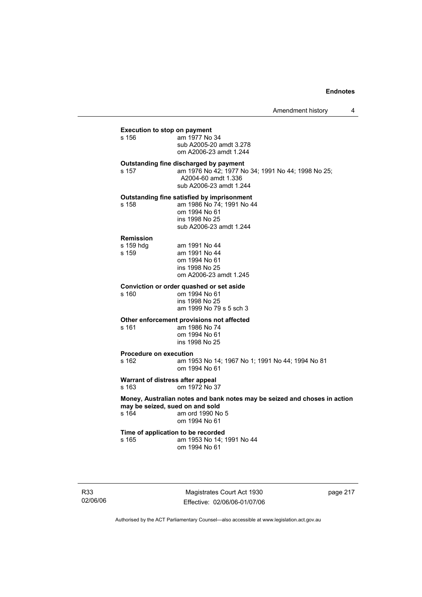# **Execution to stop on payment**<br>s 156 am 1977 No

am 1977 No 34 sub A2005-20 amdt 3.278 om A2006-23 amdt 1.244

## **Outstanding fine discharged by payment**

s 157 am 1976 No 42; 1977 No 34; 1991 No 44; 1998 No 25; A2004-60 amdt 1.336 sub A2006-23 amdt 1.244

## **Outstanding fine satisfied by imprisonment**

s 158 am 1986 No 74; 1991 No 44 om 1994 No 61 ins 1998 No 25 sub A2006-23 amdt 1.244

#### **Remission**

| s 159 hdq | am 1991 No 44          |
|-----------|------------------------|
| s 159     | am 1991 No 44          |
|           | om 1994 No 61          |
|           | ins 1998 No 25         |
|           | om A2006-23 amdt 1.245 |

#### **Conviction or order quashed or set aside**

s 160 om 1994 No 61 ins 1998 No 25 am 1999 No 79 s 5 sch 3

#### **Other enforcement provisions not affected**

s 161 am 1986 No 74 om 1994 No 61 ins 1998 No 25

# **Procedure on execution**<br>am 19 am 19

am 1953 No 14; 1967 No 1; 1991 No 44; 1994 No 81 om 1994 No 61

#### **Warrant of distress after appeal**  s 163 om 1972 No 37

**Money, Australian notes and bank notes may be seized and choses in action may be seized, sued on and sold**  s 164 am ord 1990 No 5 om 1994 No 61

## **Time of application to be recorded**<br>s 165 **am 1953** No 14:1 am 1953 No 14: 1991 No 44 om 1994 No 61

R33 02/06/06

Magistrates Court Act 1930 Effective: 02/06/06-01/07/06 page 217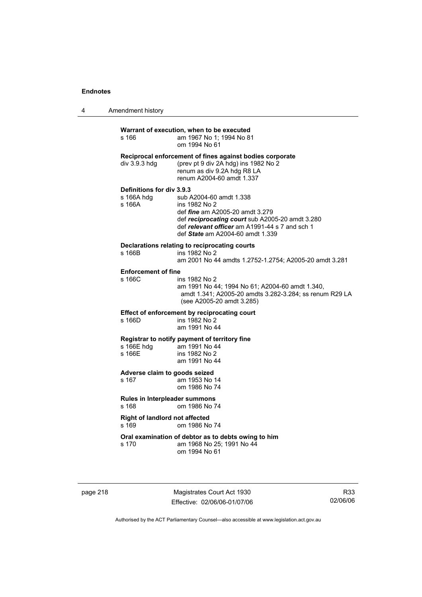| $\overline{4}$ | Amendment history |
|----------------|-------------------|
|----------------|-------------------|

| s 166                                             | Warrant of execution, when to be executed<br>am 1967 No 1; 1994 No 81<br>om 1994 No 61                                                                                                                                      |
|---------------------------------------------------|-----------------------------------------------------------------------------------------------------------------------------------------------------------------------------------------------------------------------------|
| div 3.9.3 hdg                                     | Reciprocal enforcement of fines against bodies corporate<br>(prev pt 9 div 2A hdg) ins 1982 No 2<br>renum as div 9.2A hdg R8 LA<br>renum A2004-60 amdt 1.337                                                                |
| Definitions for div 3.9.3<br>s 166A hdg<br>s 166A | sub A2004-60 amdt 1.338<br>ins 1982 No 2<br>def <i>fine</i> am A2005-20 amdt 3.279<br>def reciprocating court sub A2005-20 amdt 3.280<br>def relevant officer am A1991-44 s 7 and sch 1<br>def State am A2004-60 amdt 1.339 |
| s 166B                                            | Declarations relating to reciprocating courts<br>ins 1982 No 2<br>am 2001 No 44 amdts 1.2752-1.2754; A2005-20 amdt 3.281                                                                                                    |
| <b>Enforcement of fine</b><br>s 166C              | ins 1982 No 2<br>am 1991 No 44; 1994 No 61; A2004-60 amdt 1.340,<br>amdt 1.341; A2005-20 amdts 3.282-3.284; ss renum R29 LA<br>(see A2005-20 amdt 3.285)                                                                    |
| s 166D                                            | Effect of enforcement by reciprocating court<br>ins 1982 No 2<br>am 1991 No 44                                                                                                                                              |
| s 166E hdg<br>s 166E                              | Registrar to notify payment of territory fine<br>am 1991 No 44<br>ins 1982 No 2<br>am 1991 No 44                                                                                                                            |
| Adverse claim to goods seized<br>s 167            | am 1953 No 14<br>om 1986 No 74                                                                                                                                                                                              |
| Rules in Interpleader summons<br>s 168            | om 1986 No 74                                                                                                                                                                                                               |
| <b>Right of landlord not affected</b><br>s 169    | om 1986 No 74                                                                                                                                                                                                               |
| s 170                                             | Oral examination of debtor as to debts owing to him<br>am 1968 No 25; 1991 No 44<br>om 1994 No 61                                                                                                                           |

page 218 Magistrates Court Act 1930 Effective: 02/06/06-01/07/06

R33 02/06/06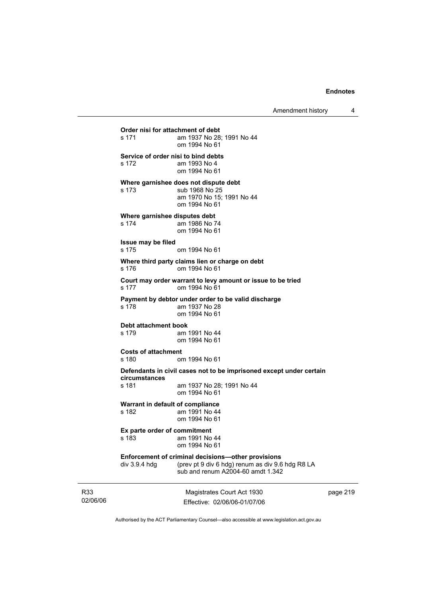Magistrates Court Act 1930 Effective: 02/06/06-01/07/06 **Order nisi for attachment of debt**  s 171 am 1937 No 28; 1991 No 44 om 1994 No 61 **Service of order nisi to bind debts**  s 172 am 1993 No 4 om 1994 No 61 **Where garnishee does not dispute debt**  s 173 sub 1968 No 25 am 1970 No 15; 1991 No 44 om 1994 No 61 **Where garnishee disputes debt**<br>s 174 am 1986 No 7 am 1986 No 74 om 1994 No 61 **Issue may be filed**  s 175 om 1994 No 61 **Where third party claims lien or charge on debt**  s 176 om 1994 No 61 **Court may order warrant to levy amount or issue to be tried**  s 177 om 1994 No 61 **Payment by debtor under order to be valid discharge**  am 1937 No 28 om 1994 No 61 **Debt attachment book**  s 179 am 1991 No 44 om 1994 No 61 **Costs of attachment**  s 180 om 1994 No 61 **Defendants in civil cases not to be imprisoned except under certain circumstances**  am 1937 No 28; 1991 No 44 om 1994 No 61 **Warrant in default of compliance**  s 182 am 1991 No 44 om 1994 No 61 **Ex parte order of commitment**<br>s 183 am 1991 No am 1991 No 44 om 1994 No 61 **Enforcement of criminal decisions—other provisions**  div 3.9.4 hdg (prev pt 9 div 6 hdg) renum as div 9.6 hdg R8 LA sub and renum A2004-60 amdt 1.342

page 219

Authorised by the ACT Parliamentary Counsel—also accessible at www.legislation.act.gov.au

R33 02/06/06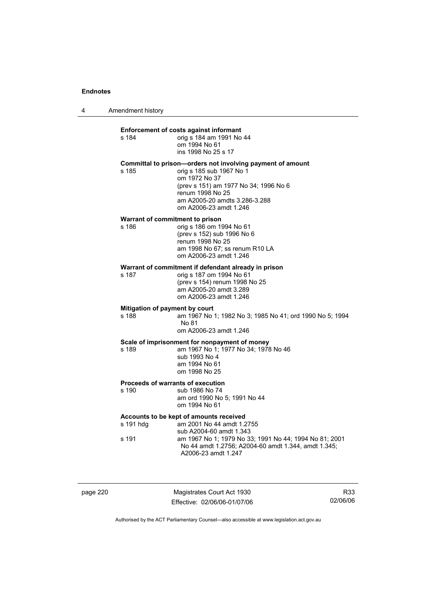| 4 | Amendment history |
|---|-------------------|
|---|-------------------|

s 184

#### **Enforcement of costs against informant**

| s 184 | orig s 184 am 1991 No 44 |
|-------|--------------------------|
|       | om 1994 No 61            |
|       | ins 1998 No 25 s 17      |

## **Committal to prison—orders not involving payment of amount**

s 185 orig s 185 sub 1967 No 1 om 1972 No 37 (prev s 151) am 1977 No 34; 1996 No 6 renum 1998 No 25 am A2005-20 amdts 3.286-3.288 om A2006-23 amdt 1.246

#### **Warrant of commitment to prison**

s 186 orig s 186 om 1994 No 61 (prev s 152) sub 1996 No 6 renum 1998 No 25 am 1998 No 67; ss renum R10 LA om A2006-23 amdt 1.246

# **Warrant of commitment if defendant already in prison**<br>s 187 orig s 187 om 1994 No 61

orig s 187 om 1994 No 61 (prev s 154) renum 1998 No 25 am A2005-20 amdt 3.289 om A2006-23 amdt 1.246

## **Mitigation of payment by court**

s 188 am 1967 No 1; 1982 No 3; 1985 No 41; ord 1990 No 5; 1994 No 81 om A2006-23 amdt 1.246

#### **Scale of imprisonment for nonpayment of money**

s 189 am 1967 No 1; 1977 No 34; 1978 No 46 sub 1993 No 4

 am 1994 No 61 om 1998 No 25

## **Proceeds of warrants of execution**

s 190 sub 1986 No 74 am ord 1990 No 5; 1991 No 44 om 1994 No 61

## **Accounts to be kept of amounts received**

| s 191 hdq | am 2001 No 44 amdt 1.2755                              |
|-----------|--------------------------------------------------------|
|           | sub A2004-60 amdt 1.343                                |
| s 191     | am 1967 No 1: 1979 No 33: 1991 No 44: 1994 No 81: 2001 |
|           | No 44 amdt 1.2756; A2004-60 amdt 1.344, amdt 1.345;    |
|           | A2006-23 amdt 1.247                                    |

page 220 Magistrates Court Act 1930 Effective: 02/06/06-01/07/06

R33 02/06/06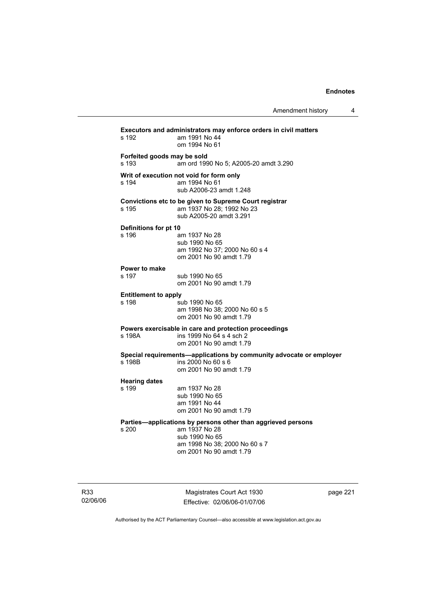| Amendment history |  |
|-------------------|--|
|-------------------|--|

| s 192                                | Executors and administrators may enforce orders in civil matters<br>am 1991 No 44<br>om 1994 No 61                                                          |
|--------------------------------------|-------------------------------------------------------------------------------------------------------------------------------------------------------------|
| Forfeited goods may be sold<br>s 193 | am ord 1990 No 5; A2005-20 amdt 3.290                                                                                                                       |
| s 194                                | Writ of execution not void for form only<br>am 1994 No 61<br>sub A2006-23 amdt 1.248                                                                        |
| s 195                                | Convictions etc to be given to Supreme Court registrar<br>am 1937 No 28: 1992 No 23<br>sub A2005-20 amdt 3.291                                              |
| Definitions for pt 10<br>s 196       | am 1937 No 28<br>sub 1990 No 65<br>am 1992 No 37; 2000 No 60 s 4<br>om 2001 No 90 amdt 1.79                                                                 |
| Power to make<br>s 197               | sub 1990 No 65<br>om 2001 No 90 amdt 1.79                                                                                                                   |
| <b>Entitlement to apply</b><br>s 198 | sub 1990 No 65<br>am 1998 No 38: 2000 No 60 s 5<br>om 2001 No 90 amdt 1.79                                                                                  |
| s 198A                               | Powers exercisable in care and protection proceedings<br>ins 1999 No 64 s 4 sch 2<br>om 2001 No 90 amdt 1.79                                                |
| s 198B                               | Special requirements-applications by community advocate or employer<br>ins 2000 No 60 s 6<br>om 2001 No 90 amdt 1.79                                        |
| <b>Hearing dates</b><br>s 199        | am 1937 No 28<br>sub 1990 No 65<br>am 1991 No 44<br>om 2001 No 90 amdt 1.79                                                                                 |
| s 200                                | Parties-applications by persons other than aggrieved persons<br>am 1937 No 28<br>sub 1990 No 65<br>am 1998 No 38; 2000 No 60 s 7<br>om 2001 No 90 amdt 1.79 |

R33 02/06/06

Magistrates Court Act 1930 Effective: 02/06/06-01/07/06 page 221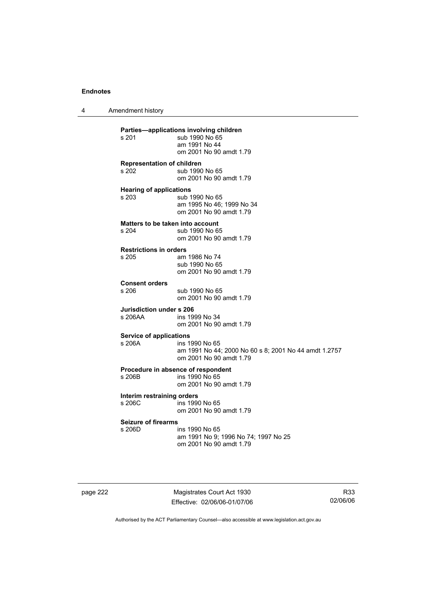4 Amendment history **Parties—applications involving children**  sub 1990 No 65 am 1991 No 44 om 2001 No 90 amdt 1.79 **Representation of children**  s 202 sub 1990 No 65 om 2001 No 90 amdt 1.79 **Hearing of applications**<br>s 203 sub 1 sub 1990 No 65 am 1995 No 46; 1999 No 34 om 2001 No 90 amdt 1.79 **Matters to be taken into account**<br>s 204 sub 1990 No 6 sub 1990 No 65 om 2001 No 90 amdt 1.79 **Restrictions in orders**  am 1986 No 74 sub 1990 No 65 om 2001 No 90 amdt 1.79 **Consent orders**  sub 1990 No 65 om 2001 No 90 amdt 1.79 **Jurisdiction under s 206**  ins 1999 No 34 om 2001 No 90 amdt 1.79 **Service of applications**  s 206A ins 1990 No 65 am 1991 No 44; 2000 No 60 s 8; 2001 No 44 amdt 1.2757 om 2001 No 90 amdt 1.79 **Procedure in absence of respondent**  ins 1990 No 65 om 2001 No 90 amdt 1.79 **Interim restraining orders**  s 206C ins 1990 No 65 om 2001 No 90 amdt 1.79 **Seizure of firearms**  s 206D ins 1990 No 65 am 1991 No 9; 1996 No 74; 1997 No 25 om 2001 No 90 amdt 1.79

page 222 Magistrates Court Act 1930 Effective: 02/06/06-01/07/06

R33 02/06/06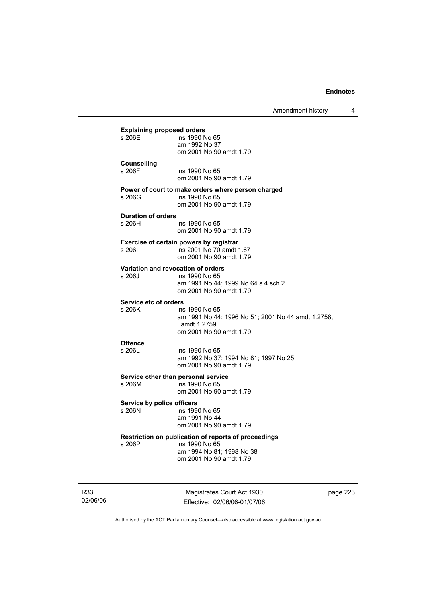|                                               | Amendment history                                                                                                              | 4 |
|-----------------------------------------------|--------------------------------------------------------------------------------------------------------------------------------|---|
| <b>Explaining proposed orders</b><br>s 206E   | ins 1990 No 65<br>am 1992 No 37<br>om 2001 No 90 amdt 1.79                                                                     |   |
| <b>Counselling</b><br>s 206F                  | ins 1990 No 65<br>om 2001 No 90 amdt 1.79                                                                                      |   |
| s 206G                                        | Power of court to make orders where person charged<br>ins 1990 No 65<br>om 2001 No 90 amdt 1.79                                |   |
| <b>Duration of orders</b><br>s 206H           | ins 1990 No 65<br>om 2001 No 90 amdt 1.79                                                                                      |   |
| s 206I                                        | Exercise of certain powers by registrar<br>ins 2001 No 70 amdt 1.67<br>om 2001 No 90 amdt 1.79                                 |   |
| Variation and revocation of orders<br>s 206J  | ins 1990 No 65<br>am 1991 No 44; 1999 No 64 s 4 sch 2<br>om 2001 No 90 amdt 1.79                                               |   |
| Service etc of orders<br>s 206K               | ins 1990 No 65<br>am 1991 No 44; 1996 No 51; 2001 No 44 amdt 1.2758,<br>amdt 1.2759<br>om 2001 No 90 amdt 1.79                 |   |
| <b>Offence</b><br>s 206L                      | ins 1990 No 65<br>am 1992 No 37; 1994 No 81; 1997 No 25<br>om 2001 No 90 amdt 1.79                                             |   |
| Service other than personal service<br>s 206M | ins 1990 No 65<br>om 2001 No 90 amdt 1.79                                                                                      |   |
| Service by police officers<br>s 206N          | ins 1990 No 65<br>am 1991 No 44<br>om 2001 No 90 amdt 1.79                                                                     |   |
| s 206P                                        | Restriction on publication of reports of proceedings<br>ins 1990 No 65<br>am 1994 No 81; 1998 No 38<br>om 2001 No 90 amdt 1.79 |   |

R33 02/06/06

Magistrates Court Act 1930 Effective: 02/06/06-01/07/06 page 223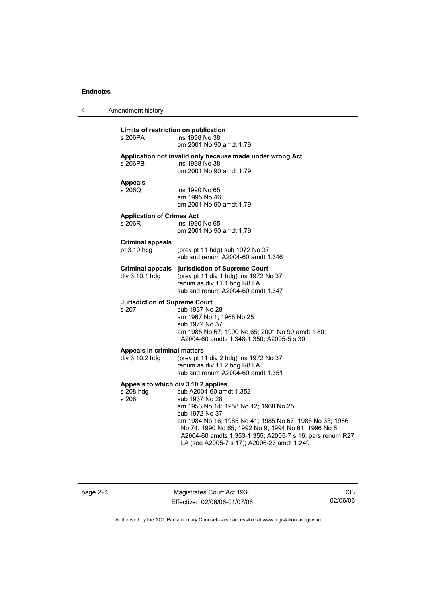| 4 | Amendment history                                         |                                                                                                                                                                                                                                                                                                                                   |
|---|-----------------------------------------------------------|-----------------------------------------------------------------------------------------------------------------------------------------------------------------------------------------------------------------------------------------------------------------------------------------------------------------------------------|
|   | Limits of restriction on publication<br>s 206PA           | ins 1998 No 38<br>om 2001 No 90 amdt 1.79                                                                                                                                                                                                                                                                                         |
|   | s 206PB                                                   | Application not invalid only because made under wrong Act<br>ins 1998 No 38<br>om 2001 No 90 amdt 1.79                                                                                                                                                                                                                            |
|   | <b>Appeals</b><br>s 206Q                                  | ins 1990 No 65<br>am 1995 No 46<br>om 2001 No 90 amdt 1.79                                                                                                                                                                                                                                                                        |
|   | <b>Application of Crimes Act</b><br>s 206R                | ins 1990 No 65<br>om 2001 No 90 amdt 1.79                                                                                                                                                                                                                                                                                         |
|   | <b>Criminal appeals</b><br>pt 3.10 hdg                    | (prev pt 11 hdg) sub 1972 No 37<br>sub and renum A2004-60 amdt 1.346                                                                                                                                                                                                                                                              |
|   | div 3.10.1 hdg                                            | Criminal appeals—jurisdiction of Supreme Court<br>(prev pt 11 div 1 hdg) ins 1972 No 37<br>renum as div 11.1 hdg R8 LA<br>sub and renum A2004-60 amdt 1.347                                                                                                                                                                       |
|   | <b>Jurisdiction of Supreme Court</b><br>s 207             | sub 1937 No 28<br>am 1967 No 1; 1968 No 25<br>sub 1972 No 37<br>am 1985 No 67; 1990 No 65; 2001 No 90 amdt 1.80;<br>A2004-60 amdts 1.348-1.350; A2005-5 s 30                                                                                                                                                                      |
|   | Appeals in criminal matters<br>div 3.10.2 hdg             | (prev pt 11 div 2 hdg) ins 1972 No 37<br>renum as div 11.2 hdg R8 LA<br>sub and renum A2004-60 amdt 1.351                                                                                                                                                                                                                         |
|   | Appeals to which div 3.10.2 applies<br>s 208 hdg<br>s 208 | sub A2004-60 amdt 1.352<br>sub 1937 No 28<br>am 1953 No 14; 1958 No 12; 1968 No 25<br>sub 1972 No 37<br>am 1984 No 16; 1985 No 41; 1985 No 67; 1986 No 33; 1986<br>No 74; 1990 No 65; 1992 No 9; 1994 No 61; 1996 No 6;<br>A2004-60 amdts 1.353-1.355; A2005-7 s 16; pars renum R27<br>LA (see A2005-7 s 17); A2006-23 amdt 1.249 |

page 224 Magistrates Court Act 1930 Effective: 02/06/06-01/07/06

R33 02/06/06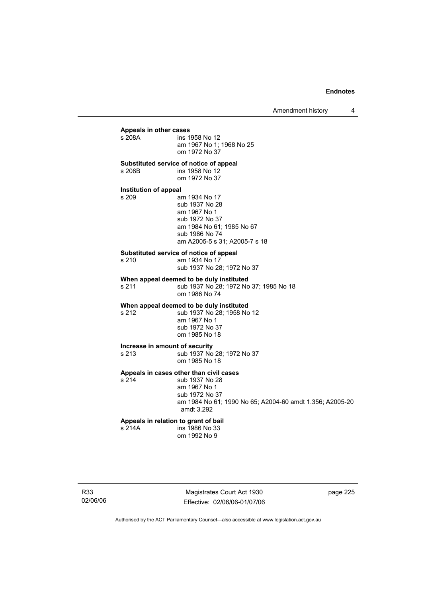## **Appeals in other cases**  ins 1958 No 12 am 1967 No 1; 1968 No 25 om 1972 No 37 **Substituted service of notice of appeal**  s 208B ins 1958 No 12 om 1972 No 37 **Institution of appeal**  am 1934 No 17 sub 1937 No 28 am 1967 No 1 sub 1972 No 37 am 1984 No 61; 1985 No 67 sub 1986 No 74 am A2005-5 s 31; A2005-7 s 18 **Substituted service of notice of appeal**  s 210 am 1934 No 17 sub 1937 No 28; 1972 No 37 **When appeal deemed to be duly instituted**  s 211 sub 1937 No 28: 1972 No 37: 1985 No 18 om 1986 No 74 **When appeal deemed to be duly instituted**  s 212 sub 1937 No 28; 1958 No 12 am 1967 No 1 sub 1972 No 37 om 1985 No 18 **Increase in amount of security**  s 213 sub 1937 No 28; 1972 No 37 om 1985 No 18 **Appeals in cases other than civil cases**  s 214 sub 1937 No 28 am 1967 No 1 sub 1972 No 37 am 1984 No 61; 1990 No 65; A2004-60 amdt 1.356; A2005-20 amdt 3.292 **Appeals in relation to grant of bail**  s 214A ins 1986 No 33 om 1992 No 9

Magistrates Court Act 1930 Effective: 02/06/06-01/07/06 page 225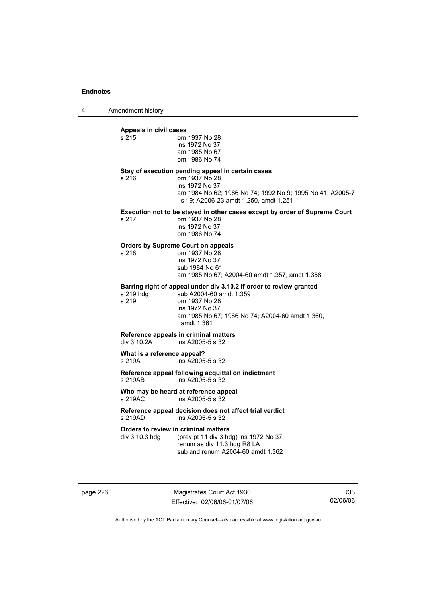4 Amendment history

# **Appeals in civil cases**

| Appears III Givil Cases                                |                                                                                                                                                                                                    |
|--------------------------------------------------------|----------------------------------------------------------------------------------------------------------------------------------------------------------------------------------------------------|
| s 215                                                  | om 1937 No 28<br>ins 1972 No 37<br>am 1985 No 67<br>om 1986 No 74                                                                                                                                  |
| s 216                                                  | Stay of execution pending appeal in certain cases<br>om 1937 No 28<br>ins 1972 No 37<br>am 1984 No 62; 1986 No 74; 1992 No 9; 1995 No 41; A2005-7<br>s 19; A2006-23 amdt 1.250, amdt 1.251         |
| s 217                                                  | Execution not to be stayed in other cases except by order of Supreme Court<br>om 1937 No 28<br>ins 1972 No 37<br>om 1986 No 74                                                                     |
| s 218                                                  | <b>Orders by Supreme Court on appeals</b><br>om 1937 No 28<br>ins 1972 No 37<br>sub 1984 No 61<br>am 1985 No 67; A2004-60 amdt 1.357, amdt 1.358                                                   |
| s 219 hdg<br>s 219                                     | Barring right of appeal under div 3.10.2 if order to review granted<br>sub A2004-60 amdt 1.359<br>om 1937 No 28<br>ins 1972 No 37<br>am 1985 No 67; 1986 No 74; A2004-60 amdt 1.360,<br>amdt 1.361 |
| div 3.10.2A                                            | Reference appeals in criminal matters<br>ins A2005-5 s 32                                                                                                                                          |
| What is a reference appeal?<br>s 219A                  | ins A2005-5 s 32                                                                                                                                                                                   |
| s 219AB                                                | Reference appeal following acquittal on indictment<br>ins A2005-5 s 32                                                                                                                             |
| s 219AC                                                | Who may be heard at reference appeal<br>ins A2005-5 s 32                                                                                                                                           |
| s 219AD                                                | Reference appeal decision does not affect trial verdict<br>ins A2005-5 s 32                                                                                                                        |
| Orders to review in criminal matters<br>div 3.10.3 hdg | (prev pt 11 div 3 hdg) ins 1972 No 37<br>renum as div 11.3 hdg R8 LA<br>sub and renum A2004-60 amdt 1.362                                                                                          |
|                                                        |                                                                                                                                                                                                    |

page 226 Magistrates Court Act 1930 Effective: 02/06/06-01/07/06

R33 02/06/06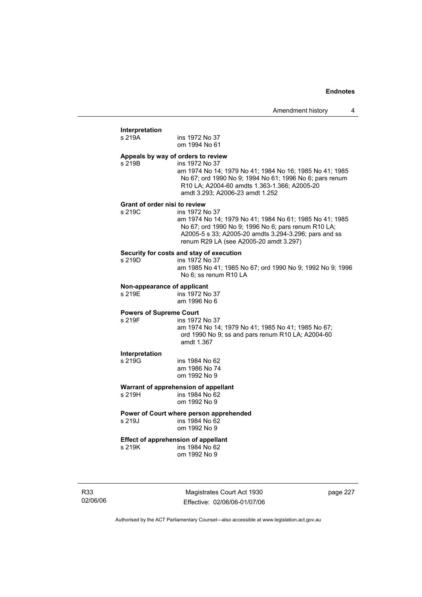## **Interpretation**

| interpretation<br>s 219A                             | ins 1972 No 37<br>om 1994 No 61                                                                                                                                                                                                     |
|------------------------------------------------------|-------------------------------------------------------------------------------------------------------------------------------------------------------------------------------------------------------------------------------------|
| Appeals by way of orders to review<br>s 219B         | ins 1972 No 37<br>am 1974 No 14; 1979 No 41; 1984 No 16; 1985 No 41; 1985<br>No 67; ord 1990 No 9; 1994 No 61; 1996 No 6; pars renum<br>R10 LA; A2004-60 amdts 1.363-1.366; A2005-20<br>amdt 3.293; A2006-23 amdt 1.252             |
| Grant of order nisi to review<br>s 219C              | ins 1972 No 37<br>am 1974 No 14; 1979 No 41; 1984 No 61; 1985 No 41; 1985<br>No 67; ord 1990 No 9; 1996 No 6; pars renum R10 LA;<br>A2005-5 s 33; A2005-20 amdts 3.294-3.296; pars and ss<br>renum R29 LA (see A2005-20 amdt 3.297) |
| s 219D                                               | Security for costs and stay of execution<br>ins 1972 No 37<br>am 1985 No 41; 1985 No 67; ord 1990 No 9; 1992 No 9; 1996<br>No 6; ss renum R10 LA                                                                                    |
| Non-appearance of applicant<br>s 219E                | ins 1972 No 37<br>am 1996 No 6                                                                                                                                                                                                      |
| <b>Powers of Supreme Court</b><br>s 219F             | ins 1972 No 37<br>am 1974 No 14; 1979 No 41; 1985 No 41; 1985 No 67;<br>ord 1990 No 9; ss and pars renum R10 LA; A2004-60<br>amdt 1.367                                                                                             |
| Interpretation<br>s 219G                             | ins 1984 No 62<br>am 1986 No 74<br>om 1992 No 9                                                                                                                                                                                     |
| s 219H                                               | Warrant of apprehension of appellant<br>ins 1984 No 62<br>om 1992 No 9                                                                                                                                                              |
| s 219J                                               | Power of Court where person apprehended<br>ins 1984 No 62<br>om 1992 No 9                                                                                                                                                           |
| <b>Effect of apprehension of appellant</b><br>s 219K | ins 1984 No 62<br>om 1992 No 9                                                                                                                                                                                                      |

R33 02/06/06

Magistrates Court Act 1930 Effective: 02/06/06-01/07/06 page 227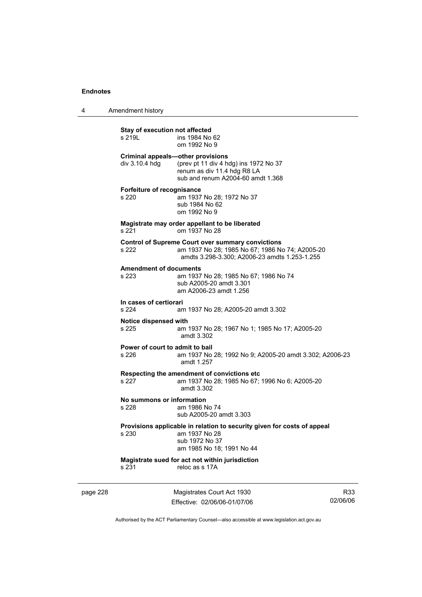4 Amendment history

| Stay of execution not affected<br>s 219L                   | ins 1984 No 62<br>om 1992 No 9                                                                                                                               |
|------------------------------------------------------------|--------------------------------------------------------------------------------------------------------------------------------------------------------------|
| <b>Criminal appeals-other provisions</b><br>div 3.10.4 hdg | (prev pt 11 div 4 hdg) ins 1972 No 37<br>renum as div 11.4 hdg R8 LA<br>sub and renum A2004-60 amdt 1.368                                                    |
| Forfeiture of recognisance<br>s 220                        | am 1937 No 28; 1972 No 37<br>sub 1984 No 62<br>om 1992 No 9                                                                                                  |
| s 221                                                      | Magistrate may order appellant to be liberated<br>om 1937 No 28                                                                                              |
| s 222                                                      | <b>Control of Supreme Court over summary convictions</b><br>am 1937 No 28; 1985 No 67; 1986 No 74; A2005-20<br>amdts 3.298-3.300; A2006-23 amdts 1.253-1.255 |
| <b>Amendment of documents</b><br>s 223                     | am 1937 No 28; 1985 No 67; 1986 No 74<br>sub A2005-20 amdt 3.301<br>am A2006-23 amdt 1.256                                                                   |
| In cases of certiorari<br>s 224                            | am 1937 No 28: A2005-20 amdt 3.302                                                                                                                           |
| Notice dispensed with<br>s 225                             | am 1937 No 28; 1967 No 1; 1985 No 17; A2005-20<br>amdt 3.302                                                                                                 |
| Power of court to admit to bail<br>s 226                   | am 1937 No 28; 1992 No 9; A2005-20 amdt 3.302; A2006-23<br>amdt 1.257                                                                                        |
| s 227                                                      | Respecting the amendment of convictions etc<br>am 1937 No 28; 1985 No 67; 1996 No 6; A2005-20<br>amdt 3.302                                                  |
| No summons or information<br>s 228                         | am 1986 No 74<br>sub A2005-20 amdt 3.303                                                                                                                     |
| s 230                                                      | Provisions applicable in relation to security given for costs of appeal<br>am 1937 No 28<br>sub 1972 No 37<br>am 1985 No 18; 1991 No 44                      |
| s 231                                                      | Magistrate sued for act not within jurisdiction<br>reloc as s 17A                                                                                            |
|                                                            |                                                                                                                                                              |

page 228 Magistrates Court Act 1930 Effective: 02/06/06-01/07/06

R33 02/06/06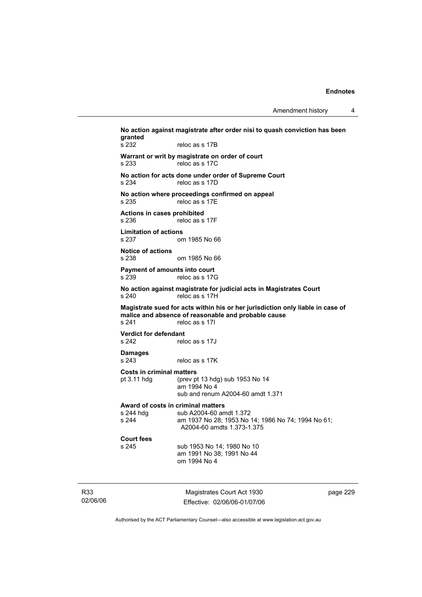Amendment history 4

**No action against magistrate after order nisi to quash conviction has been granted**  s 232 reloc as s 17B **Warrant or writ by magistrate on order of court**  s 233 reloc as s 17C **No action for acts done under order of Supreme Court**  s 234 reloc as s 17D **No action where proceedings confirmed on appeal**  s 235 reloc as s 17E **Actions in cases prohibited**  s 236 reloc as s 17F **Limitation of actions**  om 1985 No 66 **Notice of actions**  s 238 om 1985 No 66 **Payment of amounts into court**  s 239 reloc as s 17G **No action against magistrate for judicial acts in Magistrates Court**  s 240 reloc as s 17H **Magistrate sued for acts within his or her jurisdiction only liable in case of**  malice and absence of reasonable and probable cause<br>s 241 reloc as s 17l reloc as s 17I **Verdict for defendant**  s 242 reloc as s 17J **Damages**  reloc as s 17K **Costs in criminal matters**  pt 3.11 hdg (prev pt 13 hdg) sub 1953 No 14 am 1994 No 4 sub and renum A2004-60 amdt 1.371 **Award of costs in criminal matters**  s 244 hdg sub A2004-60 amdt 1.372<br>s 244 sam 1937 No 28: 1953 No am 1937 No 28; 1953 No 14; 1986 No 74; 1994 No 61; A2004-60 amdts 1.373-1.375 **Court fees**  sub 1953 No 14; 1980 No 10 am 1991 No 38; 1991 No 44 om 1994 No 4

R33 02/06/06

Magistrates Court Act 1930 Effective: 02/06/06-01/07/06 page 229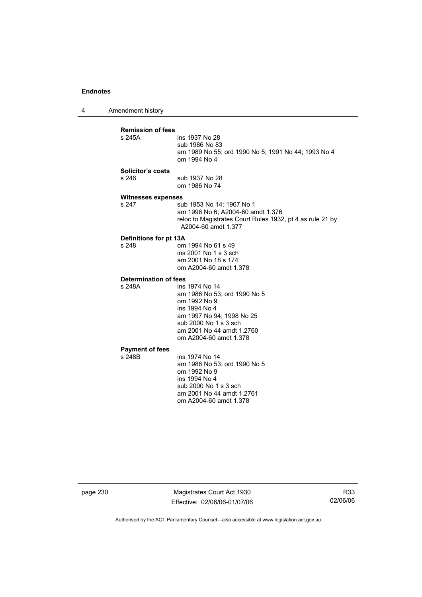4 Amendment history **Remission of fees**  ins 1937 No 28 sub 1986 No 83 am 1989 No 55; ord 1990 No 5; 1991 No 44; 1993 No 4 om 1994 No 4 **Solicitor's costs**  s 246 sub 1937 No 28 om 1986 No 74 **Witnesses expenses**  s 247 sub 1953 No 14; 1967 No 1 am 1996 No 6; A2004-60 amdt 1.376 reloc to Magistrates Court Rules 1932, pt 4 as rule 21 by A2004-60 amdt 1.377 **Definitions for pt 13A**  om 1994 No 61 s 49 ins 2001 No 1 s 3 sch am 2001 No 18 s 174 om A2004-60 amdt 1.378 **Determination of fees**  s 248A ins 1974 No 14 am 1986 No 53; ord 1990 No 5 om 1992 No 9 ins 1994 No 4 am 1997 No 94; 1998 No 25 sub 2000 No 1 s 3 sch am 2001 No 44 amdt 1.2760 om A2004-60 amdt 1.378 **Payment of fees**  ins 1974 No 14 am 1986 No 53; ord 1990 No 5 om 1992 No 9 ins 1994 No 4 sub 2000 No 1 s 3 sch am 2001 No 44 amdt 1.2761

page 230 Magistrates Court Act 1930 Effective: 02/06/06-01/07/06

om A2004-60 amdt 1.378

R33 02/06/06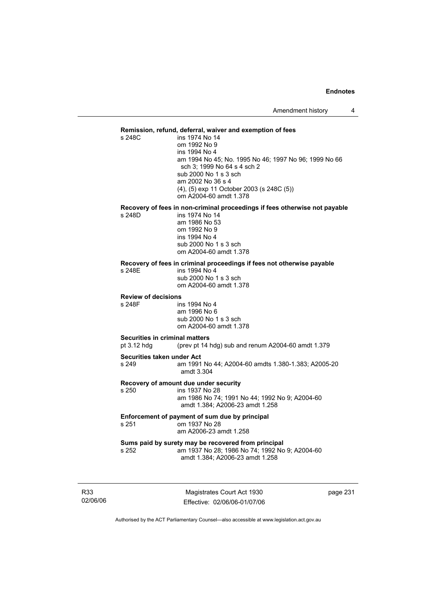## **Remission, refund, deferral, waiver and exemption of fees**

s 248C ins 1974 No 14 om 1992 No 9 ins 1994 No 4 am 1994 No 45; No. 1995 No 46; 1997 No 96; 1999 No 66 sch 3; 1999 No 64 s 4 sch 2 sub 2000 No 1 s 3 sch am 2002 No 36 s 4 (4), (5) exp 11 October 2003 (s 248C (5)) om A2004-60 amdt 1.378

# **Recovery of fees in non-criminal proceedings if fees otherwise not payable**

ins 1974 No 14 am 1986 No 53 om 1992 No 9 ins 1994 No 4 sub 2000 No 1 s 3 sch om A2004-60 amdt 1.378

#### **Recovery of fees in criminal proceedings if fees not otherwise payable**

s 248E ins 1994 No 4 sub 2000 No 1 s 3 sch

om A2004-60 amdt 1.378

## **Review of decisions**

s 248F ins 1994 No 4 am 1996 No 6 sub 2000 No 1 s 3 sch om A2004-60 amdt 1.378

## **Securities in criminal matters**

pt 3.12 hdg (prev pt 14 hdg) sub and renum A2004-60 amdt 1.379

#### **Securities taken under Act**

s 249 am 1991 No 44; A2004-60 amdts 1.380-1.383; A2005-20 amdt 3.304

#### **Recovery of amount due under security**

s 250 ins 1937 No 28

 am 1986 No 74; 1991 No 44; 1992 No 9; A2004-60 amdt 1.384; A2006-23 amdt 1.258

### **Enforcement of payment of sum due by principal**<br>s 251 cm 1937 No 28 om 1937 No 28 am A2006-23 amdt 1.258

**Sums paid by surety may be recovered from principal**  s 252 am 1937 No 28; 1986 No 74; 1992 No 9; A2004-60 amdt 1.384; A2006-23 amdt 1.258

R33 02/06/06

Magistrates Court Act 1930 Effective: 02/06/06-01/07/06 page 231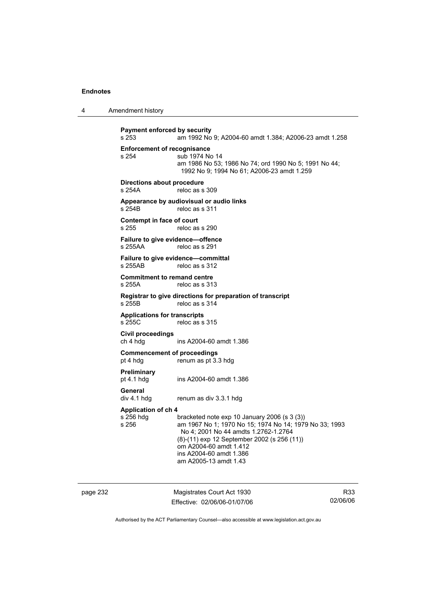4 Amendment history

```
Payment enforced by security<br>s 253 am 1992 No
                   s 253 am 1992 No 9; A2004-60 amdt 1.384; A2006-23 amdt 1.258 
Enforcement of recognisance<br>s 254 sub 1974 No
                   sub 1974 No 14
                    am 1986 No 53; 1986 No 74; ord 1990 No 5; 1991 No 44; 
                     1992 No 9; 1994 No 61; A2006-23 amdt 1.259 
Directions about procedure 
s 254A reloc as s 309 
Appearance by audiovisual or audio links 
s 254B reloc as s 311 
Contempt in face of court<br>s 255 reloc as
                   reloc as s 290
Failure to give evidence—offence 
s 255AA reloc as s 291 
Failure to give evidence—committal 
s 255AB reloc as s 312 
Commitment to remand centre 
s 255A reloc as s 313 
Registrar to give directions for preparation of transcript 
s 255B reloc as s 314 
Applications for transcripts 
                   reloc as s 315
Civil proceedings 
ch 4 hdg ins A2004-60 amdt 1.386 
Commencement of proceedings<br>pt 4 hdg renum as pt 3.
                   renum as pt 3.3 hdg
Preliminary 
pt 4.1 hdg ins A2004-60 amdt 1.386 
General 
div 4.1 hdg renum as div 3.3.1 hdg 
Application of ch 4 
s 256 hdg bracketed note exp 10 January 2006 (s 3 (3))<br>s 256 bracketed note exp 10 January 2006 (s 3 (3)
                   am 1967 No 1; 1970 No 15; 1974 No 14; 1979 No 33; 1993
                    No 4; 2001 No 44 amdts 1.2762-1.2764 
                    (8)-(11) exp 12 September 2002 (s 256 (11)) 
                    om A2004-60 amdt 1.412 
                    ins A2004-60 amdt 1.386 
                    am A2005-13 amdt 1.43
```
page 232 Magistrates Court Act 1930 Effective: 02/06/06-01/07/06

R33 02/06/06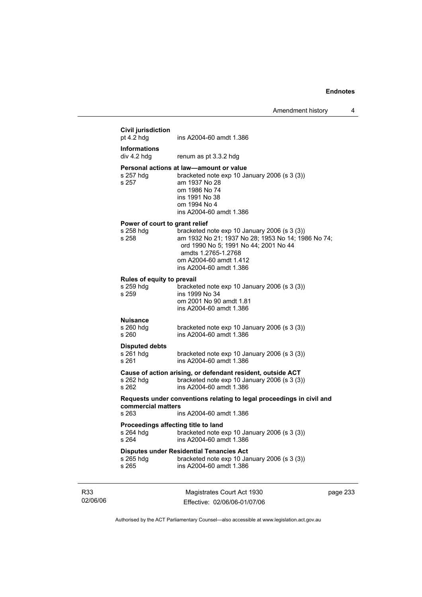$\overline{\phantom{a}}$ 

|                 | <b>Civil jurisdiction</b><br>pt 4.2 hdg                   | ins A2004-60 amdt 1.386                                                                                                                                                                                                 |          |
|-----------------|-----------------------------------------------------------|-------------------------------------------------------------------------------------------------------------------------------------------------------------------------------------------------------------------------|----------|
|                 | <b>Informations</b><br>div 4.2 hda                        | renum as pt 3.3.2 hdg                                                                                                                                                                                                   |          |
|                 | s 257 hdg<br>s 257                                        | Personal actions at law—amount or value<br>bracketed note exp 10 January 2006 (s 3 (3))<br>am 1937 No 28<br>om 1986 No 74<br>ins 1991 No 38<br>om 1994 No 4<br>ins A2004-60 amdt 1.386                                  |          |
|                 | Power of court to grant relief<br>s 258 hdg<br>s 258      | bracketed note exp 10 January 2006 (s 3 (3))<br>am 1932 No 21; 1937 No 28; 1953 No 14; 1986 No 74;<br>ord 1990 No 5; 1991 No 44; 2001 No 44<br>amdts 1.2765-1.2768<br>om A2004-60 amdt 1.412<br>ins A2004-60 amdt 1.386 |          |
|                 | Rules of equity to prevail<br>s 259 hdg<br>s 259          | bracketed note exp 10 January 2006 (s 3 (3))<br>ins 1999 No 34<br>om 2001 No 90 amdt 1.81<br>ins A2004-60 amdt 1.386                                                                                                    |          |
|                 | <b>Nuisance</b><br>s 260 hdg<br>s 260                     | bracketed note exp 10 January 2006 (s 3 (3))<br>ins A2004-60 amdt 1.386                                                                                                                                                 |          |
|                 | <b>Disputed debts</b><br>s 261 hdg<br>s 261               | bracketed note exp 10 January 2006 (s 3 (3))<br>ins A2004-60 amdt 1.386                                                                                                                                                 |          |
|                 | s 262 hdg<br>s 262                                        | Cause of action arising, or defendant resident, outside ACT<br>bracketed note exp 10 January 2006 (s 3 (3))<br>ins A2004-60 amdt 1.386                                                                                  |          |
|                 | commercial matters<br>s 263                               | Requests under conventions relating to legal proceedings in civil and<br>ins A2004-60 amdt 1.386                                                                                                                        |          |
|                 | Proceedings affecting title to land<br>s 264 hdg<br>s 264 | bracketed note exp 10 January 2006 (s 3 (3))<br>ins A2004-60 amdt 1.386                                                                                                                                                 |          |
|                 | s 265 hdg<br>s 265                                        | <b>Disputes under Residential Tenancies Act</b><br>bracketed note exp 10 January 2006 (s 3 (3))<br>ins A2004-60 amdt 1.386                                                                                              |          |
| R33<br>02/06/06 |                                                           | Magistrates Court Act 1930<br>Effective: 02/06/06-01/07/06                                                                                                                                                              | page 233 |

Authorised by the ACT Parliamentary Counsel—also accessible at www.legislation.act.gov.au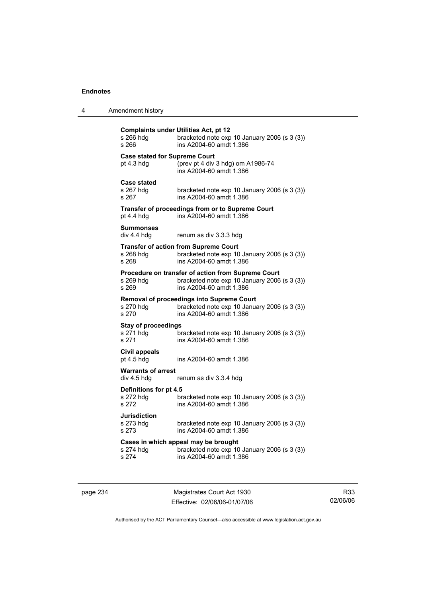| Amendment history<br>4 |  |
|------------------------|--|
|------------------------|--|

| s 266 hdg<br>s 266                                 | <b>Complaints under Utilities Act, pt 12</b><br>bracketed note exp 10 January 2006 (s 3 (3))<br>ins A2004-60 amdt 1.386       |
|----------------------------------------------------|-------------------------------------------------------------------------------------------------------------------------------|
| <b>Case stated for Supreme Court</b><br>pt 4.3 hdg | (prev pt 4 div 3 hdg) om A1986-74<br>ins A2004-60 amdt 1.386                                                                  |
| <b>Case stated</b><br>s 267 hdg<br>s 267           | bracketed note exp 10 January 2006 (s 3 (3))<br>ins A2004-60 amdt 1.386                                                       |
| pt $4.4$ hdg                                       | Transfer of proceedings from or to Supreme Court<br>ins A2004-60 amdt 1.386                                                   |
| <b>Summonses</b><br>div 4.4 hdg                    | renum as div 3.3.3 hdg                                                                                                        |
| s 268 hdg<br>s 268                                 | <b>Transfer of action from Supreme Court</b><br>bracketed note exp 10 January 2006 (s 3 (3))<br>ins A2004-60 amdt 1.386       |
| s 269 hdg<br>s 269                                 | Procedure on transfer of action from Supreme Court<br>bracketed note exp 10 January 2006 (s 3 (3))<br>ins A2004-60 amdt 1.386 |
| s 270 hdg<br>s 270                                 | Removal of proceedings into Supreme Court<br>bracketed note exp 10 January 2006 (s 3 (3))<br>ins A2004-60 amdt 1.386          |
| <b>Stay of proceedings</b><br>s 271 hdg<br>s 271   | bracketed note exp 10 January 2006 (s 3 (3))<br>ins A2004-60 amdt 1.386                                                       |
| <b>Civil appeals</b><br>pt 4.5 hdg                 | ins A2004-60 amdt 1.386                                                                                                       |
| <b>Warrants of arrest</b><br>div 4.5 hdg           | renum as div 3.3.4 hdg                                                                                                        |
| Definitions for pt 4.5<br>s 272 hdg<br>s 272       | bracketed note exp 10 January 2006 (s 3 (3))<br>ins A2004-60 amdt 1.386                                                       |
| <b>Jurisdiction</b><br>s 273 hdg<br>s 273          | bracketed note exp 10 January 2006 (s 3 (3))<br>ins A2004-60 amdt 1.386                                                       |
| s 274 hdg<br>s 274                                 | Cases in which appeal may be brought<br>bracketed note exp 10 January 2006 (s 3 (3))<br>ins A2004-60 amdt 1.386               |

page 234 Magistrates Court Act 1930 Effective: 02/06/06-01/07/06

R33 02/06/06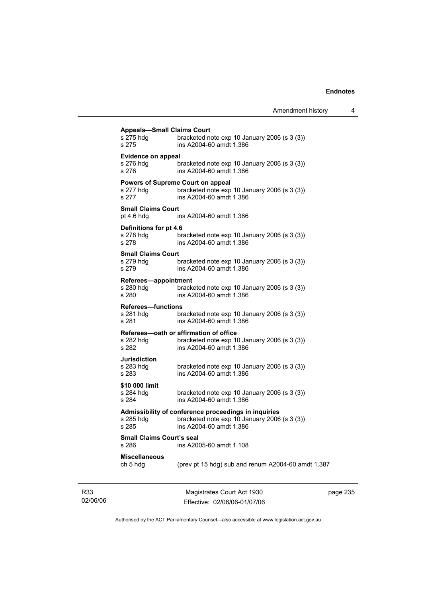| <b>Appeals-Small Claims Court</b>         |                                                                           |  |  |
|-------------------------------------------|---------------------------------------------------------------------------|--|--|
| s 275 hdg<br>s 275                        | bracketed note exp 10 January 2006 (s 3 (3))<br>ins A2004-60 amdt 1.386   |  |  |
|                                           | <b>Evidence on appeal</b>                                                 |  |  |
| s 276 hdg<br>s 276                        | bracketed note $exp 10$ January 2006 (s 3 (3))<br>ins A2004-60 amdt 1.386 |  |  |
|                                           | <b>Powers of Supreme Court on appeal</b>                                  |  |  |
| s 277 hdg<br>s 277                        | bracketed note exp 10 January 2006 (s 3 (3))<br>ins A2004-60 amdt 1.386   |  |  |
| <b>Small Claims Court</b>                 |                                                                           |  |  |
| pt $4.6$ hdg                              | ins A2004-60 amdt 1.386                                                   |  |  |
| Definitions for pt 4.6                    |                                                                           |  |  |
| s 278 hdg<br>s 278                        | bracketed note exp 10 January 2006 (s 3 (3))<br>ins A2004-60 amdt 1.386   |  |  |
| <b>Small Claims Court</b>                 |                                                                           |  |  |
| s 279 hdg<br>s 279                        | bracketed note $exp 10$ January 2006 (s 3 (3))<br>ins A2004-60 amdt 1.386 |  |  |
| Referees-appointment                      |                                                                           |  |  |
| s 280 hdg<br>s 280                        | bracketed note exp 10 January 2006 (s 3 (3))<br>ins A2004-60 amdt 1.386   |  |  |
| <b>Referees-functions</b>                 |                                                                           |  |  |
| s 281 hdg<br>s 281                        | bracketed note exp 10 January 2006 (s 3 (3))<br>ins A2004-60 amdt 1.386   |  |  |
|                                           | Referees-oath or affirmation of office                                    |  |  |
| s 282 hdg<br>s 282                        | bracketed note exp 10 January 2006 (s 3 (3))<br>ins A2004-60 amdt 1.386   |  |  |
| Jurisdiction                              |                                                                           |  |  |
| s 283 hdq<br>s 283                        | bracketed note exp 10 January 2006 (s 3 (3))<br>ins A2004-60 amdt 1.386   |  |  |
| \$10 000 limit                            |                                                                           |  |  |
| s 284 hdg<br>s 284                        | bracketed note exp 10 January 2006 (s 3 (3))<br>ins A2004-60 amdt 1.386   |  |  |
|                                           | Admissibility of conference proceedings in inquiries                      |  |  |
| s 285 hdg<br>s 285                        | bracketed note exp 10 January 2006 (s 3 (3))<br>ins A2004-60 amdt 1.386   |  |  |
| <b>Small Claims Court's seal</b><br>s 286 | ins A2005-60 amdt 1.108                                                   |  |  |
| <b>Miscellaneous</b>                      |                                                                           |  |  |
| ch 5 hdg                                  | (prev pt 15 hdg) sub and renum A2004-60 amdt 1.387                        |  |  |
|                                           |                                                                           |  |  |

R33 02/06/06

Magistrates Court Act 1930 Effective: 02/06/06-01/07/06 page 235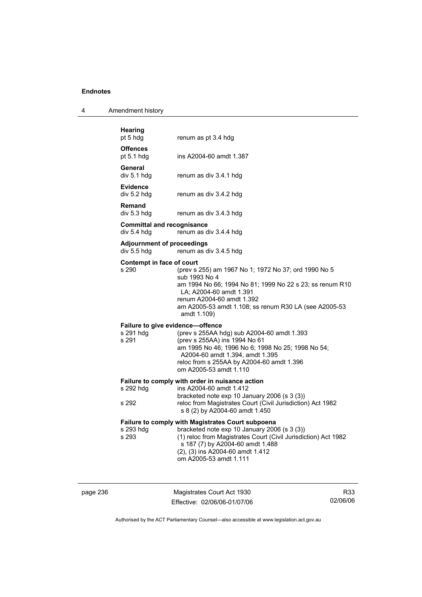| 4 | Amendment history |
|---|-------------------|
|---|-------------------|

| <b>Hearing</b><br>pt 5 hdg                        | renum as pt 3.4 hdg                                                                                                                                                                                                                                                            |
|---------------------------------------------------|--------------------------------------------------------------------------------------------------------------------------------------------------------------------------------------------------------------------------------------------------------------------------------|
| <b>Offences</b><br>pt $5.1$ hdg                   | ins A2004-60 amdt 1.387                                                                                                                                                                                                                                                        |
| General<br>div 5.1 hdg                            | renum as div 3.4.1 hdg                                                                                                                                                                                                                                                         |
| <b>Evidence</b><br>div 5.2 hdg                    | renum as div 3.4.2 hdg                                                                                                                                                                                                                                                         |
| Remand<br>div 5.3 hdg                             | renum as div 3.4.3 hdg                                                                                                                                                                                                                                                         |
| <b>Committal and recognisance</b><br>div 5.4 h dq | renum as div 3.4.4 hdg                                                                                                                                                                                                                                                         |
| <b>Adjournment of proceedings</b><br>div 5.5 hdg  | renum as div 3.4.5 hdg                                                                                                                                                                                                                                                         |
| Contempt in face of court<br>s 290                | (prev s 255) am 1967 No 1; 1972 No 37; ord 1990 No 5<br>sub 1993 No 4<br>am 1994 No 66; 1994 No 81; 1999 No 22 s 23; ss renum R10<br>LA: A2004-60 amdt 1.391<br>renum A2004-60 amdt 1.392<br>am A2005-53 amdt 1.108; ss renum R30 LA (see A2005-53<br>amdt 1.109)              |
| s 291 hdg<br>s 291                                | Failure to give evidence-offence<br>(prev s 255AA hdg) sub A2004-60 amdt 1.393<br>(prev s 255AA) ins 1994 No 61<br>am 1995 No 46; 1996 No 6; 1998 No 25; 1998 No 54;<br>A2004-60 amdt 1.394, amdt 1.395<br>reloc from s 255AA by A2004-60 amdt 1.396<br>om A2005-53 amdt 1.110 |
| s 292 hdg<br>s 292                                | Failure to comply with order in nuisance action<br>ins A2004-60 amdt 1.412<br>bracketed note exp 10 January 2006 (s 3 (3))<br>reloc from Magistrates Court (Civil Jurisdiction) Act 1982<br>s 8 (2) by A2004-60 amdt 1.450                                                     |
| s 293 hdg<br>s 293                                | <b>Failure to comply with Magistrates Court subpoena</b><br>bracketed note exp 10 January 2006 (s 3 (3))<br>(1) reloc from Magistrates Court (Civil Jurisdiction) Act 1982<br>s 187 (7) by A2004-60 amdt 1.488<br>(2), (3) ins A2004-60 amdt 1.412<br>om A2005-53 amdt 1.111   |

page 236 Magistrates Court Act 1930 Effective: 02/06/06-01/07/06

R33 02/06/06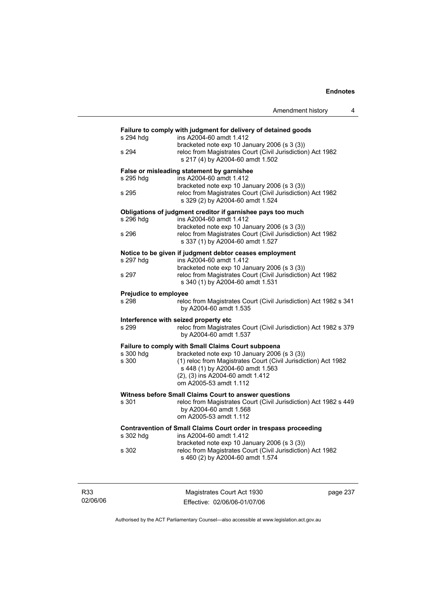|                              | Amendment history                                                                                  |
|------------------------------|----------------------------------------------------------------------------------------------------|
|                              | Failure to comply with judgment for delivery of detained goods                                     |
| s 294 hdg                    | ins A2004-60 amdt 1.412<br>bracketed note exp 10 January 2006 (s 3 (3))                            |
| s 294                        | reloc from Magistrates Court (Civil Jurisdiction) Act 1982<br>s 217 (4) by A2004-60 amdt 1.502     |
|                              | False or misleading statement by garnishee                                                         |
| s 295 hdg                    | ins A2004-60 amdt 1.412<br>bracketed note exp 10 January 2006 (s 3 (3))                            |
| s 295                        | reloc from Magistrates Court (Civil Jurisdiction) Act 1982<br>s 329 (2) by A2004-60 amdt 1.524     |
|                              | Obligations of judgment creditor if garnishee pays too much                                        |
| s 296 hdg                    | ins A2004-60 amdt 1.412<br>bracketed note exp 10 January 2006 (s 3 (3))                            |
| s 296                        | reloc from Magistrates Court (Civil Jurisdiction) Act 1982<br>s 337 (1) by A2004-60 amdt 1.527     |
|                              | Notice to be given if judgment debtor ceases employment                                            |
| s 297 hdg                    | ins A2004-60 amdt 1.412                                                                            |
|                              | bracketed note exp 10 January 2006 (s 3 (3))                                                       |
| s 297                        | reloc from Magistrates Court (Civil Jurisdiction) Act 1982<br>s 340 (1) by A2004-60 amdt 1.531     |
| <b>Prejudice to employee</b> |                                                                                                    |
| s 298                        | reloc from Magistrates Court (Civil Jurisdiction) Act 1982 s 341<br>by A2004-60 amdt 1.535         |
|                              | Interference with seized property etc                                                              |
| s 299                        | reloc from Magistrates Court (Civil Jurisdiction) Act 1982 s 379<br>by A2004-60 amdt 1.537         |
|                              | Failure to comply with Small Claims Court subpoena                                                 |
| s 300 hdg                    | bracketed note exp 10 January 2006 (s 3 (3))                                                       |
| s 300                        | (1) reloc from Magistrates Court (Civil Jurisdiction) Act 1982<br>s 448 (1) by A2004-60 amdt 1.563 |
|                              | (2), (3) ins A2004-60 amdt 1.412                                                                   |
|                              | om A2005-53 amdt 1.112                                                                             |
|                              | Witness before Small Claims Court to answer questions                                              |
| s 301                        | reloc from Magistrates Court (Civil Jurisdiction) Act 1982 s 449                                   |
|                              | by A2004-60 amdt 1.568<br>om A2005-53 amdt 1.112                                                   |
|                              | Contravention of Small Claims Court order in trespass proceeding                                   |
| s 302 hdg                    | ins A2004-60 amdt 1.412<br>bracketed note exp 10 January 2006 (s 3 (3))                            |
| s 302                        | reloc from Magistrates Court (Civil Jurisdiction) Act 1982<br>s 460 (2) by A2004-60 amdt 1.574     |
|                              |                                                                                                    |
|                              |                                                                                                    |

02/06/06

R33

Magistrates Court Act 1930 Effective: 02/06/06-01/07/06 page 237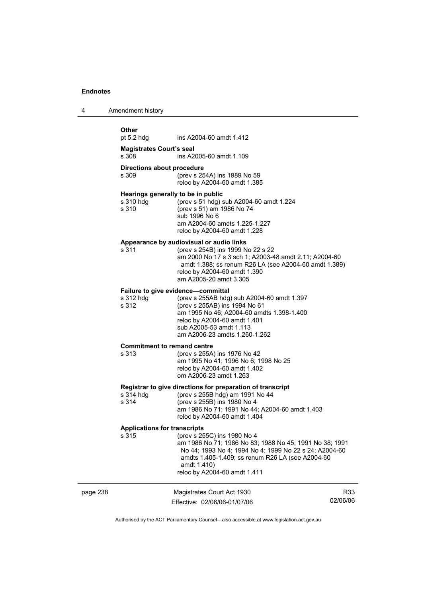| 4 | Amendment history                                                                                                                                                                                                                                                                |  |  |  |
|---|----------------------------------------------------------------------------------------------------------------------------------------------------------------------------------------------------------------------------------------------------------------------------------|--|--|--|
|   | Other<br>pt 5.2 hdg<br>ins A2004-60 amdt 1.412                                                                                                                                                                                                                                   |  |  |  |
|   | <b>Magistrates Court's seal</b><br>s 308<br>ins A2005-60 amdt 1.109                                                                                                                                                                                                              |  |  |  |
|   | <b>Directions about procedure</b><br>s 309<br>(prev s 254A) ins 1989 No 59<br>reloc by A2004-60 amdt 1.385                                                                                                                                                                       |  |  |  |
|   | Hearings generally to be in public<br>s 310 hdg<br>(prev s 51 hdg) sub A2004-60 amdt 1.224<br>s 310<br>(prev s 51) am 1986 No 74<br>sub 1996 No 6<br>am A2004-60 amdts 1.225-1.227<br>reloc by A2004-60 amdt 1.228                                                               |  |  |  |
|   | Appearance by audiovisual or audio links<br>s 311<br>(prev s 254B) ins 1999 No 22 s 22<br>am 2000 No 17 s 3 sch 1; A2003-48 amdt 2.11; A2004-60<br>amdt 1.388; ss renum R26 LA (see A2004-60 amdt 1.389)<br>reloc by A2004-60 amdt 1.390<br>am A2005-20 amdt 3.305               |  |  |  |
|   | Failure to give evidence-committal<br>(prev s 255AB hdg) sub A2004-60 amdt 1.397<br>s 312 hdg<br>s 312<br>(prev s 255AB) ins 1994 No 61<br>am 1995 No 46; A2004-60 amdts 1.398-1.400<br>reloc by A2004-60 amdt 1.401<br>sub A2005-53 amdt 1.113<br>am A2006-23 amdts 1.260-1.262 |  |  |  |
|   | <b>Commitment to remand centre</b><br>s 313<br>(prev s 255A) ins 1976 No 42<br>am 1995 No 41; 1996 No 6; 1998 No 25<br>reloc by A2004-60 amdt 1.402<br>om A2006-23 amdt 1.263                                                                                                    |  |  |  |
|   | Registrar to give directions for preparation of transcript<br>s 314 hdg<br>(prev s 255B hdg) am 1991 No 44<br>s 314<br>(prev s 255B) ins 1980 No 4<br>am 1986 No 71; 1991 No 44; A2004-60 amdt 1.403<br>reloc by A2004-60 amdt 1.404                                             |  |  |  |
|   | <b>Applications for transcripts</b><br>s 315<br>(prev s 255C) ins 1980 No 4                                                                                                                                                                                                      |  |  |  |

|       | Applications for transcripts                            |
|-------|---------------------------------------------------------|
| s 315 | (prev s 255C) ins 1980 No 4                             |
|       | am 1986 No 71; 1986 No 83; 1988 No 45; 1991 No 38; 1991 |
|       | No 44: 1993 No 4: 1994 No 4: 1999 No 22 s 24: A2004-60  |
|       | amdts 1.405-1.409; ss renum R26 LA (see A2004-60)       |
|       | amdt 1.410)                                             |
|       | reloc by A2004-60 amdt 1.411                            |

| page 238 | Magistrates Court Act 1930   | R33      |
|----------|------------------------------|----------|
|          | Effective: 02/06/06-01/07/06 | 02/06/06 |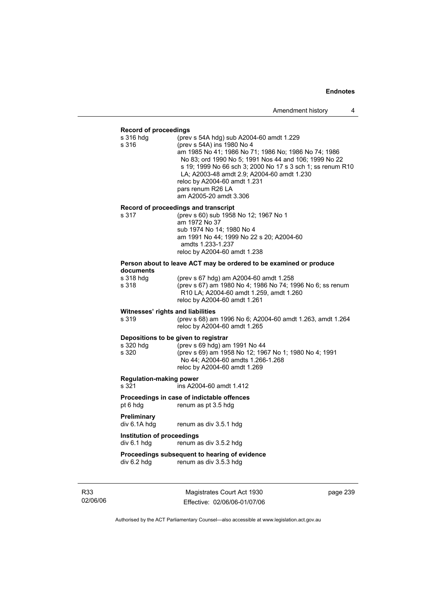#### **Record of proceedings**

| s 316 hdg | (prev s 54A hdg) sub A2004-60 amdt 1.229                   |
|-----------|------------------------------------------------------------|
| s 316     | (prev s 54A) ins 1980 No 4                                 |
|           | am 1985 No 41; 1986 No 71; 1986 No; 1986 No 74; 1986       |
|           | No 83; ord 1990 No 5; 1991 Nos 44 and 106; 1999 No 22      |
|           | s 19: 1999 No 66 sch 3: 2000 No 17 s 3 sch 1: ss renum R10 |
|           | LA; A2003-48 amdt 2.9; A2004-60 amdt 1.230                 |
|           | reloc by A2004-60 amdt 1.231                               |
|           | pars renum R26 LA                                          |
|           | am A2005-20 amdt 3.306                                     |
|           |                                                            |

# **Record of proceedings and transcript**

| s 317 | (prev s 60) sub 1958 No 12; 1967 No 1    |
|-------|------------------------------------------|
|       | am 1972 No 37                            |
|       | sub 1974 No 14: 1980 No 4                |
|       | am 1991 No 44; 1999 No 22 s 20; A2004-60 |
|       | amdts 1.233-1.237                        |
|       | reloc by A2004-60 amdt 1.238             |
|       |                                          |

#### **Person about to leave ACT may be ordered to be examined or produce documents**

| s 318 hdq | (prev s 67 hdg) am A2004-60 amdt 1.258                    |
|-----------|-----------------------------------------------------------|
| s 318     | (prev s 67) am 1980 No 4; 1986 No 74; 1996 No 6; ss renum |
|           | R10 LA: A2004-60 amdt 1.259, amdt 1.260                   |
|           | reloc by A2004-60 amdt 1.261                              |
|           |                                                           |

# **Witnesses' rights and liabilities**<br>s 319 (prev s 68) am

s 319 (prev s 68) am 1996 No 6; A2004-60 amdt 1.263, amdt 1.264 reloc by A2004-60 amdt 1.265

#### **Depositions to be given to registrar**

| s 320 hdq | (prev s 69 hdg) am 1991 No 44                         |
|-----------|-------------------------------------------------------|
| s 320     | (prev s 69) am 1958 No 12; 1967 No 1; 1980 No 4; 1991 |
|           | No 44: A2004-60 amdts 1.266-1.268                     |
|           | reloc by A2004-60 amdt 1.269                          |
|           |                                                       |

# **Regulation-making power**

ins A2004-60 amdt 1.412

# **Proceedings in case of indictable offences**

pt 6 hdg renum as pt 3.5 hdg

# **Preliminary**

renum as div 3.5.1 hdg

## **Institution of proceedings**

div 6.1 hdg renum as div 3.5.2 hdg

# **Proceedings subsequent to hearing of evidence**<br>div 6.2 hdg renum as div 3.5.3 hdg

renum as div 3.5.3 hdg

R33 02/06/06

Magistrates Court Act 1930 Effective: 02/06/06-01/07/06 page 239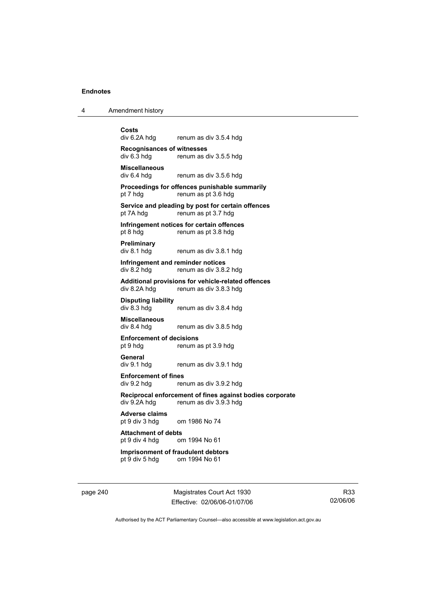4 Amendment history

**Costs**  renum as div 3.5.4 hdg **Recognisances of witnesses**  renum as div 3.5.5 hdg **Miscellaneous**  renum as div 3.5.6 hdg **Proceedings for offences punishable summarily**  pt 7 hdg renum as pt 3.6 hdg **Service and pleading by post for certain offences**  pt 7A hdg renum as pt 3.7 hdg **Infringement notices for certain offences**  pt 8 hdg renum as pt 3.8 hdg **Preliminary**  div 8.1 hdg renum as div 3.8.1 hdg **Infringement and reminder notices**<br>div 8.2 hdg renum as div 3.8. renum as div 3.8.2 hdg **Additional provisions for vehicle-related offences**  div 8.2A hdg renum as div 3.8.3 hdg **Disputing liability**  renum as div 3.8.4 hdg **Miscellaneous**  renum as div 3.8.5 hdg **Enforcement of decisions**  pt 9 hdg renum as pt 3.9 hdg **General**  div 9.1 hdg renum as div 3.9.1 hdg **Enforcement of fines**  div 9.2 hdg renum as div 3.9.2 hdg **Reciprocal enforcement of fines against bodies corporate**  renum as div  $3.9.3$  hdg **Adverse claims**  pt 9 div 3 hdg om 1986 No 74 **Attachment of debts** pt 9 div 4 hdg or om 1994 No 61 **Imprisonment of fraudulent debtors** 

pt 9 div 5 hdg om 1994 No 61

page 240 Magistrates Court Act 1930 Effective: 02/06/06-01/07/06

R33 02/06/06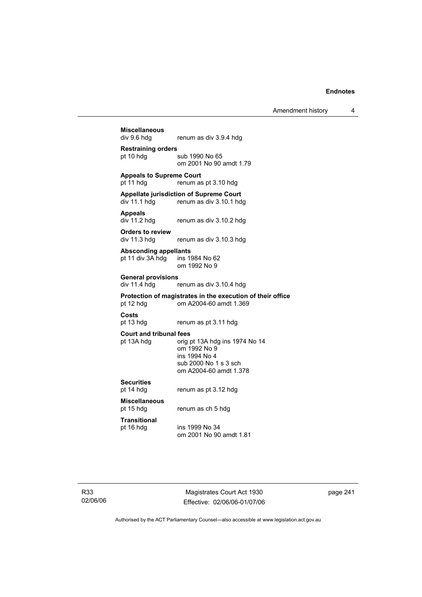Amendment history 4

# **Miscellaneous**  renum as div 3.9.4 hdg **Restraining orders**  pt 10 hdg sub 1990 No 65 om 2001 No 90 amdt 1.79 **Appeals to Supreme Court**  pt 11 hdg renum as pt 3.10 hdg **Appellate jurisdiction of Supreme Court**  renum as div 3.10.1 hdg **Appeals**  div 11.2 hdg renum as div 3.10.2 hdg **Orders to review**  div 11.3 hdg renum as div 3.10.3 hdg **Absconding appellants**  pt 11 div 3A hdg ins 1984 No 62 om 1992 No 9 **General provisions**  renum as div 3.10.4 hdg **Protection of magistrates in the execution of their office**  pt 12 hdg om A2004-60 amdt 1.369 **Costs**  renum as pt 3.11 hdg **Court and tribunal fees**  pt 13A hdg orig pt 13A hdg ins 1974 No 14 om 1992 No 9 ins 1994 No 4 sub 2000 No 1 s 3 sch om A2004-60 amdt 1.378 **Securities**  pt 14 hdg renum as pt 3.12 hdg **Miscellaneous**  renum as ch 5 hdg **Transitional**  pt 16 hdg ins 1999 No 34 om 2001 No 90 amdt 1.81

R33 02/06/06

Magistrates Court Act 1930 Effective: 02/06/06-01/07/06 page 241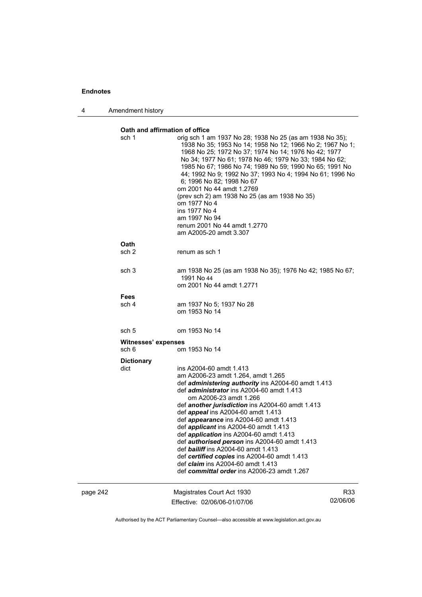4 Amendment history

#### **Oath and affirmation of office**

|          | sch 1                        | orig sch 1 am 1937 No 28; 1938 No 25 (as am 1938 No 35);<br>1938 No 35; 1953 No 14; 1958 No 12; 1966 No 2; 1967 No 1;<br>1968 No 25; 1972 No 37; 1974 No 14; 1976 No 42; 1977<br>No 34; 1977 No 61; 1978 No 46; 1979 No 33; 1984 No 62;<br>1985 No 67; 1986 No 74; 1989 No 59; 1990 No 65; 1991 No<br>44; 1992 No 9; 1992 No 37; 1993 No 4; 1994 No 61; 1996 No<br>6; 1996 No 82; 1998 No 67<br>om 2001 No 44 amdt 1.2769<br>(prev sch 2) am 1938 No 25 (as am 1938 No 35)<br>om 1977 No 4<br>ins 1977 No 4<br>am 1997 No 94<br>renum 2001 No 44 amdt 1.2770<br>am A2005-20 amdt 3.307                                                                                                                  |                 |
|----------|------------------------------|---------------------------------------------------------------------------------------------------------------------------------------------------------------------------------------------------------------------------------------------------------------------------------------------------------------------------------------------------------------------------------------------------------------------------------------------------------------------------------------------------------------------------------------------------------------------------------------------------------------------------------------------------------------------------------------------------------|-----------------|
|          | Oath<br>sch <sub>2</sub>     | renum as sch 1                                                                                                                                                                                                                                                                                                                                                                                                                                                                                                                                                                                                                                                                                          |                 |
|          | sch <sub>3</sub>             | am 1938 No 25 (as am 1938 No 35); 1976 No 42; 1985 No 67;<br>1991 No 44<br>om 2001 No 44 amdt 1.2771                                                                                                                                                                                                                                                                                                                                                                                                                                                                                                                                                                                                    |                 |
|          | <b>Fees</b><br>sch 4         | am 1937 No 5; 1937 No 28<br>om 1953 No 14                                                                                                                                                                                                                                                                                                                                                                                                                                                                                                                                                                                                                                                               |                 |
| sch 5    |                              | om 1953 No 14                                                                                                                                                                                                                                                                                                                                                                                                                                                                                                                                                                                                                                                                                           |                 |
|          | Witnesses' expenses<br>sch 6 | om 1953 No 14                                                                                                                                                                                                                                                                                                                                                                                                                                                                                                                                                                                                                                                                                           |                 |
|          | <b>Dictionary</b><br>dict    | ins A2004-60 amdt 1.413<br>am A2006-23 amdt 1.264, amdt 1.265<br>def administering authority ins A2004-60 amdt 1.413<br>def <i>administrator</i> ins A2004-60 amdt 1.413<br>om A2006-23 amdt 1.266<br>def <b>another jurisdiction</b> ins A2004-60 amdt 1.413<br>def <i>appeal</i> ins A2004-60 amdt 1.413<br>def <i>appearance</i> ins A2004-60 amdt 1.413<br>def <i>applicant</i> ins A2004-60 amdt 1.413<br>def <i>application</i> ins A2004-60 amdt 1.413<br>def authorised person ins A2004-60 amdt 1.413<br>def <b>bailiff</b> ins A2004-60 amdt 1.413<br>def certified copies ins A2004-60 amdt 1.413<br>def <i>claim</i> ins A2004-60 amdt 1.413<br>def committal order ins A2006-23 amdt 1.267 |                 |
| page 242 |                              | Magistrates Court Act 1930<br>Effective: 02/06/06-01/07/06                                                                                                                                                                                                                                                                                                                                                                                                                                                                                                                                                                                                                                              | R33<br>02/06/06 |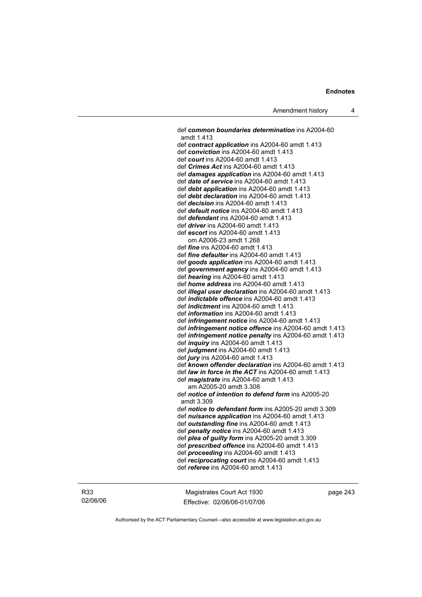def *common boundaries determination* ins A2004-60 amdt 1.413 def *contract application* ins A2004-60 amdt 1.413 def *conviction* ins A2004-60 amdt 1.413 def *court* ins A2004-60 amdt 1.413 def *Crimes Act* ins A2004-60 amdt 1.413 def *damages application* ins A2004-60 amdt 1.413 def *date of service* ins A2004-60 amdt 1.413 def *debt application* ins A2004-60 amdt 1.413 def *debt declaration* ins A2004-60 amdt 1.413 def *decision* ins A2004-60 amdt 1.413 def *default notice* ins A2004-60 amdt 1.413 def *defendant* ins A2004-60 amdt 1.413 def *driver* ins A2004-60 amdt 1.413 def *escort* ins A2004-60 amdt 1.413 om A2006-23 amdt 1.268 def *fine* ins A2004-60 amdt 1.413 def *fine defaulter* ins A2004-60 amdt 1.413 def *goods application* ins A2004-60 amdt 1.413 def *government agency* ins A2004-60 amdt 1.413 def *hearing* ins A2004-60 amdt 1.413 def *home address* ins A2004-60 amdt 1.413 def *illegal user declaration* ins A2004-60 amdt 1.413 def *indictable offence* ins A2004-60 amdt 1.413 def *indictment* ins A2004-60 amdt 1.413 def *information* ins A2004-60 amdt 1.413 def *infringement notice* ins A2004-60 amdt 1.413 def *infringement notice offence* ins A2004-60 amdt 1.413 def *infringement notice penalty* ins A2004-60 amdt 1.413 def *inquiry* ins A2004-60 amdt 1.413 def *judgment* ins A2004-60 amdt 1.413 def *jury* ins A2004-60 amdt 1.413 def *known offender declaration* ins A2004-60 amdt 1.413 def *law in force in the ACT* ins A2004-60 amdt 1.413 def *magistrate* ins A2004-60 amdt 1.413 am A2005-20 amdt 3.308 def *notice of intention to defend form* ins A2005-20 amdt 3.309 def *notice to defendant form* ins A2005-20 amdt 3.309 def *nuisance application* ins A2004-60 amdt 1.413 def *outstanding fine* ins A2004-60 amdt 1.413 def *penalty notice* ins A2004-60 amdt 1.413 def *plea of guilty form* ins A2005-20 amdt 3.309 def *prescribed offence* ins A2004-60 amdt 1.413 def *proceeding* ins A2004-60 amdt 1.413 def *reciprocating court* ins A2004-60 amdt 1.413 def *referee* ins A2004-60 amdt 1.413

R33 02/06/06

Magistrates Court Act 1930 Effective: 02/06/06-01/07/06 page 243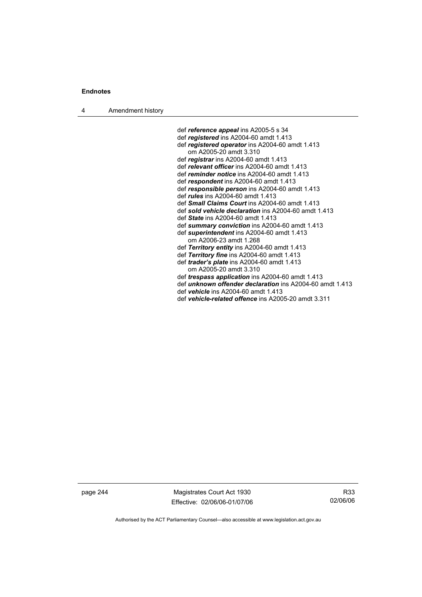4 Amendment history

 def *reference appeal* ins A2005-5 s 34 def *registered* ins A2004-60 amdt 1.413 def *registered operator* ins A2004-60 amdt 1.413 om A2005-20 amdt 3.310 def *registrar* ins A2004-60 amdt 1.413 def *relevant officer* ins A2004-60 amdt 1.413 def *reminder notice* ins A2004-60 amdt 1.413 def *respondent* ins A2004-60 amdt 1.413 def *responsible person* ins A2004-60 amdt 1.413 def *rules* ins A2004-60 amdt 1.413 def *Small Claims Court* ins A2004-60 amdt 1.413 def *sold vehicle declaration* ins A2004-60 amdt 1.413 def *State* ins A2004-60 amdt 1.413 def *summary conviction* ins A2004-60 amdt 1.413 def *superintendent* ins A2004-60 amdt 1.413 om A2006-23 amdt 1.268 def *Territory entity* ins A2004-60 amdt 1.413 def *Territory fine* ins A2004-60 amdt 1.413 def *trader's plate* ins A2004-60 amdt 1.413 om A2005-20 amdt 3.310 def *trespass application* ins A2004-60 amdt 1.413 def *unknown offender declaration* ins A2004-60 amdt 1.413 def *vehicle* ins A2004-60 amdt 1.413 def *vehicle-related offence* ins A2005-20 amdt 3.311

page 244 Magistrates Court Act 1930 Effective: 02/06/06-01/07/06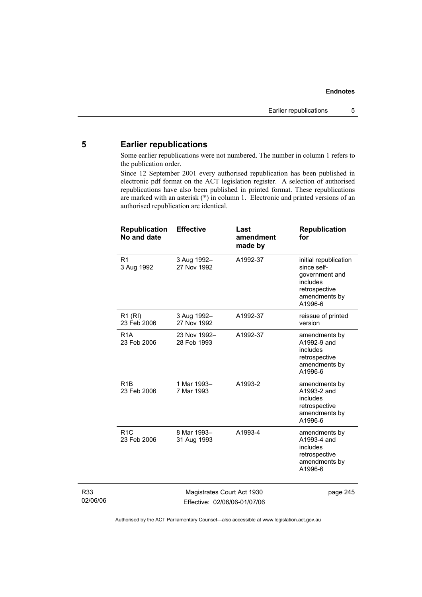# **5 Earlier republications**

Some earlier republications were not numbered. The number in column 1 refers to the publication order.

Since 12 September 2001 every authorised republication has been published in electronic pdf format on the ACT legislation register. A selection of authorised republications have also been published in printed format. These republications are marked with an asterisk (\*) in column 1. Electronic and printed versions of an authorised republication are identical.

| <b>Republication</b><br><b>No and date</b> | <b>Effective</b>            | Last<br>amendment<br>made by | <b>Republication</b><br>for                                                                                     |
|--------------------------------------------|-----------------------------|------------------------------|-----------------------------------------------------------------------------------------------------------------|
| R <sub>1</sub><br>3 Aug 1992               | 3 Aug 1992-<br>27 Nov 1992  | A1992-37                     | initial republication<br>since self-<br>government and<br>includes<br>retrospective<br>amendments by<br>A1996-6 |
| R1 (RI)<br>23 Feb 2006                     | 3 Aug 1992-<br>27 Nov 1992  | A1992-37                     | reissue of printed<br>version                                                                                   |
| R <sub>1</sub> A<br>23 Feb 2006            | 23 Nov 1992-<br>28 Feb 1993 | A1992-37                     | amendments by<br>A1992-9 and<br>includes<br>retrospective<br>amendments by<br>A1996-6                           |
| R <sub>1</sub> <sub>B</sub><br>23 Feb 2006 | 1 Mar 1993-<br>7 Mar 1993   | A1993-2                      | amendments by<br>A1993-2 and<br>includes<br>retrospective<br>amendments by<br>A1996-6                           |
| R1C<br>23 Feb 2006                         | 8 Mar 1993-<br>31 Aug 1993  | A1993-4                      | amendments by<br>A1993-4 and<br>includes<br>retrospective<br>amendments by<br>A1996-6                           |
|                                            |                             |                              |                                                                                                                 |

R33 02/06/06

Magistrates Court Act 1930 Effective: 02/06/06-01/07/06 page 245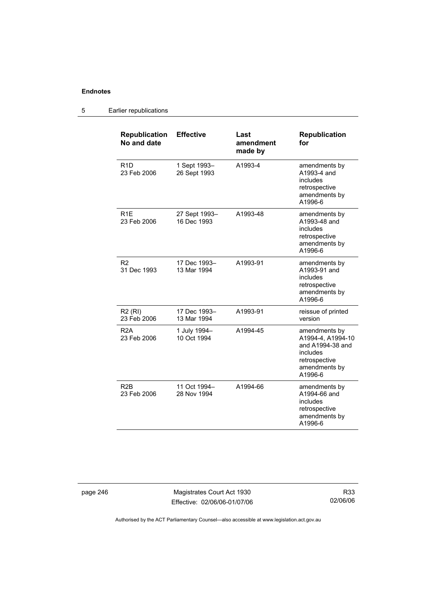# 5 Earlier republications

| <b>Republication</b><br>No and date | <b>Effective</b>             | Last<br>amendment<br>made by | <b>Republication</b><br>for                                                                                     |
|-------------------------------------|------------------------------|------------------------------|-----------------------------------------------------------------------------------------------------------------|
| R1D<br>23 Feb 2006                  | 1 Sept 1993-<br>26 Sept 1993 | A1993-4                      | amendments by<br>A1993-4 and<br>includes<br>retrospective<br>amendments by<br>A1996-6                           |
| R <sub>1</sub> E<br>23 Feb 2006     | 27 Sept 1993-<br>16 Dec 1993 | A1993-48                     | amendments by<br>A1993-48 and<br>includes<br>retrospective<br>amendments by<br>A1996-6                          |
| R <sub>2</sub><br>31 Dec 1993       | 17 Dec 1993-<br>13 Mar 1994  | A1993-91                     | amendments by<br>A1993-91 and<br>includes<br>retrospective<br>amendments by<br>A1996-6                          |
| <b>R2 (RI)</b><br>23 Feb 2006       | 17 Dec 1993-<br>13 Mar 1994  | A1993-91                     | reissue of printed<br>version                                                                                   |
| R <sub>2</sub> A<br>23 Feb 2006     | 1 July 1994-<br>10 Oct 1994  | A1994-45                     | amendments by<br>A1994-4, A1994-10<br>and A1994-38 and<br>includes<br>retrospective<br>amendments by<br>A1996-6 |
| R <sub>2</sub> B<br>23 Feb 2006     | 11 Oct 1994-<br>28 Nov 1994  | A1994-66                     | amendments by<br>A1994-66 and<br>includes<br>retrospective<br>amendments by<br>A1996-6                          |

page 246 Magistrates Court Act 1930 Effective: 02/06/06-01/07/06

R33 02/06/06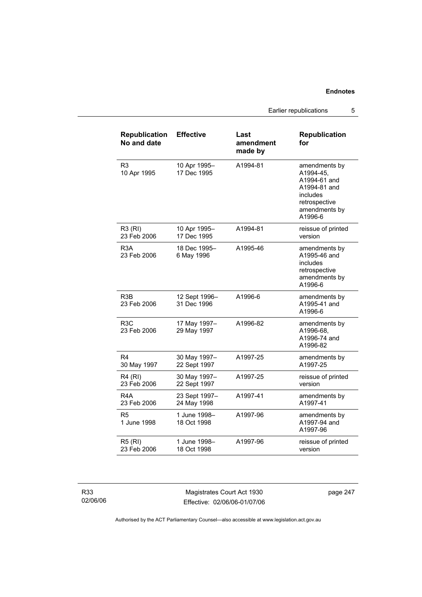|                                     |                              | Earlier republications       |                                                                                                                     | 5 |
|-------------------------------------|------------------------------|------------------------------|---------------------------------------------------------------------------------------------------------------------|---|
| <b>Republication</b><br>No and date | <b>Effective</b>             | Last<br>amendment<br>made by | <b>Republication</b><br>for                                                                                         |   |
| R <sub>3</sub><br>10 Apr 1995       | 10 Apr 1995-<br>17 Dec 1995  | A1994-81                     | amendments by<br>A1994-45,<br>A1994-61 and<br>A1994-81 and<br>includes<br>retrospective<br>amendments by<br>A1996-6 |   |
| R3 (RI)<br>23 Feb 2006              | 10 Apr 1995-<br>17 Dec 1995  | A1994-81                     | reissue of printed<br>version                                                                                       |   |
| R <sub>3</sub> A<br>23 Feb 2006     | 18 Dec 1995-<br>6 May 1996   | A1995-46                     | amendments by<br>A1995-46 and<br>includes<br>retrospective<br>amendments by<br>A1996-6                              |   |
| R <sub>3</sub> B<br>23 Feb 2006     | 12 Sept 1996-<br>31 Dec 1996 | A1996-6                      | amendments by<br>A1995-41 and<br>A1996-6                                                                            |   |
| R <sub>3</sub> C<br>23 Feb 2006     | 17 May 1997-<br>29 May 1997  | A1996-82                     | amendments by<br>A1996-68,<br>A1996-74 and<br>A1996-82                                                              |   |
| R <sub>4</sub><br>30 May 1997       | 30 May 1997-<br>22 Sept 1997 | A1997-25                     | amendments by<br>A1997-25                                                                                           |   |
| <b>R4 (RI)</b><br>23 Feb 2006       | 30 May 1997-<br>22 Sept 1997 | A1997-25                     | reissue of printed<br>version                                                                                       |   |
| R4A                                 | 23 Sept 1997–                | A1997-41                     | amendments by                                                                                                       |   |

R33 02/06/06 R4A 23 Feb 2006

R5

1 June 1998

R5 (RI) 23 Feb 2006

> Magistrates Court Act 1930 Effective: 02/06/06-01/07/06

page 247

A1997-41

version

A1997-94 and A1997-96

A1997-96 amendments by

A1997-96 reissue of printed

Authorised by the ACT Parliamentary Counsel—also accessible at www.legislation.act.gov.au

24 May 1998

1 June 1998– 18 Oct 1998

1 June 1998– 18 Oct 1998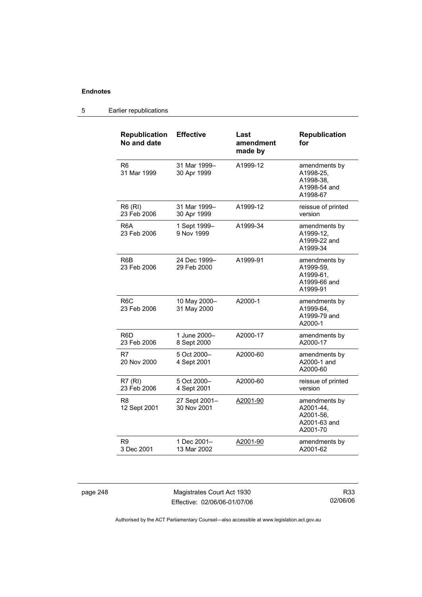#### 5 Earlier republications

| <b>Republication</b><br>No and date | <b>Effective</b>             | Last<br>amendment<br>made by | <b>Republication</b><br>for                                         |
|-------------------------------------|------------------------------|------------------------------|---------------------------------------------------------------------|
| R6<br>31 Mar 1999                   | 31 Mar 1999-<br>30 Apr 1999  | A1999-12                     | amendments by<br>A1998-25,<br>A1998-38,<br>A1998-54 and<br>A1998-67 |
| R6 (RI)<br>23 Feb 2006              | 31 Mar 1999-<br>30 Apr 1999  | A1999-12                     | reissue of printed<br>version                                       |
| R6A<br>23 Feb 2006                  | 1 Sept 1999-<br>9 Nov 1999   | A1999-34                     | amendments by<br>A1999-12,<br>A1999-22 and<br>A1999-34              |
| R <sub>6</sub> B<br>23 Feb 2006     | 24 Dec 1999-<br>29 Feb 2000  | A1999-91                     | amendments by<br>A1999-59,<br>A1999-61,<br>A1999-66 and<br>A1999-91 |
| R6C<br>23 Feb 2006                  | 10 May 2000-<br>31 May 2000  | A2000-1                      | amendments by<br>A1999-64.<br>A1999-79 and<br>A2000-1               |
| R6D.<br>23 Feb 2006                 | 1 June 2000-<br>8 Sept 2000  | A2000-17                     | amendments by<br>A2000-17                                           |
| R7<br>20 Nov 2000                   | 5 Oct 2000-<br>4 Sept 2001   | A2000-60                     | amendments by<br>A2000-1 and<br>A2000-60                            |
| R7(RI)<br>23 Feb 2006               | 5 Oct 2000-<br>4 Sept 2001   | A2000-60                     | reissue of printed<br>version                                       |
| R <sub>8</sub><br>12 Sept 2001      | 27 Sept 2001-<br>30 Nov 2001 | A2001-90                     | amendments by<br>A2001-44,<br>A2001-56,<br>A2001-63 and<br>A2001-70 |
| R9<br>3 Dec 2001                    | 1 Dec 2001-<br>13 Mar 2002   | A2001-90                     | amendments by<br>A2001-62                                           |

page 248 Magistrates Court Act 1930 Effective: 02/06/06-01/07/06

R33 02/06/06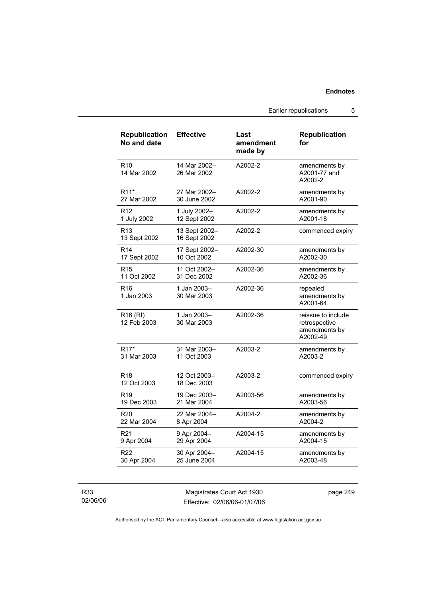Earlier republications 5

| <b>Republication</b><br>No and date | <b>Effective</b>              | Last<br>amendment<br>made by | <b>Republication</b><br>for                                      |
|-------------------------------------|-------------------------------|------------------------------|------------------------------------------------------------------|
| R <sub>10</sub><br>14 Mar 2002      | 14 Mar 2002-<br>26 Mar 2002   | A2002-2                      | amendments by<br>A2001-77 and<br>A2002-2                         |
| R <sub>11</sub> *                   | 27 Mar 2002-                  | A2002-2                      | amendments by                                                    |
| 27 Mar 2002                         | 30 June 2002                  |                              | A2001-90                                                         |
| R <sub>12</sub>                     | 1 July 2002-                  | A2002-2                      | amendments by                                                    |
| 1 July 2002                         | 12 Sept 2002                  |                              | A2001-18                                                         |
| R <sub>13</sub><br>13 Sept 2002     | 13 Sept 2002-<br>16 Sept 2002 | A2002-2                      | commenced expiry                                                 |
| R <sub>14</sub>                     | 17 Sept 2002-                 | A2002-30                     | amendments by                                                    |
| 17 Sept 2002                        | 10 Oct 2002                   |                              | A2002-30                                                         |
| R <sub>15</sub>                     | 11 Oct 2002-                  | A2002-36                     | amendments by                                                    |
| 11 Oct 2002                         | 31 Dec 2002                   |                              | A2002-36                                                         |
| R16<br>1 Jan 2003                   | 1 Jan 2003-<br>30 Mar 2003    | A2002-36                     | repealed<br>amendments by<br>A2001-64                            |
| R <sub>16</sub> (RI)<br>12 Feb 2003 | 1 Jan 2003-<br>30 Mar 2003    | A2002-36                     | reissue to include<br>retrospective<br>amendments by<br>A2002-49 |
| R17*                                | 31 Mar 2003-                  | A2003-2                      | amendments by                                                    |
| 31 Mar 2003                         | 11 Oct 2003                   |                              | A2003-2                                                          |
| R <sub>18</sub><br>12 Oct 2003      | 12 Oct 2003-<br>18 Dec 2003   | A2003-2                      | commenced expiry                                                 |
| R <sub>19</sub>                     | 19 Dec 2003-                  | A2003-56                     | amendments by                                                    |
| 19 Dec 2003                         | 21 Mar 2004                   |                              | A2003-56                                                         |
| R <sub>20</sub>                     | 22 Mar 2004-                  | A2004-2                      | amendments by                                                    |
| 22 Mar 2004                         | 8 Apr 2004                    |                              | A2004-2                                                          |
| R <sub>21</sub>                     | 9 Apr 2004-                   | A2004-15                     | amendments by                                                    |
| 9 Apr 2004                          | 29 Apr 2004                   |                              | A2004-15                                                         |
| R22                                 | 30 Apr 2004-                  | A2004-15                     | amendments by                                                    |
| 30 Apr 2004                         | 25 June 2004                  |                              | A2003-48                                                         |

R33 02/06/06

Magistrates Court Act 1930 Effective: 02/06/06-01/07/06 page 249